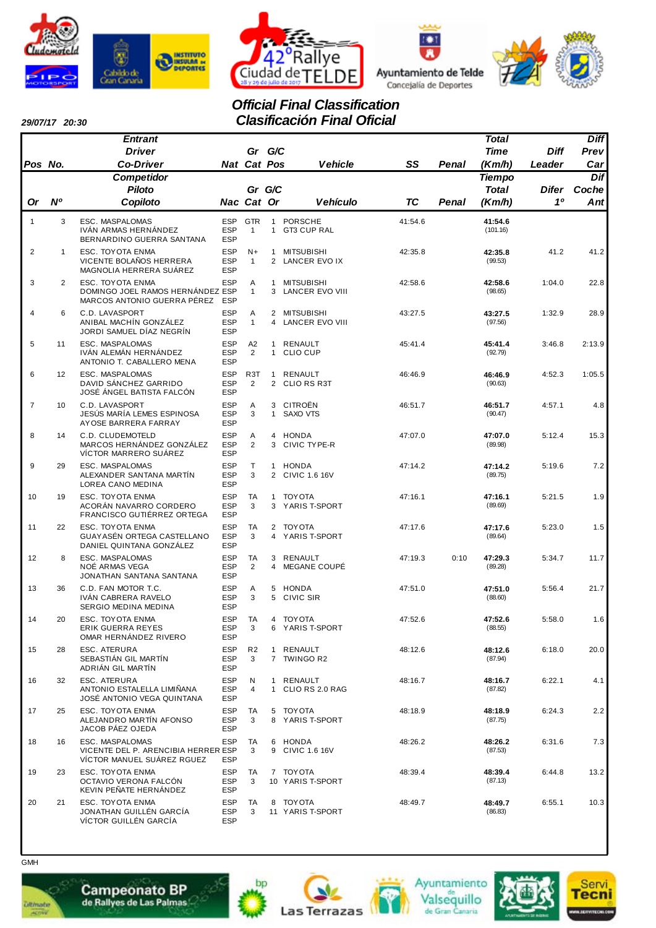







# *Official Final Classification Clasificación Final Oficial*

| 29/07/17 20:30 |  |
|----------------|--|
|                |  |

|                |                | <b>Entrant</b>                                                                          |                                        |                                    |                              |                                      |           |       | <b>Total</b>                  |             | <b>Diff</b>  |
|----------------|----------------|-----------------------------------------------------------------------------------------|----------------------------------------|------------------------------------|------------------------------|--------------------------------------|-----------|-------|-------------------------------|-------------|--------------|
|                |                | <b>Driver</b>                                                                           |                                        | Gr G/C                             |                              |                                      |           |       | <b>Time</b>                   | <b>Diff</b> | Prev         |
| Pos No.        |                | <b>Co-Driver</b>                                                                        |                                        | Nat Cat Pos                        |                              | <b>Vehicle</b>                       | SS        | Penal | (Km/h)                        | Leader      | Car          |
|                |                | <b>Competidor</b><br><b>Piloto</b>                                                      |                                        | Gr G/C                             |                              |                                      |           |       | <b>Tiempo</b><br><b>Total</b> | Difer       | Dif<br>Coche |
| Or             | N <sup>o</sup> | Copiloto                                                                                |                                        | Nac Cat Or                         |                              | <b>Vehículo</b>                      | <b>TC</b> | Penal | (Km/h)                        | 10          | Ant          |
| $\mathbf{1}$   | 3              | ESC. MASPALOMAS<br>IVÁN ARMAS HERNÁNDEZ<br>BERNARDINO GUERRA SANTANA                    | <b>ESP</b><br><b>ESP</b><br><b>ESP</b> | <b>GTR</b><br>$\mathbf{1}$         | $\mathbf{1}$<br>$\mathbf{1}$ | <b>PORSCHE</b><br>GT3 CUP RAL        | 41:54.6   |       | 41:54.6<br>(101.16)           |             |              |
| $\overline{2}$ | $\mathbf{1}$   | ESC. TOYOTA ENMA<br>VICENTE BOLAÑOS HERRERA<br>MAGNOLIA HERRERA SUÁREZ                  | <b>ESP</b><br><b>ESP</b><br><b>ESP</b> | $N+$<br>$\mathbf{1}$               | $\mathbf{1}$                 | <b>MITSUBISHI</b><br>2 LANCER EVO IX | 42:35.8   |       | 42:35.8<br>(99.53)            | 41.2        | 41.2         |
| 3              | $\overline{2}$ | ESC. TOYOTA ENMA<br>DOMINGO JOEL RAMOS HERNÁNDEZ ESP<br>MARCOS ANTONIO GUERRA PÉREZ ESP | <b>ESP</b>                             | A<br>$\mathbf{1}$                  | $\mathbf{1}$<br>3            | <b>MITSUBISHI</b><br>LANCER EVO VIII | 42:58.6   |       | 42:58.6<br>(98.65)            | 1:04.0      | 22.8         |
| $\overline{4}$ | 6              | C.D. LAVASPORT<br>ANIBAL MACHÍN GONZÁLEZ<br>JORDI SAMUEL DÍAZ NEGRÍN                    | <b>ESP</b><br><b>ESP</b><br><b>ESP</b> | Α<br>$\mathbf{1}$                  | 2<br>4                       | MITSUBISHI<br>LANCER EVO VIII        | 43:27.5   |       | 43:27.5<br>(97.56)            | 1:32.9      | 28.9         |
| 5              | 11             | ESC. MASPALOMAS<br>IVÁN ALEMÁN HERNÁNDEZ<br>ANTONIO T. CABALLERO MENA                   | <b>ESP</b><br><b>ESP</b><br><b>ESP</b> | A <sub>2</sub><br>$\overline{2}$   | $\mathbf{1}$<br>$\mathbf{1}$ | RENAULT<br><b>CLIO CUP</b>           | 45:41.4   |       | 45:41.4<br>(92.79)            | 3:46.8      | 2:13.9       |
| 6              | 12             | ESC. MASPALOMAS<br>DAVID SÁNCHEZ GARRIDO<br>JOSÉ ÁNGEL BATISTA FALCÓN                   | <b>ESP</b><br><b>ESP</b><br><b>ESP</b> | R <sub>3</sub> T<br>$\overline{2}$ | $\mathbf{1}$                 | RENAULT<br>2 CLIO RS R3T             | 46:46.9   |       | 46:46.9<br>(90.63)            | 4:52.3      | 1:05.5       |
| $\overline{7}$ | 10             | C.D. LAVASPORT<br>JESÚS MARÍA LEMES ESPINOSA<br>AYOSE BARRERA FARRAY                    | <b>ESP</b><br><b>ESP</b><br><b>ESP</b> | Α<br>3                             | 3<br>1                       | CITROËN<br>SAXO VTS                  | 46:51.7   |       | 46:51.7<br>(90.47)            | 4:57.1      | 4.8          |
| 8              | 14             | C.D. CLUDEMOTELD<br>MARCOS HERNÁNDEZ GONZÁLEZ<br>VÍCTOR MARRERO SUAREZ                  | <b>ESP</b><br><b>ESP</b><br><b>ESP</b> | Α<br>$\overline{2}$                | $\overline{4}$<br>3          | <b>HONDA</b><br>CIVIC TYPE-R         | 47:07.0   |       | 47:07.0<br>(89.98)            | 5:12.4      | 15.3         |
| 9              | 29             | ESC. MASPALOMAS<br>ALEXANDER SANTANA MARTIN<br>LOREA CANO MEDINA                        | <b>ESP</b><br><b>ESP</b><br><b>ESP</b> | Τ<br>3                             | $\mathbf{1}$                 | <b>HONDA</b><br>2 CIVIC 1.6 16V      | 47:14.2   |       | 47:14.2<br>(89.75)            | 5:19.6      | 7.2          |
| 10             | 19             | ESC. TOYOTA ENMA<br>ACORÁN NAVARRO CORDERO<br>FRANCISCO GUTIÉRREZ ORTEGA                | <b>ESP</b><br><b>ESP</b><br><b>ESP</b> | TA<br>3                            | $\mathbf{1}$<br>3            | <b>TOY OTA</b><br>YARIS T-SPORT      | 47:16.1   |       | 47:16.1<br>(89.69)            | 5:21.5      | 1.9          |
| 11             | 22             | ESC. TOYOTA ENMA<br>GUAYASÉN ORTEGA CASTELLANO<br>DANIEL QUINTANA GONZALEZ              | <b>ESP</b><br><b>ESP</b><br><b>ESP</b> | TA<br>3                            | $\overline{4}$               | 2 TOYOTA<br>YARIS T-SPORT            | 47:17.6   |       | 47:17.6<br>(89.64)            | 5:23.0      | 1.5          |
| 12             | 8              | ESC. MASPALOMAS<br>NOÉ ARMAS VEGA<br>JONATHAN SANTANA SANTANA                           | <b>ESP</b><br><b>ESP</b><br><b>ESP</b> | TA<br>2                            | 3<br>$\overline{4}$          | RENAULT<br>MEGANE COUPÉ              | 47:19.3   | 0:10  | 47:29.3<br>(89.28)            | 5:34.7      | 11.7         |
| 13             | 36             | C.D. FAN MOTOR T.C.<br>IVAN CABRERA RAVELO<br>SERGIO MEDINA MEDINA                      | <b>ESP</b><br><b>ESP</b><br><b>ESP</b> | Α<br>3                             | 5<br>5                       | HONDA<br>CIVIC SIR                   | 47:51.0   |       | 47:51.0<br>(88.60)            | 5:56.4      | 21.7         |
| 14             | 20             | ESC. TOYOTA ENMA<br>ERIK GUERRA REYES<br>OMAR HERNANDEZ RIVERO                          | <b>ESP</b><br><b>ESP</b><br><b>ESP</b> | TA<br>3                            | 4                            | TOYOTA<br>6 YARIS T-SPORT            | 47:52.6   |       | 47:52.6<br>(88.55)            | 5:58.0      | 1.6          |
| 15             | 28             | ESC. ATERURA<br>SEBASTIÁN GIL MARTÍN<br>ADRIÁN GIL MARTÍN                               | <b>ESP</b><br>ESP<br><b>ESP</b>        | R <sub>2</sub><br>3                | $\mathbf{1}$                 | RENAULT<br>7 TWINGO R2               | 48:12.6   |       | 48:12.6<br>(87.94)            | 6:18.0      | 20.0         |
| 16             | 32             | ESC. ATERURA<br>ANTONIO ESTALELLA LIMIÑANA<br>JOSÉ ANTONIO VEGA QUINTANA                | <b>ESP</b><br><b>ESP</b><br><b>ESP</b> | N<br>4                             |                              | 1 RENAULT<br>1 CLIO RS 2.0 RAG       | 48:16.7   |       | 48:16.7<br>(87.82)            | 6:22.1      | 4.1          |
| 17             | 25             | ESC. TOYOTA ENMA<br>ALEJANDRO MARTÍN AFONSO<br>JACOB PÁEZ OJEDA                         | <b>ESP</b><br><b>ESP</b><br><b>ESP</b> | TA<br>3                            |                              | 5 TOYOTA<br>8 YARIS T-SPORT          | 48:18.9   |       | 48:18.9<br>(87.75)            | 6:24.3      | 2.2          |
| 18             | 16             | ESC. MASPALOMAS<br>VICENTE DEL P. ARENCIBIA HERRER ESP<br>VICTOR MANUEL SUAREZ RGUEZ    | <b>ESP</b><br><b>ESP</b>               | TA<br>3                            |                              | 6 HONDA<br>9 CIVIC 1.6 16V           | 48:26.2   |       | 48:26.2<br>(87.53)            | 6:31.6      | 7.3          |
| 19             | 23             | ESC. TOYOTA ENMA<br>OCTAVIO VERONA FALCÓN<br>KEVIN PEÑATE HERNÁNDEZ                     | <b>ESP</b><br><b>ESP</b><br><b>ESP</b> | TA<br>3                            |                              | 7 TOYOTA<br>10 YARIS T-SPORT         | 48:39.4   |       | 48:39.4<br>(87.13)            | 6:44.8      | 13.2         |
| 20             | 21             | ESC. TOYOTA ENMA<br>JONATHAN GUILLÉN GARCÍA<br>VÍCTOR GUILLÉN GARCÍA                    | <b>ESP</b><br><b>ESP</b><br>ESP        | TA<br>3                            |                              | 8 TOYOTA<br>11 YARIS T-SPORT         | 48:49.7   |       | 48:49.7<br>(86.83)            | 6:55.1      | 10.3         |



**GMH** 





bp





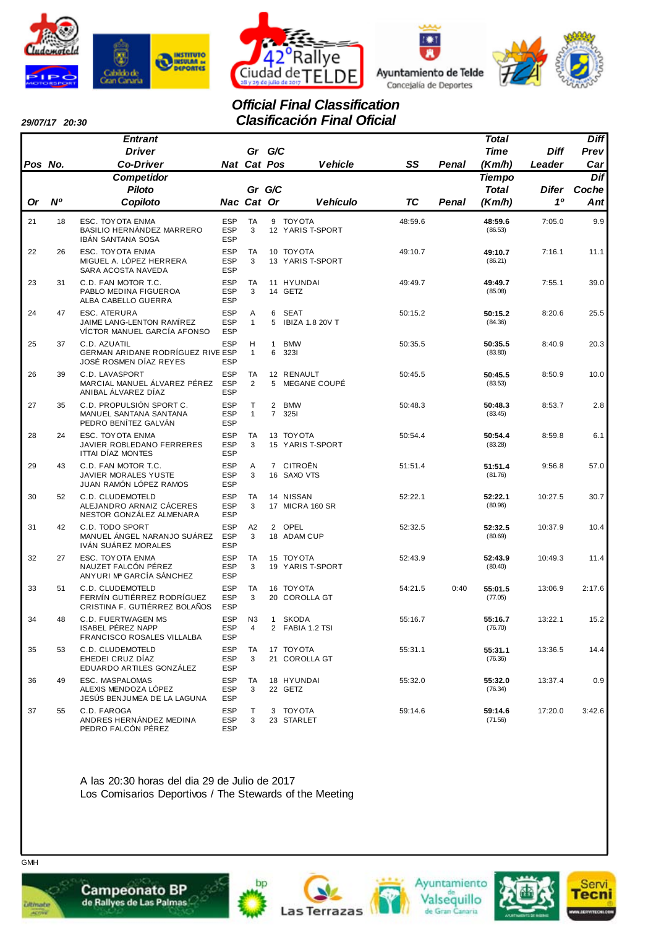







# *Official Final Classification Clasificación Final Oficial*

| 29/07/17 20:30 |  |
|----------------|--|
|                |  |

|         |                | <b>Entrant</b>                                                                      |                                        |                     |                                  |                                 |           |       | <b>Total</b>       |         | <b>Diff</b> |
|---------|----------------|-------------------------------------------------------------------------------------|----------------------------------------|---------------------|----------------------------------|---------------------------------|-----------|-------|--------------------|---------|-------------|
|         |                | <b>Driver</b>                                                                       |                                        | Gr G/C              |                                  |                                 |           |       | Time               | Diff    | Prev        |
| Pos No. |                | <b>Co-Driver</b>                                                                    |                                        | Nat Cat Pos         |                                  | <b>Vehicle</b>                  | SS        | Penal | (Km/h)             | Leader  | Car         |
|         |                | <b>Competidor</b>                                                                   |                                        |                     |                                  |                                 |           |       | <b>Tiempo</b>      |         | Dif         |
|         |                | <b>Piloto</b>                                                                       |                                        | Gr G/C              |                                  |                                 |           |       | <b>Total</b>       | Difer   | Coche       |
| Or      | N <sup>o</sup> | Copiloto                                                                            |                                        | Nac Cat Or          |                                  | <b>Vehículo</b>                 | <b>TC</b> | Penal | (Km/h)             | 10      | Ant         |
| 21      | 18             | ESC. TOYOTA ENMA<br>BASILIO HERNANDEZ MARRERO<br>IBÁN SANTANA SOSA                  | <b>ESP</b><br><b>ESP</b><br><b>ESP</b> | TA<br>3             |                                  | 9 TOYOTA<br>12 YARIS T-SPORT    | 48:59.6   |       | 48:59.6<br>(86.53) | 7:05.0  | 9.9         |
| 22      | 26             | ESC. TOYOTA ENMA<br>MIGUEL A. LÓPEZ HERRERA<br>SARA ACOSTA NAVEDA                   | <b>ESP</b><br><b>ESP</b><br><b>ESP</b> | TA<br>3             |                                  | 10 TOYOTA<br>13 YARIS T-SPORT   | 49:10.7   |       | 49:10.7<br>(86.21) | 7:16.1  | 11.1        |
| 23      | 31             | C.D. FAN MOTOR T.C.<br>PABLO MEDINA FIGUEROA<br>ALBA CABELLO GUERRA                 | <b>ESP</b><br><b>ESP</b><br><b>ESP</b> | TA<br>3             |                                  | 11 HYUNDAI<br>14 GETZ           | 49:49.7   |       | 49:49.7<br>(85.08) | 7:55.1  | 39.0        |
| 24      | 47             | <b>ESC. ATERURA</b><br>JAIME LANG-LENTON RAMIREZ<br>VÍCTOR MANUEL GARCÍA AFONSO     | ESP<br><b>ESP</b><br><b>ESP</b>        | Α<br>$\mathbf{1}$   | 6<br>5                           | <b>SEAT</b><br>IBIZA 1.8 20V T  | 50:15.2   |       | 50:15.2<br>(84.36) | 8:20.6  | 25.5        |
| 25      | 37             | C.D. AZUATIL<br>GERMAN ARIDANE RODRÍGUEZ RIVE ESP<br>JOSÉ ROSMEN DÍAZ REYES         | <b>ESP</b><br><b>ESP</b>               | н<br>$\mathbf{1}$   | $\mathbf{1}$<br>6                | <b>BMW</b><br>3231              | 50:35.5   |       | 50:35.5<br>(83.80) | 8:40.9  | 20.3        |
| 26      | 39             | C.D. LAVASPORT<br>MARCIAL MANUEL ÁLVAREZ PÉREZ<br>ANIBAL ÁLVAREZ DÍAZ               | <b>ESP</b><br><b>ESP</b><br><b>ESP</b> | TA<br>2             |                                  | 12 RENAULT<br>5 MEGANE COUPE    | 50:45.5   |       | 50:45.5<br>(83.53) | 8:50.9  | 10.0        |
| 27      | 35             | C.D. PROPULSIÓN SPORT C.<br>MANUEL SANTANA SANTANA<br>PEDRO BENÍTEZ GALVÁN          | <b>ESP</b><br><b>ESP</b><br><b>ESP</b> | т<br>$\mathbf{1}$   | $\overline{2}$<br>$\overline{7}$ | <b>BMW</b><br>3251              | 50:48.3   |       | 50:48.3<br>(83.45) | 8:53.7  | 2.8         |
| 28      | 24             | ESC. TOYOTA ENMA<br>JAVIER ROBLEDANO FERRERES<br><b>ITTAI DÍAZ MONTES</b>           | <b>ESP</b><br><b>ESP</b><br><b>ESP</b> | TA<br>3             |                                  | 13 TOYOTA<br>15 YARIS T-SPORT   | 50:54.4   |       | 50:54.4<br>(83.28) | 8:59.8  | 6.1         |
| 29      | 43             | C.D. FAN MOTOR T.C.<br>JAVIER MORALES YUSTE<br>JUAN RAMÓN LÓPEZ RAMOS               | <b>ESP</b><br><b>ESP</b><br><b>ESP</b> | Α<br>3              |                                  | 7 CITROËN<br>16 SAXO VTS        | 51:51.4   |       | 51:51.4<br>(81.76) | 9:56.8  | 57.0        |
| 30      | 52             | C.D. CLUDEMOTELD<br>ALEJANDRO ARNAIZ CACERES<br>NESTOR GONZÁLEZ ALMENARA            | <b>ESP</b><br><b>ESP</b><br><b>ESP</b> | TA<br>3             |                                  | 14 NISSAN<br>17 MICRA 160 SR    | 52:22.1   |       | 52:22.1<br>(80.96) | 10:27.5 | 30.7        |
| 31      | 42             | C.D. TODO SPORT<br>MANUEL ÁNGEL NARANJO SUÁREZ<br>IVÁN SUÁREZ MORALES               | <b>ESP</b><br><b>ESP</b><br><b>ESP</b> | A2<br>3             |                                  | 2 OPEL<br>18 ADAM CUP           | 52:32.5   |       | 52:32.5<br>(80.69) | 10:37.9 | 10.4        |
| 32      | 27             | ESC. TOYOTA ENMA<br>NAUZET FALCÓN PÉREZ<br>ANYURI Mª GARCÍA SÁNCHEZ                 | <b>ESP</b><br><b>ESP</b><br><b>ESP</b> | TA<br>3             |                                  | 15 TOYOTA<br>19 YARIS T-SPORT   | 52:43.9   |       | 52:43.9<br>(80.40) | 10:49.3 | 11.4        |
| 33      | 51             | C.D. CLUDEMOTELD<br>FERMÍN GUTIÉRREZ RODRÍGUEZ<br>CRISTINA F. GUTIÉRREZ BOLAÑOS     | <b>ESP</b><br><b>ESP</b><br><b>ESP</b> | TA<br>3             |                                  | 16 TOYOTA<br>20 COROLLA GT      | 54:21.5   | 0:40  | 55:01.5<br>(77.05) | 13:06.9 | 2:17.6      |
| 34      | 48             | <b>C.D. FUERTWAGEN MS</b><br><b>ISABEL PEREZ NAPP</b><br>FRANCISCO ROSALES VILLALBA | <b>ESP</b><br>ESP<br><b>ESP</b>        | N <sub>3</sub><br>4 | $\mathbf{1}$                     | <b>SKODA</b><br>2 FABIA 1.2 TSI | 55:16.7   |       | 55:16.7<br>(76.70) | 13:22.1 | 15.2        |
| 35      | 53             | C.D. CLUDEMOTELD<br>EHEDEI CRUZ DÍAZ<br>EDUARDO ARTILES GONZALEZ                    | <b>ESP</b><br><b>ESP</b><br><b>ESP</b> | TA<br>3             |                                  | 17 TOYOTA<br>21 COROLLA GT      | 55:31.1   |       | 55:31.1<br>(76.36) | 13:36.5 | 14.4        |
| 36      | 49             | ESC. MASPALOMAS<br>ALEXIS MENDOZA LÓPEZ<br>JESÚS BENJUMEA DE LA LAGUNA              | <b>ESP</b><br><b>ESP</b><br><b>ESP</b> | TA<br>3             |                                  | 18 HYUNDAI<br>22 GETZ           | 55:32.0   |       | 55:32.0<br>(76.34) | 13:37.4 | 0.9         |
| 37      | 55             | C.D. FAROGA<br>ANDRES HERNÁNDEZ MEDINA<br>PEDRO FALCÓN PÉREZ                        | <b>ESP</b><br><b>ESP</b><br>ESP        | Т<br>3              |                                  | 3 TOYOTA<br>23 STARLET          | 59:14.6   |       | 59:14.6<br>(71.56) | 17:20.0 | 3:42.6      |

A las 20:30 horas del dia 29 de Julio de 2017 Los Comisarios Deportivos / The Stewards of the Meeting



*<u>ultimate</u>* 









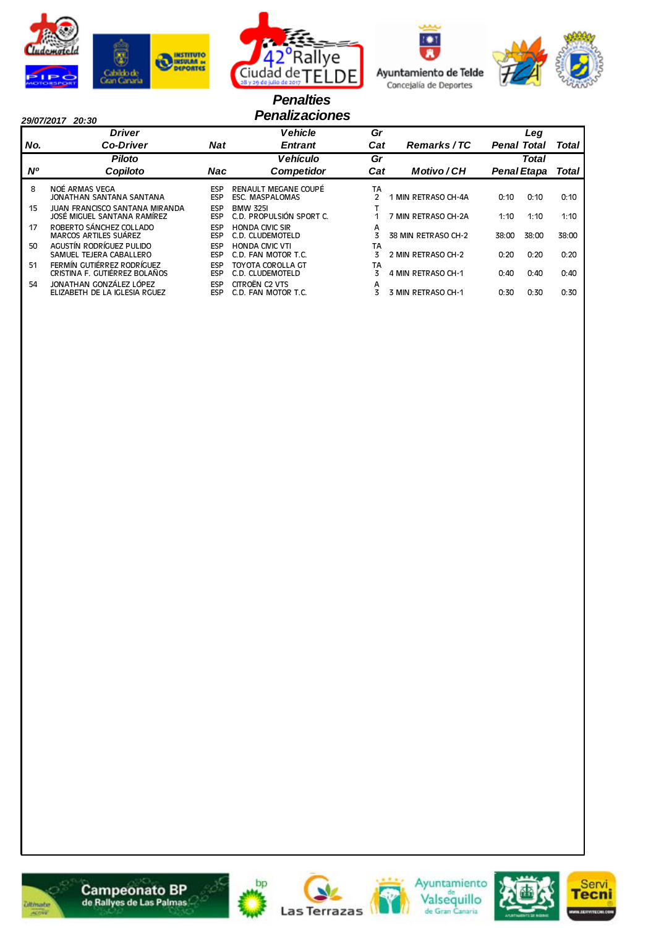







### *Penalties 29/07/2017 20:30 Penalizaciones*

|           | <b>Driver</b>                                                        |                          | <b>Vehicle</b>                                 | Gr      |                     |                    | Leg                |       |
|-----------|----------------------------------------------------------------------|--------------------------|------------------------------------------------|---------|---------------------|--------------------|--------------------|-------|
| No.       | <b>Co-Driver</b>                                                     | <b>Nat</b>               | <b>Entrant</b>                                 | Cat     | Remarks/TC          | <b>Penal Total</b> |                    | Total |
|           | <b>Piloto</b>                                                        |                          | <b>Vehículo</b>                                | Gr      |                     |                    | Total              |       |
| <b>N°</b> | Copiloto                                                             | Nac                      | <b>Competidor</b>                              | Cat     | Motivo/CH           |                    | <b>Penal Etapa</b> | Total |
| 8         | NOÉ ARMAS VEGA<br>JONATHAN SANTANA SANTANA                           | <b>ESP</b><br><b>ESP</b> | RENAULT MEGANE COUPÉ<br><b>ESC. MASPALOMAS</b> | TA<br>2 | 1 MIN RETRASO CH-4A | 0:10               | 0:10               | 0:10  |
| 15        | <b>JUAN FRANCISCO SANTANA MIRANDA</b><br>JOSÉ MIGUEL SANTANA RAMÍREZ | <b>ESP</b><br><b>ESP</b> | <b>BMW 325I</b><br>C.D. PROPULSIÓN SPORT C.    |         | 7 MIN RETRASO CH-2A | 1:10               | 1:10               | 1:10  |
| 17        | ROBERTO SÁNCHEZ COLLADO<br><b>MARCOS ARTILES SUÁREZ</b>              | <b>ESP</b><br><b>ESP</b> | <b>HONDA CIVIC SIR</b><br>C.D. CLUDEMOTELD     | A       | 38 MIN RETRASO CH-2 | 38:00              | 38:00              | 38:00 |
| 50        | AGUSTÍN RODRÍGUEZ PULIDO<br>SAMUEL TEJERA CABALLERO                  | <b>ESP</b><br><b>ESP</b> | <b>HONDA CIVIC VTI</b><br>C.D. FAN MOTOR T.C.  | TA<br>3 | 2 MIN RETRASO CH-2  | 0:20               | 0:20               | 0:20  |
| 51        | FERMÍN GUTIÉRREZ RODRÍGUEZ<br>CRISTINA F. GUTIÉRREZ BOLAÑOS          | <b>ESP</b><br><b>ESP</b> | TOYOTA COROLLA GT<br>C.D. CLUDEMOTELD          | TA      | 4 MIN RETRASO CH-1  | 0:40               | 0:40               | 0:40  |
| 54        | JONATHAN GONZÁLEZ LÓPEZ<br>ELIZABETH DE LA IGLESIA RGUEZ             | <b>ESP</b><br><b>ESP</b> | CITROËN C2 VTS<br>C.D. FAN MOTOR T.C.          | А       | 3 MIN RETRASO CH-1  | 0:30               | 0:30               | 0:30  |













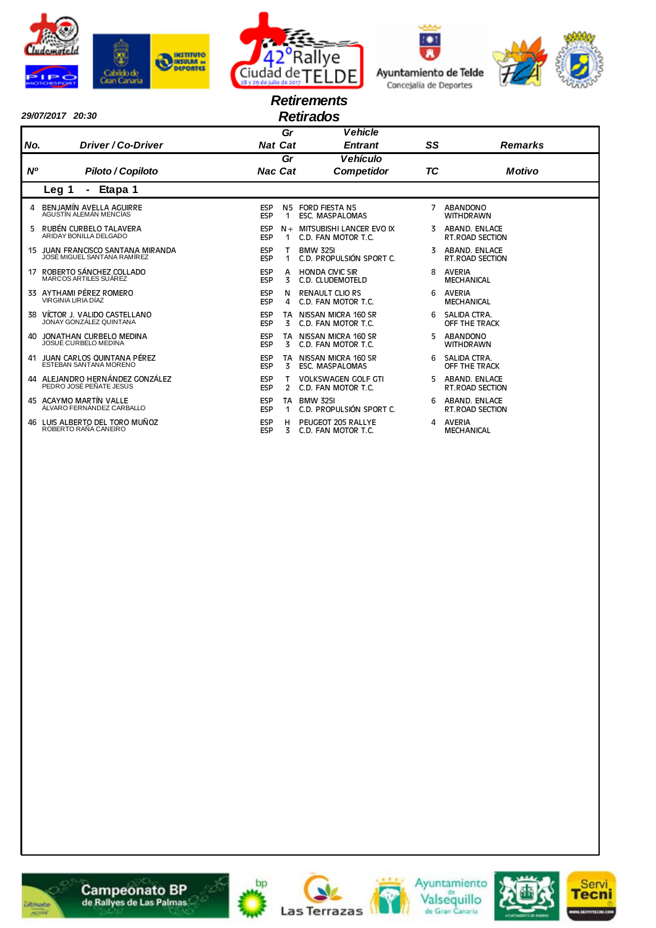





|           | <b>Retirements</b><br><b>Retirados</b><br>29/07/2017 20:30       |                          |                      |                                                   |    |                                          |  |  |  |  |  |  |  |
|-----------|------------------------------------------------------------------|--------------------------|----------------------|---------------------------------------------------|----|------------------------------------------|--|--|--|--|--|--|--|
|           |                                                                  |                          | Gr                   | <b>Vehicle</b>                                    |    |                                          |  |  |  |  |  |  |  |
| No.       | Driver / Co-Driver                                               | <b>Nat Cat</b>           |                      | <b>Entrant</b>                                    | SS | <b>Remarks</b>                           |  |  |  |  |  |  |  |
|           |                                                                  |                          | Gr                   | <b>Vehículo</b>                                   |    |                                          |  |  |  |  |  |  |  |
| <b>N°</b> | Piloto / Copiloto                                                | <b>Nac Cat</b>           |                      | <b>Competidor</b>                                 | TC | <b>Motivo</b>                            |  |  |  |  |  |  |  |
|           | Etapa 1<br>Leg 1                                                 |                          |                      |                                                   |    |                                          |  |  |  |  |  |  |  |
| 4         | BENJAMÍN AVELLA AGUIRRE<br>AGUSTÍN ALEMÁN MENCÍAS                | ESP<br><b>ESP</b>        | N5<br>$\mathbf{1}$   | <b>FORD FIESTA N5</b><br><b>ESC. MASPALOMAS</b>   | 7  | ABANDONO<br><b>WITHDRAWN</b>             |  |  |  |  |  |  |  |
| 5         | RUBÉN CURBELO TALAVERA<br>ARIDAY BONILLA DELGADO                 | <b>ESP</b><br>ESP        | $N +$<br>$\mathbf 1$ | MITSUBISHI LANCER EVO IX<br>C.D. FAN MOTOR T.C.   |    | ABAND. ENLACE<br><b>RT. ROAD SECTION</b> |  |  |  |  |  |  |  |
|           | 15 JUAN FRANCISCO SANTANA MIRANDA<br>JOSÉ MIGUEL SANTANA RAMÍREZ | <b>ESP</b><br>ESP        | $\mathbf{1}$         | <b>BMW 325I</b><br>C.D. PROPULSIÓN SPORT C.       | 3. | ABAND. ENLACE<br><b>RT. ROAD SECTION</b> |  |  |  |  |  |  |  |
|           | 17 ROBERTO SÁNCHEZ COLLADO<br>MARCOS ARTILES SUÁREZ              | ESP<br>ESP               | A<br>3               | <b>HONDA CIVIC SIR</b><br>C.D. CLUDEMOTELD        | 8  | <b>AVERIA</b><br><b>MECHANICAL</b>       |  |  |  |  |  |  |  |
|           | 33 AYTHAMI PÉREZ ROMERO<br>VIRGINIA LIRIA DÍAZ                   | <b>ESP</b><br>ESP        | N<br>4               | <b>RENAULT CLIO RS</b><br>C.D. FAN MOTOR T.C.     | 6  | <b>AVERIA</b><br><b>MECHANICAL</b>       |  |  |  |  |  |  |  |
|           | 38 VÍCTOR J. VALIDO CASTELLANO<br>JONAY GONZÁLEZ QUINTANA        | ESP<br>ESP               | TA<br>3              | NISSAN MICRA 160 SR<br>C.D. FAN MOTOR T.C.        | 6  | SALIDA CTRA.<br>OFF THE TRACK            |  |  |  |  |  |  |  |
|           | 40 JONATHAN CURBELO MEDINA<br>JOSUÉ CURBELO MEDINA               | <b>ESP</b><br>ESP        | 3                    | TA NISSAN MICRA 160 SR<br>C.D. FAN MOTOR T.C.     | 5. | ABANDONO<br><b>WITHDRAWN</b>             |  |  |  |  |  |  |  |
| 41        | JUAN CARLOS QUINTANA PÉREZ<br>ESTEBAN SANTANA MORENO             | ESP<br>ESP               | 3                    | TA NISSAN MICRA 160 SR<br><b>ESC. MASPALOMAS</b>  | 6  | SALIDA CTRA.<br>OFF THE TRACK            |  |  |  |  |  |  |  |
|           | 44 ALEJANDRO HERNÁNDEZ GONZÁLEZ<br>PEDRO JOSÉ PEÑATE JESÚS       | <b>ESP</b><br>ESP        | 2                    | <b>VOLKSWAGEN GOLF GTI</b><br>C.D. FAN MOTOR T.C. |    | ABAND. ENLACE<br><b>RT. ROAD SECTION</b> |  |  |  |  |  |  |  |
|           | 45 ACAYMO MARTÍN VALLE<br>ÁLVARO FERNÁNDEZ CARBALLO              | <b>ESP</b><br><b>ESP</b> | 1                    | <b>TA BMW 325I</b><br>C.D. PROPULSIÓN SPORT C.    | 6  | ABAND. ENLACE<br>RT.ROAD SECTION         |  |  |  |  |  |  |  |
|           | 46 LUIS ALBERTO DEL TORO MUÑOZ<br>ROBERTO RAÑA CANEIRO           | ESP<br><b>ESP</b>        | н<br>3               | PEUGEOT 205 RALLYE<br>C.D. FAN MOTOR T.C.         | 4  | AVERIA<br><b>MECHANICAL</b>              |  |  |  |  |  |  |  |













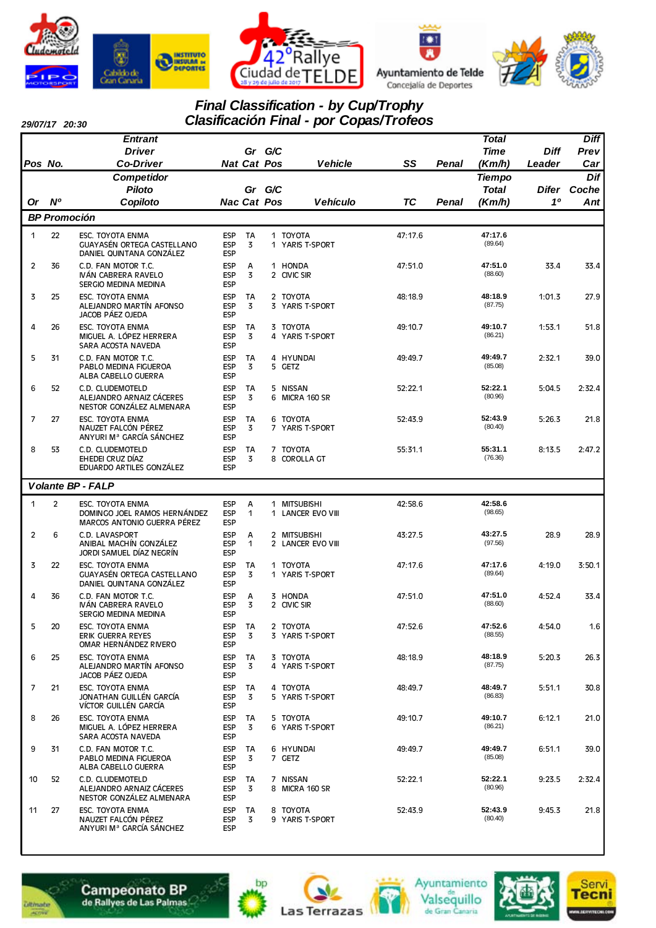







#### *29/07/17 20:30*

### *Final Classification - by Cup/Trophy Clasificación Final - por Copas/Trofeos*

|                |                     | <b>Entrant</b>                                                                    |                                        |                    |        |                                        |           |       | <b>Total</b>                  |             | <b>Diff</b>  |
|----------------|---------------------|-----------------------------------------------------------------------------------|----------------------------------------|--------------------|--------|----------------------------------------|-----------|-------|-------------------------------|-------------|--------------|
|                |                     | <b>Driver</b>                                                                     |                                        |                    | Gr G/C |                                        |           |       | <b>Time</b>                   | <b>Diff</b> | Prev         |
| Pos No.        |                     | <b>Co-Driver</b>                                                                  |                                        | <b>Nat Cat Pos</b> |        | <b>Vehicle</b>                         | SS        | Penal | (Km/h)                        | Leader      | Car          |
|                |                     | Competidor<br><b>Piloto</b>                                                       |                                        | Gr                 | G/C    |                                        |           |       | <b>Tiempo</b><br><b>Total</b> | Difer       | Dif<br>Coche |
| Or             | N <sup>o</sup>      | Copiloto                                                                          |                                        | <b>Nac Cat Pos</b> |        | <b>Vehículo</b>                        | <b>TC</b> | Penal | (Km/h)                        | 10          | Ant          |
|                | <b>BP Promoción</b> |                                                                                   |                                        |                    |        |                                        |           |       |                               |             |              |
| 1              | 22                  |                                                                                   |                                        | <b>TA</b>          |        | 1 TOYOTA                               | 47:17.6   |       | 47:17.6                       |             |              |
|                |                     | ESC. TOYOTA ENMA<br>GUAYASÉN ORTEGA CASTELLANO<br>DANIEL QUINTANA GONZÁLEZ        | ESP<br><b>ESP</b><br><b>ESP</b>        | 3                  |        | 1 YARIS T-SPORT                        |           |       | (89.64)                       |             |              |
| $\overline{2}$ | 36                  | C.D. FAN MOTOR T.C.<br>IVÁN CABRERA RAVELO<br><b>SERGIO MEDINA MEDINA</b>         | <b>ESP</b><br><b>ESP</b><br><b>ESP</b> | А<br>3             |        | 1 HONDA<br>2 CIVIC SIR                 | 47:51.0   |       | 47:51.0<br>(88.60)            | 33.4        | 33.4         |
| 3              | 25                  | ESC. TOYOTA ENMA<br>ALEJANDRO MARTÍN AFONSO<br>JACOB PÁEZ OJEDA                   | <b>ESP</b><br><b>ESP</b><br>ESP        | TA<br>3            |        | 2 TOYOTA<br>3 YARIS T-SPORT            | 48:18.9   |       | 48:18.9<br>(87.75)            | 1:01.3      | 27.9         |
| 4              | 26                  | ESC. TOYOTA ENMA<br>MIGUEL A. LÓPEZ HERRERA<br>SARA ACOSTA NAVEDA                 | <b>ESP</b><br><b>ESP</b><br><b>ESP</b> | <b>TA</b><br>3     |        | 3 TOYOTA<br>4 YARIS T-SPORT            | 49:10.7   |       | 49:10.7<br>(86.21)            | 1:53.1      | 51.8         |
| 5              | 31                  | C.D. FAN MOTOR T.C.<br>PABLO MEDINA FIGUEROA<br>ALBA CABELLO GUERRA               | <b>ESP</b><br><b>ESP</b><br><b>ESP</b> | TA<br>3            |        | 4 HYUNDAI<br>5 GETZ                    | 49:49.7   |       | 49:49.7<br>(85.08)            | 2:32.1      | 39.0         |
| 6              | 52                  | C.D. CLUDEMOTELD<br>ALEJANDRO ARNAIZ CÁCERES<br>NESTOR GONZÁLEZ ALMENARA          | <b>ESP</b><br><b>ESP</b><br><b>ESP</b> | TA<br>3            | 6      | 5 NISSAN<br>MICRA 160 SR               | 52:22.1   |       | 52:22.1<br>(80.96)            | 5:04.5      | 2:32.4       |
| 7              | 27                  | ESC. TOYOTA ENMA<br>NAUZET FALCÓN PÉREZ<br>ANYURI M <sup>a</sup> GARCÍA SÁNCHEZ   | ESP<br><b>ESP</b><br><b>ESP</b>        | TA<br>3            |        | 6 TOYOTA<br>7 YARIS T-SPORT            | 52:43.9   |       | 52:43.9<br>(80.40)            | 5:26.3      | 21.8         |
| 8              | 53                  | C.D. CLUDEMOTELD<br>EHEDEI CRUZ DÍAZ<br>EDUARDO ARTILES GONZÁLEZ                  | <b>ESP</b><br><b>ESP</b><br><b>ESP</b> | TA<br>3            |        | 7 TOYOTA<br>8 COROLLA GT               | 55:31.1   |       | 55:31.1<br>(76.36)            | 8:13.5      | 2:47.2       |
|                |                     | <b>Volante BP - FALP</b>                                                          |                                        |                    |        |                                        |           |       |                               |             |              |
| 1              | $\overline{2}$      | <b>ESC. TOYOTA ENMA</b>                                                           |                                        |                    |        |                                        | 42:58.6   |       | 42:58.6                       |             |              |
|                |                     | DOMINGO JOEL RAMOS HERNÁNDEZ<br>MARCOS ANTONIO GUERRA PÉREZ                       | <b>ESP</b><br><b>ESP</b><br><b>ESP</b> | А<br>1             | 1      | <b>MITSUBISHI</b><br>1 LANCER EVO VIII |           |       | (98.65)                       |             |              |
| $\overline{2}$ | 6                   | C.D. LAVASPORT<br>ANIBAL MACHÍN GONZÁLEZ<br>JORDI SAMUEL DÍAZ NEGRÍN              | <b>ESP</b><br><b>ESP</b><br><b>ESP</b> | Α<br>1             |        | 2 MITSUBISHI<br>2 LANCER EVO VIII      | 43:27.5   |       | 43:27.5<br>(97.56)            | 28.9        | 28.9         |
| 3              | 22                  | <b>ESC. TOYOTA ENMA</b><br>GUAYASÉN ORTEGA CASTELLANO<br>DANIEL QUINTANA GONZÁLEZ | <b>ESP</b><br><b>ESP</b><br><b>ESP</b> | <b>TA</b><br>3     |        | 1 TOYOTA<br>1 YARIS T-SPORT            | 47:17.6   |       | 47:17.6<br>(89.64)            | 4:19.0      | 3:50.1       |
| 4              | 36                  | C.D. FAN MOTOR T.C.<br>IVÁN CABRERA RAVELO<br>SERGIO MEDINA MEDINA                | <b>ESP</b><br><b>ESP</b><br><b>ESP</b> | А<br>3             |        | 3 HONDA<br>2 CIVIC SIR                 | 47:51.0   |       | 47:51.0<br>(88.60)            | 4:52.4      | 33.4         |
| 5              | 20                  | ESC. TOYOTA ENMA<br>ERIK GUERRA REYES<br>OMAR HERNÁNDEZ RIVERO                    | ESP<br>ESP<br><b>ESP</b>               | TA<br>3            |        | 2 TOYOTA<br>3 YARIS T-SPORT            | 47:52.6   |       | 47:52.6<br>(88.55)            | 4:54.0      | 1.6          |
| 6              | 25                  | ESC. TOYOTA ENMA<br>ALEJANDRO MARTÍN AFONSO<br>JACOB PÁEZ OJEDA                   | ESP<br>ESP<br>ESP                      | TA<br>3            |        | 3 TOYOTA<br>4 YARIS T-SPORT            | 48:18.9   |       | 48:18.9<br>(87.75)            | 5:20.3      | 26.3         |
| 7              | 21                  | ESC. TOYOTA ENMA<br>JONATHAN GUILLÉN GARCÍA<br>VÍCTOR GUILLÉN GARCÍA              | ESP<br><b>ESP</b><br><b>ESP</b>        | TA<br>3            |        | 4 TOYOTA<br>5 YARIS T-SPORT            | 48:49.7   |       | 48:49.7<br>(86.83)            | 5:51.1      | 30.8         |
| 8              | 26                  | ESC. TOYOTA ENMA<br>MIGUEL A. LÓPEZ HERRERA<br>SARA ACOSTA NAVEDA                 | ESP<br>ESP<br><b>ESP</b>               | TA<br>3            |        | 5 TOYOTA<br>6 YARIS T-SPORT            | 49:10.7   |       | 49:10.7<br>(86.21)            | 6:12.1      | 21.0         |
| 9              | 31                  | C.D. FAN MOTOR T.C.<br>PABLO MEDINA FIGUEROA<br>ALBA CABELLO GUERRA               | ESP<br>ESP<br><b>ESP</b>               | TA<br>3            |        | 6 HYUNDAI<br>7 GETZ                    | 49:49.7   |       | 49:49.7<br>(85.08)            | 6:51.1      | 39.0         |
| 10             | 52                  | C.D. CLUDEMOTELD<br>ALEJANDRO ARNAIZ CÁCERES<br>NESTOR GONZALEZ ALMENARA          | <b>ESP</b><br>ESP<br>ESP               | TA<br>3            |        | 7 NISSAN<br>8 MICRA 160 SR             | 52:22.1   |       | 52:22.1<br>(80.96)            | 9:23.5      | 2:32.4       |
| 11             | 27                  | ESC. TOYOTA ENMA<br>NAUZET FALCÓN PÉREZ<br>ANYURI Mª GARCÍA SÁNCHEZ               | <b>ESP</b><br><b>ESP</b><br>ESP        | TA<br>3            |        | 8 TOYOTA<br>9 YARIS T-SPORT            | 52:43.9   |       | 52:43.9<br>(80.40)            | 9:45.3      | 21.8         |













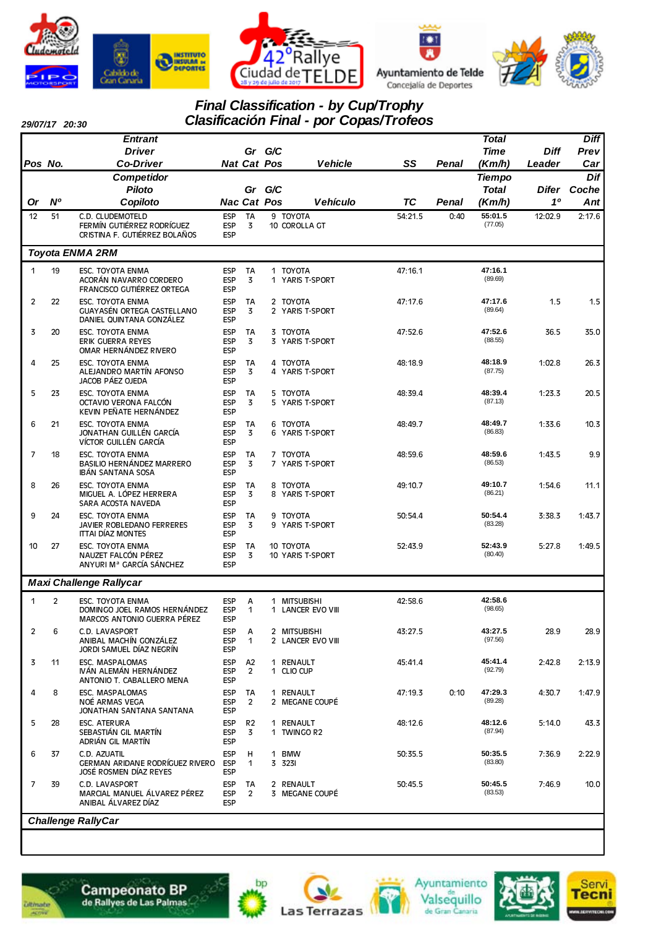

*29/07/17 20:30*







# *Final Classification - by Cup/Trophy*

|                |                | <b>Entrant</b>                                                                         |                                        |                                  |     |                                   |           |       | <b>Total</b>                  |             | <b>Diff</b>        |
|----------------|----------------|----------------------------------------------------------------------------------------|----------------------------------------|----------------------------------|-----|-----------------------------------|-----------|-------|-------------------------------|-------------|--------------------|
|                |                | <b>Driver</b>                                                                          |                                        | Gr                               | G/C |                                   |           |       | <b>Time</b>                   | <b>Diff</b> | Prev               |
| Pos No.        |                | <b>Co-Driver</b>                                                                       |                                        | <b>Nat Cat Pos</b>               |     | <b>Vehicle</b>                    | SS        | Penal | (Km/h)                        | Leader      | Car                |
|                |                | Competidor<br><b>Piloto</b>                                                            |                                        | Gr                               | G/C |                                   |           |       | <b>Tiempo</b><br><b>Total</b> |             | Dif<br>Difer Coche |
| Or             | N <sup>o</sup> | Copiloto                                                                               |                                        | <b>Nac Cat Pos</b>               |     | <b>Vehículo</b>                   | <b>TC</b> | Penal | (Km/h)                        | 10          | Ant                |
| 12             | 51             | C.D. CLUDEMOTELD                                                                       | <b>ESP</b>                             | <b>TA</b>                        |     | 9 TOYOTA                          | 54:21.5   | 0:40  | 55:01.5                       | 12:02.9     | 2:17.6             |
|                |                | FERMÍN GUTIÉRREZ RODRÍGUEZ<br>CRISTINA F. GUTIÉRREZ BOLAÑOS                            | <b>ESP</b><br><b>ESP</b>               | 3                                |     | 10 COROLLA GT                     |           |       | (77.05)                       |             |                    |
|                |                | Toyota ENMA 2RM                                                                        |                                        |                                  |     |                                   |           |       |                               |             |                    |
| 1              | 19             | ESC. TOYOTA ENMA<br>ACORÁN NAVARRO CORDERO<br>FRANCISCO GUTIÉRREZ ORTEGA               | <b>ESP</b><br><b>ESP</b><br><b>ESP</b> | TA<br>3                          |     | 1 TOYOTA<br>1 YARIS T-SPORT       | 47:16.1   |       | 47:16.1<br>(89.69)            |             |                    |
| $\overline{c}$ | 22             | ESC. TOYOTA ENMA<br>GUAYASÉN ORTEGA CASTELLANO<br>DANIEL QUINTANA GONZÁLEZ             | <b>ESP</b><br><b>ESP</b><br><b>ESP</b> | TA<br>3                          |     | 2 TOYOTA<br>2 YARIS T-SPORT       | 47:17.6   |       | 47:17.6<br>(89.64)            | 1.5         | 1.5                |
| 3              | 20             | ESC. TOYOTA ENMA<br>ERIK GUERRA REYES<br>OMAR HERNÁNDEZ RIVERO                         | <b>ESP</b><br><b>ESP</b><br><b>ESP</b> | TA<br>3                          |     | 3 TOYOTA<br>3 YARIS T-SPORT       | 47:52.6   |       | 47:52.6<br>(88.55)            | 36.5        | 35.0               |
| 4              | 25             | ESC. TOYOTA ENMA<br>ALEJANDRO MARTÍN AFONSO<br>JACOB PÁEZ OJEDA                        | <b>ESP</b><br><b>ESP</b><br><b>ESP</b> | TA<br>3                          |     | 4 TOYOTA<br>4 YARIS T-SPORT       | 48:18.9   |       | 48:18.9<br>(87.75)            | 1:02.8      | 26.3               |
| 5              | 23             | ESC. TOYOTA ENMA<br>OCTAVIO VERONA FALCÓN<br>KEVIN PEÑATE HERNÁNDEZ                    | <b>ESP</b><br><b>ESP</b><br><b>ESP</b> | TA<br>3                          |     | 5 TOYOTA<br>5 YARIS T-SPORT       | 48:39.4   |       | 48:39.4<br>(87.13)            | 1:23.3      | 20.5               |
| 6              | 21             | ESC. TOYOTA ENMA<br>JONATHAN GUILLÉN GARCÍA<br>VÍCTOR GUILLÉN GARCÍA                   | <b>ESP</b><br><b>ESP</b><br><b>ESP</b> | TA<br>3                          |     | 6 TOYOTA<br>6 YARIS T-SPORT       | 48:49.7   |       | 48:49.7<br>(86.83)            | 1:33.6      | 10.3               |
| 7              | 18             | ESC. TOYOTA ENMA<br>BASILIO HERNÁNDEZ MARRERO<br>IBÁN SANTANA SOSA                     | <b>ESP</b><br><b>ESP</b><br><b>ESP</b> | TA<br>3                          |     | 7 TOYOTA<br>7 YARIS T-SPORT       | 48:59.6   |       | 48:59.6<br>(86.53)            | 1:43.5      | 9.9                |
| 8              | 26             | ESC. TOYOTA ENMA<br>MIGUEL A. LÓPEZ HERRERA<br>SARA ACOSTA NAVEDA                      | <b>ESP</b><br><b>ESP</b><br><b>ESP</b> | TA<br>3                          |     | 8 TOYOTA<br>8 YARIS T-SPORT       | 49:10.7   |       | 49:10.7<br>(86.21)            | 1:54.6      | 11.1               |
| 9              | 24             | ESC. TOYOTA ENMA<br>JAVIER ROBLEDANO FERRERES<br><b>ITTAI DÍAZ MONTES</b>              | <b>ESP</b><br><b>ESP</b><br><b>ESP</b> | TA<br>3                          |     | 9 TOYOTA<br>9 YARIS T-SPORT       | 50:54.4   |       | 50:54.4<br>(83.28)            | 3:38.3      | 1:43.7             |
| 10             | 27             | <b>ESC. TOYOTA ENMA</b><br>NAUZET FALCÓN PÉREZ<br>ANYURI M <sup>a</sup> GARCÍA SÁNCHEZ | <b>ESP</b><br><b>ESP</b><br><b>ESP</b> | TA<br>3                          |     | 10 TOYOTA<br>10 YARIS T-SPORT     | 52:43.9   |       | 52:43.9<br>(80.40)            | 5:27.8      | 1:49.5             |
|                |                | <b>Maxi Challenge Rallycar</b>                                                         |                                        |                                  |     |                                   |           |       |                               |             |                    |
| $\mathbf{1}$   | $\overline{2}$ | ESC. TOYOTA ENMA<br>DOMINGO JOEL RAMOS HERNÁNDEZ<br>MARCOS ANTONIO GUERRA PÉREZ        | <b>ESP</b><br><b>ESP</b><br><b>ESP</b> | Α<br>$\mathbf{1}$                |     | 1 MITSUBISHI<br>1 LANCER EVO VIII | 42:58.6   |       | 42:58.6<br>(98.65)            |             |                    |
| $\overline{c}$ | 6              | C.D. LAVASPORT<br>ANIBAL MACHÍN GONZÁLEZ<br>JORDI SAMUEL DÍAZ NEGRÍN                   | <b>ESP</b><br><b>ESP</b><br><b>ESP</b> | А<br>1                           |     | 2 MITSUBISHI<br>2 LANCER EVO VIII | 43:27.5   |       | 43:27.5<br>(97.56)            | 28.9        | 28.9               |
| 3              | 11             | ESC. MASPALOMAS<br>IVÁN ALEMÁN HERNÁNDEZ<br>ANTONIO T. CABALLERO MENA                  | <b>ESP</b><br><b>ESP</b><br>ESP        | A <sub>2</sub><br>$\overline{2}$ |     | 1 RENAULT<br>1 CLIO CUP           | 45:41.4   |       | 45:41.4<br>(92.79)            | 2:42.8      | 2:13.9             |
| 4              | 8              | ESC. MASPALOMAS<br>NOÉ ARMAS VEGA<br>JONATHAN SANTANA SANTANA                          | <b>ESP</b><br><b>ESP</b><br><b>ESP</b> | TA<br>2                          |     | 1 RENAULT<br>2 MEGANE COUPÉ       | 47:19.3   | 0:10  | 47:29.3<br>(89.28)            | 4:30.7      | 1:47.9             |
| 5              | 28             | <b>ESC. ATERURA</b><br>SEBASTIÁN GIL MARTÍN<br>ADRIÁN GIL MARTÍN                       | <b>ESP</b><br><b>ESP</b><br><b>ESP</b> | R <sub>2</sub><br>3              |     | 1 RENAULT<br>1 TWINGO R2          | 48:12.6   |       | 48:12.6<br>(87.94)            | 5:14.0      | 43.3               |
| 6              | 37             | C.D. AZUATIL<br>GERMAN ARIDANE RODRÍGUEZ RIVERO<br>JOSÉ ROSMEN DÍAZ REYES              | <b>ESP</b><br>ESP<br><b>ESP</b>        | н<br>1                           |     | 1 BMW<br>3 3231                   | 50:35.5   |       | 50:35.5<br>(83.80)            | 7:36.9      | 2:22.9             |
| 7              | 39             | C.D. LAVASPORT<br>MARCIAL MANUEL ÁLVAREZ PÉREZ<br>ANIBAL ÁLVAREZ DÍAZ                  | <b>ESP</b><br><b>ESP</b><br><b>ESP</b> | TA<br>$\overline{2}$             |     | 2 RENAULT<br>3 MEGANE COUPÉ       | 50:45.5   |       | 50:45.5<br>(83.53)            | 7:46.9      | 10.0               |
|                |                | <b>Challenge RallyCar</b>                                                              |                                        |                                  |     |                                   |           |       |                               |             |                    |







bp







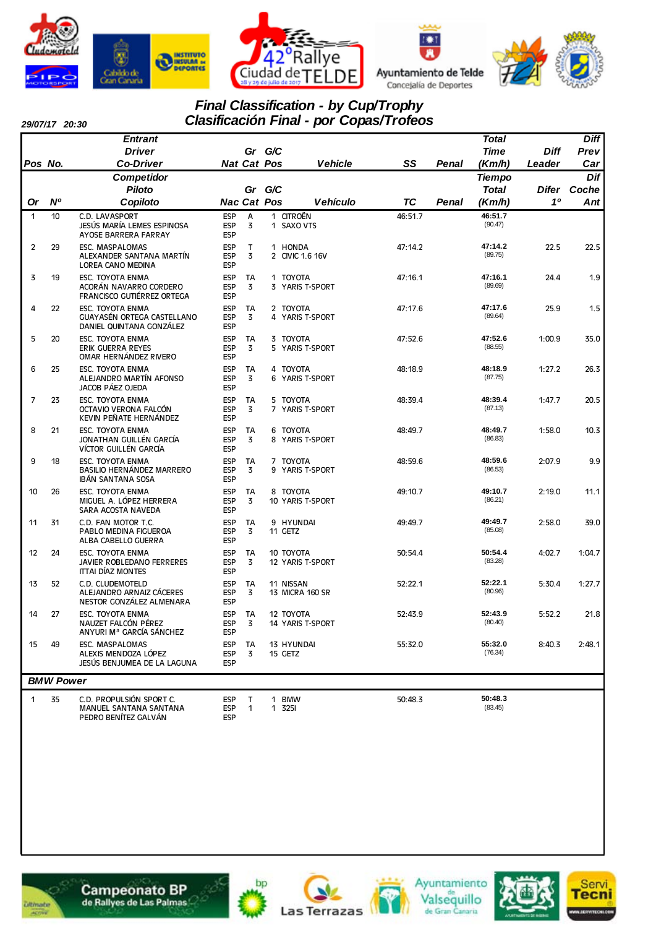









#### *29/07/17 20:30*

# *Final Classification - by Cup/Trophy Clasificación Final - por Copas/Trofeos*

|                |                  | Entrant                                                                         |                                        |                    |             |                               |           |       | <b>Total</b>       |        | <b>Diff</b> |
|----------------|------------------|---------------------------------------------------------------------------------|----------------------------------------|--------------------|-------------|-------------------------------|-----------|-------|--------------------|--------|-------------|
|                |                  | <b>Driver</b>                                                                   |                                        | Gr                 | G/C         |                               |           |       | <b>Time</b>        | Diff   | Prev        |
| Pos No.        |                  | <b>Co-Driver</b>                                                                |                                        | <b>Nat Cat Pos</b> |             | <b>Vehicle</b>                | SS        | Penal | (Km/h)             | Leader | Car         |
|                |                  | Competidor                                                                      |                                        |                    |             |                               |           |       | <b>Tiempo</b>      |        | Dif         |
|                |                  | <b>Piloto</b>                                                                   |                                        | Gr                 | G/C         |                               |           |       | <b>Total</b>       | Difer  | Coche       |
| <b>Or</b>      | N <sup>o</sup>   | Copiloto                                                                        |                                        | <b>Nac Cat Pos</b> |             | <b>Vehículo</b>               | <b>TC</b> | Penal | (Km/h)             | 10     | Ant         |
| $\mathbf{1}$   | 10               | C.D. LAVASPORT<br>JESÚS MARÍA LEMES ESPINOSA<br>AYOSE BARRERA FARRAY            | <b>ESP</b><br><b>ESP</b><br><b>ESP</b> | A<br>3             |             | 1 CITROËN<br>1 SAXO VTS       | 46:51.7   |       | 46:51.7<br>(90.47) |        |             |
| $\overline{c}$ | 29               | ESC. MASPALOMAS<br>ALEXANDER SANTANA MARTIN<br>LOREA CANO MEDINA                | <b>ESP</b><br><b>ESP</b><br><b>ESP</b> | T<br>3             |             | 1 HONDA<br>2 CIVIC 1.6 16V    | 47:14.2   |       | 47:14.2<br>(89.75) | 22.5   | 22.5        |
| 3              | 19               | ESC. TOYOTA ENMA<br>ACORÁN NAVARRO CORDERO<br>FRANCISCO GUTIÉRREZ ORTEGA        | <b>ESP</b><br><b>ESP</b><br><b>ESP</b> | TA<br>3            |             | 1 TOYOTA<br>3 YARIS T-SPORT   | 47:16.1   |       | 47:16.1<br>(89.69) | 24.4   | 1.9         |
| 4              | 22               | ESC. TOYOTA ENMA<br>GUAYASÉN ORTEGA CASTELLANO<br>DANIEL QUINTANA GONZÁLEZ      | <b>ESP</b><br><b>ESP</b><br><b>ESP</b> | TA<br>3            |             | 2 TOYOTA<br>4 YARIS T-SPORT   | 47:17.6   |       | 47:17.6<br>(89.64) | 25.9   | 1.5         |
| 5              | 20               | ESC. TOYOTA ENMA<br><b>ERIK GUERRA REYES</b><br>OMAR HERNÁNDEZ RIVERO           | <b>ESP</b><br><b>ESP</b><br><b>ESP</b> | TA<br>3            |             | 3 TOYOTA<br>5 YARIS T-SPORT   | 47:52.6   |       | 47:52.6<br>(88.55) | 1:00.9 | 35.0        |
| 6              | 25               | <b>ESC. TOYOTA ENMA</b><br>ALEJANDRO MARTÍN AFONSO<br>JACOB PÁEZ OJEDA          | <b>ESP</b><br><b>ESP</b><br><b>ESP</b> | TA<br>3            |             | 4 TOYOTA<br>6 YARIS T-SPORT   | 48:18.9   |       | 48:18.9<br>(87.75) | 1:27.2 | 26.3        |
| 7              | 23               | ESC. TOYOTA ENMA<br>OCTAVIO VERONA FALCÓN<br>KEVIN PEÑATE HERNÁNDEZ             | <b>ESP</b><br><b>ESP</b><br><b>ESP</b> | TA<br>3            |             | 5 TOYOTA<br>7 YARIS T-SPORT   | 48:39.4   |       | 48:39.4<br>(87.13) | 1:47.7 | 20.5        |
| 8              | 21               | ESC. TOYOTA ENMA<br>JONATHAN GUILLÉN GARCÍA<br>VÍCTOR GUILLÉN GARCÍA            | <b>ESP</b><br><b>ESP</b><br><b>ESP</b> | <b>TA</b><br>3     |             | 6 TOYOTA<br>8 YARIS T-SPORT   | 48:49.7   |       | 48:49.7<br>(86.83) | 1:58.0 | 10.3        |
| 9              | 18               | ESC. TOYOTA ENMA<br>BASILIO HERNÁNDEZ MARRERO<br>IBÁN SANTANA SOSA              | <b>ESP</b><br><b>ESP</b><br><b>ESP</b> | TA<br>3            |             | 7 TOYOTA<br>9 YARIS T-SPORT   | 48:59.6   |       | 48:59.6<br>(86.53) | 2:07.9 | 9.9         |
| 10             | 26               | ESC. TOYOTA ENMA<br>MIGUEL A. LÓPEZ HERRERA<br>SARA ACOSTA NAVEDA               | <b>ESP</b><br><b>ESP</b><br><b>ESP</b> | <b>TA</b><br>3     |             | 8 TOYOTA<br>10 YARIS T-SPORT  | 49:10.7   |       | 49:10.7<br>(86.21) | 2:19.0 | 11.1        |
| 11             | 31               | C.D. FAN MOTOR T.C.<br>PABLO MEDINA FIGUEROA<br>ALBA CABELLO GUERRA             | <b>ESP</b><br><b>ESP</b><br><b>ESP</b> | TA<br>3            |             | 9 HYUNDAI<br>11 GETZ          | 49:49.7   |       | 49:49.7<br>(85.08) | 2:58.0 | 39.0        |
| 12             | 24               | ESC. TOYOTA ENMA<br>JAVIER ROBLEDANO FERRERES<br><b>ITTAI DÍAZ MONTES</b>       | <b>ESP</b><br><b>ESP</b><br><b>ESP</b> | TA<br>3            |             | 10 TOYOTA<br>12 YARIS T-SPORT | 50:54.4   |       | 50:54.4<br>(83.28) | 4:02.7 | 1:04.7      |
| 13             | 52               | C.D. CLUDEMOTELD<br>ALEJANDRO ARNAIZ CÁCERES<br>NESTOR GONZÁLEZ ALMENARA        | <b>ESP</b><br><b>ESP</b><br><b>ESP</b> | TA<br>3            |             | 11 NISSAN<br>13 MICRA 160 SR  | 52:22.1   |       | 52:22.1<br>(80.96) | 5:30.4 | 1:27.7      |
| 14             | 27               | ESC. TOYOTA ENMA<br>NAUZET FALCÓN PÉREZ<br>ANYURI M <sup>ª</sup> GARCÍA SÁNCHEZ | <b>ESP</b><br><b>ESP</b><br><b>ESP</b> | TA<br>3            |             | 12 TOYOTA<br>14 YARIS T-SPORT | 52:43.9   |       | 52:43.9<br>(80.40) | 5:52.2 | 21.8        |
| 15             | 49               | ESC. MASPALOMAS<br>ALEXIS MENDOZA LÓPEZ<br>JESÚS BENJUMEA DE LA LAGUNA          | <b>ESP</b><br><b>ESP</b><br><b>ESP</b> | TA<br>3            |             | 13 HYUNDAI<br>15 GETZ         | 55:32.0   |       | 55:32.0<br>(76.34) | 8:40.3 | 2:48.1      |
|                | <b>BMW Power</b> |                                                                                 |                                        |                    |             |                               |           |       |                    |        |             |
| 1              | 35               | C.D. PROPULSIÓN SPORT C.<br>MANUEL SANTANA SANTANA                              | <b>ESP</b><br>ESP                      | т<br>$\mathbf 1$   | $\mathbf 1$ | <b>BMW</b><br>1 3251          | 50:48.3   |       | 50:48.3<br>(83.45) |        |             |





PEDRO BENÍTEZ GALVÁN FERP







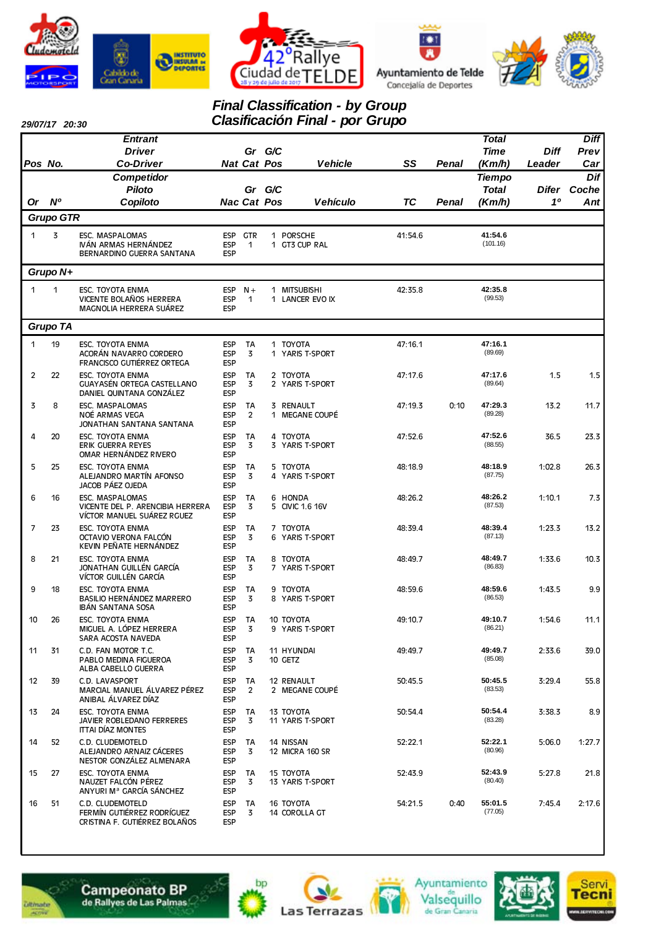







# *Final Classification - by Group*

| 29/07/17 20:30 |  |
|----------------|--|
|                |  |

|         | 29/07/17 20:30   |                                                                                   |                                        |                      |        | Clasificación Final - por Grupo |           |       |                     |                |             |
|---------|------------------|-----------------------------------------------------------------------------------|----------------------------------------|----------------------|--------|---------------------------------|-----------|-------|---------------------|----------------|-------------|
|         |                  | <b>Entrant</b>                                                                    |                                        |                      |        |                                 |           |       | <b>Total</b>        |                | <b>Diff</b> |
|         |                  | <b>Driver</b>                                                                     |                                        |                      | Gr G/C |                                 |           |       | <b>Time</b>         | <b>Diff</b>    | Prev        |
| Pos No. |                  | <b>Co-Driver</b>                                                                  |                                        | <b>Nat Cat Pos</b>   |        | <b>Vehicle</b>                  | SS        | Penal | (Km/h)              | Leader         | Car         |
|         |                  | Competidor                                                                        |                                        |                      |        |                                 |           |       | <b>Tiempo</b>       |                | Dif         |
|         |                  | Piloto                                                                            |                                        |                      | Gr G/C |                                 |           |       | <b>Total</b>        | Difer          | Coche       |
| 0r      | $N^o$            | Copiloto                                                                          |                                        | <b>Nac Cat Pos</b>   |        | <b>Vehículo</b>                 | <b>TC</b> | Penal | (Km/h)              | 1 <sup>0</sup> | Ant         |
|         | <b>Grupo GTR</b> |                                                                                   |                                        |                      |        |                                 |           |       |                     |                |             |
| 1       | 3                | ESC. MASPALOMAS<br>IVÁN ARMAS HERNÁNDEZ<br>BERNARDINO GUERRA SANTANA              | ESP<br><b>ESP</b>                      | ESP GTR<br>1         |        | 1 PORSCHE<br>1 GT3 CUP RAL      | 41:54.6   |       | 41:54.6<br>(101.16) |                |             |
|         | Grupo N+         |                                                                                   |                                        |                      |        |                                 |           |       |                     |                |             |
| 1       | 1                | ESC. TOYOTA ENMA                                                                  | <b>ESP</b>                             | $N +$                |        | 1 MITSUBISHI                    | 42:35.8   |       | 42:35.8             |                |             |
|         |                  | VICENTE BOLAÑOS HERRERA<br>MAGNOLIA HERRERA SUÁREZ                                | <b>ESP</b><br><b>ESP</b>               | $\mathbf{1}$         |        | 1 LANCER EVO IX                 |           |       | (99.53)             |                |             |
|         | Grupo TA         |                                                                                   |                                        |                      |        |                                 |           |       |                     |                |             |
| 1       | 19               | ESC. TOYOTA ENMA                                                                  | ESP                                    | TA                   |        | 1 TOYOTA                        | 47:16.1   |       | 47:16.1             |                |             |
|         |                  | ACORÁN NAVARRO CORDERO<br>FRANCISCO GUTIÉRREZ ORTEGA                              | ESP<br><b>ESP</b>                      | 3                    |        | 1 YARIS T-SPORT                 |           |       | (89.69)             |                |             |
| 2       | 22               | <b>ESC. TOYOTA ENMA</b><br>GUAYASÉN ORTEGA CASTELLANO<br>DANIEL QUINTANA GONZÁLEZ | ESP<br><b>ESP</b><br>ESP               | TA<br>3              |        | 2 TOYOTA<br>2 YARIS T-SPORT     | 47:17.6   |       | 47:17.6<br>(89.64)  | 1.5            | 1.5         |
| 3       | 8                | ESC. MASPALOMAS<br>NOÉ ARMAS VEGA<br>JONATHAN SANTANA SANTANA                     | <b>ESP</b><br><b>ESP</b><br>ESP        | TA<br>$\overline{2}$ |        | 3 RENAULT<br>1 MEGANE COUPÉ     | 47:19.3   | 0:10  | 47:29.3<br>(89.28)  | 13.2           | 11.7        |
| 4       | 20               | <b>ESC. TOYOTA ENMA</b><br>ERIK GUERRA REYES<br>OMAR HERNÁNDEZ RIVERO             | <b>ESP</b><br><b>ESP</b><br><b>ESP</b> | <b>TA</b><br>3       |        | 4 TOYOTA<br>3 YARIS T-SPORT     | 47:52.6   |       | 47:52.6<br>(88.55)  | 36.5           | 23.3        |
| 5       | 25               | <b>ESC. TOYOTA ENMA</b><br>ALEJANDRO MARTÍN AFONSO<br>JACOB PÁEZ OJEDA            | ESP<br>ESP<br><b>ESP</b>               | TA<br>3              |        | 5 TOYOTA<br>4 YARIS T-SPORT     | 48:18.9   |       | 48:18.9<br>(87.75)  | 1:02.8         | 26.3        |
| 6       | 16               | ESC. MASPALOMAS<br>VICENTE DEL P. ARENCIBIA HERRERA<br>VÍCTOR MANUEL SUÁREZ RGUEZ | ESP<br><b>ESP</b><br>ESP               | TA<br>3              |        | 6 HONDA<br>5 CIVIC 1.6 16V      | 48:26.2   |       | 48:26.2<br>(87.53)  | 1:10.1         | 7.3         |
| 7       | 23               | <b>ESC. TOYOTA ENMA</b><br>OCTAVIO VERONA FALCÓN<br>KEVIN PEÑATE HERNÁNDEZ        | ESP<br>ESP<br><b>ESP</b>               | <b>TA</b><br>3       |        | 7 TOYOTA<br>6 YARIS T-SPORT     | 48:39.4   |       | 48:39.4<br>(87.13)  | 1:23.3         | 13.2        |
| 8       | 21               | <b>ESC. TOYOTA ENMA</b><br>JONATHAN GUILLÉN GARCÍA<br>VÍCTOR GUILLÉN GARCÍA       | ESP<br><b>ESP</b><br>ESP               | TA<br>3              |        | 8 TOYOTA<br>7 YARIS T-SPORT     | 48:49.7   |       | 48:49.7<br>(86.83)  | 1:33.6         | 10.3        |
| 9       | 18               | <b>ESC. TOYOTA ENMA</b><br>BASILIO HERNÁNDEZ MARRERO<br>IBÁN SANTANA SOSA         | <b>ESP</b><br>ESP<br><b>ESP</b>        | <b>TA</b><br>3       | 9      | TOYOTA<br>8 YARIS T-SPORT       | 48:59.6   |       | 48:59.6<br>(86.53)  | 1:43.5         | 9.9         |
| 10      | 26               | ESC. TOYOTA ENMA<br>MIGUEL A. LÓPEZ HERRERA<br>SARA ACOSTA NAVEDA                 | ESP<br>ESP<br>ESP                      | TA<br>3              |        | 10 TOYOTA<br>9 YARIS T-SPORT    | 49:10.7   |       | 49:10.7<br>(86.21)  | 1:54.6         | 11.1        |
| 11      | 31               | C.D. FAN MOTOR T.C.<br>PABLO MEDINA FIGUEROA<br>ALBA CABELLO GUERRA               | <b>ESP</b><br>ESP<br><b>ESP</b>        | TA<br>3              |        | 11 HYUNDAI<br>10 GETZ           | 49:49.7   |       | 49:49.7<br>(85.08)  | 2:33.6         | 39.0        |
| 12      | 39               | C.D. LAVASPORT<br>MARCIAL MANUEL ÁLVAREZ PÉREZ<br>ANIBAL ÁLVAREZ DÍAZ             | ESP<br>ESP<br>ESP                      | TA<br>$\overline{2}$ |        | 12 RENAULT<br>2 MEGANE COUPÉ    | 50:45.5   |       | 50:45.5<br>(83.53)  | 3:29.4         | 55.8        |
| 13      | 24               | <b>ESC. TOYOTA ENMA</b><br>JAVIER ROBLEDANO FERRERES<br><b>ITTAI DÍAZ MONTES</b>  | ESP<br>ESP<br><b>ESP</b>               | TA<br>3              |        | 13 TOYOTA<br>11 YARIS T-SPORT   | 50:54.4   |       | 50:54.4<br>(83.28)  | 3:38.3         | 8.9         |
| 14      | 52               | C.D. CLUDEMOTELD<br>ALEJANDRO ARNAIZ CÁCERES<br>NESTOR GONZALEZ ALMENARA          | ESP<br>ESP<br>ESP                      | TA<br>3              |        | 14 NISSAN<br>12 MICRA 160 SR    | 52:22.1   |       | 52:22.1<br>(80.96)  | 5:06.0         | 1:27.7      |
| 15      | 27               | ESC. TOYOTA ENMA<br>NAUZET FALCÓN PÉREZ<br>ANYURI M <sup>a</sup> GARCÍA SÁNCHEZ   | <b>ESP</b><br>ESP<br><b>ESP</b>        | TA<br>3              |        | 15 TOYOTA<br>13 YARIS T-SPORT   | 52:43.9   |       | 52:43.9<br>(80.40)  | 5:27.8         | 21.8        |
| 16      | 51               | C.D. CLUDEMOTELD<br>FERMÍN GUTIÉRREZ RODRÍGUEZ<br>CRISTINA F. GUTIÉRREZ BOLAÑOS   | ESP<br>ESP<br>ESP                      | TA<br>3              |        | 16 TOYOTA<br>14 COROLLA GT      | 54:21.5   | 0:40  | 55:01.5<br>(77.05)  | 7:45.4         | 2:17.6      |



**Campeonato BP**<br>de Rallyes de Las Palmas









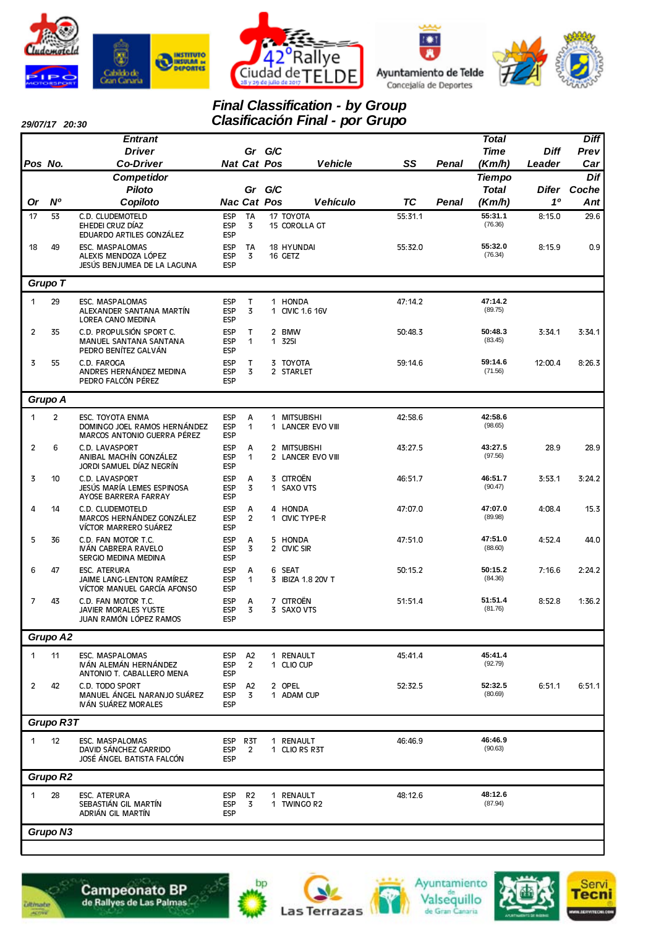







#### *Final Classification - by Group Clasificación Final - por Grupo*

*29/07/17 20:30*

|              | <i>29/01/11 20:30</i> | <b>Entrant</b>                                                                  |                                        |                                  |     | <u>1991119991911 111191</u>       | $P^{\sigma}$ $\sigma$ $\sigma$ |              | <b>Total</b>       |             | <b>Diff</b> |
|--------------|-----------------------|---------------------------------------------------------------------------------|----------------------------------------|----------------------------------|-----|-----------------------------------|--------------------------------|--------------|--------------------|-------------|-------------|
|              |                       | <b>Driver</b>                                                                   |                                        | Gr G/C                           |     |                                   |                                |              | <b>Time</b>        | <b>Diff</b> | Prev        |
| Pos No.      |                       | <b>Co-Driver</b>                                                                |                                        | <b>Nat Cat Pos</b>               |     | <b>Vehicle</b>                    | SS                             | <b>Penal</b> | (Km/h)             | Leader      | Car         |
|              |                       | Competidor                                                                      |                                        |                                  |     |                                   |                                |              | <b>Tiempo</b>      |             | Dif         |
|              |                       | <b>Piloto</b>                                                                   |                                        | Gr                               | G/C |                                   |                                |              | <b>Total</b>       | Difer       | Coche       |
| Or           | <b>N°</b>             | Copiloto                                                                        |                                        | <b>Nac Cat Pos</b>               |     | <b>Vehículo</b>                   | TC                             | Penal        | (Km/h)             | 10          | Ant         |
| 17           | 53                    | C.D. CLUDEMOTELD<br>EHEDEI CRUZ DÍAZ<br>EDUARDO ARTILES GONZÁLEZ                | <b>ESP</b><br><b>ESP</b><br><b>ESP</b> | <b>TA</b><br>3                   |     | 17 TOYOTA<br>15 COROLLA GT        | 55:31.1                        |              | 55:31.1<br>(76.36) | 8:15.0      | 29.6        |
| 18           | 49                    | ESC. MASPALOMAS<br>ALEXIS MENDOZA LÓPEZ<br>JESÚS BENJUMEA DE LA LAGUNA          | <b>ESP</b><br><b>ESP</b><br><b>ESP</b> | TA<br>3                          |     | 18 HYUNDAI<br>16 GETZ             | 55:32.0                        |              | 55:32.0<br>(76.34) | 8:15.9      | 0.9         |
|              | Grupo T               |                                                                                 |                                        |                                  |     |                                   |                                |              |                    |             |             |
| 1            | 29                    | ESC. MASPALOMAS<br>ALEXANDER SANTANA MARTÍN<br>LOREA CANO MEDINA                | <b>ESP</b><br><b>ESP</b><br><b>ESP</b> | $\mathsf{T}$<br>3                |     | 1 HONDA<br>1 CIVIC 1.6 16V        | 47:14.2                        |              | 47:14.2<br>(89.75) |             |             |
| 2            | 35                    | C.D. PROPULSIÓN SPORT C.<br>MANUEL SANTANA SANTANA<br>PEDRO BENÍTEZ GALVÁN      | <b>ESP</b><br><b>ESP</b><br><b>ESP</b> | т<br>1                           |     | 2 BMW<br>1 3251                   | 50:48.3                        |              | 50:48.3<br>(83.45) | 3:34.1      | 3:34.1      |
| 3            | 55                    | C.D. FAROGA<br>ANDRES HERNÁNDEZ MEDINA<br>PEDRO FALCÓN PÉREZ                    | <b>ESP</b><br><b>ESP</b><br><b>ESP</b> | T<br>3                           |     | 3 TOYOTA<br>2 STARLET             | 59:14.6                        |              | 59:14.6<br>(71.56) | 12:00.4     | 8:26.3      |
|              | Grupo A               |                                                                                 |                                        |                                  |     |                                   |                                |              |                    |             |             |
| $\mathbf{1}$ | $\overline{2}$        | ESC. TOYOTA ENMA<br>DOMINGO JOEL RAMOS HERNÁNDEZ<br>MARCOS ANTONIO GUERRA PÉREZ | <b>ESP</b><br><b>ESP</b><br><b>ESP</b> | A<br>1                           |     | 1 MITSUBISHI<br>1 LANCER EVO VIII | 42:58.6                        |              | 42:58.6<br>(98.65) |             |             |
| 2            | 6                     | C.D. LAVASPORT<br>ANIBAL MACHÍN GONZÁLEZ<br>JORDI SAMUEL DÍAZ NEGRÍN            | <b>ESP</b><br><b>ESP</b><br><b>ESP</b> | Α<br>1                           |     | 2 MITSUBISHI<br>2 LANCER EVO VIII | 43:27.5                        |              | 43:27.5<br>(97.56) | 28.9        | 28.9        |
| 3            | 10                    | C.D. LAVASPORT<br>JESÚS MARÍA LEMES ESPINOSA<br>AYOSE BARRERA FARRAY            | <b>ESP</b><br><b>ESP</b><br><b>ESP</b> | Α<br>3                           |     | 3 CITROËN<br>1 SAXO VTS           | 46:51.7                        |              | 46:51.7<br>(90.47) | 3:53.1      | 3:24.2      |
| 4            | 14                    | C.D. CLUDEMOTELD<br>MARCOS HERNÁNDEZ GONZÁLEZ<br>VÍCTOR MARRERO SUÁREZ          | <b>ESP</b><br><b>ESP</b><br><b>ESP</b> | А<br>$\overline{2}$              |     | 4 HONDA<br>1 CIVIC TYPE R         | 47:07.0                        |              | 47:07.0<br>(89.98) | 4:08.4      | 15.3        |
| 5            | 36                    | C.D. FAN MOTOR T.C.<br>IVÁN CABRERA RAVELO<br>SERGIO MEDINA MEDINA              | <b>ESP</b><br><b>ESP</b><br><b>ESP</b> | Α<br>3                           |     | 5 HONDA<br>2 CIVIC SIR            | 47:51.0                        |              | 47:51.0<br>(88.60) | 4:52.4      | 44.0        |
| 6            | 47                    | <b>ESC. ATERURA</b><br>JAIME LANG-LENTON RAMÍREZ<br>VÍCTOR MANUEL GARCÍA AFONSO | <b>ESP</b><br><b>ESP</b><br><b>ESP</b> | Α<br>1                           |     | 6 SEAT<br>3 IBIZA 1.8 20V T       | 50:15.2                        |              | 50:15.2<br>(84.36) | 7:16.6      | 2:24.2      |
| 7            | 43                    | C.D. FAN MOTOR T.C.<br><b>JAVIER MORALES YUSTE</b><br>JUAN RAMÓN LÓPEZ RAMOS    | <b>ESP</b><br><b>ESP</b><br><b>ESP</b> | А<br>3                           |     | 7 CITROËN<br>3 SAXO VTS           | 51:51.4                        |              | 51:51.4<br>(81.76) | 8:52.8      | 1:36.2      |
|              | Grupo A2              |                                                                                 |                                        |                                  |     |                                   |                                |              |                    |             |             |
| 1            | 11                    | ESC. MASPALOMAS<br>IVÁN ALEMÁN HERNÁNDEZ<br>ANTONIO T. CABALLERO MENA           | <b>ESP</b><br><b>ESP</b><br><b>ESP</b> | A <sub>2</sub><br>$\overline{2}$ |     | 1 RENAULT<br>1 CLIO CUP           | 45:41.4                        |              | 45:41.4<br>(92.79) |             |             |
| 2            | 42                    | C.D. TODO SPORT<br>MANUEL ÁNGEL NARANJO SUÁREZ<br>IVÁN SUÁREZ MORALES           | <b>ESP</b><br><b>ESP</b><br><b>ESP</b> | A <sub>2</sub><br>3              |     | 2 OPEL<br>1 ADAM CUP              | 52:32.5                        |              | 52:32.5<br>(80.69) | 6:51.1      | 6:51.1      |
|              | Grupo R3T             |                                                                                 |                                        |                                  |     |                                   |                                |              |                    |             |             |
| 1            | 12                    | ESC. MASPALOMAS<br>DAVID SÁNCHEZ GARRIDO<br>JOSÉ ÁNGEL BATISTA FALCÓN           | ESP<br><b>ESP</b><br><b>ESP</b>        | R3T<br>2                         |     | 1 RENAULT<br>1 CLIO RS R3T        | 46:46.9                        |              | 46:46.9<br>(90.63) |             |             |
|              | Grupo R2              |                                                                                 |                                        |                                  |     |                                   |                                |              |                    |             |             |
| 1            | 28                    | <b>ESC. ATERURA</b><br>SEBASTIÁN GIL MARTÍN<br>ADRIÁN GIL MARTÍN                | <b>ESP</b><br><b>ESP</b><br><b>ESP</b> | R <sub>2</sub><br>3              | 1   | 1 RENAULT<br><b>TWINGO R2</b>     | 48:12.6                        |              | 48:12.6<br>(87.94) |             |             |
|              | Grupo N3              |                                                                                 |                                        |                                  |     |                                   |                                |              |                    |             |             |
|              |                       |                                                                                 |                                        |                                  |     |                                   |                                |              |                    |             |             |









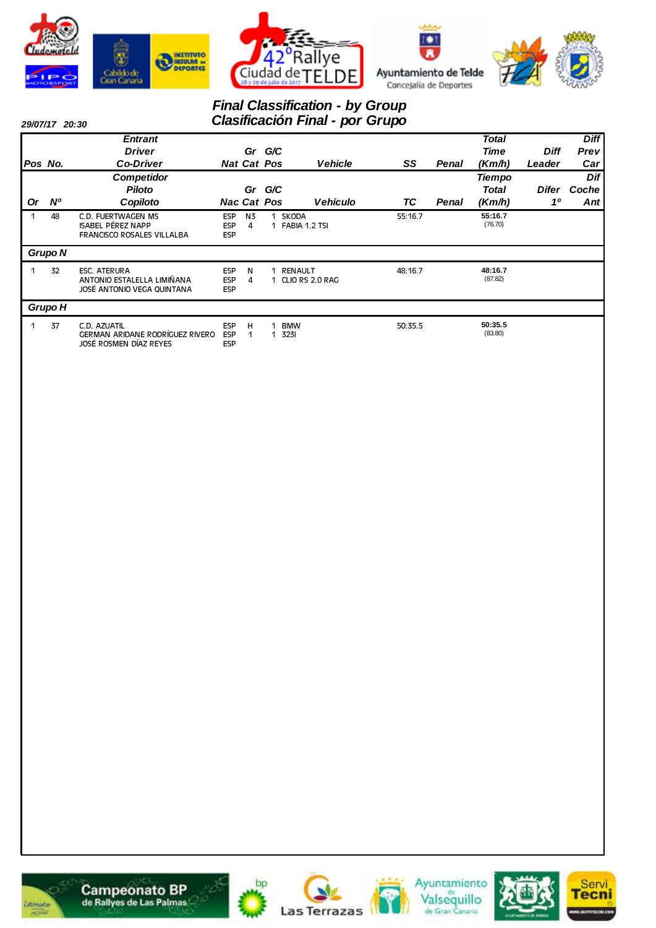







### *Final Classification - by Group Clasificación Final - por Grupo*

*29/07/17 20:30*

| -----   |           |                                                                                     |                                        |                              |        |                                   |         |       |                                         |                       |                                   |
|---------|-----------|-------------------------------------------------------------------------------------|----------------------------------------|------------------------------|--------|-----------------------------------|---------|-------|-----------------------------------------|-----------------------|-----------------------------------|
| Pos No. |           | <b>Entrant</b><br><b>Driver</b><br><b>Co-Driver</b>                                 |                                        | Gr G/C<br><b>Nat Cat Pos</b> |        | <b>Vehicle</b>                    | SS      | Penal | <b>Total</b><br>Time<br>(Km/h)          | <b>Diff</b><br>Leader | <b>Diff</b><br><b>Prev</b><br>Car |
| 0r      | <b>N°</b> | <b>Competidor</b><br><b>Piloto</b><br>Copiloto                                      |                                        | Gr<br><b>Nac Cat Pos</b>     | G/C    | Vehículo                          | ТC      | Penal | <b>Tiempo</b><br><b>Total</b><br>(Km/h) | Difer<br>10           | Dif<br>Coche<br>Ant               |
|         | 48        | C.D. FUERTWAGEN MS<br><b>ISABEL PÉREZ NAPP</b><br><b>FRANCISCO ROSALES VILLALBA</b> | <b>ESP</b><br><b>ESP</b><br><b>ESP</b> | N <sub>3</sub><br>4          | 1<br>1 | <b>SKODA</b><br>FABIA 1.2 TSI     | 55:16.7 |       | 55:16.7<br>(76.70)                      |                       |                                   |
|         | Grupo N   |                                                                                     |                                        |                              |        |                                   |         |       |                                         |                       |                                   |
|         | 32        | <b>ESC. ATERURA</b><br>ANTONIO ESTALELLA LIMIÑANA<br>JOSÉ ANTONIO VEGA QUINTANA     | <b>ESP</b><br><b>ESP</b><br><b>ESP</b> | N<br>4                       | 1      | <b>RENAULT</b><br>CLIO RS 2.0 RAG | 48:16.7 |       | 48:16.7<br>(87.82)                      |                       |                                   |
|         | Grupo H   |                                                                                     |                                        |                              |        |                                   |         |       |                                         |                       |                                   |
|         | 37        | C.D. AZUATIL<br>GERMAN ARIDANE RODRÍGUEZ RIVERO<br>JOSÉ ROSMEN DÍAZ REYES           | <b>ESP</b><br><b>ESP</b><br><b>ESP</b> | H                            | 1<br>1 | <b>BMW</b><br>3231                | 50:35.5 |       | 50:35.5<br>(83.80)                      |                       |                                   |













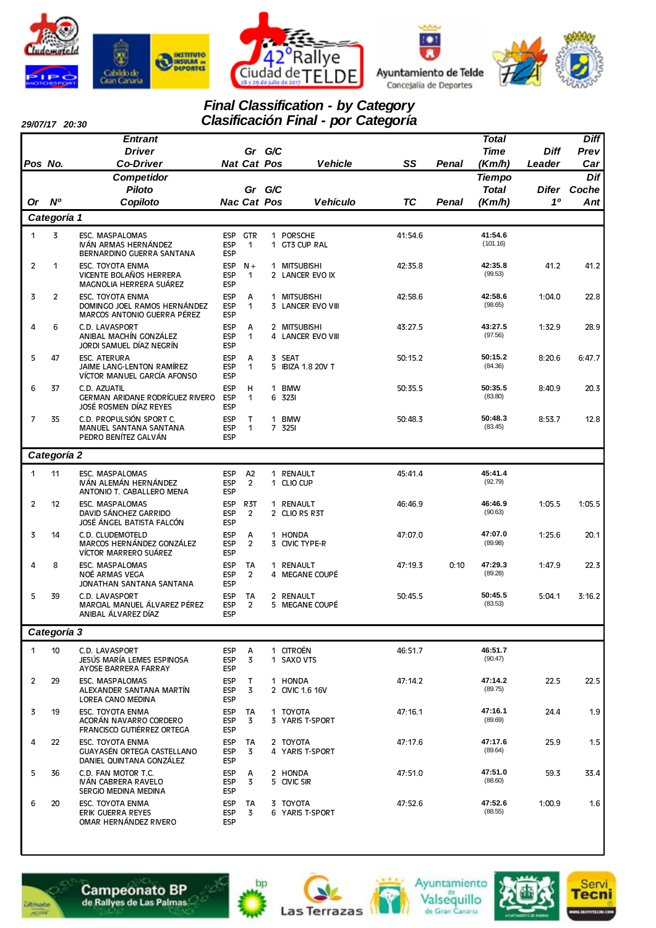







# *Final Classification - by Category*

*29/07/17 20:30*

*Pos No.*

*Or Nº*

|                   |                    |     | <b>Final Classification - by Category</b><br><b>Clasificación Final - por Categoría</b> |    |              |               |             |       |
|-------------------|--------------------|-----|-----------------------------------------------------------------------------------------|----|--------------|---------------|-------------|-------|
| <b>Entrant</b>    |                    |     |                                                                                         |    |              | Total         |             | Diff  |
| <b>Driver</b>     | Gr                 | G/C |                                                                                         |    |              | <b>Time</b>   | <b>Diff</b> | Prev  |
| <b>Co-Driver</b>  | <b>Nat Cat Pos</b> |     | <b>Vehicle</b>                                                                          | SS | Penal        | (Km/h)        | Leader      | Car   |
| <b>Competidor</b> |                    |     |                                                                                         |    |              | <b>Tiempo</b> |             | Dif   |
| <b>Piloto</b>     | Gr                 | G/C |                                                                                         |    |              | <b>Total</b>  | Difer       | Coche |
| Copiloto          | <b>Nac Cat Pos</b> |     | <b>Vehículo</b>                                                                         | ТC | <b>Penal</b> | (Km/h)        | 10          | Ant   |
|                   |                    |     |                                                                                         |    |              |               |             |       |

|                | Categoría 1    |                                                                                        |                                        |                                    |              |                                        |         |      |                     |        |        |
|----------------|----------------|----------------------------------------------------------------------------------------|----------------------------------------|------------------------------------|--------------|----------------------------------------|---------|------|---------------------|--------|--------|
| $\mathbf{1}$   | $\overline{3}$ | <b>ESC. MASPALOMAS</b><br>IVÁN ARMAS HERNÁNDEZ<br>BERNARDINO GUERRA SANTANA            | <b>ESP</b><br><b>ESP</b><br><b>ESP</b> | <b>GTR</b><br>$\mathbf{1}$         |              | 1 PORSCHE<br>1 GT3 CUP RAL             | 41:54.6 |      | 41:54.6<br>(101.16) |        |        |
| $\overline{2}$ | $\mathbf{1}$   | <b>ESC. TOYOTA ENMA</b><br>VICENTE BOLAÑOS HERRERA<br>MAGNOLIA HERRERA SUÁREZ          | <b>ESP</b><br><b>ESP</b><br><b>ESP</b> | $N +$<br>$\mathbf{1}$              |              | 1 MITSUBISHI<br>2 LANCER EVO IX        | 42:35.8 |      | 42:35.8<br>(99.53)  | 41.2   | 41.2   |
| 3              | $\overline{2}$ | <b>ESC. TOYOTA ENMA</b><br>DOMINGO JOEL RAMOS HERNÁNDEZ<br>MARCOS ANTONIO GUERRA PÉREZ | <b>ESP</b><br><b>ESP</b><br><b>ESP</b> | A<br>$\mathbf{1}$                  | 1            | <b>MITSUBISHI</b><br>3 LANCER EVO VIII | 42:58.6 |      | 42:58.6<br>(98.65)  | 1:04.0 | 22.8   |
| 4              | 6              | C.D. LAVASPORT<br>ANIBAL MACHÍN GONZÁLEZ<br>JORDI SAMUEL DÍAZ NEGRÍN                   | <b>ESP</b><br><b>ESP</b><br><b>ESP</b> | A<br>1                             |              | 2 MITSUBISHI<br>4 LANCER EVO VIII      | 43:27.5 |      | 43:27.5<br>(97.56)  | 1:32.9 | 28.9   |
| 5              | 47             | <b>ESC. ATERURA</b><br>JAIME LANG-LENTON RAMÍREZ<br>VÍCTOR MANUEL GARCÍA AFONSO        | <b>ESP</b><br><b>ESP</b><br><b>ESP</b> | A<br>$\mathbf{1}$                  | 5.           | 3 SEAT<br><b>IBIZA 1.8 20V T</b>       | 50:15.2 |      | 50:15.2<br>(84.36)  | 8:20.6 | 6:47.7 |
| 6              | 37             | C.D. AZUATIL<br>GERMAN ARIDANE RODRÍGUEZ RIVERO<br>JOSÉ ROSMEN DÍAZ REYES              | <b>ESP</b><br><b>ESP</b><br><b>ESP</b> | H<br>1                             | $\mathbf{1}$ | <b>BMW</b><br>6 3231                   | 50:35.5 |      | 50:35.5<br>(83.80)  | 8:40.9 | 20.3   |
| $\overline{7}$ | 35             | C.D. PROPULSIÓN SPORT C.<br><b>MANUEL SANTANA SANTANA</b><br>PEDRO BENÍTEZ GALVÁN      | <b>ESP</b><br><b>ESP</b><br><b>ESP</b> | T<br>1                             |              | 1 BMW<br>7 3251                        | 50:48.3 |      | 50:48.3<br>(83.45)  | 8:53.7 | 12.8   |
|                | Categoría 2    |                                                                                        |                                        |                                    |              |                                        |         |      |                     |        |        |
| $\mathbf{1}$   | 11             | <b>ESC. MASPALOMAS</b><br>IVÁN ALEMÁN HERNÁNDEZ<br>ANTONIO T. CABALLERO MENA           | <b>ESP</b><br><b>ESP</b><br><b>ESP</b> | A2<br>$\overline{2}$               |              | 1 RENAULT<br>1 CLIO CUP                | 45:41.4 |      | 45:41.4<br>(92.79)  |        |        |
| $\overline{2}$ | 12             | <b>ESC. MASPALOMAS</b><br>DAVID SÁNCHEZ GARRIDO<br>JOSÉ ÁNGEL BATISTA FALCÓN           | <b>ESP</b><br><b>ESP</b><br><b>ESP</b> | R <sub>3</sub> T<br>$\overline{2}$ |              | 1 RENAULT<br>2 CLIO RS R3T             | 46:46.9 |      | 46:46.9<br>(90.63)  | 1:05.5 | 1:05.5 |
| 3              | 14             | C.D. CLUDEMOTELD<br>MARCOS HERNÁNDEZ GONZÁLEZ<br>VÍCTOR MARRERO SUÁREZ                 | <b>ESP</b><br><b>ESP</b><br><b>ESP</b> | A<br>$\overline{2}$                |              | 1 HONDA<br>3 CIVIC TYPE-R              | 47:07.0 |      | 47:07.0<br>(89.98)  | 1:25.6 | 20.1   |
| 4              | 8              | ESC. MASPALOMAS<br>NOÉ ARMAS VEGA<br>JONATHAN SANTANA SANTANA                          | <b>ESP</b><br><b>ESP</b><br><b>ESP</b> | <b>TA</b><br>$\overline{2}$        |              | 1 RENAULT<br>4 MEGANE COUPÉ            | 47:19.3 | 0:10 | 47:29.3<br>(89.28)  | 1:47.9 | 22.3   |
| 5              | 39             | C.D. LAVASPORT<br>MARCIAL MANUEL ÁLVAREZ PÉREZ<br>ANIBAL ÁLVAREZ DÍAZ                  | <b>ESP</b><br><b>ESP</b><br><b>ESP</b> | <b>TA</b><br>$\overline{2}$        | 5.           | 2 RENAULT<br>MEGANE COUPÉ              | 50:45.5 |      | 50:45.5<br>(83.53)  | 5:04.1 | 3:16.2 |
|                | Categoría 3    |                                                                                        |                                        |                                    |              |                                        |         |      |                     |        |        |
| $\mathbf{1}$   | 10             | C.D. LAVASPORT<br>JESÚS MARÍA LEMES ESPINOSA<br>AYOSE BARRERA FARRAY                   | <b>ESP</b><br><b>ESP</b><br><b>ESP</b> | A<br>3                             |              | 1 CITROËN<br>1 SAXO VTS                | 46:51.7 |      | 46:51.7<br>(90.47)  |        |        |
| $\overline{2}$ | 29             | <b>ESC. MASPALOMAS</b><br>ALEXANDER SANTANA MARTÍN<br>LOREA CANO MEDINA                | <b>ESP</b><br><b>ESP</b><br><b>ESP</b> | T.<br>3                            |              | 1 HONDA<br>2 CIVIC 1.6 16V             | 47:14.2 |      | 47:14.2<br>(89.75)  | 22.5   | 22.5   |
| 3              | 19             | <b>ESC. TOYOTA ENMA</b><br>ACORÁN NAVARRO CORDERO<br>FRANCISCO GUTIÉRREZ ORTEGA        | <b>ESP</b><br><b>ESP</b><br><b>ESP</b> | <b>TA</b><br>3                     |              | 1 TOYOTA<br>3 YARIS T-SPORT            | 47:16.1 |      | 47:16.1<br>(89.69)  | 24.4   | 1.9    |













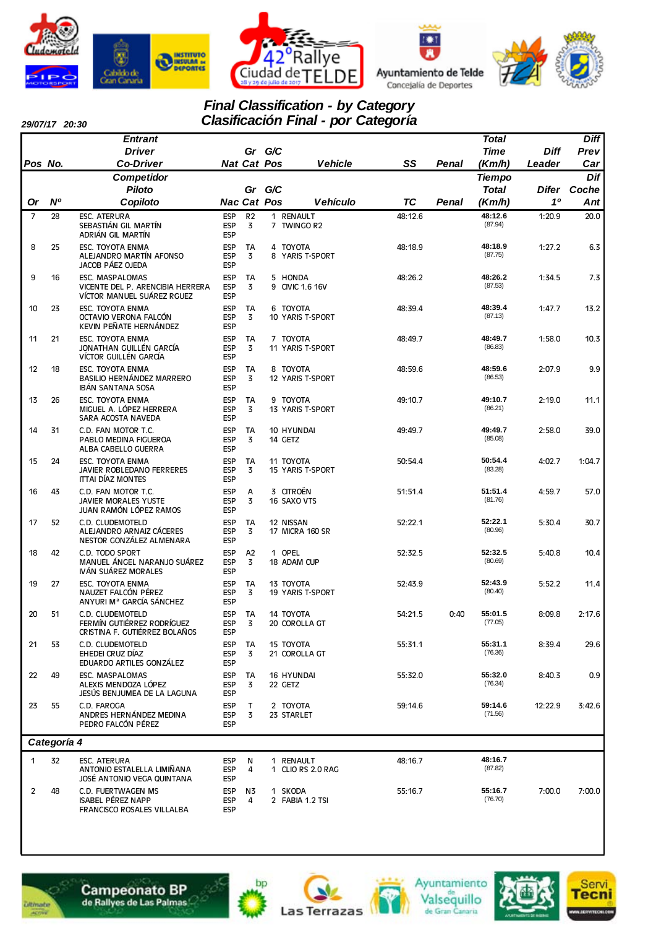







#### *Final Classification - by Category Clasificación Final - por Categoría*

| 29/07/17 20:30 |  |
|----------------|--|
|                |  |

|                |                | <b>Entrant</b>                                                                         |                                        |                     |        |                                |         |       | <b>Total</b>                  |             | <b>Diff</b>        |
|----------------|----------------|----------------------------------------------------------------------------------------|----------------------------------------|---------------------|--------|--------------------------------|---------|-------|-------------------------------|-------------|--------------------|
|                |                | <b>Driver</b>                                                                          |                                        |                     | Gr G/C |                                |         |       | Time                          | <b>Diff</b> | Prev               |
| Pos No.        |                | <b>Co-Driver</b>                                                                       |                                        | <b>Nat Cat Pos</b>  |        | <b>Vehicle</b>                 | SS      | Penal | (Km/h)                        | Leader      | Car                |
|                |                | Competidor<br><b>Piloto</b>                                                            |                                        | Gr                  | G/C    |                                |         |       | <b>Tiempo</b><br><b>Total</b> |             | Dif<br>Difer Coche |
| Or             | N <sup>o</sup> | Copiloto                                                                               |                                        | <b>Nac Cat Pos</b>  |        | <b>Vehículo</b>                | TC      | Penal | (Km/h)                        | 10          | Ant                |
| $\overline{7}$ | 28             | ESC. ATERURA<br>SEBASTIÁN GIL MARTÍN                                                   | <b>ESP</b><br><b>ESP</b>               | R <sub>2</sub><br>3 |        | 1 RENAULT<br>7 TWINGO R2       | 48:12.6 |       | 48:12.6<br>(87.94)            | 1:20.9      | 20.0               |
| 8              | 25             | ADRIÁN GIL MARTÍN<br>ESC. TOYOTA ENMA<br>ALEJANDRO MARTÍN AFONSO                       | <b>ESP</b><br><b>ESP</b><br><b>ESP</b> | TA<br>3             |        | 4 TOYOTA<br>8 YARIS T-SPORT    | 48:18.9 |       | 48:18.9<br>(87.75)            | 1:27.2      | 6.3                |
| 9              | 16             | JACOB PÁEZ OJEDA<br>ESC. MASPALOMAS<br>VICENTE DEL P. ARENCIBIA HERRERA                | <b>ESP</b><br><b>ESP</b><br><b>ESP</b> | TA<br>3             |        | 5 HONDA<br>9 CIVIC 1.6 16V     | 48:26.2 |       | 48:26.2<br>(87.53)            | 1:34.5      | 7.3                |
| 10             | 23             | VÍCTOR MANUEL SUÁREZ RGUEZ<br>ESC. TOYOTA ENMA                                         | <b>ESP</b><br><b>ESP</b>               | <b>TA</b><br>3      |        | 6 TOYOTA                       | 48:39.4 |       | 48:39.4<br>(87.13)            | 1:47.7      | 13.2               |
|                |                | OCTAVIO VERONA FALCÓN<br>KEVIN PEÑATE HERNÁNDEZ                                        | <b>ESP</b><br><b>ESP</b>               |                     |        | 10 YARIS T-SPORT               |         |       |                               |             |                    |
| 11             | 21             | ESC. TOYOTA ENMA<br>JONATHAN GUILLÉN GARCÍA<br>VÍCTOR GUILLÉN GARCÍA                   | <b>ESP</b><br><b>ESP</b><br><b>ESP</b> | TA<br>3             |        | 7 TOYOTA<br>11 YARIS T-SPORT   | 48:49.7 |       | 48:49.7<br>(86.83)            | 1:58.0      | 10.3               |
| 12             | 18             | ESC. TOYOTA ENMA<br>BASILIO HERNÁNDEZ MARRERO<br><b>IBAN SANTANA SOSA</b>              | <b>ESP</b><br><b>ESP</b><br><b>ESP</b> | TA<br>3             |        | 8 TOYOTA<br>12 YARIS T-SPORT   | 48:59.6 |       | 48:59.6<br>(86.53)            | 2:07.9      | 9.9                |
| 13             | 26             | <b>ESC. TOYOTA ENMA</b><br>MIGUEL A. LÓPEZ HERRERA<br>SARA ACOSTA NAVEDA               | <b>ESP</b><br><b>ESP</b><br><b>ESP</b> | TA<br>3             |        | 9 TOYOTA<br>13 YARIS T-SPORT   | 49:10.7 |       | 49:10.7<br>(86.21)            | 2:19.0      | 11.1               |
| 14             | 31             | C.D. FAN MOTOR T.C.<br>PABLO MEDINA FIGUEROA<br>ALBA CABELLO GUERRA                    | <b>ESP</b><br><b>ESP</b><br><b>ESP</b> | <b>TA</b><br>3      |        | 10 HYUNDAI<br>14 GETZ          | 49:49.7 |       | 49:49.7<br>(85.08)            | 2:58.0      | 39.0               |
| 15             | 24             | ESC. TOYOTA ENMA<br>JAVIER ROBLEDANO FERRERES<br><b>ITTAI DÍAZ MONTES</b>              | <b>ESP</b><br><b>ESP</b><br><b>ESP</b> | TA<br>3             |        | 11 TOYOTA<br>15 YARIS T-SPORT  | 50:54.4 |       | 50:54.4<br>(83.28)            | 4:02.7      | 1:04.7             |
| 16             | 43             | C.D. FAN MOTOR T.C.<br>JAVIER MORALES YUSTE<br>JUAN RAMÓN LÓPEZ RAMOS                  | <b>ESP</b><br><b>ESP</b><br><b>ESP</b> | А<br>3              |        | 3 CITROËN<br>16 SAXO VTS       | 51:51.4 |       | 51:51.4<br>(81.76)            | 4:59.7      | 57.0               |
| 17             | 52             | C.D. CLUDEMOTELD<br>ALEJANDRO ARNAIZ CÁCERES<br>NESTOR GONZÁLEZ ALMENARA               | <b>ESP</b><br><b>ESP</b><br><b>ESP</b> | <b>TA</b><br>3      |        | 12 NISSAN<br>17 MICRA 160 SR   | 52:22.1 |       | 52:22.1<br>(80.96)            | 5:30.4      | 30.7               |
| 18             | 42             | C.D. TODO SPORT<br>MANUEL ÁNGEL NARANJO SUÁREZ<br>IVÁN SUÁREZ MORALES                  | <b>ESP</b><br><b>ESP</b><br><b>ESP</b> | A2<br>3             |        | 1 OPEL<br>18 ADAM CUP          | 52:32.5 |       | 52:32.5<br>(80.69)            | 5:40.8      | 10.4               |
| 19             | 27             | <b>ESC. TOYOTA ENMA</b><br>NAUZET FALCÓN PÉREZ<br>ANYURI M <sup>a</sup> GARCÍA SÁNCHEZ | <b>ESP</b><br><b>ESP</b><br><b>ESP</b> | TA<br>3             |        | 13 TOYOTA<br>19 YARIS T-SPORT  | 52:43.9 |       | 52:43.9<br>(80.40)            | 5:52.2      | 11.4               |
| 20             | 51             | C.D. CLUDEMOTELD<br>FERMÍN GUTIÉRREZ RODRÍGUEZ<br>CRISTINA F. GUTIÉRREZ BOLAÑOS        | <b>ESP</b><br>ESP<br><b>ESP</b>        | TA<br>3             |        | 14 TOYOTA<br>20 COROLLA GT     | 54:21.5 | 0:40  | 55:01.5<br>(77.05)            | 8:09.8      | 2:17.6             |
| 21             | 53             | C.D. CLUDEMOTELD<br>EHEDEI CRUZ DÍAZ<br>EDUARDO ARTILES GONZÁLEZ                       | <b>ESP</b><br><b>ESP</b><br><b>ESP</b> | TA<br>3             |        | 15 TOYOTA<br>21 COROLLA GT     | 55:31.1 |       | 55:31.1<br>(76.36)            | 8:39.4      | 29.6               |
| 22             | 49             | ESC. MASPALOMAS<br>ALEXIS MENDOZA LÓPEZ<br>JESÚS BENJUMEA DE LA LAGUNA                 | <b>ESP</b><br><b>ESP</b><br><b>ESP</b> | TA<br>3             |        | <b>16 HYUNDAI</b><br>22 GETZ   | 55:32.0 |       | 55:32.0<br>(76.34)            | 8:40.3      | 0.9                |
| 23             | 55             | C.D. FAROGA<br>ANDRES HERNÁNDEZ MEDINA<br>PEDRO FALCÓN PÉREZ                           | <b>ESP</b><br><b>ESP</b><br><b>ESP</b> | т<br>3              |        | 2 TOYOTA<br>23 STARLET         | 59:14.6 |       | 59:14.6<br>(71.56)            | 12:22.9     | 3:42.6             |
|                | Categoría 4    |                                                                                        |                                        |                     |        |                                |         |       |                               |             |                    |
| 1              | 32             | <b>ESC. ATERURA</b><br>ANTONIO ESTALELLA LIMIÑANA<br>JOSÉ ANTONIO VEGA QUINTANA        | <b>ESP</b><br><b>ESP</b><br><b>ESP</b> | N<br>4              |        | 1 RENAULT<br>1 CLIO RS 2.0 RAG | 48:16.7 |       | 48:16.7<br>(87.82)            |             |                    |
| 2              | 48             | C.D. FUERTWAGEN MS<br>ISABEL PÉREZ NAPP<br>FRANCISCO ROSALES VILLALBA                  | <b>ESP</b><br><b>ESP</b><br><b>ESP</b> | N3<br>4             |        | 1 SKODA<br>2 FABIA 1.2 TSI     | 55:16.7 |       | 55:16.7<br>(76.70)            | 7:00.0      | 7:00.0             |











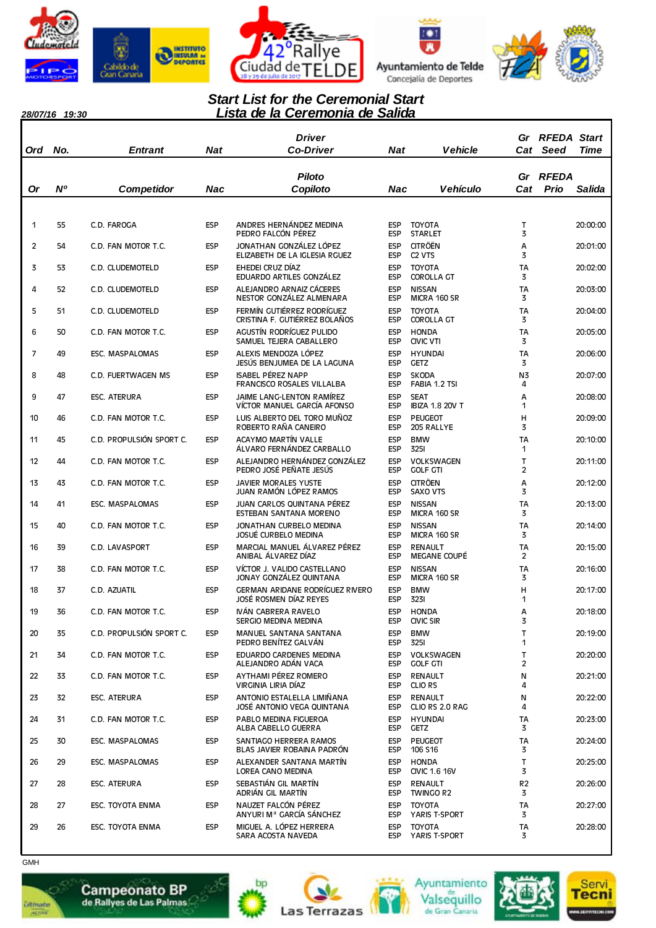

*28/07/16 19:30*









### *Lista de la Ceremonia de Salida Start List for the Ceremonial Start*

| Ord | No. | <b>Entrant</b>           | <b>Nat</b> | Driver<br>Co-Driver                                              |                          | <b>Vehicle</b><br>Nat                            | Gr                   | <b>RFEDA Start</b><br>Cat Seed | Time          |
|-----|-----|--------------------------|------------|------------------------------------------------------------------|--------------------------|--------------------------------------------------|----------------------|--------------------------------|---------------|
| Or  | N°  | <b>Competidor</b>        | Nac        | <b>Piloto</b><br>Copiloto                                        | Nac                      | <b>Vehículo</b>                                  | Gr<br>Cat            | <b>RFEDA</b><br>Prio           | <b>Salida</b> |
|     |     |                          |            |                                                                  |                          |                                                  |                      |                                |               |
| 1   | 55  | C.D. FAROGA              | <b>ESP</b> | ANDRES HERNÁNDEZ MEDINA<br>PEDRO FALCÓN PÉREZ                    | <b>ESP</b><br><b>ESP</b> | <b>TOYOTA</b><br><b>STARLET</b>                  | т<br>3               |                                | 20:00:00      |
| 2   | 54  | C.D. FAN MOTOR T.C.      | <b>ESP</b> | JONATHAN GONZÁLEZ LÓPEZ<br>ELIZABETH DE LA IGLESIA RGUEZ         | <b>ESP</b><br><b>ESP</b> | <b>CITRÖËN</b><br>C <sub>2</sub> V <sub>TS</sub> | Α<br>3               |                                | 20:01:00      |
| 3   | 53  | C.D. CLUDEMOTELD         | <b>ESP</b> | EHEDEI CRUZ DÍAZ<br>EDUARDO ARTILES GONZÁLEZ                     | <b>ESP</b><br><b>ESP</b> | <b>TOYOTA</b><br><b>COROLLA GT</b>               | TA<br>3              |                                | 20:02:00      |
| 4   | 52  | C.D. CLUDEMOTELD         | <b>ESP</b> | ALEJANDRO ARNAIZ CÁCERES<br>NESTOR GONZÁLEZ ALMENARA             | <b>ESP</b><br><b>ESP</b> | <b>NISSAN</b><br>MICRA 160 SR                    | TA<br>3              |                                | 20:03:00      |
| 5   | 51  | C.D. CLUDEMOTELD         | <b>ESP</b> | FERMÍN GUTIÉRREZ RODRÍGUEZ<br>CRISTINA F. GUTIÉRREZ BOLAÑOS      | <b>ESP</b><br><b>ESP</b> | <b>TOYOTA</b><br><b>COROLLA GT</b>               | TA<br>3              |                                | 20:04:00      |
| 6   | 50  | C.D. FAN MOTOR T.C.      | <b>ESP</b> | AGUSTÍN RODRÍGUEZ PULIDO<br>SAMUEL TEJERA CABALLERO              | <b>ESP</b><br><b>ESP</b> | <b>HONDA</b><br><b>CIVIC VTI</b>                 | TA<br>3              |                                | 20:05:00      |
| 7   | 49  | <b>ESC. MASPALOMAS</b>   | <b>ESP</b> | ALEXIS MENDOZA LÓPEZ<br>JESÚS BENJUMEA DE LA LAGUNA              | <b>ESP</b><br><b>ESP</b> | <b>HYUNDAI</b><br><b>GETZ</b>                    | TA<br>3              |                                | 20:06:00      |
| 8   | 48  | C.D. FUERTWAGEN MS       | <b>ESP</b> | <b>ISABEL PÉREZ NAPP</b><br>FRANCISCO ROSALES VILLALBA           | <b>ESP</b><br><b>ESP</b> | <b>SKODA</b><br>FABIA 1.2 TSI                    | N3<br>4              |                                | 20:07:00      |
| 9   | 47  | <b>ESC. ATERURA</b>      | <b>ESP</b> | JAIME LANG-LENTON RAMÍREZ<br>VÍCTOR MANUEL GARCÍA AFONSO         | <b>ESP</b><br><b>ESP</b> | <b>SEAT</b><br><b>IBIZA 1.8 20V T</b>            | Α<br>1               |                                | 20:08:00      |
| 10  | 46  | C.D. FAN MOTOR T.C.      | <b>ESP</b> | LUIS ALBERTO DEL TORO MUÑOZ<br>ROBERTO RAÑA CANEIRO              | <b>ESP</b><br><b>ESP</b> | <b>PEUGEOT</b><br>205 RALLYE                     | Н<br>3               |                                | 20:09:00      |
| 11  | 45  | C.D. PROPULSIÓN SPORT C. | <b>ESP</b> | <b>ACAYMO MARTÍN VALLE</b><br>ÁLVARO FERNÁNDEZ CARBALLO          | <b>ESP</b><br><b>ESP</b> | <b>BMW</b><br><b>3251</b>                        | TA<br>1              |                                | 20:10:00      |
| 12  | 44  | C.D. FAN MOTOR T.C.      | <b>ESP</b> | ALEJANDRO HERNÁNDEZ GONZÁLEZ<br>PEDRO JOSÉ PEÑATE JESÚS          | <b>ESP</b><br><b>ESP</b> | VOLKSWAGEN<br><b>GOLF GTI</b>                    | T<br>$\overline{c}$  |                                | 20:11:00      |
| 13  | 43  | C.D. FAN MOTOR T.C.      | <b>ESP</b> | <b>JAVIER MORALES YUSTE</b><br>JUAN RAMÓN LÓPEZ RAMOS            | <b>ESP</b><br><b>ESP</b> | <b>CITRÖEN</b><br><b>SAXO VTS</b>                | Α<br>3               |                                | 20:12:00      |
| 14  | 41  | <b>ESC. MASPALOMAS</b>   | <b>ESP</b> | JUAN CARLOS QUINTANA PÉREZ<br>ESTEBAN SANTANA MORENO             | <b>ESP</b><br><b>ESP</b> | <b>NISSAN</b><br>MICRA 160 SR                    | TA<br>3              |                                | 20:13:00      |
| 15  | 40  | C.D. FAN MOTOR T.C.      | <b>ESP</b> | JONATHAN CURBELO MEDINA<br>JOSUÉ CURBELO MEDINA                  | <b>ESP</b><br><b>ESP</b> | <b>NISSAN</b><br>MICRA 160 SR                    | <b>TA</b><br>3       |                                | 20:14:00      |
| 16  | 39  | C.D. LAVASPORT           | <b>ESP</b> | MARCIAL MANUEL ÁLVAREZ PÉREZ<br>ANIBAL ALVAREZ DIAZ              | <b>ESP</b><br><b>ESP</b> | <b>RENAULT</b><br><b>MEGANE COUPE</b>            | TA<br>$\overline{2}$ |                                | 20:15:00      |
| 17  | 38  | C.D. FAN MOTOR T.C.      | <b>ESP</b> | VÍCTOR J. VALIDO CASTELLANO<br>JONAY GONZALEZ QUINTANA           | <b>ESP</b><br><b>ESP</b> | <b>NISSAN</b><br>MICRA 160 SR                    | <b>TA</b><br>3       |                                | 20:16:00      |
| 18  | 37  | c.d. Azuatil             | <b>ESP</b> | <b>GERMAN ARIDANE RODRÍGUEZ RIVERO</b><br>JOSÉ ROSMEN DÍAZ REYES | <b>ESP</b><br><b>ESP</b> | <b>BMW</b><br>3231                               | Н<br>1               |                                | 20:17:00      |
| 19  | 36  | C.D. FAN MOTOR T.C.      | <b>ESP</b> | IVÁN CABRERA RAVELO<br>SERGIO MEDINA MEDINA                      | <b>ESP</b><br>ESP        | <b>HONDA</b><br><b>CIVIC SIR</b>                 | A<br>3               |                                | 20:18:00      |
| 20  | 35  | C.D. PROPULSIÓN SPORT C. | <b>ESP</b> | MANUEL SANTANA SANTANA<br>PEDRO BENÍTEZ GALVÁN                   | <b>ESP</b><br><b>ESP</b> | <b>BMW</b><br><b>3251</b>                        | T<br>1               |                                | 20:19:00      |
| 21  | 34  | C.D. FAN MOTOR T.C.      | <b>ESP</b> | EDUARDO CARDENES MEDINA<br>ALEJANDRO ADÁN VACA                   | <b>ESP</b><br><b>ESP</b> | <b>VOLKSWAGEN</b><br><b>GOLF GTI</b>             | T<br>$\overline{c}$  |                                | 20:20:00      |
| 22  | 33  | C.D. FAN MOTOR T.C.      | <b>ESP</b> | AYTHAMI PÉREZ ROMERO<br>VIRGINIA LIRIA DÍAZ                      | <b>ESP</b><br><b>ESP</b> | <b>RENAULT</b><br>CLIO RS                        | И<br>4               |                                | 20:21:00      |
| 23  | 32  | <b>ESC. ATERURA</b>      | <b>ESP</b> | ANTONIO ESTALELLA LIMIÑANA<br>JOSÉ ANTONIO VEGA QUINTANA         | <b>ESP</b><br><b>ESP</b> | <b>RENAULT</b><br>CLIO RS 2.0 RAG                | И<br>4               |                                | 20:22:00      |
| 24  | 31  | C.D. FAN MOTOR T.C.      | <b>ESP</b> | PABLO MEDINA FIGUEROA<br>ALBA CABELLO GUERRA                     | <b>ESP</b><br><b>ESP</b> | <b>HYUNDAI</b><br><b>GETZ</b>                    | TA<br>3              |                                | 20:23:00      |
| 25  | 30  | ESC. MASPALOMAS          | <b>ESP</b> | SANTIAGO HERRERA RAMOS<br>BLAS JAVIER ROBAINA PADRÓN             | <b>ESP</b><br><b>ESP</b> | <b>PEUGEOT</b><br>106 S16                        | <b>TA</b><br>3       |                                | 20:24:00      |
| 26  | 29  | ESC. MASPALOMAS          | <b>ESP</b> | ALEXANDER SANTANA MARTÍN<br>LOREA CANO MEDINA                    | <b>ESP</b><br><b>ESP</b> | <b>HONDA</b><br><b>CIVIC 1.6 16V</b>             | T.<br>3              |                                | 20:25:00      |
| 27  | 28  | ESC. ATERURA             | <b>ESP</b> | SEBASTIÁN GIL MARTÍN<br>ADRIÁN GIL MARTÍN                        | <b>ESP</b><br><b>ESP</b> | <b>RENAULT</b><br>TWINGO R2                      | R <sub>2</sub><br>3  |                                | 20:26:00      |
| 28  | 27  | ESC. TOYOTA ENMA         | <b>ESP</b> | NAUZET FALCÓN PÉREZ<br>ANYURI M <sup>a</sup> GARCÍA SÁNCHEZ      | <b>ESP</b><br><b>ESP</b> | <b>TOYOTA</b><br>YARIS T-SPORT                   | TA<br>3              |                                | 20:27:00      |
| 29  | 26  | ESC. TOYOTA ENMA         | <b>ESP</b> | MIGUEL A. LÓPEZ HERRERA<br>SARA ACOSTA NAVEDA                    | <b>ESP</b>               | <b>TOYOTA</b><br>ESP YARIS T-SPORT               | TA<br>3              |                                | 20:28:00      |



*<u>ultimate</u>* 

 $\overline{\phantom{a}}$ 











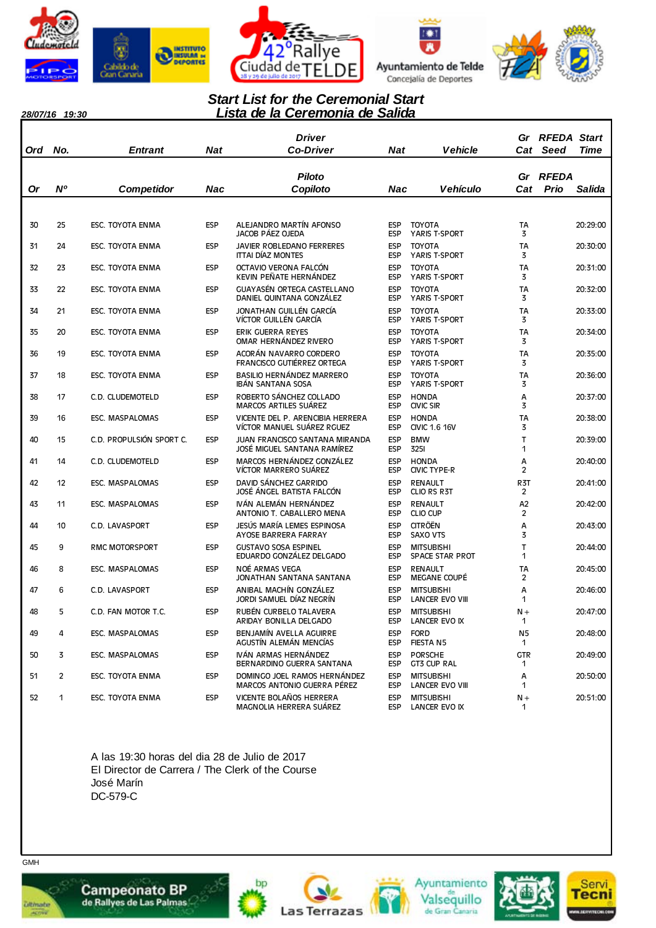









#### *28/07/16 19:30*

### *Lista de la Ceremonia de Salida Start List for the Ceremonial Start*

| Ord | No.            | Entrant                  | Nat        | <b>Driver</b><br><b>Co-Driver</b>                                    |                          | <b>Nat</b><br><b>Vehicle</b>                | Gr<br>Cat             | <b>RFEDA Start</b><br>Seed | <b>Time</b> |
|-----|----------------|--------------------------|------------|----------------------------------------------------------------------|--------------------------|---------------------------------------------|-----------------------|----------------------------|-------------|
|     |                |                          |            | <b>Piloto</b>                                                        |                          |                                             | Gr                    | <b>RFEDA</b>               |             |
| Or  | N <sup>o</sup> | Competidor               | Nac        | Copiloto                                                             | Nac                      | Vehículo                                    | Cat                   | Prio                       | Salida      |
|     |                |                          |            |                                                                      |                          |                                             |                       |                            |             |
| 30  | 25             | ESC. TOYOTA ENMA         | <b>ESP</b> | ALEJANDRO MARTÍN AFONSO<br>JACOB PÁEZ OJEDA                          | <b>ESP</b><br><b>ESP</b> | <b>TOYOTA</b><br>YARIS T-SPORT              | TA<br>3               |                            | 20:29:00    |
| 31  | 24             | ESC. TOYOTA ENMA         | <b>ESP</b> | JAVIER ROBLEDANO FERRERES<br>ITTAI DIAZ MONTES                       | <b>ESP</b><br><b>ESP</b> | <b>TOYOTA</b><br>YARIS T-SPORT              | <b>TA</b><br>3        |                            | 20:30:00    |
| 32  | 23             | ESC. TOYOTA ENMA         | <b>ESP</b> | OCTAVIO VERONA FALCÓN<br>KEVIN PEÑATE HERNÁNDEZ                      | <b>ESP</b><br><b>ESP</b> | <b>TOYOTA</b><br>YARIS T-SPORT              | TA<br>3               |                            | 20:31:00    |
| 33  | 22             | ESC. TOYOTA ENMA         | <b>ESP</b> | GUAYASÉN ORTEGA CASTELLANO<br>DANIEL QUINTANA GONZÁLEZ               | <b>ESP</b><br><b>ESP</b> | <b>TOYOTA</b><br>YARIS T-SPORT              | <b>TA</b><br>3        |                            | 20:32:00    |
| 34  | 21             | ESC. TOYOTA ENMA         | <b>ESP</b> | JONATHAN GUILLÉN GARCÍA<br>VÍCTOR GUILLÉN GARCÍA                     | <b>ESP</b><br><b>ESP</b> | <b>TOYOTA</b><br>YARIS T-SPORT              | TA<br>3               |                            | 20:33:00    |
| 35  | 20             | ESC. TOYOTA ENMA         | <b>ESP</b> | ERIK GUERRA REYES<br>OMAR HERNÁNDEZ RIVERO                           | <b>ESP</b><br>ESP        | <b>TOYOTA</b><br>YARIS T-SPORT              | <b>TA</b><br>3        |                            | 20:34:00    |
| 36  | 19             | ESC. TOYOTA ENMA         | <b>ESP</b> | ACORÁN NAVARRO CORDERO<br>FRANCISCO GUTIÉRREZ ORTEGA                 | <b>ESP</b><br><b>ESP</b> | <b>TOYOTA</b><br>YARIS T-SPORT              | TA<br>3               |                            | 20:35:00    |
| 37  | 18             | ESC. TOYOTA ENMA         | <b>ESP</b> | BASILIO HERNÁNDEZ MARRERO<br>IBÁN SANTANA SOSA                       | <b>ESP</b><br><b>ESP</b> | <b>TOYOTA</b><br>YARIS T-SPORT              | <b>TA</b><br>3        |                            | 20:36:00    |
| 38  | 17             | C.D. CLUDEMOTELD         | <b>ESP</b> | ROBERTO SÁNCHEZ COLLADO<br><b>MARCOS ARTILES SUÁREZ</b>              | <b>ESP</b><br><b>ESP</b> | <b>HONDA</b><br><b>CIVIC SIR</b>            | А<br>3                |                            | 20:37:00    |
| 39  | 16             | <b>ESC. MASPALOMAS</b>   | <b>ESP</b> | VICENTE DEL P. ARENCIBIA HERRERA<br>VÍCTOR MANUEL SUÁREZ RGUEZ       | <b>ESP</b><br><b>ESP</b> | <b>HONDA</b><br><b>CIVIC 1.6 16V</b>        | TA<br>3               |                            | 20:38:00    |
| 40  | 15             | C.D. PROPULSIÓN SPORT C. | <b>ESP</b> | <b>JUAN FRANCISCO SANTANA MIRANDA</b><br>JOSÉ MIGUEL SANTANA RAMIREZ | <b>ESP</b><br><b>ESP</b> | <b>BMW</b><br><b>3251</b>                   | $\mathsf{T}$<br>1     |                            | 20:39:00    |
| 41  | 14             | C.D. CLUDEMOTELD         | <b>ESP</b> | MARCOS HERNÁNDEZ GONZÁLEZ<br>VÍCTOR MARRERO SUÁREZ                   | <b>ESP</b><br><b>ESP</b> | <b>HONDA</b><br>CIVIC TYPE-R                | А<br>2                |                            | 20:40:00    |
| 42  | 12             | <b>ESC. MASPALOMAS</b>   | <b>ESP</b> | DAVID SÁNCHEZ GARRIDO<br>JOSÉ ANGEL BATISTA FALCON                   | <b>ESP</b><br><b>ESP</b> | <b>RENAULT</b><br>CLIO RS R3T               | R3T<br>$\overline{c}$ |                            | 20:41:00    |
| 43  | 11             | <b>ESC. MASPALOMAS</b>   | <b>ESP</b> | IVÁN ALEMÁN HERNÁNDEZ<br>ANTONIO T. CABALLERO MENA                   | <b>ESP</b><br>ESP        | <b>RENAULT</b><br>CLIO CUP                  | A2<br>2               |                            | 20:42:00    |
| 44  | 10             | C.D. LAVASPORT           | <b>ESP</b> | JESÚS MARÍA LEMES ESPINOSA<br>AYOSE BARRERA FARRAY                   | <b>ESP</b><br>ESP        | <b>CITRÖËN</b><br><b>SAXO VTS</b>           | A<br>3                |                            | 20:43:00    |
| 45  | 9              | <b>RMC MOTORSPORT</b>    | <b>ESP</b> | <b>GUSTAVO SOSA ESPINEL</b><br>EDUARDO GONZÁLEZ DELGADO              | <b>ESP</b><br>ESP        | <b>MITSUBISHI</b><br><b>SPACE STAR PROT</b> | $\mathsf{T}$<br>1     |                            | 20:44:00    |
| 46  | 8              | ESC. MASPALOMAS          | <b>ESP</b> | NOÉ ARMAS VEGA<br>JONATHAN SANTANA SANTANA                           | <b>ESP</b><br>ESP        | <b>RENAULT</b><br><b>MEGANE COUPÉ</b>       | TA<br>2               |                            | 20:45:00    |
| 47  | 6              | C.D. LAVASPORT           | <b>ESP</b> | ANIBAL MACHÍN GONZÁLEZ<br>JORDI SAMUEL DÍAZ NEGRÍN                   | <b>ESP</b><br>ESP        | <b>MITSUBISHI</b><br>LANCER EVO VIII        | A<br>1                |                            | 20:46:00    |
| 48  | 5              | C.D. FAN MOTOR T.C.      | <b>ESP</b> | RUBÉN CURBELO TALAVERA<br>ARIDAY BONILLA DELGADO                     | <b>ESP</b><br>ESP        | <b>MITSUBISHI</b><br>LANCER EVO IX          | $N +$<br>1            |                            | 20:47:00    |
| 49  | 4              | <b>ESC. MASPALOMAS</b>   | <b>ESP</b> | BENJAMÍN AVELLA AGUIRRE<br>AGUSTÍN ALEMÁN MENCÍAS                    | <b>ESP</b><br><b>ESP</b> | <b>FORD</b><br>FIESTA N5                    | N <sub>5</sub><br>1   |                            | 20:48:00    |
| 50  | 3              | ESC. MASPALOMAS          | <b>ESP</b> | IVÁN ARMAS HERNÁNDEZ<br>BERNARDINO GUERRA SANTANA                    | <b>ESP</b><br>ESP        | <b>PORSCHE</b><br>GT3 CUP RAL               | <b>GTR</b><br>1       |                            | 20:49:00    |
| 51  | 2              | ESC. TOYOTA ENMA         | <b>ESP</b> | DOMINGO JOEL RAMOS HERNÁNDEZ<br>MARCOS ANTONIO GUERRA PÉREZ          | <b>ESP</b><br><b>ESP</b> | <b>MITSUBISHI</b><br>LANCER EVO VIII        | Α<br>1                |                            | 20:50:00    |
| 52  | 1              | ESC. TOYOTA ENMA         | <b>ESP</b> | VICENTE BOLAÑOS HERRERA<br>MAGNOLIA HERRERA SUÁREZ                   | <b>ESP</b><br>ESP        | <b>MITSUBISHI</b><br>LANCER EVO IX          | $N +$<br>1            |                            | 20:51:00    |

A las 19:30 horas del dia 28 de Julio de 2017 El Director de Carrera / The Clerk of the Course José Marín DC-579-C



*<u>ultimate</u>* 











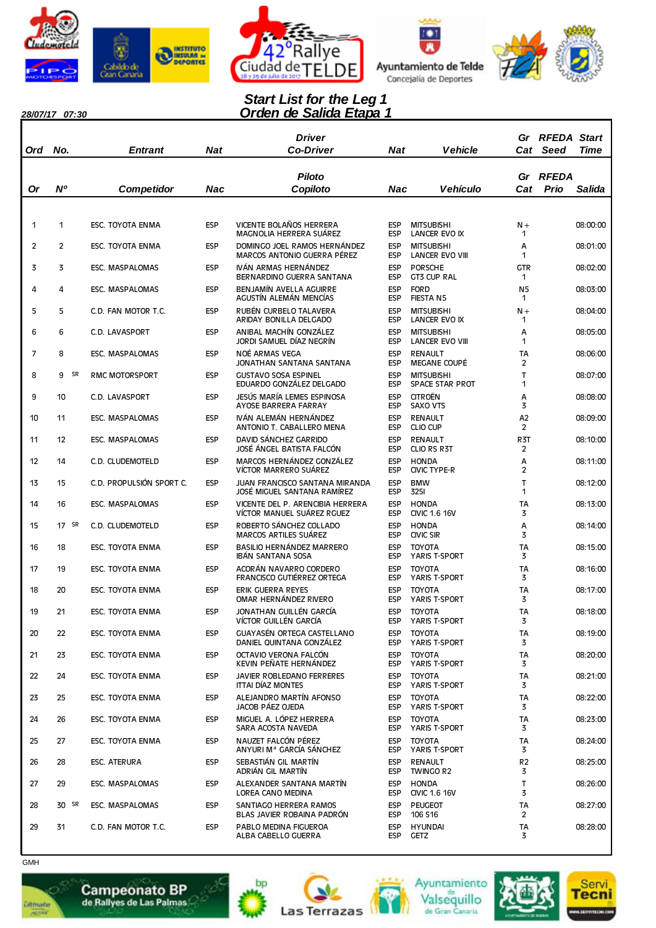









### *Orden de Salida Etapa 1 Start List for the Leg 1*

| 28/07/17 07:30 |  |
|----------------|--|
|                |  |

| Ord            | No.            | <b>Entrant</b>           | Nat        | Driver<br><b>Co-Driver</b>                                     | Nat                      | <b>Vehicle</b>                              |                           | <b>Gr RFEDA Start</b><br>Cat Seed<br><b>Time</b> |
|----------------|----------------|--------------------------|------------|----------------------------------------------------------------|--------------------------|---------------------------------------------|---------------------------|--------------------------------------------------|
| <b>Or</b>      | N <sup>o</sup> | <b>Competidor</b>        | Nac        | <b>Piloto</b><br>Copiloto                                      | Nac                      | <b>Vehículo</b>                             | Gr<br>Cat                 | <b>RFEDA</b><br>Prio<br>Salida                   |
|                |                |                          |            |                                                                |                          |                                             |                           |                                                  |
| 1              | 1              | ESC. TOYOTA ENMA         | <b>ESP</b> | VICENTE BOLAÑOS HERRERA<br>MAGNOLIA HERRERA SUÁREZ             | <b>ESP</b><br><b>ESP</b> | <b>MITSUBISHI</b><br>LANCER EVO IX          | $N +$<br>1                | 08:00:00                                         |
| $\overline{c}$ | $\overline{2}$ | ESC. TOYOTA ENMA         | <b>ESP</b> | DOMINGO JOEL RAMOS HERNÁNDEZ<br>MARCOS ANTONIO GUERRA PÉREZ    | <b>ESP</b><br><b>ESP</b> | <b>MITSUBISHI</b><br><b>LANCER EVO VIII</b> | Α<br>1                    | 08:01:00                                         |
| 3              | 3              | <b>ESC. MASPALOMAS</b>   | <b>ESP</b> | IVÁN ARMAS HERNÁNDEZ<br>BERNARDINO GUERRA SANTANA              | <b>ESP</b><br><b>ESP</b> | <b>PORSCHE</b><br><b>GT3 CUP RAL</b>        | <b>GTR</b><br>$\mathbf 1$ | 08:02:00                                         |
| 4              | 4              | ESC. MASPALOMAS          | ESP        | BENJAMÍN AVELLA AGUIRRE<br>AGUSTÍN ALEMÁN MENCÍAS              | <b>ESP</b><br><b>ESP</b> | <b>FORD</b><br><b>FIESTA N5</b>             | N <sub>5</sub><br>1       | 08:03:00                                         |
| 5              | 5              | C.D. FAN MOTOR T.C.      | ESP        | RUBÉN CURBELO TALAVERA<br>ARIDAY BONILLA DELGADO               | <b>ESP</b><br><b>ESP</b> | <b>MITSUBISHI</b><br>LANCER EVO IX          | $N +$<br>1                | 08:04:00                                         |
| 6              | 6              | C.D. LAVASPORT           | <b>ESP</b> | ANIBAL MACHÍN GONZÁLEZ<br>JORDI SAMUEL DÍAZ NEGRÍN             | <b>ESP</b><br><b>ESP</b> | <b>MITSUBISHI</b><br><b>LANCER EVO VIII</b> | A<br>1                    | 08:05:00                                         |
| 7              | 8              | <b>ESC. MASPALOMAS</b>   | ESP        | NOÉ ARMAS VEGA<br>JONATHAN SANTANA SANTANA                     | <b>ESP</b><br><b>ESP</b> | <b>RENAULT</b><br><b>MEGANE COUPÉ</b>       | TA<br>2                   | 08:06:00                                         |
| 8              | SR<br>9        | <b>RMC MOTORSPORT</b>    | ESP        | <b>GUSTAVO SOSA ESPINEL</b><br>EDUARDO GONZÁLEZ DELGADO        | <b>ESP</b><br><b>ESP</b> | <b>MITSUBISHI</b><br><b>SPACE STAR PROT</b> | T<br>1                    | 08:07:00                                         |
| 9              | 10             | C.D. LAVASPORT           | <b>ESP</b> | JESÚS MARÍA LEMES ESPINOSA<br>AYOSE BARRERA FARRAY             | <b>ESP</b><br><b>ESP</b> | <b>CITROËN</b><br><b>SAXO VTS</b>           | Α<br>3                    | 08:08:00                                         |
| 10             | 11             | <b>ESC. MASPALOMAS</b>   | <b>ESP</b> | IVÁN ALEMÁN HERNÁNDEZ<br>ANTONIO T. CABALLERO MENA             | <b>ESP</b><br><b>ESP</b> | <b>RENAULT</b><br><b>CLIO CUP</b>           | A <sub>2</sub><br>2       | 08:09:00                                         |
| 11             | 12             | <b>ESC. MASPALOMAS</b>   | <b>ESP</b> | DAVID SÁNCHEZ GARRIDO<br>JOSÉ ÁNGEL BATISTA FALCÓN             | <b>ESP</b><br><b>ESP</b> | <b>RENAULT</b><br>CLIO RS R3T               | R <sub>3</sub> T<br>2     | 08:10:00                                         |
| 12             | 14             | C.D. CLUDEMOTELD         | <b>ESP</b> | MARCOS HERNÁNDEZ GONZÁLEZ<br>VÍCTOR MARRERO SUÁREZ             | <b>ESP</b><br><b>ESP</b> | <b>HONDA</b><br><b>CIVIC TYPE-R</b>         | A<br>$\overline{c}$       | 08:11:00                                         |
| 13             | 15             | C.D. PROPULSIÓN SPORT C. | <b>ESP</b> | JUAN FRANCISCO SANTANA MIRANDA<br>JOSÉ MIGUEL SANTANA RAMÍREZ  | <b>ESP</b><br><b>ESP</b> | <b>BMW</b><br><b>3251</b>                   | Т<br>1                    | 08:12:00                                         |
| 14             | 16             | <b>ESC. MASPALOMAS</b>   | ESP        | VICENTE DEL P. ARENCIBIA HERRERA<br>VÍCTOR MANUEL SUÁREZ RGUEZ | <b>ESP</b><br><b>ESP</b> | <b>HONDA</b><br><b>CIVIC 1.6 16V</b>        | <b>TA</b><br>3            | 08:13:00                                         |
| 15             | SR<br>17       | C.D. CLUDEMOTELD         | <b>ESP</b> | ROBERTO SÁNCHEZ COLLADO<br><b>MARCOS ARTILES SUÁREZ</b>        | <b>ESP</b><br><b>ESP</b> | <b>HONDA</b><br><b>CIVIC SIR</b>            | А<br>3                    | 08:14:00                                         |
| 16             | 18             | ESC. TOYOTA ENMA         | ESP        | BASILIO HERNÁNDEZ MARRERO<br>IBÁN SANTANA SOSA                 | <b>ESP</b><br><b>ESP</b> | <b>TOYOTA</b><br>YARIS T-SPORT              | <b>TA</b><br>3            | 08:15:00                                         |
| 17             | 19             | ESC. TOYOTA ENMA         | <b>ESP</b> | ACORÁN NAVARRO CORDERO<br>FRANCISCO GUTIÉRREZ ORTEGA           | <b>ESP</b><br><b>ESP</b> | <b>TOYOTA</b><br>YARIS T-SPORT              | <b>TA</b><br>3            | 08:16:00                                         |
| 18             | 20             | ESC. TOYOTA ENMA         | ESP        | ERIK GUERRA REYES<br>OMAR HERNÁNDEZ RIVERO                     | <b>ESP</b><br><b>ESP</b> | <b>TOYOTA</b><br>YARIS T-SPORT              | TA<br>3                   | 08:17:00                                         |
| 19             | 21             | ESC. TOYOTA ENMA         | <b>ESP</b> | JONATHAN GUILLÉN GARCÍA<br>VÍCTOR GUILLÉN GARCÍA               | <b>ESP</b><br><b>ESP</b> | TOYOTA<br>YARIS T-SPORT                     | <b>TA</b><br>3            | 08:18:00                                         |
| 20             | 22             | ESC. TOYOTA ENMA         | ESP        | GUAYASÉN ORTEGA CASTELLANO<br>DANIEL QUINTANA GONZÁLEZ         | <b>ESP</b><br><b>ESP</b> | <b>TOYOTA</b><br>YARIS T-SPORT              | <b>TA</b><br>3            | 08:19:00                                         |
| 21             | 23             | ESC. TOYOTA ENMA         | <b>ESP</b> | OCTAVIO VERONA FALCÓN<br>KEVIN PEÑATE HERNÁNDEZ                | <b>ESP</b><br><b>ESP</b> | <b>TOYOTA</b><br>YARIS T-SPORT              | TA<br>3                   | 08:20:00                                         |
| 22             | 24             | ESC. TOYOTA ENMA         | ESP        | JAVIER ROBLEDANO FERRERES<br>ITTAI DÍAZ MONTES                 | <b>ESP</b><br><b>ESP</b> | <b>TOYOTA</b><br>YARIS T-SPORT              | TA<br>3                   | 08:21:00                                         |
| 23             | 25             | ESC. TOYOTA ENMA         | <b>ESP</b> | ALEJANDRO MARTÍN AFONSO<br>JACOB PÁEZ OJEDA                    | <b>ESP</b><br><b>ESP</b> | <b>TOYOTA</b><br>YARIS T-SPORT              | TA<br>3                   | 08:22:00                                         |
| 24             | 26             | ESC. TOYOTA ENMA         | ESP        | MIGUEL A. LÓPEZ HERRERA<br>SARA ACOSTA NAVEDA                  | <b>ESP</b><br><b>ESP</b> | <b>TOYOTA</b><br>YARIS T-SPORT              | <b>TA</b><br>3            | 08:23:00                                         |
| 25             | 27             | ESC. TOYOTA ENMA         | ESP        | NAUZET FALCÓN PÉREZ<br>ANYURI M <sup>a</sup> GARCÍA SÁNCHEZ    | <b>ESP</b><br><b>ESP</b> | <b>TOYOTA</b><br>YARIS T-SPORT              | TA<br>3                   | 08:24:00                                         |
| 26             | 28             | ESC. ATERURA             | ESP        | SEBASTIÁN GIL MARTÍN<br>ADRIÁN GIL MARTÍN                      | <b>ESP</b><br><b>ESP</b> | <b>RENAULT</b><br><b>TWINGO R2</b>          | R <sub>2</sub><br>3       | 08:25:00                                         |
| 27             | 29             | ESC. MASPALOMAS          | <b>ESP</b> | ALEXANDER SANTANA MARTÍN<br>LOREA CANO MEDINA                  | <b>ESP</b><br><b>ESP</b> | <b>HONDA</b><br><b>CIVIC 1.6 16V</b>        | T<br>3                    | 08:26:00                                         |
| 28             | 30 SR          | ESC. MASPALOMAS          | ESP        | SANTIAGO HERRERA RAMOS<br>BLAS JAVIER ROBAINA PADRÓN           | <b>ESP</b><br><b>ESP</b> | <b>PEUGEOT</b><br>106 S16                   | <b>TA</b><br>2            | 08:27:00                                         |
| 29             | 31             | C.D. FAN MOTOR T.C.      | <b>ESP</b> | PABLO MEDINA FIGUEROA<br>ALBA CABELLO GUERRA                   | <b>ESP</b><br><b>ESP</b> | <b>HYUNDAI</b><br><b>GETZ</b>               | <b>TA</b><br>3            | 08:28:00                                         |
| <b>GMH</b>     |                |                          |            |                                                                |                          |                                             |                           |                                                  |



**Ditmate** 











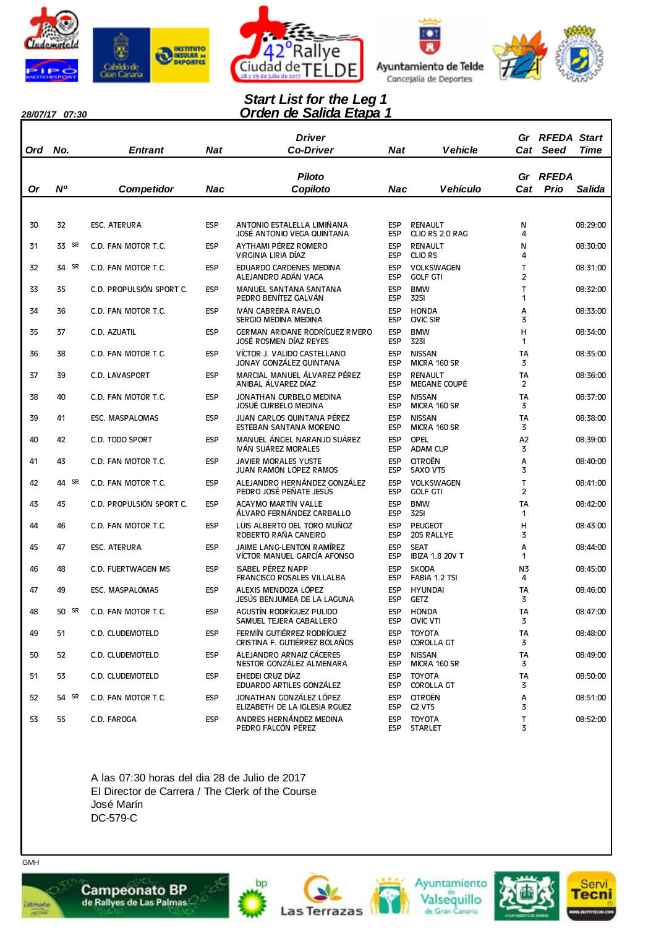









### *Orden de Salida Etapa 1 Start List for the Leg 1*

*28/07/17 07:30*

| 20/07/17 | <i>u. o</i> u |                          |            | vunuu                                                            |                          |                                       |                     |                                   |             |
|----------|---------------|--------------------------|------------|------------------------------------------------------------------|--------------------------|---------------------------------------|---------------------|-----------------------------------|-------------|
| Ord      | No.           | Entrant                  | <b>Nat</b> | Driver<br><b>Co-Driver</b>                                       | Nat                      | <b>Vehicle</b>                        |                     | <b>Gr RFEDA Start</b><br>Cat Seed | <b>Time</b> |
|          |               |                          |            |                                                                  |                          |                                       |                     |                                   |             |
| 0r       | N°            |                          | Nac        | <b>Piloto</b><br>Copiloto                                        | Nac                      | <b>Vehículo</b>                       | Gr<br>Cat           | RFEDA<br>Prio                     | Salida      |
|          |               | <b>Competidor</b>        |            |                                                                  |                          |                                       |                     |                                   |             |
|          |               |                          |            |                                                                  |                          |                                       |                     |                                   |             |
| 30       | 32            | <b>ESC. ATERURA</b>      | <b>ESP</b> | ANTONIO ESTALELLA LIMIÑANA<br>JOSÉ ANTONIO VEGA QUINTANA         | ESP<br><b>ESP</b>        | <b>RENAULT</b><br>CLIO RS 2.0 RAG     | N<br>4              |                                   | 08:29:00    |
| 31       | 33 SR         | C.D. FAN MOTOR T.C.      | <b>ESP</b> | AYTHAMI PÉREZ ROMERO<br>VIRGINIA LIRIA DÍAZ                      | <b>ESP</b><br><b>ESP</b> | <b>RENAULT</b><br><b>CLIO RS</b>      | N<br>4              |                                   | 08:30:00    |
| 32       | SR<br>34      | C.D. FAN MOTOR T.C.      | <b>ESP</b> | EDUARDO CARDENES MEDINA<br>ALEJANDRO ADÁN VACA                   | <b>ESP</b><br><b>ESP</b> | VOLKSWAGEN<br><b>GOLF GTI</b>         | T<br>$\overline{c}$ |                                   | 08:31:00    |
| 33       | 35            | C.D. PROPULSIÓN SPORT C. | ESP        | MANUEL SANTANA SANTANA<br>PEDRO BENÍTEZ GALVÁN                   | <b>ESP</b><br><b>ESP</b> | <b>BMW</b><br><b>3251</b>             | T<br>1              |                                   | 08:32:00    |
| 34       | 36            | C.D. FAN MOTOR T.C.      | <b>ESP</b> | IVÁN CABRERA RAVELO<br>SERGIO MEDINA MEDINA                      | <b>ESP</b><br><b>ESP</b> | <b>HONDA</b><br><b>CIVIC SIR</b>      | Α<br>3              |                                   | 08:33:00    |
| 35       | 37            | C.D. AZUATIL             | <b>ESP</b> | <b>GERMAN ARIDANE RODRÍGUEZ RIVERO</b><br>JOSÉ ROSMEN DÍAZ REYES | <b>ESP</b><br><b>ESP</b> | <b>BMW</b><br>3231                    | Н<br>1              |                                   | 08:34:00    |
| 36       | 38            | C.D. FAN MOTOR T.C.      | ESP        | VÍCTOR J. VALIDO CASTELLANO<br>JONAY GONZÁLEZ OUINTANA           | <b>ESP</b><br><b>ESP</b> | <b>NISSAN</b><br>MICRA 160 SR         | TA<br>3             |                                   | 08:35:00    |
| 37       | 39            | C.D. LAVASPORT           | <b>ESP</b> | MARCIAL MANUEL ÁLVAREZ PÉREZ<br>ANIBAL ÁLVAREZ DÍAZ              | <b>ESP</b><br><b>ESP</b> | <b>RENAULT</b><br>MEGANE COUPÉ        | <b>TA</b><br>2      |                                   | 08:36:00    |
| 38       | 40            | C.D. FAN MOTOR T.C.      | <b>ESP</b> | JONATHAN CURBELO MEDINA<br>JOSUÉ CURBELO MEDINA                  | <b>ESP</b><br><b>ESP</b> | <b>NISSAN</b><br>MICRA 160 SR         | <b>TA</b><br>3      |                                   | 08:37:00    |
| 39       | 41            | ESC. MASPALOMAS          | <b>ESP</b> | JUAN CARLOS QUINTANA PÉREZ<br>ESTEBAN SANTANA MORENO             | <b>ESP</b><br><b>ESP</b> | <b>NISSAN</b><br>MICRA 160 SR         | TA<br>3             |                                   | 08:38:00    |
| 40       | 42            | C.D. TODO SPORT          | <b>ESP</b> | MANUEL ÁNGEL NARANJO SUÁREZ<br>IVÁN SUÁREZ MORALES               | <b>ESP</b><br><b>ESP</b> | OPEL<br><b>ADAM CUP</b>               | A <sub>2</sub><br>3 |                                   | 08:39:00    |
| 41       | 43            | C.D. FAN MOTOR T.C.      | <b>ESP</b> | <b>JAVIER MORALES YUSTE</b><br>JUAN RAMÓN LÓPEZ RAMOS            | <b>ESP</b><br><b>ESP</b> | <b>CITROËN</b><br><b>SAXO VTS</b>     | A<br>3              |                                   | 08:40:00    |
| 42       | SR<br>44      | C.D. FAN MOTOR T.C.      | <b>ESP</b> | ALEJANDRO HERNÁNDEZ GONZÁLEZ<br>PEDRO JOSÉ PEÑATE JESÚS          | <b>ESP</b><br><b>ESP</b> | <b>VOLKSWAGEN</b><br><b>GOLF GTI</b>  | т<br>$\overline{c}$ |                                   | 08:41:00    |
| 43       | 45            | C.D. PROPULSIÓN SPORT C. | <b>ESP</b> | ACAYMO MARTÍN VALLE<br>ÁLVARO FERNÁNDEZ CARBALLO                 | <b>ESP</b><br><b>ESP</b> | <b>BMW</b><br><b>3251</b>             | TA<br>1             |                                   | 08:42:00    |
| 44       | 46            | C.D. FAN MOTOR T.C.      | <b>ESP</b> | LUIS ALBERTO DEL TORO MUÑOZ<br>ROBERTO RAÑA CANEIRO              | <b>ESP</b><br><b>ESP</b> | <b>PEUGEOT</b><br>205 RALLYE          | н<br>3              |                                   | 08:43:00    |
| 45       | 47            | <b>ESC. ATERURA</b>      | <b>ESP</b> | JAIME LANG-LENTON RAMÍREZ<br>VÍCTOR MANUEL GARCÍA AFONSO         | <b>ESP</b><br>ESP        | <b>SEAT</b><br><b>IBIZA 1.8 20V T</b> | Α<br>1              |                                   | 08:44:00    |
| 46       | 48            | C.D. FUERTWAGEN MS       | <b>ESP</b> | <b>ISABEL PÉREZ NAPP</b><br>FRANCISCO ROSALES VILLALBA           | <b>ESP</b><br><b>ESP</b> | <b>SKODA</b><br>FABIA 1.2 TSI         | N3<br>4             |                                   | 08:45:00    |
| 47       | 49            | ESC. MASPALOMAS          | <b>ESP</b> | ALEXIS MENDOZA LÓPEZ<br>JESÚS BENJUMEA DE LA LAGUNA              | <b>ESP</b><br><b>ESP</b> | <b>HYUNDAI</b><br><b>GETZ</b>         | TA<br>3             |                                   | 08:46:00    |
| 48       | 50 SR         | C.D. FAN MOTOR T.C.      | <b>ESP</b> | AGUSTÍN RODRÍGUEZ PULIDO<br>SAMUEL TEJERA CABALLERO              | ESP<br><b>ESP</b>        | HONDA<br>CIVIC VTI                    | TА<br>3             |                                   | 08:47:00    |
| 49       | 51            | C.D. CLUDEMOTELD         | ESP        | FERMÍN GUTIÉRREZ RODRÍGUEZ<br>CRISTINA F. GUTIÉRREZ BOLAÑOS      | <b>ESP</b><br><b>ESP</b> | <b>TOYOTA</b><br>COROLLA GT           | <b>TA</b><br>3      |                                   | 08:48:00    |
| 50       | 52            | C.D. CLUDEMOTELD         | <b>ESP</b> | ALEJANDRO ARNAIZ CÁCERES<br>NESTOR GONZÁLEZ ALMENARA             | <b>ESP</b><br><b>ESP</b> | <b>NISSAN</b><br>MICRA 160 SR         | <b>TA</b><br>3      |                                   | 08:49:00    |
| 51       | 53            | C.D. CLUDEMOTELD         | <b>ESP</b> | EHEDEI CRUZ DÍAZ<br>EDUARDO ARTILES GONZÁLEZ                     | <b>ESP</b><br><b>ESP</b> | <b>TOYOTA</b><br><b>COROLLA GT</b>    | <b>TA</b><br>3      |                                   | 08:50:00    |
| 52       | 54 SR         | C.D. FAN MOTOR T.C.      | ESP        | JONATHAN GONZÁLEZ LÓPEZ<br>ELIZABETH DE LA IGLESIA RGUEZ         | <b>ESP</b><br><b>ESP</b> | <b>CITROËN</b><br>C <sub>2</sub> VTS  | Α<br>3              |                                   | 08:51:00    |
| 53       | 55            | C.D. FAROGA              | <b>ESP</b> | ANDRES HERNÁNDEZ MEDINA<br>PEDRO FALCÓN PÉREZ                    | <b>ESP</b><br><b>ESP</b> | <b>TOYOTA</b><br><b>STARLET</b>       | $\mathsf T$<br>3    |                                   | 08:52:00    |

A las 07:30 horas del dia 28 de Julio de 2017 El Director de Carrera / The Clerk of the Course José Marín DC-579-C











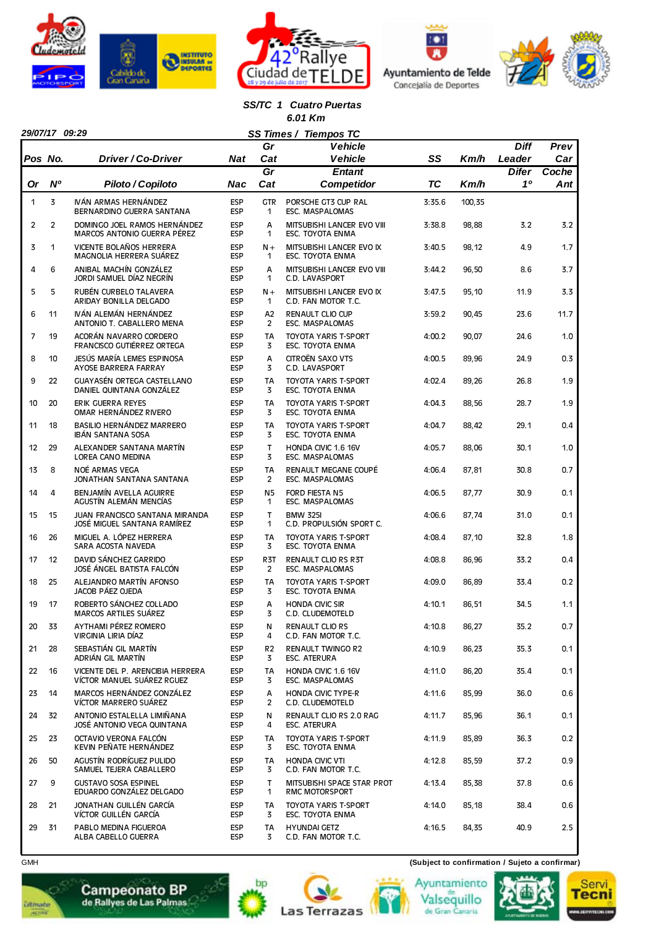







#### *SS/TC 1 Cuatro Puertas 6.01 Km*

|                | 29/07/17 09:29 |                                                                      |                          |                      | SS Times / Tiempos TC                                  |           |        |                       |             |
|----------------|----------------|----------------------------------------------------------------------|--------------------------|----------------------|--------------------------------------------------------|-----------|--------|-----------------------|-------------|
| Pos No.        |                | Driver / Co-Driver                                                   | Nat                      | Gr<br>Cat            | Vehicle<br><b>Vehicle</b>                              | SS        | Km/h   | <b>Diff</b><br>Leader | Prev<br>Car |
|                |                |                                                                      |                          | Gr                   | Entant                                                 |           |        | <b>Difer</b>          | Coche       |
| 0r             | N <sup>o</sup> | Piloto / Copiloto                                                    | Nac                      | Cat                  | Competidor                                             | <b>TC</b> | Km/h   | 10                    | Ant         |
| 1              | 3              | IVÁN ARMAS HERNÁNDEZ<br>BERNARDINO GUERRA SANTANA                    | <b>ESP</b><br><b>ESP</b> | <b>GTR</b><br>1      | PORSCHE GT3 CUP RAL<br>ESC. MASPALOMAS                 | 3:35.6    | 100,35 |                       |             |
| $\overline{2}$ | $\overline{2}$ | DOMINGO JOEL RAMOS HERNÁNDEZ<br>MARCOS ANTONIO GUERRA PÉREZ          | <b>ESP</b><br><b>ESP</b> | A<br>$\mathbf{1}$    | MITSUBISHI LANCER EVO VIII<br>ESC. TOYOTA ENMA         | 3:38.8    | 98,88  | 3.2                   | 3.2         |
| 3              | 1              | VICENTE BOLAÑOS HERRERA<br>MAGNOLIA HERRERA SUÁREZ                   | <b>ESP</b><br><b>ESP</b> | $N +$<br>1           | MITSUBISHI LANCER EVO IX<br><b>ESC. TOYOTA ENMA</b>    | 3:40.5    | 98,12  | 4.9                   | 1.7         |
| 4              | 6              | ANIBAL MACHÍN GONZÁLEZ<br>JORDI SAMUEL DÍAZ NEGRÍN                   | <b>ESP</b><br><b>ESP</b> | А<br>1               | MITSUBISHI LANCER EVO VIII<br>C.D. LAVASPORT           | 3:44.2    | 96,50  | 8.6                   | 3.7         |
| 5              | 5              | RUBÉN CURBELO TALAVERA<br>ARIDAY BONILLA DELGADO                     | <b>ESP</b><br><b>ESP</b> | $N +$<br>1           | MITSUBISHI LANCER EVO IX<br>C.D. FAN MOTOR T.C.        | 3:47.5    | 95,10  | 11.9                  | 3.3         |
| 6              | 11             | IVÁN ALEMÁN HERNÁNDEZ<br>ANTONIO T. CABALLERO MENA                   | <b>ESP</b><br><b>ESP</b> | Α2<br>$\overline{2}$ | <b>RENAULT CLIO CUP</b><br>ESC. MASPALOMAS             | 3:59.2    | 90,45  | 23.6                  | 11.7        |
| 7              | 19             | ACORÁN NAVARRO CORDERO<br>FRANCISCO GUTIÉRREZ ORTEGA                 | <b>ESP</b><br><b>ESP</b> | <b>TA</b><br>3       | <b>TOYOTA YARIS T-SPORT</b><br>ESC. TOYOTA ENMA        | 4:00.2    | 90,07  | 24.6                  | 1.0         |
| 8              | 10             | JESÚS MARÍA LEMES ESPINOSA<br>AYOSE BARRERA FARRAY                   | <b>ESP</b><br><b>ESP</b> | A<br>3               | CITROËN SAXO VTS<br>C.D. LAVASPORT                     | 4:00.5    | 89,96  | 24.9                  | 0.3         |
| 9              | 22             | <b>GUAYASÉN ORTEGA CASTELLANO</b><br>DANIEL QUINTANA GONZÁLEZ        | <b>ESP</b><br><b>ESP</b> | <b>TA</b><br>3       | <b>TOYOTA YARIS T-SPORT</b><br>ESC. TOYOTA ENMA        | 4:02.4    | 89,26  | 26.8                  | 1.9         |
| 10             | 20             | ERIK GUERRA REYES<br>OMAR HERNÁNDEZ RIVERO                           | <b>ESP</b><br><b>ESP</b> | <b>TA</b><br>3       | <b>TOYOTA YARIS T-SPORT</b><br>ESC. TOYOTA ENMA        | 4:04.3    | 88,56  | 28.7                  | 1.9         |
| 11             | 18             | BASILIO HERNÁNDEZ MARRERO<br><b>IBÁN SANTANA SOSA</b>                | <b>ESP</b><br><b>ESP</b> | <b>TA</b><br>3       | <b>TOYOTA YARIS T-SPORT</b><br><b>ESC. TOYOTA ENMA</b> | 4:04.7    | 88,42  | 29.1                  | 0.4         |
| 12             | 29             | ALEXANDER SANTANA MARTÍN<br><b>LOREA CANO MEDINA</b>                 | <b>ESP</b><br><b>ESP</b> | T<br>3               | HONDA CIVIC 1.6 16V<br>ESC. MASPALOMAS                 | 4:05.7    | 88,06  | 30.1                  | 1.0         |
| 13             | 8              | NOÉ ARMAS VEGA<br>JONATHAN SANTANA SANTANA                           | <b>ESP</b><br><b>ESP</b> | <b>TA</b><br>2       | RENAULT MEGANE COUPÉ<br>ESC. MASPALOMAS                | 4:06.4    | 87,81  | 30.8                  | 0.7         |
| 14             | 4              | BENJAMÍN AVELLA AGUIRRE<br>AGUSTÍN ALEMÁN MENCÍAS                    | <b>ESP</b><br><b>ESP</b> | N5<br>1              | FORD FIESTA N5<br><b>ESC. MASPALOMAS</b>               | 4:06.5    | 87,77  | 30.9                  | 0.1         |
| 15             | 15             | <b>JUAN FRANCISCO SANTANA MIRANDA</b><br>JOSÉ MIGUEL SANTANA RAMÍREZ | <b>ESP</b><br><b>ESP</b> | $\mathsf{T}$<br>1    | <b>BMW 325I</b><br>C.D. PROPULSIÓN SPORT C.            | 4:06.6    | 87,74  | 31.0                  | 0.1         |
| 16             | 26             | MIGUEL A. LÓPEZ HERRERA<br>SARA ACOSTA NAVEDA                        | <b>ESP</b><br><b>ESP</b> | <b>TA</b><br>3       | <b>TOYOTA YARIS T-SPORT</b><br><b>ESC. TOYOTA ENMA</b> | 4:08.4    | 87,10  | 32.8                  | 1.8         |
| 17             | 12             | DAVID SÁNCHEZ GARRIDO<br>JOSÉ ÁNGEL BATISTA FALCÓN                   | <b>ESP</b><br><b>ESP</b> | R3T<br>2             | RENAULT CLIO RS R3T<br>ESC. MASPALOMAS                 | 4:08.8    | 86,96  | 33.2                  | 0.4         |
| 18             | 25             | ALEJANDRO MARTÍN AFONSO<br>JACOB PÁEZ OJEDA                          | <b>ESP</b><br><b>ESP</b> | <b>TA</b><br>3       | <b>TOYOTA YARIS T-SPORT</b><br>ESC. TOYOTA ENMA        | 4:09.0    | 86,89  | 33.4                  | 0.2         |
| 19             | 17             | ROBERTO SÁNCHEZ COLLADO<br><b>MARCOS ARTILES SUÁREZ</b>              | <b>ESP</b><br><b>ESP</b> | A<br>3               | <b>HONDA CIVIC SIR</b><br>C.D. CLUDEMOTELD             | 4:10.1    | 86,51  | 34.5                  | 1.1         |
| 20             | 33             | AYTHAMI PÉREZ ROMERO<br>VIRGINIA LIRIA DÍAZ                          | <b>ESP</b><br><b>ESP</b> | N<br>4               | <b>RENAULT CLIO RS</b><br>C.D. FAN MOTOR T.C.          | 4:10.8    | 86,27  | 35.2                  | 0.7         |
| 21             | 28             | SEBASTIÁN GIL MARTÍN<br>ADRIÁN GIL MARTÍN                            | <b>ESP</b><br><b>ESP</b> | R2<br>3              | <b>RENAULT TWINGO R2</b><br><b>ESC. ATERURA</b>        | 4:10.9    | 86,23  | 35.3                  | 0.1         |
| 22             | 16             | VICENTE DEL P. ARENCIBIA HERRERA<br>VÍCTOR MANUEL SUÁREZ RGUEZ       | <b>ESP</b><br><b>ESP</b> | TA<br>3              | HONDA CIVIC 1.6 16V<br>ESC. MASPALOMAS                 | 4:11.0    | 86,20  | 35.4                  | 0.1         |
| 23             | 14             | MARCOS HERNÁNDEZ GONZÁLEZ<br>VÍCTOR MARRERO SUÁREZ                   | <b>ESP</b><br><b>ESP</b> | Α<br>2               | <b>HONDA CIVIC TYPE-R</b><br>C.D. CLUDEMOTELD          | 4:11.6    | 85,99  | 36.0                  | 0.6         |
| 24             | 32             | ANTONIO ESTALELLA LIMIÑANA<br>JOSÉ ANTONIO VEGA QUINTANA             | ESP<br><b>ESP</b>        | N<br>4               | RENAULT CLIO RS 2.0 RAG<br><b>ESC. ATERURA</b>         | 4:11.7    | 85,96  | 36.1                  | 0.1         |
| 25             | 23             | OCTAVIO VERONA FALCÓN<br>KEVIN PEÑATE HERNÁNDEZ                      | <b>ESP</b><br><b>ESP</b> | TA<br>3              | TOYOTA YARIS T-SPORT<br>ESC. TOYOTA ENMA               | 4:11.9    | 85,89  | 36.3                  | 0.2         |
| 26             | 50             | AGUSTÍN RODRÍGUEZ PULIDO<br>SAMUEL TEJERA CABALLERO                  | <b>ESP</b><br>ESP        | TA<br>3              | <b>HONDA CIVIC VTI</b><br>C.D. FAN MOTOR T.C.          | 4:12.8    | 85,59  | 37.2                  | 0.9         |
| 27             | 9              | <b>GUSTAVO SOSA ESPINEL</b><br>EDUARDO GONZÁLEZ DELGADO              | ESP<br><b>ESP</b>        | T<br>1               | MITSUBISHI SPACE STAR PROT<br><b>RMC MOTORSPORT</b>    | 4:13.4    | 85,38  | 37.8                  | 0.6         |
| 28             | 21             | JONATHAN GUILLÉN GARCÍA<br>VÍCTOR GUILLÉN GARCÍA                     | <b>ESP</b><br><b>ESP</b> | TA<br>3              | TOYOTA YARIS T-SPORT<br>ESC. TOYOTA ENMA               | 4:14.0    | 85,18  | 38.4                  | 0.6         |
| 29             | 31             | PABLO MEDINA FIGUEROA<br>ALBA CABELLO GUERRA                         | ESP<br><b>ESP</b>        | TA<br>3              | <b>HYUNDAI GETZ</b><br>C.D. FAN MOTOR T.C.             | 4:16.5    | 84,35  | 40.9                  | 2.5         |

bp

**Las Terrazas** 

GMH **(Subject to confirmation / Sujeto a confirmar)**

Ayuntamiento

Valsequillo<br>de Gran Canaria





 $\overline{\phantom{a}}$ 

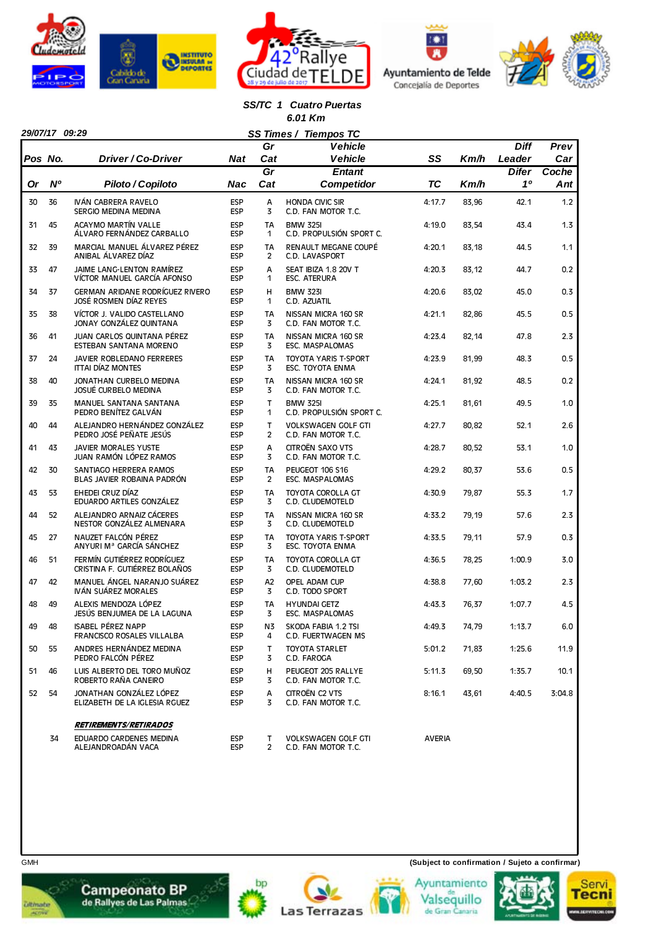







*SS/TC 1 Cuatro Puertas 6.01 Km*

|           | 29/07/17 09:29 |                                                             |                          |                             | SS Times / Tiempos TC                             |               |       |                    |              |
|-----------|----------------|-------------------------------------------------------------|--------------------------|-----------------------------|---------------------------------------------------|---------------|-------|--------------------|--------------|
|           |                |                                                             |                          | Gr                          | <b>Vehicle</b>                                    |               |       | <b>Diff</b>        | Prev         |
| Pos No.   |                | Driver / Co-Driver                                          | Nat                      | Cat                         | <b>Vehicle</b>                                    | SS            | Km/h  | Leader             | Car          |
| <b>Or</b> | N <sup>o</sup> | Piloto / Copiloto                                           | Nac                      | $\overline{Gr}$<br>Cat      | <b>Entant</b><br><b>Competidor</b>                | ТC            | Km/h  | <b>Difer</b><br>10 | Coche<br>Ant |
|           |                |                                                             |                          |                             |                                                   |               |       |                    |              |
| 30        | 36             | IVÁN CABRERA RAVELO<br>SERGIO MEDINA MEDINA                 | <b>ESP</b><br><b>ESP</b> | А<br>3                      | <b>HONDA CIVIC SIR</b><br>C.D. FAN MOTOR T.C.     | 4:17.7        | 83,96 | 42.1               | 1.2          |
| 31        | 45             | <b>ACAYMO MARTÍN VALLE</b><br>ÁLVARO FERNÁNDEZ CARBALLO     | <b>ESP</b><br><b>ESP</b> | <b>TA</b><br>1              | <b>BMW 325I</b><br>C.D. PROPULSIÓN SPORT C.       | 4:19.0        | 83,54 | 43.4               | 1.3          |
| 32        | 39             | MARCIAL MANUEL ÁLVAREZ PÉREZ<br>ANIBAL ÁLVAREZ DÍAZ         | <b>ESP</b><br><b>ESP</b> | <b>TA</b><br>$\overline{2}$ | RENAULT MEGANE COUPÉ<br>C.D. LAVASPORT            | 4:20.1        | 83,18 | 44.5               | 1.1          |
| 33        | 47             | JAIME LANG-LENTON RAMÍREZ<br>VÍCTOR MANUEL GARCÍA AFONSO    | <b>ESP</b><br><b>ESP</b> | A<br>1                      | SEAT IBIZA 1.8 20V T<br><b>ESC. ATERURA</b>       | 4:20.3        | 83,12 | 44.7               | 0.2          |
| 34        | 37             | GERMAN ARIDANE RODRÍGUEZ RIVERO<br>JOSÉ ROSMEN DÍAZ REYES   | <b>ESP</b><br><b>ESP</b> | Н<br>1                      | <b>BMW 323I</b><br>C.D. AZUATIL                   | 4:20.6        | 83,02 | 45.0               | 0.3          |
| 35        | 38             | VÍCTOR J. VALIDO CASTELLANO                                 | <b>ESP</b>               | <b>TA</b>                   | NISSAN MICRA 160 SR                               | 4:21.1        | 82,86 | 45.5               | 0.5          |
|           |                | JONAY GONZÁLEZ QUINTANA                                     | <b>ESP</b>               | 3                           | C.D. FAN MOTOR T.C.                               |               |       |                    |              |
| 36        | 41             | JUAN CARLOS QUINTANA PÉREZ<br>ESTEBAN SANTANA MORENO        | <b>ESP</b><br><b>ESP</b> | <b>TA</b><br>3              | NISSAN MICRA 160 SR<br>ESC. MASPALOMAS            | 4:23.4        | 82,14 | 47.8               | 2.3          |
| 37        | 24             | JAVIER ROBLEDANO FERRERES<br><b>ITTAI DÍAZ MONTES</b>       | <b>ESP</b><br><b>ESP</b> | <b>TA</b><br>3              | <b>TOYOTA YARIS T-SPORT</b><br>ESC. TOYOTA ENMA   | 4:23.9        | 81,99 | 48.3               | 0.5          |
| 38        | 40             | JONATHAN CURBELO MEDINA<br><b>JOSUÉ CURBELO MEDINA</b>      | <b>ESP</b><br><b>ESP</b> | <b>TA</b><br>3              | NISSAN MICRA 160 SR<br>C.D. FAN MOTOR T.C.        | 4:24.1        | 81,92 | 48.5               | 0.2          |
| 39        | 35             | <b>MANUEL SANTANA SANTANA</b><br>PEDRO BENÍTEZ GALVÁN       | <b>ESP</b><br><b>ESP</b> | T.<br>1                     | <b>BMW 325I</b><br>C.D. PROPULSIÓN SPORT C.       | 4:25.1        | 81,61 | 49.5               | 1.0          |
| 40        | 44             | ALEJANDRO HERNÁNDEZ GONZÁLEZ<br>PEDRO JOSÉ PEÑATE JESÚS     | <b>ESP</b><br><b>ESP</b> | T.<br>$\overline{2}$        | <b>VOLKSWAGEN GOLF GTI</b><br>C.D. FAN MOTOR T.C. | 4:27.7        | 80,82 | 52.1               | 2.6          |
| 41        | 43             | <b>JAVIER MORALES YUSTE</b><br>JUAN RAMÓN LÓPEZ RAMOS       | <b>ESP</b><br><b>ESP</b> | A<br>3                      | CITROËN SAXO VTS<br>C.D. FAN MOTOR T.C.           | 4:28.7        | 80,52 | 53.1               | 1.0          |
| 42        | 30             | SANTIAGO HERRERA RAMOS<br>BLAS JAVIER ROBAINA PADRÓN        | <b>ESP</b><br><b>ESP</b> | <b>TA</b><br>$\overline{2}$ | PEUGEOT 106 S16<br>ESC. MASPALOMAS                | 4:29.2        | 80,37 | 53.6               | 0.5          |
| 43        | 53             | EHEDEI CRUZ DÍAZ<br>EDUARDO ARTILES GONZÁLEZ                | <b>ESP</b><br><b>ESP</b> | <b>TA</b><br>3              | TOYOTA COROLLA GT<br>C.D. CLUDEMOTELD             | 4:30.9        | 79,87 | 55.3               | 1.7          |
| 44        | 52             | ALEJANDRO ARNAIZ CÁCERES<br>NESTOR GONZÁLEZ ALMENARA        | <b>ESP</b><br><b>ESP</b> | <b>TA</b><br>3              | NISSAN MICRA 160 SR<br>C.D. CLUDEMOTELD           | 4:33.2        | 79,19 | 57.6               | 2.3          |
| 45        | 27             | NAUZET FALCÓN PÉREZ<br>ANYURI Mª GARCÍA SÁNCHEZ             | <b>ESP</b><br><b>ESP</b> | <b>TA</b><br>3              | <b>TOYOTA YARIS T-SPORT</b><br>ESC. TOYOTA ENMA   | 4:33.5        | 79,11 | 57.9               | 0.3          |
| 46        | 51             | FERMÍN GUTIÉRREZ RODRÍGUEZ<br>CRISTINA F. GUTIÉRREZ BOLAÑOS | <b>ESP</b><br><b>ESP</b> | <b>TA</b><br>3              | TOYOTA COROLLA GT<br>C.D. CLUDEMOTELD             | 4:36.5        | 78,25 | 1:00.9             | 3.0          |
| 47        | 42             | MANUEL ÁNGEL NARANJO SUÁREZ<br>IVÁN SUÁREZ MORALES          | <b>ESP</b>               | A2                          | OPEL ADAM CUP                                     | 4:38.8        | 77,60 | 1:03.2             | 2.3          |
| 48        | 49             | ALEXIS MENDOZA LÓPEZ                                        | <b>ESP</b><br><b>ESP</b> | 3<br><b>TA</b>              | C.D. TODO SPORT<br><b>HYUNDAI GETZ</b>            | 4:43.3        | 76,37 | 1:07.7             | 4.5          |
| 49        | 48             | JESÚS BENJUMEA DE LA LAGUNA<br><b>ISABEL PÉREZ NAPP</b>     | <b>ESP</b><br>ESP        | 3<br>N3                     | <b>ESC. MASPALOMAS</b><br>SKODA FABIA 1.2 TSI     | 4:49.3        | 74,79 | 1:13.7             | 6.0          |
|           |                | FRANCISCO ROSALES VILLALBA<br>ANDRES HERNÁNDEZ MEDINA       | <b>ESP</b><br><b>ESP</b> | 4<br>T                      | C.D. FUERTWAGEN MS<br><b>TOYOTA STARLET</b>       | 5:01.2        |       | 1:25.6             | 11.9         |
| 50        | 55             | PEDRO FALCÓN PÉREZ                                          | <b>ESP</b>               | 3                           | C.D. FAROGA                                       |               | 71,83 |                    |              |
| 51        | 46             | LUIS ALBERTO DEL TORO MUÑOZ<br>ROBERTO RAÑA CANEIRO         | <b>ESP</b><br><b>ESP</b> | н<br>3                      | PEUGEOT 205 RALLYE<br>C.D. FAN MOTOR T.C.         | 5:11.3        | 69,50 | 1:35.7             | 10.1         |
| 52        | 54             | JONATHAN GONZÁLEZ LÓPEZ<br>ELIZABETH DE LA IGLESIA RGUEZ    | <b>ESP</b><br><b>ESP</b> | A<br>3                      | CITROËN C2 VTS<br>C.D. FAN MOTOR T.C.             | 8:16.1        | 43,61 | 4:40.5             | 3:04.8       |
|           |                | <b>RETIREMENTS/RETIRADOS</b>                                |                          |                             |                                                   |               |       |                    |              |
|           | 34             | EDUARDO CARDENES MEDINA                                     | ESP                      | T.                          | <b>VOLKSWAGEN GOLF GTI</b>                        | <b>AVERIA</b> |       |                    |              |
|           |                | ALEJANDROADAN VACA                                          | <b>ESP</b>               | $\mathbf{2}$                | C.D. FAN MOTOR T.C.                               |               |       |                    |              |



*<u>utmate</u>*<br>Alimate













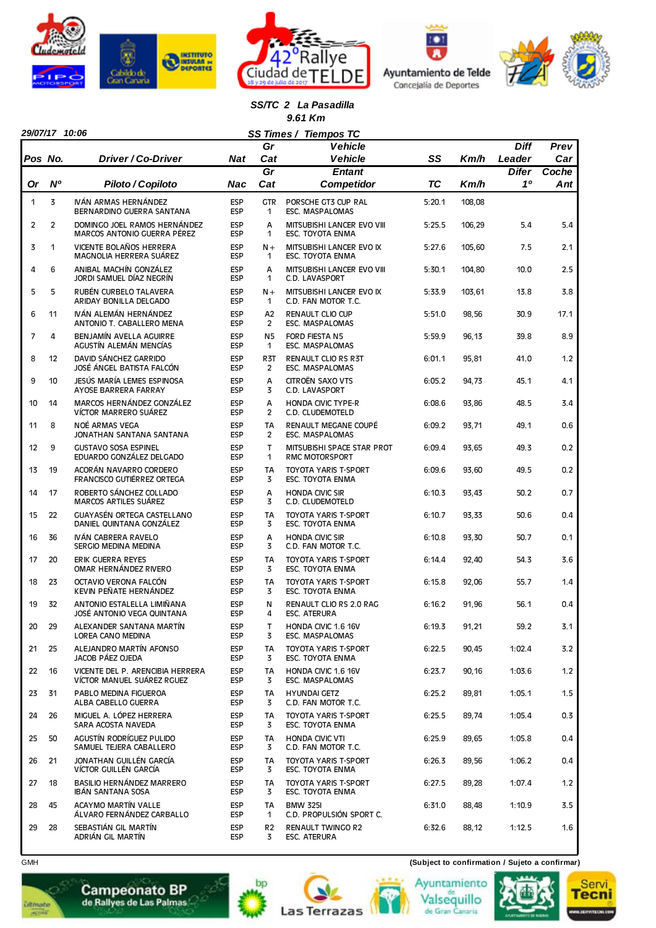







#### *SS/TC 2 La Pasadilla 9.61 Km*

|                | 29/07/17 10:06 |                                                                |                          |                             | SS Times / Tiempos TC                                  |           |        |              |       |
|----------------|----------------|----------------------------------------------------------------|--------------------------|-----------------------------|--------------------------------------------------------|-----------|--------|--------------|-------|
|                |                |                                                                |                          | Gr                          | <b>Vehicle</b>                                         |           |        | <b>Diff</b>  | Prev  |
| Pos No.        |                | Driver / Co-Driver                                             | Nat                      | Cat                         | <b>Vehicle</b>                                         | SS        | Km/h   | Leader       | Car   |
|                |                |                                                                |                          | $\overline{Gr}$             | <b>Entant</b>                                          |           |        | <b>Difer</b> | Coche |
| Or             | <b>N°</b>      | Piloto / Copiloto                                              | Nac                      | Cat                         | <b>Competidor</b>                                      | <b>TC</b> | Km/h   | 10           | Ant   |
| 1              | 3              | IVÁN ARMAS HERNÁNDEZ<br>BERNARDINO GUERRA SANTANA              | <b>ESP</b><br><b>ESP</b> | <b>GTR</b><br>1             | PORSCHE GT3 CUP RAL<br><b>ESC. MASPALOMAS</b>          | 5:20.1    | 108,08 |              |       |
| $\overline{c}$ | $\overline{2}$ | DOMINGO JOEL RAMOS HERNÁNDEZ<br>MARCOS ANTONIO GUERRA PÉREZ    | <b>ESP</b><br><b>ESP</b> | A<br>1                      | MITSUBISHI LANCER EVO VIII<br>ESC. TOYOTA ENMA         | 5:25.5    | 106,29 | 5.4          | 5.4   |
| 3              | 1              | VICENTE BOLAÑOS HERRERA<br>MAGNOLIA HERRERA SUÁREZ             | <b>ESP</b><br><b>ESP</b> | $N +$<br>$\mathbf{1}$       | MITSUBISHI LANCER EVO IX<br><b>ESC. TOYOTA ENMA</b>    | 5:27.6    | 105,60 | 7.5          | 2.1   |
| 4              | 6              | ANIBAL MACHÍN GONZÁLEZ<br>JORDI SAMUEL DÍAZ NEGRÍN             | <b>ESP</b><br><b>ESP</b> | A<br>1                      | MITSUBISHI LANCER EVO VIII<br>C.D. LAVASPORT           | 5:30.1    | 104,80 | 10.0         | 2.5   |
| 5              | 5              | RUBÉN CURBELO TALAVERA<br>ARIDAY BONILLA DELGADO               | <b>ESP</b><br><b>ESP</b> | $N +$<br>1                  | MITSUBISHI LANCER EVO IX<br>C.D. FAN MOTOR T.C.        | 5:33.9    | 103,61 | 13.8         | 3.8   |
| 6              | 11             | IVÁN ALEMÁN HERNÁNDEZ<br>ANTONIO T. CABALLERO MENA             | <b>ESP</b><br><b>ESP</b> | A2<br>2                     | <b>RENAULT CLIO CUP</b><br>ESC. MASPALOMAS             | 5:51.0    | 98,56  | 30.9         | 17.1  |
| 7              | 4              | BENJAMÍN AVELLA AGUIRRE<br>AGUSTÍN ALEMÁN MENCÍAS              | <b>ESP</b><br><b>ESP</b> | N5<br>1                     | FORD FIESTA N5<br>ESC. MASPALOMAS                      | 5:59.9    | 96,13  | 39.8         | 8.9   |
| 8              | 12             | DAVID SÁNCHEZ GARRIDO<br>JOSÉ ÁNGEL BATISTA FALCÓN             | <b>ESP</b><br><b>ESP</b> | R <sub>3</sub> T<br>2       | <b>RENAULT CLIO RS R3T</b><br>ESC. MASPALOMAS          | 6:01.1    | 95,81  | 41.0         | 1.2   |
| 9              | 10             | JESÚS MARÍA LEMES ESPINOSA<br>AYOSE BARRERA FARRAY             | <b>ESP</b><br><b>ESP</b> | А<br>3                      | CITROËN SAXO VTS<br>C.D. LAVASPORT                     | 6:05.2    | 94,73  | 45.1         | 4.1   |
| 10             | 14             | MARCOS HERNÁNDEZ GONZÁLEZ<br>VÍCTOR MARRERO SUÁREZ             | <b>ESP</b><br><b>ESP</b> | A<br>$\overline{c}$         | <b>HONDA CIVIC TYPE-R</b><br>C.D. CLUDEMOTELD          | 6:08.6    | 93,86  | 48.5         | 3.4   |
| 11             | 8              | NOÉ ARMAS VEGA<br>JONATHAN SANTANA SANTANA                     | <b>ESP</b><br><b>ESP</b> | <b>TA</b><br>$\overline{2}$ | RENAULT MEGANE COUPÉ<br><b>ESC. MASPALOMAS</b>         | 6:09.2    | 93,71  | 49.1         | 0.6   |
| 12             | 9              | <b>GUSTAVO SOSA ESPINEL</b><br>EDUARDO GONZÁLEZ DELGADO        | <b>ESP</b><br><b>ESP</b> | $\mathsf{T}$<br>1           | MITSUBISHI SPACE STAR PROT<br><b>RMC MOTORSPORT</b>    | 6:09.4    | 93,65  | 49.3         | 0.2   |
| 13             | 19             | ACORÁN NAVARRO CORDERO<br><b>FRANCISCO GUTIÉRREZ ORTEGA</b>    | <b>ESP</b><br><b>ESP</b> | <b>TA</b><br>3              | <b>TOYOTA YARIS T-SPORT</b><br>ESC. TOYOTA ENMA        | 6:09.6    | 93,60  | 49.5         | 0.2   |
| 14             | 17             | ROBERTO SÁNCHEZ COLLADO<br><b>MARCOS ARTILES SUÁREZ</b>        | <b>ESP</b><br><b>ESP</b> | A<br>3                      | <b>HONDA CIVIC SIR</b><br>C.D. CLUDEMOTELD             | 6:10.3    | 93,43  | 50.2         | 0.7   |
| 15             | 22             | GUAYASÉN ORTEGA CASTELLANO<br>DANIEL QUINTANA GONZÁLEZ         | <b>ESP</b><br><b>ESP</b> | <b>TA</b><br>3              | <b>TOYOTA YARIS T-SPORT</b><br>ESC. TOYOTA ENMA        | 6:10.7    | 93,33  | 50.6         | 0.4   |
| 16             | 36             | IVÁN CABRERA RAVELO<br>SERGIO MEDINA MEDINA                    | ESP<br><b>ESP</b>        | A<br>3                      | <b>HONDA CIVIC SIR</b><br>C.D. FAN MOTOR T.C.          | 6:10.8    | 93,30  | 50.7         | 0.1   |
| 17             | 20             | ERIK GUERRA REYES<br>OMAR HERNÁNDEZ RIVERO                     | <b>ESP</b><br><b>ESP</b> | <b>TA</b><br>3              | <b>TOYOTA YARIS T-SPORT</b><br><b>ESC. TOYOTA ENMA</b> | 6:14.4    | 92,40  | 54.3         | 3.6   |
| 18             | 23             | OCTAVIO VERONA FALCÓN<br>KEVIN PEÑATE HERNÁNDEZ                | <b>ESP</b><br><b>ESP</b> | <b>TA</b><br>3              | <b>TOYOTA YARIS T-SPORT</b><br><b>ESC. TOYOTA ENMA</b> | 6:15.8    | 92,06  | 55.7         | 1.4   |
| 19             | 32             | ANTONIO ESTALELLA LIMIÑANA<br>JOSÉ ANTONIO VEGA QUINTANA       | <b>ESP</b><br><b>ESP</b> | N<br>4                      | RENAULT CLIO RS 2.0 RAG<br><b>ESC. ATERURA</b>         | 6:16.2    | 91,96  | 56.1         | 0.4   |
| 20             | 29             | ALEXANDER SANTANA MARTÍN<br>LOREA CANO MEDINA                  | <b>ESP</b><br><b>ESP</b> | т<br>3                      | HONDA CIVIC 1.6 16V<br>ESC. MASPALOMAS                 | 6:19.3    | 91,21  | 59.2         | 3.1   |
| 21             | 25             | ALEJANDRO MARTÍN AFONSO<br>JACOB PÁEZ OJEDA                    | <b>ESP</b><br><b>ESP</b> | TA<br>3                     | TOYOTA YARIS T-SPORT<br>ESC. TOYOTA ENMA               | 6:22.5    | 90,45  | 1:02.4       | 3.2   |
| 22             | 16             | VICENTE DEL P. ARENCIBIA HERRERA<br>VÍCTOR MANUEL SUÁREZ RGUEZ | <b>ESP</b><br><b>ESP</b> | TA<br>3                     | HONDA CIVIC 1.6 16V<br>ESC. MASPALOMAS                 | 6:23.7    | 90,16  | 1:03.6       | 1.2   |
| 23             | 31             | PABLO MEDINA FIGUEROA<br>ALBA CABELLO GUERRA                   | <b>ESP</b><br>ESP        | TA<br>3                     | <b>HYUNDAI GETZ</b><br>C.D. FAN MOTOR T.C.             | 6:25.2    | 89,81  | 1:05.1       | 1.5   |
| 24             | 26             | MIGUEL A. LÓPEZ HERRERA<br>SARA ACOSTA NAVEDA                  | <b>ESP</b><br><b>ESP</b> | TA<br>3                     | TOYOTA YARIS T-SPORT<br>ESC. TOYOTA ENMA               | 6:25.5    | 89,74  | 1:05.4       | 0.3   |
| 25             | 50             | AGUSTÍN RODRÍGUEZ PULIDO<br>SAMUEL TEJERA CABALLERO            | <b>ESP</b><br><b>ESP</b> | TA<br>3                     | <b>HONDA CIVIC VTI</b><br>C.D. FAN MOTOR T.C.          | 6:25.9    | 89,65  | 1:05.8       | 0.4   |
| 26             | 21             | JONATHAN GUILLÉN GARCÍA<br>VÍCTOR GUILLÉN GARCÍA               | <b>ESP</b><br><b>ESP</b> | TA<br>3                     | TOYOTA YARIS T-SPORT<br>ESC. TOYOTA ENMA               | 6:26.3    | 89,56  | 1:06.2       | 0.4   |
| 27             | 18             | BASILIO HERNÁNDEZ MARRERO<br>IBÁN SANTANA SOSA                 | <b>ESP</b><br><b>ESP</b> | TA<br>3                     | TOYOTA YARIS T-SPORT<br>ESC. TOYOTA ENMA               | 6:27.5    | 89,28  | 1:07.4       | 1.2   |
| 28             | 45             | ACAYMO MARTÍN VALLE<br>ÁLVARO FERNÁNDEZ CARBALLO               | <b>ESP</b><br><b>ESP</b> | TA<br>$\mathbf{1}$          | <b>BMW 325I</b><br>C.D. PROPULSIÓN SPORT C.            | 6:31.0    | 88,48  | 1:10.9       | 3.5   |
| 29             | 28             | SEBASTIÁN GIL MARTÍN<br>Adrián gil Martín                      | <b>ESP</b><br><b>ESP</b> | R2<br>3                     | <b>RENAULT TWINGO R2</b><br>ESC. ATERURA               | 6:32.6    | 88,12  | 1:12.5       | 1.6   |

GMH **(Subject to confirmation / Sujeto a confirmar)**







**Ditmate** 







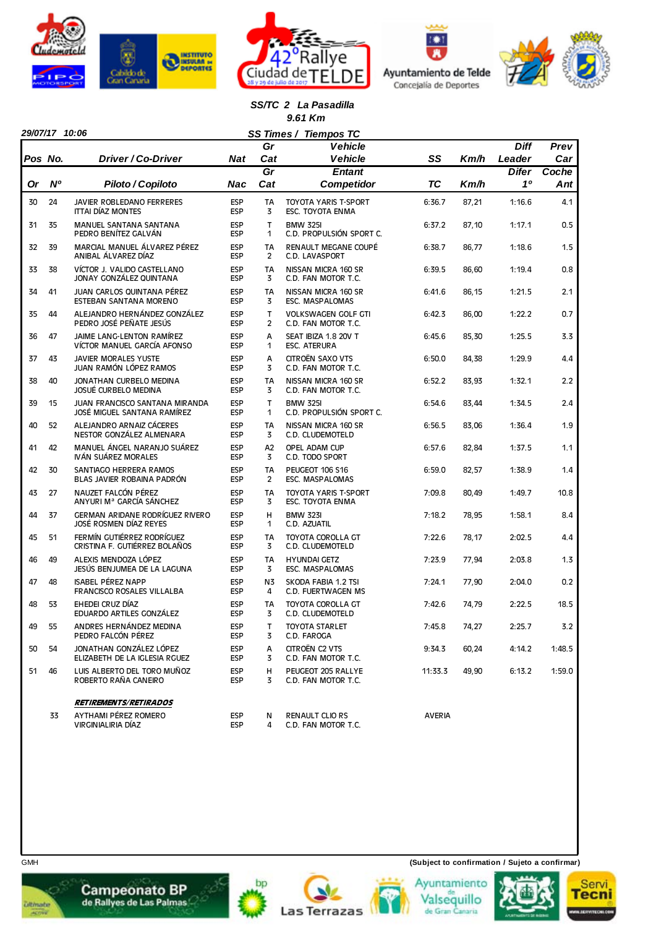







#### *SS/TC 2 La Pasadilla 9.61 Km*

|         | 29/07/17 10:06 |                                                                  |                          |                     | SS Times / Tiempos TC                                  |               |       |                        |             |
|---------|----------------|------------------------------------------------------------------|--------------------------|---------------------|--------------------------------------------------------|---------------|-------|------------------------|-------------|
| Pos No. |                | Driver / Co-Driver                                               |                          | Gr<br>Cat           | <b>Vehicle</b><br><b>Vehicle</b>                       | SS            |       | <b>Diff</b>            | Prev<br>Car |
|         |                |                                                                  | Nat                      | Gr                  | <b>Entant</b>                                          |               | Km/h  | Leader<br><b>Difer</b> | Coche       |
| Or      | N <sup>o</sup> | Piloto / Copiloto                                                | Nac                      | Cat                 | <b>Competidor</b>                                      | <b>TC</b>     | Km/h  | 10                     | Ant         |
| 30      | 24             | JAVIER ROBLEDANO FERRERES<br><b>ITTAI DÍAZ MONTES</b>            | <b>ESP</b><br><b>ESP</b> | <b>TA</b><br>3      | TOYOTA YARIS T-SPORT<br>ESC. TOYOTA ENMA               | 6:36.7        | 87,21 | 1:16.6                 | 4.1         |
| 31      | 35             | MANUEL SANTANA SANTANA<br>PEDRO BENÍTEZ GALVÁN                   | <b>ESP</b><br><b>ESP</b> | $\mathsf{T}$<br>1   | <b>BMW 325I</b><br>C.D. PROPULSIÓN SPORT C.            | 6:37.2        | 87,10 | 1:17.1                 | 0.5         |
| 32      | 39             | MARCIAL MANUEL ÁLVAREZ PÉREZ<br>ANIBAL ÁLVAREZ DÍAZ              | <b>ESP</b><br>ESP        | <b>TA</b><br>2      | RENAULT MEGANE COUPÉ<br>C.D. LAVASPORT                 | 6:38.7        | 86,77 | 1:18.6                 | 1.5         |
| 33      | 38             | VÍCTOR J. VALIDO CASTELLANO<br>JONAY GONZÁLEZ QUINTANA           | ESP<br><b>ESP</b>        | <b>TA</b><br>3      | NISSAN MICRA 160 SR<br>C.D. FAN MOTOR T.C.             | 6:39.5        | 86,60 | 1:19.4                 | 0.8         |
| 34      | 41             | JUAN CARLOS QUINTANA PÉREZ<br>ESTEBAN SANTANA MORENO             | <b>ESP</b><br>ESP        | TA<br>3             | NISSAN MICRA 160 SR<br>ESC. MASPALOMAS                 | 6:41.6        | 86,15 | 1:21.5                 | 2.1         |
| 35      | 44             | ALEJANDRO HERNÁNDEZ GONZÁLEZ<br>PEDRO JOSÉ PEÑATE JESÚS          | <b>ESP</b><br><b>ESP</b> | T<br>$\overline{2}$ | <b>VOLKSWAGEN GOLF GTI</b><br>C.D. FAN MOTOR T.C.      | 6:42.3        | 86,00 | 1:22.2                 | 0.7         |
| 36      | 47             | JAIME LANG-LENTON RAMÍREZ<br>VÍCTOR MANUEL GARCÍA AFONSO         | <b>ESP</b><br>ESP        | A<br>1              | SEAT IBIZA 1.8 20V T<br><b>ESC. ATERURA</b>            | 6:45.6        | 85,30 | 1:25.5                 | 3.3         |
| 37      | 43             | <b>JAVIER MORALES YUSTE</b><br>JUAN RAMÓN LÓPEZ RAMOS            | <b>ESP</b><br><b>ESP</b> | A<br>3              | CITROËN SAXO VTS<br>C.D. FAN MOTOR T.C.                | 6:50.0        | 84,38 | 1:29.9                 | 4.4         |
| 38      | 40             | JONATHAN CURBELO MEDINA<br><b>JOSUÉ CURBELO MEDINA</b>           | <b>ESP</b><br><b>ESP</b> | <b>TA</b><br>3      | NISSAN MICRA 160 SR<br>C.D. FAN MOTOR T.C.             | 6:52.2        | 83,93 | 1:32.1                 | 2.2         |
| 39      | 15             | JUAN FRANCISCO SANTANA MIRANDA<br>JOSÉ MIGUEL SANTANA RAMÍREZ    | ESP<br><b>ESP</b>        | $\mathsf{T}$<br>1   | <b>BMW 325I</b><br>C.D. PROPULSIÓN SPORT C.            | 6:54.6        | 83,44 | 1:34.5                 | 2.4         |
| 40      | 52             | ALEJANDRO ARNAIZ CÁCERES<br>NESTOR GONZÁLEZ ALMENARA             | <b>ESP</b><br>ESP        | <b>TA</b><br>3      | NISSAN MICRA 160 SR<br>C.D. CLUDEMOTELD                | 6:56.5        | 83,06 | 1:36.4                 | 1.9         |
| 41      | 42             | MANUEL ÁNGEL NARANJO SUÁREZ<br>IVÁN SUÁREZ MORALES               | ESP<br><b>ESP</b>        | Α2<br>3             | OPEL ADAM CUP<br>C.D. TODO SPORT                       | 6:57.6        | 82,84 | 1:37.5                 | 1.1         |
| 42      | 30             | SANTIAGO HERRERA RAMOS<br>BLAS JAVIER ROBAINA PADRÓN             | <b>ESP</b><br><b>ESP</b> | TA<br>2             | PEUGEOT 106 S16<br>ESC. MASPALOMAS                     | 6:59.0        | 82,57 | 1:38.9                 | 1.4         |
| 43      | 27             | NAUZET FALCÓN PÉREZ<br>ANYURI Mª GARCÍA SÁNCHEZ                  | ESP<br><b>ESP</b>        | <b>TA</b><br>3      | <b>TOYOTA YARIS T-SPORT</b><br><b>ESC. TOYOTA ENMA</b> | 7:09.8        | 80,49 | 1:49.7                 | 10.8        |
| 44      | 37             | <b>GERMAN ARIDANE RODRÍGUEZ RIVERO</b><br>JOSÉ ROSMEN DÍAZ REYES | <b>ESP</b><br><b>ESP</b> | н<br>$\mathbf{1}$   | <b>BMW 323I</b><br>C.D. AZUATIL                        | 7:18.2        | 78,95 | 1:58.1                 | 8.4         |
| 45      | 51             | FERMÍN GUTIÉRREZ RODRÍGUEZ<br>CRISTINA F. GUTIÉRREZ BOLAÑOS      | <b>ESP</b><br><b>ESP</b> | <b>TA</b><br>3      | TOYOTA COROLLA GT<br>C.D. CLUDEMOTELD                  | 7:22.6        | 78,17 | 2:02.5                 | 4.4         |
| 46      | 49             | ALEXIS MENDOZA LÓPEZ<br>JESÚS BENJUMEA DE LA LAGUNA              | <b>ESP</b><br><b>ESP</b> | TA<br>3             | <b>HYUNDAI GETZ</b><br>ESC. MASPALOMAS                 | 7:23.9        | 77,94 | 2:03.8                 | 1.3         |
| 47      | 48             | <b>ISABEL PÉREZ NAPP</b><br>FRANCISCO ROSALES VILLALBA           | <b>ESP</b><br><b>ESP</b> | N3<br>4             | SKODA FABIA 1.2 TSI<br>C.D. FUERTWAGEN MS              | 7:24.1        | 77,90 | 2:04.0                 | 0.2         |
| 48      | 53             | EHEDEI CRUZ DÍAZ<br>EDUARDO ARTILES GONZÁLEZ                     | <b>ESP</b><br><b>ESP</b> | <b>TA</b><br>3      | TOYOTA COROLLA GT<br>C.D. CLUDEMOTELD                  | 7:42.6        | 74,79 | 2:22.5                 | 18.5        |
| 49      | 55             | ANDRES HERNÁNDEZ MEDINA<br>PEDRO FALCÓN PÉREZ                    | ESP<br>ESP               | т<br>3              | <b>TOYOTA STARLET</b><br>C.D. FAROGA                   | 7:45.8        | 74,27 | 2:25.7                 | 3.2         |
| 50      | 54             | JONATHAN GONZÁLEZ LÓPEZ<br>ELIZABETH DE LA IGLESIA RGUEZ         | ESP<br><b>ESP</b>        | Α<br>3              | CITROËN C2 VTS<br>C.D. FAN MOTOR T.C.                  | 9:34.3        | 60,24 | 4:14.2                 | 1:48.5      |
| 51      | 46             | LUIS ALBERTO DEL TORO MUÑOZ<br>ROBERTO RAÑA CANEIRO              | <b>ESP</b><br><b>ESP</b> | н<br>3              | PEUGEOT 205 RALLYE<br>C.D. FAN MOTOR T.C.              | 11:33.3       | 49,90 | 6:13.2                 | 1:59.0      |
|         |                | <b>RETIREMENTS/RETIRADOS</b>                                     |                          |                     |                                                        |               |       |                        |             |
|         | 33             | AYTHAMI PÉREZ ROMERO<br>VIRGINIALIRIA DÍAZ                       | ESP<br><b>ESP</b>        | N<br>4              | RENAULT CLIO RS<br>C.D. FAN MOTOR T.C.                 | <b>AVERIA</b> |       |                        |             |



**Campeonato BP**<br>de Rallyes de Las Palmas

GMH **(Subject to confirmation / Sujeto a confirmar)**





bp



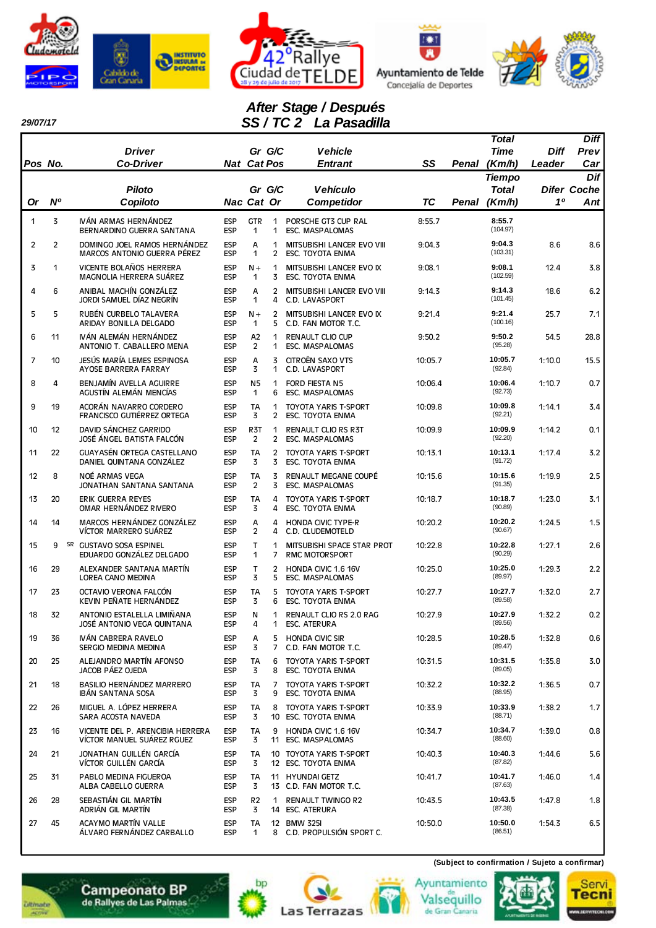

*29/07/17* 







# *After Stage / Después SS / TC 2 La Pasadilla*

| Pos No.        |                | <b>Driver</b><br><b>Co-Driver</b>                              | <b>Nat Cat Pos</b>       |                       | Gr G/C              | <b>Vehicle</b><br><b>Entrant</b>                       | SS      | Penal | Total<br><b>Time</b><br>(Km/h) | Diff<br>Leader | <b>Diff</b><br>Prev<br>Car |
|----------------|----------------|----------------------------------------------------------------|--------------------------|-----------------------|---------------------|--------------------------------------------------------|---------|-------|--------------------------------|----------------|----------------------------|
|                |                |                                                                |                          |                       |                     |                                                        |         |       | <b>Tiempo</b>                  |                | Dif                        |
| Or             | N°             | <b>Piloto</b><br>Copiloto                                      | Nac Cat Or               |                       | Gr G/C              | <b>Vehículo</b><br><b>Competidor</b>                   | TC      | Penal | <b>Total</b><br>(Km/h)         | 10             | <b>Difer Coche</b><br>Ant  |
| $\mathbf{1}$   | 3              | IVÁN ARMAS HERNÁNDEZ<br>BERNARDINO GUERRA SANTANA              | <b>ESP</b><br><b>ESP</b> | <b>GTR</b><br>1       | 1<br>1              | PORSCHE GT3 CUP RAL<br>ESC. MASPALOMAS                 | 8:55.7  |       | 8:55.7<br>(104.97)             |                |                            |
| $\overline{2}$ | $\overline{2}$ | DOMINGO JOEL RAMOS HERNÁNDEZ<br>MARCOS ANTONIO GUERRA PÉREZ    | <b>ESP</b><br><b>ESP</b> | A<br>1                | 1<br>2              | MITSUBISHI LANCER EVO VIII<br>ESC. TOYOTA ENMA         | 9:04.3  |       | 9:04.3<br>(103.31)             | 8.6            | 8.6                        |
| 3              | 1              | VICENTE BOLAÑOS HERRERA<br>MAGNOLIA HERRERA SUÁREZ             | <b>ESP</b><br><b>ESP</b> | $N +$<br>1            | 1<br>3              | MITSUBISHI LANCER EVO IX<br>ESC. TOYOTA ENMA           | 9:08.1  |       | 9:08.1<br>(102.59)             | 12.4           | 3.8                        |
| 4              | 6              | ANIBAL MACHÍN GONZÁLEZ<br>JORDI SAMUEL DÍAZ NEGRÍN             | <b>ESP</b><br><b>ESP</b> | Α<br>1                | $\overline{2}$<br>4 | MITSUBISHI LANCER EVO VIII<br>C.D. LAVASPORT           | 9:14.3  |       | 9:14.3<br>(101.45)             | 18.6           | 6.2                        |
| 5              | 5              | RUBÉN CURBELO TALAVERA<br>ARIDAY BONILLA DELGADO               | <b>ESP</b><br><b>ESP</b> | $N +$<br>1            | $\overline{2}$<br>5 | MITSUBISHI LANCER EVO IX<br>C.D. FAN MOTOR T.C.        | 9:21.4  |       | 9:21.4<br>(100.16)             | 25.7           | 7.1                        |
| 6              | 11             | IVÁN ALEMÁN HERNÁNDEZ<br>ANTONIO T. CABALLERO MENA             | <b>ESP</b><br><b>ESP</b> | A2<br>2               | 1<br>1              | <b>RENAULT CLIO CUP</b><br><b>ESC. MASPALOMAS</b>      | 9:50.2  |       | 9:50.2<br>(95.28)              | 54.5           | 28.8                       |
| $\overline{7}$ | 10             | JESÚS MARÍA LEMES ESPINOSA<br>AYOSE BARRERA FARRAY             | <b>ESP</b><br><b>ESP</b> | A<br>3                | 3<br>1              | CITROËN SAXO VTS<br>C.D. LAVASPORT                     | 10:05.7 |       | 10:05.7<br>(92.84)             | 1:10.0         | 15.5                       |
| 8              | 4              | BENJAMÍN AVELLA AGUIRRE<br>AGUSTÍN ALEMÁN MENCÍAS              | <b>ESP</b><br><b>ESP</b> | N <sub>5</sub><br>1   | $\mathbf{1}$<br>6   | <b>FORD FIESTA N5</b><br>ESC. MASPALOMAS               | 10:06.4 |       | 10:06.4<br>(92.73)             | 1:10.7         | 0.7                        |
| 9              | 19             | ACORÁN NAVARRO CORDERO<br>FRANCISCO GUTIÉRREZ ORTEGA           | <b>ESP</b><br><b>ESP</b> | <b>TA</b><br>3        | 1<br>$\mathbf{2}$   | <b>TOYOTA YARIS T-SPORT</b><br><b>ESC. TOYOTA ENMA</b> | 10:09.8 |       | 10:09.8<br>(92.21)             | 1:14.1         | 3.4                        |
| 10             | 12             | DAVID SÁNCHEZ GARRIDO<br>JOSÉ ÁNGEL BATISTA FALCÓN             | <b>ESP</b><br><b>ESP</b> | R <sub>3</sub> T<br>2 | 1<br>2              | <b>RENAULT CLIO RS R3T</b><br><b>ESC. MASPALOMAS</b>   | 10:09.9 |       | 10:09.9<br>(92.20)             | 1:14.2         | 0.1                        |
| 11             | 22             | GUAYASÉN ORTEGA CASTELLANO<br>DANIEL QUINTANA GONZÁLEZ         | <b>ESP</b><br><b>ESP</b> | <b>TA</b><br>3        | $\overline{2}$<br>3 | <b>TOYOTA YARIS T-SPORT</b><br><b>ESC. TOYOTA ENMA</b> | 10:13.1 |       | 10:13.1<br>(91.72)             | 1:17.4         | 3.2                        |
| 12             | 8              | NOÉ ARMAS VEGA<br>JONATHAN SANTANA SANTANA                     | <b>ESP</b><br><b>ESP</b> | <b>TA</b><br>2        | 3<br>3              | RENAULT MEGANE COUPÉ<br><b>ESC. MASPALOMAS</b>         | 10:15.6 |       | 10:15.6<br>(91.35)             | 1:19.9         | 2.5                        |
| 13             | 20             | ERIK GUERRA REYES<br>OMAR HERNÁNDEZ RIVERO                     | <b>ESP</b><br><b>ESP</b> | TA<br>3               | 4<br>4              | <b>TOYOTA YARIS T-SPORT</b><br><b>ESC. TOYOTA ENMA</b> | 10:18.7 |       | 10:18.7<br>(90.89)             | 1:23.0         | 3.1                        |
| 14             | 14             | MARCOS HERNÁNDEZ GONZÁLEZ<br>VÍCTOR MARRERO SUÁREZ             | <b>ESP</b><br><b>ESP</b> | А<br>$\overline{2}$   | 4<br>4              | <b>HONDA CIVIC TYPE-R</b><br>C.D. CLUDEMOTELD          | 10:20.2 |       | 10:20.2<br>(90.67)             | 1:24.5         | 1.5                        |
| 15             | 9              | SR GUSTAVO SOSA ESPINEL<br>EDUARDO GONZÁLEZ DELGADO            | <b>ESP</b><br><b>ESP</b> | T<br>1                | 1<br>7              | MITSUBISHI SPACE STAR PROT<br><b>RMC MOTORSPORT</b>    | 10:22.8 |       | 10:22.8<br>(90.29)             | 1:27.1         | 2.6                        |
| 16             | 29             | ALEXANDER SANTANA MARTÍN<br>LOREA CANO MEDINA                  | <b>ESP</b><br><b>ESP</b> | T.<br>3               | 2<br>5              | HONDA CIVIC 1.6 16V<br>ESC. MASPALOMAS                 | 10:25.0 |       | 10:25.0<br>(89.97)             | 1:29.3         | 2.2                        |
| 17             | 23             | OCTAVIO VERONA FALCÓN<br>KEVIN PEÑATE HERNÁNDEZ                | <b>ESP</b><br><b>ESP</b> | TA<br>3               | 5<br>6              | <b>TOYOTA YARIS T-SPORT</b><br>ESC. TOYOTA ENMA        | 10:27.7 |       | 10:27.7<br>(89.58)             | 1:32.0         | 2.7                        |
| 18             | 32             | ANTONIO ESTALELLA LIMIÑANA<br>JOSÉ ANTONIO VEGA QUINTANA       | <b>ESP</b><br><b>ESP</b> | Ν<br>4                | 1<br>1              | RENAULT CLIO RS 2.0 RAG<br><b>ESC. ATERURA</b>         | 10:27.9 |       | 10:27.9<br>(89.56)             | 1:32.2         | 0.2                        |
| 19             | 36             | IVÁN CABRERA RAVELO<br>SERGIO MEDINA MEDINA                    | <b>ESP</b><br><b>ESP</b> | А<br>3                | 7                   | 5 HONDA CIVIC SIR<br>C.D. FAN MOTOR T.C.               | 10:28.5 |       | 10:28.5<br>(89.47)             | 1:32.8         | 0.6                        |
| 20             | 25             | ALEJANDRO MARTÍN AFONSO<br>JACOB PÁEZ OJEDA                    | <b>ESP</b><br><b>ESP</b> | TA<br>3               | 6<br>8              | TOYOTA YARIS T-SPORT<br>ESC. TOYOTA ENMA               | 10:31.5 |       | 10:31.5<br>(89.05)             | 1:35.8         | 3.0                        |
| 21             | 18             | BASILIO HERNÁNDEZ MARRERO<br><b>IBÁN SANTANA SOSA</b>          | <b>ESP</b><br><b>ESP</b> | TA<br>3               | 7<br>9              | <b>TOYOTA YARIS T-SPORT</b><br>ESC. TOYOTA ENMA        | 10:32.2 |       | 10:32.2<br>(88.95)             | 1:36.5         | 0.7                        |
| 22             | 26             | MIGUEL A. LÓPEZ HERRERA<br>SARA ACOSTA NAVEDA                  | <b>ESP</b><br><b>ESP</b> | TA<br>3               | 8                   | <b>TOYOTA YARIS T-SPORT</b><br>10 ESC. TOYOTA ENMA     | 10:33.9 |       | 10:33.9<br>(88.71)             | 1:38.2         | 1.7                        |
| 23             | 16             | VICENTE DEL P. ARENCIBIA HERRERA<br>VÍCTOR MANUEL SUÁREZ RGUEZ | <b>ESP</b><br><b>ESP</b> | TA<br>3               | 9                   | HONDA CIVIC 1.6 16V<br>11 ESC. MASPALOMAS              | 10:34.7 |       | 10:34.7<br>(88.60)             | 1:39.0         | 0.8                        |
| 24             | 21             | JONATHAN GUILLÉN GARCÍA<br>VÍCTOR GUILLÉN GARCÍA               | <b>ESP</b><br><b>ESP</b> | TA<br>3               |                     | 10 TOYOTA YARIS T-SPORT<br>12 ESC. TOYOTA ENMA         | 10:40.3 |       | 10:40.3<br>(87.82)             | 1:44.6         | 5.6                        |
| 25             | 31             | PABLO MEDINA FIGUEROA<br>ALBA CABELLO GUERRA                   | <b>ESP</b><br><b>ESP</b> | TA<br>3               |                     | 11 HYUNDAI GETZ<br>13 C.D. FAN MOTOR T.C.              | 10:41.7 |       | 10:41.7<br>(87.63)             | 1:46.0         | 1.4                        |
| 26             | 28             | SEBASTIÁN GIL MARTÍN<br>ADRIÁN GIL MARTÍN                      | <b>ESP</b><br><b>ESP</b> | R <sub>2</sub><br>3   | 1                   | <b>RENAULT TWINGO R2</b><br>14 ESC. ATERURA            | 10:43.5 |       | 10:43.5<br>(87.38)             | 1:47.8         | 1.8                        |
| 27             | 45             | ACAYMO MARTÍN VALLE<br>ÁLVARO FERNÁNDEZ CARBALLO               | <b>ESP</b><br><b>ESP</b> | TA<br>1               |                     | 12 BMW 325I<br>8 C.D. PROPULSIÓN SPORT C.              | 10:50.0 |       | 10:50.0<br>(86.51)             | 1:54.3         | 6.5                        |

bp

**Las Terrazas** 





Ayuntamiento Valsequillo<br>de Gran Canaria

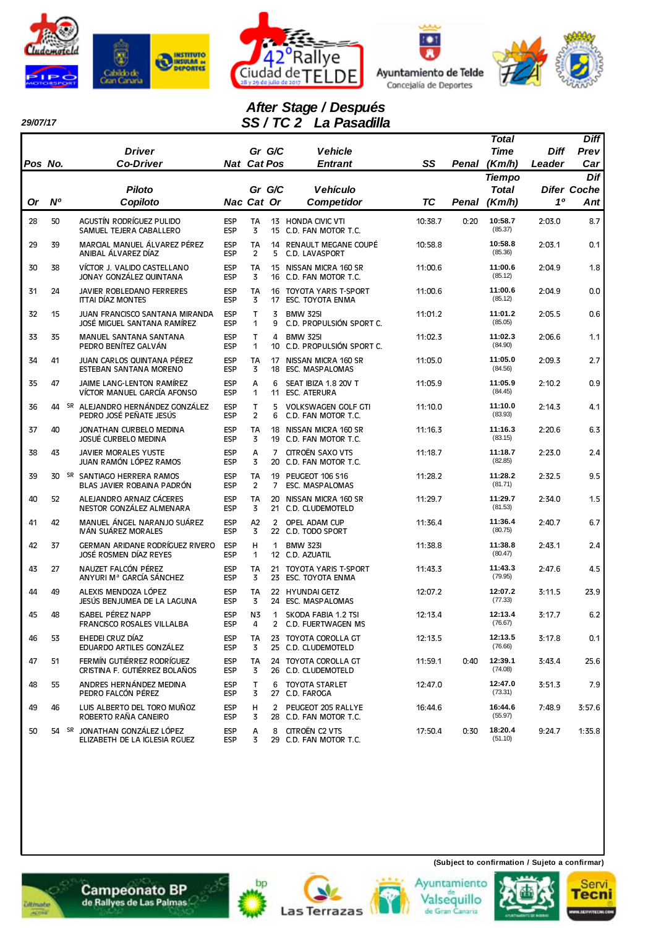







# *After Stage / Después SS / TC 2 La Pasadilla*

|         |                |                                                                      |                          |                             |                |                                                    |         |       | Total              |        | <b>Diff</b>        |
|---------|----------------|----------------------------------------------------------------------|--------------------------|-----------------------------|----------------|----------------------------------------------------|---------|-------|--------------------|--------|--------------------|
|         |                | <b>Driver</b>                                                        |                          | Gr G/C                      |                | <b>Vehicle</b>                                     |         |       | <b>Time</b>        | Diff   | Prev               |
| Pos No. |                | <b>Co-Driver</b>                                                     | <b>Nat Cat Pos</b>       |                             |                | Entrant                                            | SS      | Penal | (Km/h)             | Leader | Car                |
|         |                |                                                                      |                          |                             |                |                                                    |         |       | <b>Tiempo</b>      |        | Dif                |
|         |                | <b>Piloto</b>                                                        |                          | Gr G/C                      |                | <b>Vehículo</b>                                    |         |       | Total              |        | <b>Difer Coche</b> |
| Or      | N <sup>o</sup> | Copiloto                                                             | Nac Cat Or               |                             |                | <b>Competidor</b>                                  | TC      | Penal | (Km/h)             | 10     | Ant                |
| 28      | 50             | AGUSTÍN RODRÍGUEZ PULIDO<br>SAMUEL TEJERA CABALLERO                  | <b>ESP</b><br><b>ESP</b> | TA<br>3                     |                | 13 HONDA CIVIC VTI<br>15 C.D. FAN MOTOR T.C.       | 10:38.7 | 0:20  | 10:58.7<br>(85.37) | 2:03.0 | 8.7                |
| 29      | 39             | MARCIAL MANUEL ÁLVAREZ PÉREZ<br>ANIBAL ÁLVAREZ DÍAZ                  | <b>ESP</b><br><b>ESP</b> | <b>TA</b><br>$\overline{2}$ | 5              | 14 RENAULT MEGANE COUPÉ<br>C.D. LAVASPORT          | 10:58.8 |       | 10:58.8<br>(85.36) | 2:03.1 | 0.1                |
| 30      | 38             | VÍCTOR J. VALIDO CASTELLANO<br>JONAY GONZÁLEZ QUINTANA               | <b>ESP</b><br><b>ESP</b> | <b>TA</b><br>3              |                | 15 NISSAN MICRA 160 SR<br>16 C.D. FAN MOTOR T.C.   | 11:00.6 |       | 11:00.6<br>(85.12) | 2:04.9 | 1.8                |
| 31      | 24             | <b>JAVIER ROBLEDANO FERRERES</b><br><b>ITTAI DÍAZ MONTES</b>         | <b>ESP</b><br><b>ESP</b> | TA<br>3                     | 17             | 16 TOYOTA YARIS T-SPORT<br>ESC. TOYOTA ENMA        | 11:00.6 |       | 11:00.6<br>(85.12) | 2:04.9 | 0.0                |
| 32      | 15             | <b>JUAN FRANCISCO SANTANA MIRANDA</b><br>JOSÉ MIGUEL SANTANA RAMÍREZ | <b>ESP</b><br><b>ESP</b> | T<br>1                      | 3<br>9         | <b>BMW 325I</b><br>C.D. PROPULSIÓN SPORT C.        | 11:01.2 |       | 11:01.2<br>(85.05) | 2:05.5 | 0.6                |
| 33      | 35             | MANUEL SANTANA SANTANA<br>PEDRO BENÍTEZ GALVÁN                       | <b>ESP</b><br><b>ESP</b> | т<br>1                      | 4<br>10        | <b>BMW 325I</b><br>C.D. PROPULSIÓN SPORT C.        | 11:02.3 |       | 11:02.3<br>(84.90) | 2:06.6 | 1.1                |
| 34      | 41             | JUAN CARLOS QUINTANA PÉREZ<br>ESTEBAN SANTANA MORENO                 | <b>ESP</b><br><b>ESP</b> | <b>TA</b><br>3              |                | 17 NISSAN MICRA 160 SR<br>18 ESC. MASPALOMAS       | 11:05.0 |       | 11:05.0<br>(84.56) | 2:09.3 | 2.7                |
| 35      | 47             | JAIME LANG-LENTON RAMÍREZ<br>VÍCTOR MANUEL GARCÍA AFONSO             | <b>ESP</b><br><b>ESP</b> | Α<br>1                      | 6<br>11        | SEAT IBIZA 1.8 20V T<br><b>ESC. ATERURA</b>        | 11:05.9 |       | 11:05.9<br>(84.45) | 2:10.2 | 0.9                |
| 36      |                | 44 SR ALEJANDRO HERNÁNDEZ GONZÁLEZ<br>PEDRO JOSÉ PEÑATE JESÚS        | <b>ESP</b><br><b>ESP</b> | т<br>$\overline{c}$         | 5<br>6         | <b>VOLKSWAGEN GOLF GTI</b><br>C.D. FAN MOTOR T.C.  | 11:10.0 |       | 11:10.0<br>(83.93) | 2:14.3 | 4.1                |
| 37      | 40             | JONATHAN CURBELO MEDINA<br>JOSUÉ CURBELO MEDINA                      | <b>ESP</b><br><b>ESP</b> | <b>TA</b><br>3              | 19             | 18 NISSAN MICRA 160 SR<br>C.D. FAN MOTOR T.C.      | 11:16.3 |       | 11:16.3<br>(83.15) | 2:20.6 | 6.3                |
| 38      | 43             | <b>JAVIER MORALES YUSTE</b><br>JUAN RAMÓN LÓPEZ RAMOS                | <b>ESP</b><br><b>ESP</b> | Α<br>3                      | 7              | CITROËN SAXO VTS<br>20 C.D. FAN MOTOR T.C.         | 11:18.7 |       | 11:18.7<br>(82.85) | 2:23.0 | 2.4                |
| 39      | 30             | SR SANTIAGO HERRERA RAMOS<br>BLAS JAVIER ROBAINA PADRÓN              | <b>ESP</b><br><b>ESP</b> | <b>TA</b><br>$\overline{2}$ | 7              | 19 PEUGEOT 106 S16<br>ESC. MASPALOMAS              | 11:28.2 |       | 11:28.2<br>(81.71) | 2:32.5 | 9.5                |
| 40      | 52             | ALEJANDRO ARNAIZ CÁCERES<br>NESTOR GONZÁLEZ ALMENARA                 | <b>ESP</b><br><b>ESP</b> | TA<br>3                     | 20             | NISSAN MICRA 160 SR<br>21 C.D. CLUDEMOTELD         | 11:29.7 |       | 11:29.7<br>(81.53) | 2:34.0 | 1.5                |
| 41      | 42             | MANUEL ÁNGEL NARANJO SUÁREZ<br>IVÁN SUÁREZ MORALES                   | <b>ESP</b><br><b>ESP</b> | A2<br>3                     | $\overline{2}$ | OPEL ADAM CUP<br>22 C.D. TODO SPORT                | 11:36.4 |       | 11:36.4<br>(80.75) | 2:40.7 | 6.7                |
| 42      | 37             | GERMAN ARIDANE RODRÍGUEZ RIVERO<br>JOSÉ ROSMEN DÍAZ REYES            | <b>ESP</b><br><b>ESP</b> | н<br>1                      | 1              | <b>BMW 323I</b><br>12 C.D. AZUATIL                 | 11:38.8 |       | 11:38.8<br>(80.47) | 2:43.1 | 2.4                |
| 43      | 27             | NAUZET FALCÓN PÉREZ<br>ANYURI Mª GARCÍA SÁNCHEZ                      | <b>ESP</b><br><b>ESP</b> | TA<br>3                     | 21             | <b>TOYOTA YARIS T-SPORT</b><br>23 ESC. TOYOTA ENMA | 11:43.3 |       | 11:43.3<br>(79.95) | 2:47.6 | 4.5                |
| 44      | 49             | ALEXIS MENDOZA LÓPEZ<br>JESÚS BENJUMEA DE LA LAGUNA                  | <b>ESP</b><br><b>ESP</b> | TA<br>3                     |                | 22 HYUNDAI GETZ<br>24 ESC. MASPALOMAS              | 12:07.2 |       | 12:07.2<br>(77.33) | 3:11.5 | 23.9               |
| 45      | 48             | <b>ISABEL PÉREZ NAPP</b><br>FRANCISCO ROSALES VILLALBA               | <b>ESP</b><br><b>ESP</b> | N3<br>4                     | 1<br>$^{2}$    | SKODA FABIA 1.2 TSI<br>C.D. FUERTWAGEN MS          | 12:13.4 |       | 12:13.4<br>(76.67) | 3:17.7 | 6.2                |
| 46      | 53             | EHEDEI CRUZ DÍAZ<br>EDUARDO ARTILES GONZÁLEZ                         | <b>ESP</b><br><b>ESP</b> | TA<br>3                     |                | 23 TOYOTA COROLLA GT<br>25 C.D. CLUDEMOTELD        | 12:13.5 |       | 12:13.5<br>(76.66) | 3:17.8 | 0.1                |
| 47      | 51             | FERMÍN GUTIÉRREZ RODRÍGUEZ<br>CRISTINA F. GUTIÉRREZ BOLAÑOS          | <b>ESP</b><br><b>ESP</b> | TA<br>3                     |                | 24 TOYOTA COROLLA GT<br>26 C.D. CLUDEMOTELD        | 11:59.1 | 0:40  | 12:39.1<br>(74.08) | 3:43.4 | 25.6               |
| 48      | 55             | ANDRES HERNÁNDEZ MEDINA<br>PEDRO FALCÓN PÉREZ                        | <b>ESP</b><br><b>ESP</b> | т<br>3                      | 6              | <b>TOYOTA STARLET</b><br>27 C.D. FAROGA            | 12:47.0 |       | 12:47.0<br>(73.31) | 3:51.3 | 7.9                |
| 49      | 46             | LUIS ALBERTO DEL TORO MUÑOZ<br>ROBERTO RAÑA CANEIRO                  | <b>ESP</b><br><b>ESP</b> | н<br>3                      | $\overline{2}$ | PEUGEOT 205 RALLYE<br>28 C.D. FAN MOTOR T.C.       | 16:44.6 |       | 16:44.6<br>(55.97) | 7:48.9 | 3:57.6             |
| 50      |                | 54 SR JONATHAN GONZÁLEZ LÓPEZ<br>ELIZABETH DE LA IGLESIA RGUEZ       | <b>ESP</b><br><b>ESP</b> | А<br>3                      | 8              | CITROËN C2 VTS<br>29 C.D. FAN MOTOR T.C.           | 17:50.4 | 0:30  | 18:20.4<br>(51.10) | 9:24.7 | 1:35.8             |













**(Subject to confirmation / Sujeto a confirmar)**

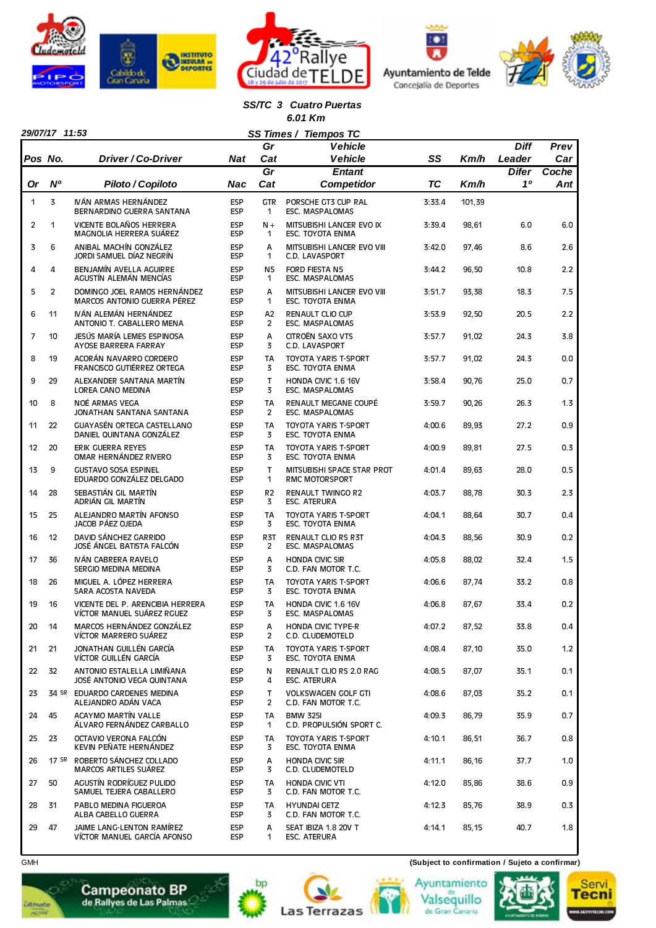







#### *SS/TC 3 Cuatro Puertas 6.01 Km*

|                |                |                                                                |                          | SS Times /<br>Gr            | <b>Tiempos TC</b><br><b>Vehicle</b>                    |           |        | <b>Diff</b>  | Prev  |
|----------------|----------------|----------------------------------------------------------------|--------------------------|-----------------------------|--------------------------------------------------------|-----------|--------|--------------|-------|
|                | Pos No.        | Driver / Co-Driver                                             | Nat                      | Cat                         | <b>Vehicle</b>                                         | SS        | Km/h   | Leader       | Car   |
|                |                |                                                                |                          | $\overline{Gr}$             | <b>Entant</b>                                          |           |        | <b>Difer</b> | Coche |
| Or             | <b>N°</b>      | Piloto / Copiloto                                              | Nac                      | Cat                         | <b>Competidor</b>                                      | <b>TC</b> | Km/h   | 10           | Ant   |
| 1              | 3              | IVÁN ARMAS HERNÁNDEZ<br>BERNARDINO GUERRA SANTANA              | <b>ESP</b><br><b>ESP</b> | <b>GTR</b><br>1             | PORSCHE GT3 CUP RAL<br><b>ESC. MASPALOMAS</b>          | 3:33.4    | 101,39 |              |       |
| $\overline{c}$ | 1              | VICENTE BOLAÑOS HERRERA<br>MAGNOLIA HERRERA SUÁREZ             | <b>ESP</b><br><b>ESP</b> | $N +$<br>1                  | MITSUBISHI LANCER EVO IX<br>ESC. TOYOTA ENMA           | 3:39.4    | 98,61  | 6.0          | 6.0   |
| 3              | 6              | ANIBAL MACHÍN GONZÁLEZ<br>JORDI SAMUEL DÍAZ NEGRÍN             | <b>ESP</b><br><b>ESP</b> | А<br>$\mathbf{1}$           | MITSUBISHI LANCER EVO VIII<br>C.D. LAVASPORT           | 3:42.0    | 97,46  | 8.6          | 2.6   |
| 4              | 4              | BENJAMÍN AVELLA AGUIRRE<br>AGUSTÍN ALEMÁN MENCÍAS              | <b>ESP</b><br>ESP        | N <sub>5</sub><br>1         | <b>FORD FIESTA N5</b><br>ESC. MASPALOMAS               | 3:44.2    | 96,50  | 10.8         | 2.2   |
| 5              | $\overline{2}$ | DOMINGO JOEL RAMOS HERNÁNDEZ<br>MARCOS ANTONIO GUERRA PÉREZ    | <b>ESP</b><br>ESP        | A<br>1                      | MITSUBISHI LANCER EVO VIII<br>ESC. TOYOTA ENMA         | 3:51.7    | 93,38  | 18.3         | 7.5   |
| 6              | 11             | IVÁN ALEMÁN HERNÁNDEZ<br>ANTONIO T. CABALLERO MENA             | <b>ESP</b><br>ESP        | A <sub>2</sub><br>2         | <b>RENAULT CLIO CUP</b><br>ESC. MASPALOMAS             | 3:53.9    | 92,50  | 20.5         | 2.2   |
| 7              | 10             | JESÚS MARÍA LEMES ESPINOSA<br>AYOSE BARRERA FARRAY             | ESP<br><b>ESP</b>        | Α<br>3                      | CITROËN SAXO VTS<br>C.D. LAVASPORT                     | 3:57.7    | 91,02  | 24.3         | 3.8   |
| 8              | 19             | ACORÁN NAVARRO CORDERO<br><b>FRANCISCO GUTIÉRREZ ORTEGA</b>    | <b>ESP</b><br><b>ESP</b> | <b>TA</b><br>3              | <b>TOYOTA YARIS T-SPORT</b><br><b>ESC. TOYOTA ENMA</b> | 3:57.7    | 91,02  | 24.3         | 0.0   |
| 9              | 29             | ALEXANDER SANTANA MARTÍN<br>LOREA CANO MEDINA                  | ESP<br><b>ESP</b>        | T<br>3                      | HONDA CIVIC 1.6 16V<br>ESC. MASPALOMAS                 | 3:58.4    | 90,76  | 25.0         | 0.7   |
| 10             | 8              | NOÉ ARMAS VEGA<br>JONATHAN SANTANA SANTANA                     | <b>ESP</b><br><b>ESP</b> | <b>TA</b><br>$\overline{2}$ | RENAULT MEGANE COUPÉ<br>ESC. MASPALOMAS                | 3:59.7    | 90,26  | 26.3         | 1.3   |
| 11             | 22             | <b>GUAYASÉN ORTEGA CASTELLANO</b><br>DANIEL QUINTANA GONZÁLEZ  | <b>ESP</b><br><b>ESP</b> | <b>TA</b><br>3              | <b>TOYOTA YARIS T-SPORT</b><br><b>ESC. TOYOTA ENMA</b> | 4:00.6    | 89,93  | 27.2         | 0.9   |
| 12             | 20             | <b>ERIK GUERRA REYES</b><br>OMAR HERNÁNDEZ RIVERO              | <b>ESP</b><br><b>ESP</b> | <b>TA</b><br>3              | <b>TOYOTA YARIS T-SPORT</b><br><b>ESC. TOYOTA ENMA</b> | 4:00.9    | 89,81  | 27.5         | 0.3   |
| 13             | 9              | <b>GUSTAVO SOSA ESPINEL</b><br>EDUARDO GONZÁLEZ DELGADO        | <b>ESP</b><br><b>ESP</b> | T<br>1                      | MITSUBISHI SPACE STAR PROT<br><b>RMC MOTORSPORT</b>    | 4:01.4    | 89,63  | 28.0         | 0.5   |
| 14             | 28             | SEBASTIÁN GIL MARTÍN<br>ADRIÁN GIL MARTÍN                      | <b>ESP</b><br>ESP        | R <sub>2</sub><br>3         | <b>RENAULT TWINGO R2</b><br><b>ESC. ATERURA</b>        | 4:03.7    | 88,78  | 30.3         | 2.3   |
| 15             | 25             | ALEJANDRO MARTÍN AFONSO<br>JACOB PÁEZ OJEDA                    | <b>ESP</b><br><b>ESP</b> | <b>TA</b><br>3              | <b>TOYOTA YARIS T-SPORT</b><br>ESC. TOYOTA ENMA        | 4:04.1    | 88,64  | 30.7         | 0.4   |
| 16             | 12             | DAVID SÁNCHEZ GARRIDO<br>JOSÉ ÁNGEL BATISTA FALCÓN             | <b>ESP</b><br><b>ESP</b> | R <sub>3</sub> T<br>2       | <b>RENAULT CLIO RS R3T</b><br>ESC. MASPALOMAS          | 4:04.3    | 88,56  | 30.9         | 0.2   |
| 17             | 36             | IVÁN CABRERA RAVELO<br>SERGIO MEDINA MEDINA                    | <b>ESP</b><br><b>ESP</b> | А<br>3                      | <b>HONDA CIVIC SIR</b><br>C.D. FAN MOTOR T.C.          | 4:05.8    | 88,02  | 32.4         | 1.5   |
| 18             | 26             | MIGUEL A. LÓPEZ HERRERA<br>SARA ACOSTA NAVEDA                  | <b>ESP</b><br><b>ESP</b> | <b>TA</b><br>3              | <b>TOYOTA YARIS T-SPORT</b><br><b>ESC. TOYOTA ENMA</b> | 4:06.6    | 87,74  | 33.2         | 0.8   |
| 19             | 16             | VICENTE DEL P. ARENCIBIA HERRERA<br>VÍCTOR MANUEL SUÁREZ RGUEZ | <b>ESP</b><br><b>ESP</b> | <b>TA</b><br>3              | HONDA CIVIC 1.6 16V<br>ESC. MASPALOMAS                 | 4:06.8    | 87,67  | 33.4         | 0.2   |
| 20             | 14             | MARCOS HERNÁNDEZ GONZÁLEZ<br>VÍCTOR MARRERO SUÁREZ             | ESP<br><b>ESP</b>        | А<br>2                      | <b>HONDA CIVIC TYPE-R</b><br>C.D. CLUDEMOTELD          | 4:07.2    | 87,52  | 33.8         | 0.4   |
| 21             | 21             | JONATHAN GUILLÉN GARCÍA<br>VÍCTOR GUILLÉN GARCÍA               | ESP<br><b>ESP</b>        | TA<br>3                     | TOYOTA YARIS T-SPORT<br>ESC. TOYOTA ENMA               | 4:08.4    | 87,10  | 35.0         | 1.2   |
| 22             | 32             | ANTONIO ESTALELLA LIMIÑANA<br>JOSÉ ANTONIO VEGA QUINTANA       | <b>ESP</b><br>ESP        | N<br>4                      | RENAULT CLIO RS 2.0 RAG<br>ESC. ATERURA                | 4:08.5    | 87,07  | 35.1         | 0.1   |
| 23             |                | 34 SR EDUARDO CARDENES MEDINA<br>ALEJANDRO ADÁN VACA           | ESP<br><b>ESP</b>        | T.<br>2                     | <b>VOLKSWAGEN GOLF GTI</b><br>C.D. FAN MOTOR T.C.      | 4:08.6    | 87,03  | 35.2         | 0.1   |
| 24             | 45             | <b>ACAYMO MARTÍN VALLE</b><br>ÁLVARO FERNÁNDEZ CARBALLO        | <b>ESP</b><br>ESP        | TA<br>1                     | <b>BMW 325I</b><br>C.D. PROPULSIÓN SPORT C.            | 4:09.3    | 86,79  | 35.9         | 0.7   |
| 25             | 23             | OCTAVIO VERONA FALCÓN<br>KEVIN PEÑATE HERNÁNDEZ                | <b>ESP</b><br><b>ESP</b> | TA<br>3                     | TOYOTA YARIS T-SPORT<br>ESC. TOYOTA ENMA               | 4:10.1    | 86,51  | 36.7         | 0.8   |
| 26             |                | 17 SR ROBERTO SÁNCHEZ COLLADO<br>MARCOS ARTILES SUÁREZ         | <b>ESP</b><br>ESP        | А<br>3                      | <b>HONDA CIVIC SIR</b><br>C.D. CLUDEMOTELD             | 4:11.1    | 86,16  | 37.7         | 1.0   |
| 27             | 50             | AGUSTÍN RODRÍGUEZ PULIDO<br>SAMUEL TEJERA CABALLERO            | ESP<br><b>ESP</b>        | TA<br>3                     | <b>HONDA CIVIC VTI</b><br>C.D. FAN MOTOR T.C.          | 4:12.0    | 85,86  | 38.6         | 0.9   |
| 28             | 31             | PABLO MEDINA FIGUEROA<br>ALBA CABELLO GUERRA                   | <b>ESP</b><br>ESP        | TA<br>3                     | <b>HYUNDAI GETZ</b><br>C.D. FAN MOTOR T.C.             | 4:12.3    | 85,76  | 38.9         | 0.3   |
| 29             | 47             | JAIME LANG-LENTON RAMÍREZ<br>VÍCTOR MANUEL GARCÍA AFONSO       | <b>ESP</b><br><b>ESP</b> | А<br>1                      | SEAT IBIZA 1.8 20V T<br>ESC. ATERURA                   | 4:14.1    | 85,15  | 40.7         | 1.8   |

GMH **(Subject to confirmation / Sujeto a confirmar)**













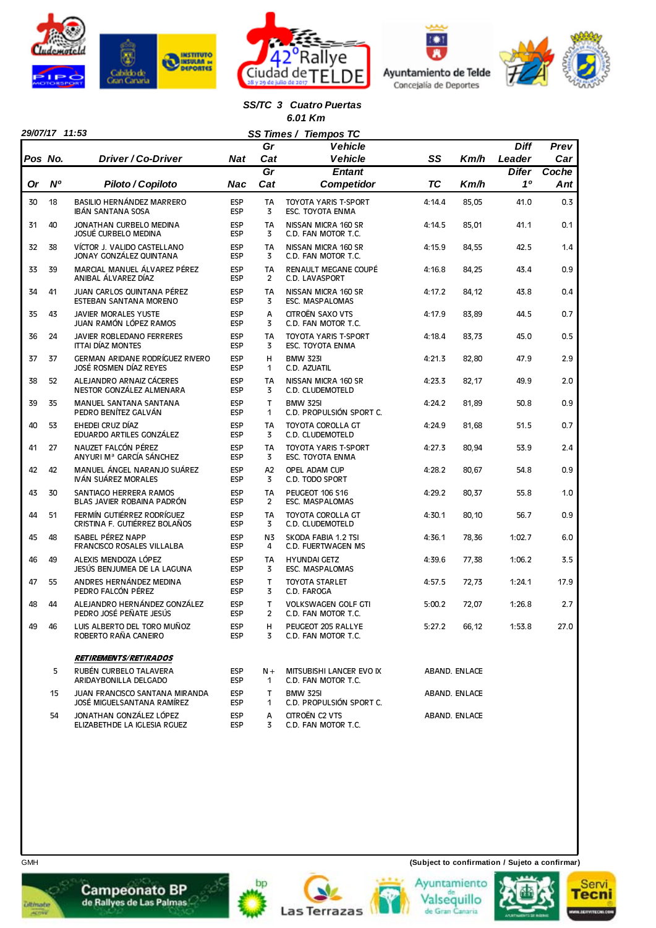







#### *SS/TC 3 Cuatro Puertas 6.01 Km*

|         |    |                                                              |                          | Gr                    | <b>Vehicle</b>                                    |           |               | <b>Diff</b>  | Prev  |
|---------|----|--------------------------------------------------------------|--------------------------|-----------------------|---------------------------------------------------|-----------|---------------|--------------|-------|
| Pos No. |    | Driver / Co-Driver                                           | <b>Nat</b>               | Cat                   | <b>Vehicle</b>                                    | SS        | Km/h          | Leader       | Car   |
|         |    |                                                              |                          | Gr                    | <b>Entant</b>                                     |           |               | <b>Difer</b> | Coche |
| Or      | N° | Piloto / Copiloto                                            | Nac                      | Cat                   | <b>Competidor</b>                                 | <b>TC</b> | Km/h          | 10           | Ant   |
| 30      | 18 | BASILIO HERNÁNDEZ MARRERO<br><b>IBÁN SANTANA SOSA</b>        | <b>ESP</b><br><b>ESP</b> | TA<br>3               | <b>TOYOTA YARIS T-SPORT</b><br>ESC. TOYOTA ENMA   | 4:14.4    | 85,05         | 41.0         | 0.3   |
| 31      | 40 | JONATHAN CURBELO MEDINA<br>JOSUÉ CURBELO MEDINA              | <b>ESP</b><br><b>ESP</b> | <b>TA</b><br>3        | NISSAN MICRA 160 SR<br>C.D. FAN MOTOR T.C.        | 4:14.5    | 85,01         | 41.1         | 0.1   |
| 32      | 38 | VÍCTOR J. VALIDO CASTELLANO<br>JONAY GONZÁLEZ QUINTANA       | <b>ESP</b><br><b>ESP</b> | TA<br>3               | NISSAN MICRA 160 SR<br>C.D. FAN MOTOR T.C.        | 4:15.9    | 84,55         | 42.5         | 1.4   |
| 33      | 39 | MARCIAL MANUEL ÁLVAREZ PÉREZ<br>ANIBAL ÁLVAREZ DÍAZ          | <b>ESP</b><br><b>ESP</b> | <b>TA</b><br>2        | RENAULT MEGANE COUPÉ<br>C.D. LAVASPORT            | 4:16.8    | 84,25         | 43.4         | 0.9   |
| 34      | 41 | JUAN CARLOS QUINTANA PÉREZ<br>ESTEBAN SANTANA MORENO         | <b>ESP</b><br><b>ESP</b> | TA<br>3               | NISSAN MICRA 160 SR<br>ESC. MASPALOMAS            | 4:17.2    | 84,12         | 43.8         | 0.4   |
| 35      | 43 | <b>JAVIER MORALES YUSTE</b><br>JUAN RAMÓN LÓPEZ RAMOS        | <b>ESP</b><br><b>ESP</b> | A<br>3                | CITROËN SAXO VTS<br>C.D. FAN MOTOR T.C.           | 4:17.9    | 83,89         | 44.5         | 0.7   |
| 36      | 24 | JAVIER ROBLEDANO FERRERES<br><b>ITTAI DÍAZ MONTES</b>        | <b>ESP</b><br><b>ESP</b> | TA<br>3               | <b>TOYOTA YARIS T-SPORT</b><br>ESC. TOYOTA ENMA   | 4:18.4    | 83,73         | 45.0         | 0.5   |
| 37      | 37 | GERMAN ARIDANE RODRÍGUEZ RIVERO<br>JOSÉ ROSMEN DÍAZ REYES    | <b>ESP</b><br><b>ESP</b> | H<br>1                | <b>BMW 323I</b><br>C.D. AZUATIL                   | 4:21.3    | 82,80         | 47.9         | 2.9   |
| 38      | 52 | ALEJANDRO ARNAIZ CÁCERES<br>NESTOR GONZÁLEZ ALMENARA         | <b>ESP</b><br><b>ESP</b> | <b>TA</b><br>3        | NISSAN MICRA 160 SR<br>C.D. CLUDEMOTELD           | 4:23.3    | 82,17         | 49.9         | 2.0   |
| 39      | 35 | <b>MANUEL SANTANA SANTANA</b><br>PEDRO BENÍTEZ GALVÁN        | <b>ESP</b><br><b>ESP</b> | т<br>1                | <b>BMW 325I</b><br>C.D. PROPULSIÓN SPORT C.       | 4:24.2    | 81,89         | 50.8         | 0.9   |
| 40      | 53 | EHEDEI CRUZ DÍAZ<br>EDUARDO ARTILES GONZÁLEZ                 | <b>ESP</b><br><b>ESP</b> | <b>TA</b><br>3        | TOYOTA COROLLA GT<br>C.D. CLUDEMOTELD             | 4:24.9    | 81,68         | 51.5         | 0.7   |
| 41      | 27 | NAUZET FALCÓN PÉREZ<br>ANYURI Mª GARCÍA SÁNCHEZ              | <b>ESP</b><br><b>ESP</b> | <b>TA</b><br>3        | <b>TOYOTA YARIS T-SPORT</b><br>ESC. TOYOTA ENMA   | 4:27.3    | 80,94         | 53.9         | 2.4   |
| 42      | 42 | MANUEL ÁNGEL NARANJO SUÁREZ<br>IVÁN SUÁREZ MORALES           | <b>ESP</b><br><b>ESP</b> | A <sub>2</sub><br>3   | OPEL ADAM CUP<br>C.D. TODO SPORT                  | 4:28.2    | 80,67         | 54.8         | 0.9   |
| 43      | 30 | SANTIAGO HERRERA RAMOS<br>BLAS JAVIER ROBAINA PADRÓN         | <b>ESP</b><br><b>ESP</b> | <b>TA</b><br>2        | PEUGEOT 106 S16<br>ESC. MASPALOMAS                | 4:29.2    | 80,37         | 55.8         | 1.0   |
| 44      | 51 | FERMÍN GUTIÉRREZ RODRÍGUEZ<br>CRISTINA F. GUTIÉRREZ BOLAÑOS  | <b>ESP</b><br><b>ESP</b> | TA<br>3               | TOYOTA COROLLA GT<br>C.D. CLUDEMOTELD             | 4:30.1    | 80,10         | 56.7         | 0.9   |
| 45      | 48 | <b>ISABEL PÉREZ NAPP</b><br>FRANCISCO ROSALES VILLALBA       | <b>ESP</b><br><b>ESP</b> | N3<br>4               | SKODA FABIA 1.2 TSI<br>C.D. FUERTWAGEN MS         | 4:36.1    | 78,36         | 1:02.7       | 6.0   |
| 46      | 49 | ALEXIS MENDOZA LÓPEZ<br>JESÚS BENJUMEA DE LA LAGUNA          | <b>ESP</b><br><b>ESP</b> | TA<br>3               | <b>HYUNDAI GETZ</b><br>ESC. MASPALOMAS            | 4:39.6    | 77,38         | 1:06.2       | 3.5   |
| 47      | 55 | ANDRES HERNÁNDEZ MEDINA<br>PEDRO FALCÓN PÉREZ                | <b>ESP</b><br><b>ESP</b> | т<br>3                | <b>TOYOTA STARLET</b><br>C.D. FAROGA              | 4:57.5    | 72,73         | 1:24.1       | 17.9  |
| 48      | 44 | ALEJANDRO HERNÁNDEZ GONZÁLEZ<br>PEDRO JOSÉ PEÑATE JESÚS      | <b>ESP</b><br><b>ESP</b> | T<br>$\overline{c}$   | <b>VOLKSWAGEN GOLF GTI</b><br>C.D. FAN MOTOR T.C. | 5:00.2    | 72,07         | 1:26.8       | 2.7   |
| 49      | 46 | LUIS ALBERTO DEL TORO MUÑOZ<br>ROBERTO RAÑA CANEIRO          | <b>ESP</b><br><b>ESP</b> | H,<br>3               | PEUGEOT 205 RALLYE<br>C.D. FAN MOTOR T.C.         | 5:27.2    | 66,12         | 1:53.8       | 27.0  |
|         |    | <b>RETIREMENTS/RETIRADOS</b>                                 |                          |                       |                                                   |           |               |              |       |
|         | 5  | RUBÉN CURBELO TALAVERA<br>ARIDAYBONILLA DELGADO              | <b>ESP</b><br><b>ESP</b> | $N +$<br>$\mathbf{1}$ | MITSUBISHI LANCER EVO IX<br>C.D. FAN MOTOR T.C.   |           | ABAND. ENLACE |              |       |
|         | 15 | JUAN FRANCISCO SANTANA MIRANDA<br>JOSÉ MIGUELSANTANA RAMÍREZ | <b>ESP</b><br><b>ESP</b> | T.<br>1               | <b>BMW 325I</b><br>C.D. PROPULSIÓN SPORT C.       |           | ABAND. ENLACE |              |       |
|         | 54 | JONATHAN GONZÁLEZ LÓPEZ<br>ELIZABETHDE LA IGLESIA RGUEZ      | <b>ESP</b><br><b>ESP</b> | А<br>3                | CITROËN C2 VTS<br>C.D. FAN MOTOR T.C.             |           | ABAND. ENLACE |              |       |

bp

**Las Terrazas** 

**Ultimate** 



GMH **(Subject to confirmation / Sujeto a confirmar)**

Ayuntamiento

Valsequillo<br>de Gran Canaria

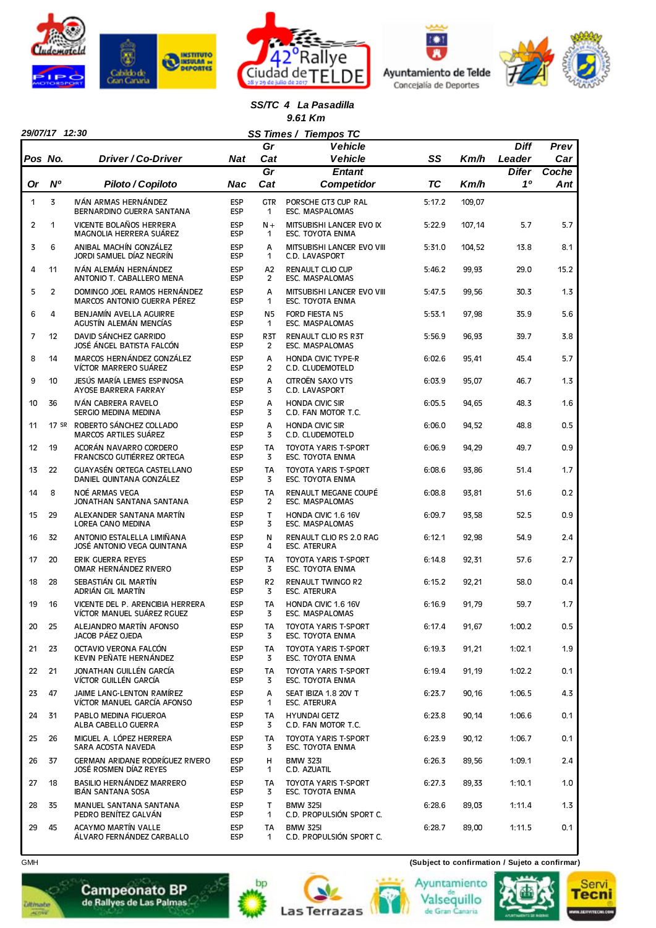







*SS/TC 4 La Pasadilla 9.61 Km*

|                | 29/07/17 12:30 |                                                                |                          |                             | SS Times / Tiempos TC                           |           |        |              |       |
|----------------|----------------|----------------------------------------------------------------|--------------------------|-----------------------------|-------------------------------------------------|-----------|--------|--------------|-------|
|                |                |                                                                |                          | Gr                          | <b>Vehicle</b>                                  |           |        | <b>Diff</b>  | Prev  |
| Pos No.        |                | Driver / Co-Driver                                             | Nat                      | Cat                         | <b>Vehicle</b>                                  | SS        | Km/h   | Leader       | Car   |
|                |                |                                                                |                          | Gr                          | <b>Entant</b>                                   |           |        | <b>Difer</b> | Coche |
| Or             | N <sup>o</sup> | Piloto / Copiloto                                              | Nac                      | Cat                         | <b>Competidor</b>                               | <b>TC</b> | Km/h   | 10           | Ant   |
| 1              | 3              | IVÁN ARMAS HERNÁNDEZ<br>BERNARDINO GUERRA SANTANA              | <b>ESP</b><br><b>ESP</b> | <b>GTR</b><br>1             | PORSCHE GT3 CUP RAL<br>ESC. MASPALOMAS          | 5:17.2    | 109,07 |              |       |
| $\overline{2}$ | 1              | VICENTE BOLAÑOS HERRERA<br>MAGNOLIA HERRERA SUÁREZ             | ESP<br><b>ESP</b>        | $N +$<br>$\mathbf{1}$       | MITSUBISHI LANCER EVO IX<br>ESC. TOYOTA ENMA    | 5:22.9    | 107,14 | 5.7          | 5.7   |
| 3              | 6              | ANIBAL MACHÍN GONZÁLEZ<br>JORDI SAMUEL DÍAZ NEGRÍN             | <b>ESP</b><br>ESP        | A<br>1                      | MITSUBISHI LANCER EVO VIII<br>C.D. LAVASPORT    | 5:31.0    | 104,52 | 13.8         | 8.1   |
| 4              | 11             | IVÁN ALEMÁN HERNÁNDEZ<br>ANTONIO T. CABALLERO MENA             | ESP<br><b>ESP</b>        | A2<br>$\overline{2}$        | <b>RENAULT CLIO CUP</b><br>ESC. MASPALOMAS      | 5:46.2    | 99,93  | 29.0         | 15.2  |
| 5              | $\overline{2}$ | DOMINGO JOEL RAMOS HERNÁNDEZ<br>MARCOS ANTONIO GUERRA PÉREZ    | <b>ESP</b><br>ESP        | A<br>1                      | MITSUBISHI LANCER EVO VIII<br>ESC. TOYOTA ENMA  | 5:47.5    | 99,56  | 30.3         | 1.3   |
| 6              | 4              | BENJAMÍN AVELLA AGUIRRE<br>AGUSTÍN ALEMÁN MENCÍAS              | ESP<br><b>ESP</b>        | N5<br>1                     | FORD FIESTA N5<br>ESC. MASPALOMAS               | 5:53.1    | 97,98  | 35.9         | 5.6   |
| 7              | 12             | DAVID SÁNCHEZ GARRIDO<br>JOSÉ ÁNGEL BATISTA FALCÓN             | <b>ESP</b><br>ESP        | R <sub>3</sub> T<br>2       | RENAULT CLIO RS R3T<br><b>ESC. MASPALOMAS</b>   | 5:56.9    | 96,93  | 39.7         | 3.8   |
| 8              | 14             | MARCOS HERNÁNDEZ GONZÁLEZ<br>VÍCTOR MARRERO SUÁREZ             | <b>ESP</b><br><b>ESP</b> | A<br>2                      | <b>HONDA CIVIC TYPE-R</b><br>C.D. CLUDEMOTELD   | 6:02.6    | 95,41  | 45.4         | 5.7   |
| 9              | 10             | JESÚS MARÍA LEMES ESPINOSA<br>AYOSE BARRERA FARRAY             | <b>ESP</b><br><b>ESP</b> | A<br>3                      | CITROËN SAXO VTS<br>C.D. LAVASPORT              | 6:03.9    | 95,07  | 46.7         | 1.3   |
| 10             | 36             | IVÁN CABRERA RAVELO<br>SERGIO MEDINA MEDINA                    | ESP<br><b>ESP</b>        | A<br>3                      | <b>HONDA CIVIC SIR</b><br>C.D. FAN MOTOR T.C.   | 6:05.5    | 94,65  | 48.3         | 1.6   |
| 11             |                | 17 SR ROBERTO SÁNCHEZ COLLADO<br><b>MARCOS ARTILES SUÁREZ</b>  | <b>ESP</b><br>ESP        | A<br>3                      | <b>HONDA CIVIC SIR</b><br>C.D. CLUDEMOTELD      | 6:06.0    | 94,52  | 48.8         | 0.5   |
| 12             | 19             | ACORÁN NAVARRO CORDERO<br>FRANCISCO GUTIÉRREZ ORTEGA           | ESP<br><b>ESP</b>        | <b>TA</b><br>3              | <b>TOYOTA YARIS T-SPORT</b><br>ESC. TOYOTA ENMA | 6:06.9    | 94,29  | 49.7         | 0.9   |
| 13             | 22             | <b>GUAYASÉN ORTEGA CASTELLANO</b><br>DANIEL QUINTANA GONZÁLEZ  | <b>ESP</b><br><b>ESP</b> | <b>TA</b><br>3              | <b>TOYOTA YARIS T-SPORT</b><br>ESC. TOYOTA ENMA | 6:08.6    | 93,86  | 51.4         | 1.7   |
| 14             | 8              | NOÉ ARMAS VEGA<br>JONATHAN SANTANA SANTANA                     | ESP<br><b>ESP</b>        | <b>TA</b><br>$\overline{2}$ | RENAULT MEGANE COUPÉ<br>ESC. MASPALOMAS         | 6:08.8    | 93,81  | 51.6         | 0.2   |
| 15             | 29             | ALEXANDER SANTANA MARTÍN<br>LOREA CANO MEDINA                  | <b>ESP</b><br>ESP        | $\mathsf{T}$<br>3           | HONDA CIVIC 1.6 16V<br>ESC. MASPALOMAS          | 6:09.7    | 93,58  | 52.5         | 0.9   |
| 16             | 32             | ANTONIO ESTALELLA LIMIÑANA<br>JOSÉ ANTONIO VEGA QUINTANA       | <b>ESP</b><br><b>ESP</b> | N<br>4                      | RENAULT CLIO RS 2.0 RAG<br><b>ESC. ATERURA</b>  | 6:12.1    | 92,98  | 54.9         | 2.4   |
| 17             | 20             | <b>ERIK GUERRA REYES</b><br>OMAR HERNÁNDEZ RIVERO              | <b>ESP</b><br><b>ESP</b> | TA<br>3                     | TOYOTA YARIS T-SPORT<br>ESC. TOYOTA ENMA        | 6:14.8    | 92,31  | 57.6         | 2.7   |
| 18             | 28             | SEBASTIÁN GIL MARTÍN<br>ADRIÁN GIL MARTÍN                      | <b>ESP</b><br><b>ESP</b> | R <sub>2</sub><br>3         | <b>RENAULT TWINGO R2</b><br><b>ESC. ATERURA</b> | 6:15.2    | 92,21  | 58.0         | 0.4   |
| 19             | 16             | VICENTE DEL P. ARENCIBIA HERRERA<br>VÍCTOR MANUEL SUÁREZ RGUEZ | <b>ESP</b><br><b>ESP</b> | <b>TA</b><br>3              | HONDA CIVIC 1.6 16V<br>ESC. MASPALOMAS          | 6:16.9    | 91,79  | 59.7         | 1.7   |
| 20             | 25             | ALEJANDRO MARTÍN AFONSO<br>JACOB PÁEZ OJEDA                    | ESP<br>ESP               | TA<br>3                     | TOYOTA YARIS T-SPORT<br>ESC. TOYOTA ENMA        | 6:17.4    | 91,67  | 1:00.2       | 0.5   |
| 21             | 23             | OCTAVIO VERONA FALCÓN<br>KEVIN PEÑATE HERNÁNDEZ                | <b>ESP</b><br><b>ESP</b> | TA<br>3                     | TOYOTA YARIS T-SPORT<br>ESC. TOYOTA ENMA        | 6:19.3    | 91,21  | 1:02.1       | 1.9   |
| 22             | 21             | JONATHAN GUILLÉN GARCÍA<br>VÍCTOR GUILLÉN GARCÍA               | ESP<br><b>ESP</b>        | TA<br>3                     | TOYOTA YARIS T-SPORT<br>ESC. TOYOTA ENMA        | 6:19.4    | 91,19  | 1:02.2       | 0.1   |
| 23             | 47             | JAIME LANG-LENTON RAMÍREZ<br>VÍCTOR MANUEL GARCÍA AFONSO       | ESP<br>ESP               | А<br>$\mathbf{1}$           | SEAT IBIZA 1.8 20V T<br>ESC. ATERURA            | 6:23.7    | 90,16  | 1:06.5       | 4.3   |
| 24             | 31             | PABLO MEDINA FIGUEROA<br>ALBA CABELLO GUERRA                   | ESP<br><b>ESP</b>        | TA<br>3                     | <b>HYUNDAI GETZ</b><br>C.D. FAN MOTOR T.C.      | 6:23.8    | 90,14  | 1:06.6       | 0.1   |
| 25             | 26             | MIGUEL A. LÓPEZ HERRERA<br>SARA ACOSTA NAVEDA                  | ESP<br><b>ESP</b>        | TA<br>3                     | TOYOTA YARIS T-SPORT<br>ESC. TOYOTA ENMA        | 6:23.9    | 90,12  | 1:06.7       | 0.1   |
| 26             | 37             | GERMAN ARIDANE RODRÍGUEZ RIVERO<br>JOSÉ ROSMEN DÍAZ REYES      | <b>ESP</b><br><b>ESP</b> | н<br>1                      | <b>BMW 323I</b><br>C.D. AZUATIL                 | 6:26.3    | 89,56  | 1:09.1       | 2.4   |
| 27             | 18             | BASILIO HERNÁNDEZ MARRERO<br>IBÁN SANTANA SOSA                 | ESP<br><b>ESP</b>        | TA<br>3                     | TOYOTA YARIS T-SPORT<br>ESC. TOYOTA ENMA        | 6:27.3    | 89,33  | 1:10.1       | 1.0   |
| 28             | 35             | MANUEL SANTANA SANTANA<br>PEDRO BENÍTEZ GALVÁN                 | ESP<br>ESP               | T.<br>1                     | <b>BMW 325I</b><br>C.D. PROPULSIÓN SPORT C.     | 6:28.6    | 89,03  | 1:11.4       | 1.3   |
| 29             | 45             | ACAYMO MARTÍN VALLE<br>ÁLVARO FERNÁNDEZ CARBALLO               | <b>ESP</b><br><b>ESP</b> | TA<br>1                     | <b>BMW 325I</b><br>C.D. PROPULSIÓN SPORT C.     | 6:28.7    | 89,00  | 1:11.5       | 0.1   |

bp

**Las Terrazas** 

GMH **(Subject to confirmation / Sujeto a confirmar)**

Valsequillo<br>de Gran Canaria







**Ditmate** 

**Campeonato BP**<br>de Rallyes de Las Palmas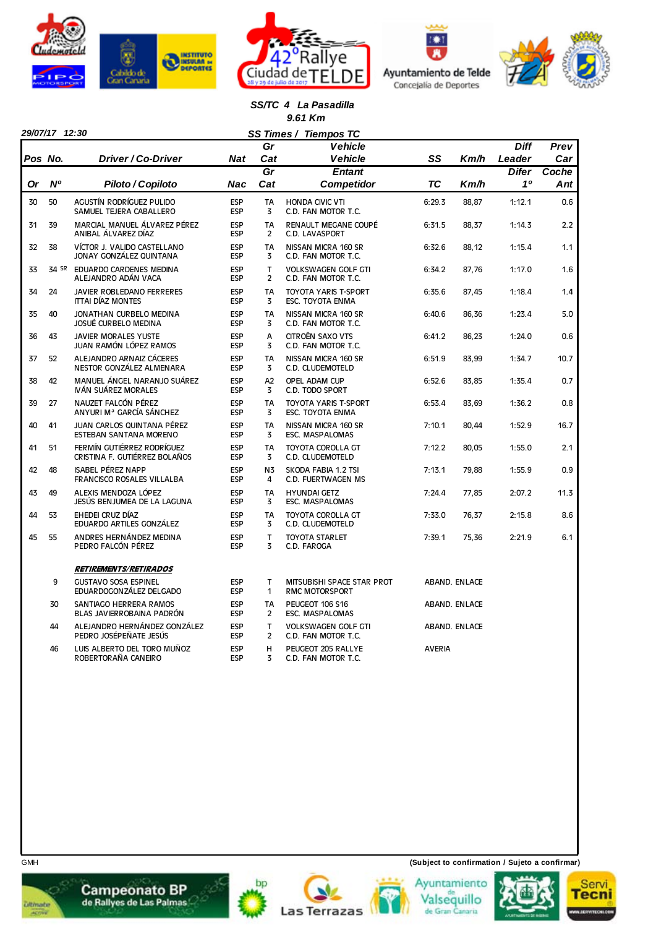







#### *SS/TC 4 La Pasadilla 9.61 Km*

|    | 29/07/17 12:30 |                                                               |                          | Gr                          | SS Times / Tiempos TC<br><b>Vehicle</b>             |               |               | <b>Diff</b>  | Prev  |
|----|----------------|---------------------------------------------------------------|--------------------------|-----------------------------|-----------------------------------------------------|---------------|---------------|--------------|-------|
|    | Pos No.        | Driver / Co-Driver                                            | Nat                      | Cat                         | <b>Vehicle</b>                                      | SS            | Km/h          | Leader       | Car   |
|    |                |                                                               |                          | $\overline{Gr}$             | <b>Entant</b>                                       |               |               | <b>Difer</b> | Coche |
| Or | <b>N°</b>      | Piloto / Copiloto                                             | Nac                      | Cat                         | <b>Competidor</b>                                   | ТC            | Km/h          | 10           | Ant   |
| 30 | 50             | AGUSTÍN RODRÍGUEZ PULIDO<br>SAMUEL TEJERA CABALLERO           | <b>ESP</b><br><b>ESP</b> | <b>TA</b><br>3              | <b>HONDA CIVIC VTI</b><br>C.D. FAN MOTOR T.C.       | 6:29.3        | 88,87         | 1:12.1       | 0.6   |
| 31 | 39             | MARCIAL MANUEL ÁLVAREZ PÉREZ<br>ANIBAL ÁLVAREZ DÍAZ           | <b>ESP</b><br><b>ESP</b> | <b>TA</b><br>$\overline{2}$ | RENAULT MEGANE COUPÉ<br>C.D. LAVASPORT              | 6:31.5        | 88,37         | 1:14.3       | 2.2   |
| 32 | 38             | VÍCTOR J. VALIDO CASTELLANO<br>JONAY GONZÁLEZ QUINTANA        | ESP<br><b>ESP</b>        | <b>TA</b><br>3              | NISSAN MICRA 160 SR<br>C.D. FAN MOTOR T.C.          | 6:32.6        | 88.12         | 1:15.4       | 1.1   |
| 33 |                | 34 SR EDUARDO CARDENES MEDINA<br>ALEJANDRO ADÁN VACA          | <b>ESP</b><br><b>ESP</b> | T.<br>$\overline{2}$        | <b>VOLKSWAGEN GOLF GTI</b><br>C.D. FAN MOTOR T.C.   | 6:34.2        | 87,76         | 1:17.0       | 1.6   |
| 34 | 24             | JAVIER ROBLEDANO FERRERES<br><b>ITTAI DÍAZ MONTES</b>         | ESP<br><b>ESP</b>        | <b>TA</b><br>3              | <b>TOYOTA YARIS T-SPORT</b><br>ESC. TOYOTA ENMA     | 6:35.6        | 87.45         | 1:18.4       | 1.4   |
| 35 | 40             | JONATHAN CURBELO MEDINA<br><b>JOSUÉ CURBELO MEDINA</b>        | <b>ESP</b><br><b>ESP</b> | <b>TA</b><br>3              | NISSAN MICRA 160 SR<br>C.D. FAN MOTOR T.C.          | 6:40.6        | 86,36         | 1:23.4       | 5.0   |
| 36 | 43             | <b>JAVIER MORALES YUSTE</b><br>JUAN RAMÓN LÓPEZ RAMOS         | ESP<br><b>ESP</b>        | A<br>3                      | CITROËN SAXO VTS<br>C.D. FAN MOTOR T.C.             | 6:41.2        | 86,23         | 1:24.0       | 0.6   |
| 37 | 52             | ALEJANDRO ARNAIZ CÁCERES<br>NESTOR GONZÁLEZ ALMENARA          | <b>ESP</b><br><b>ESP</b> | <b>TA</b><br>3              | NISSAN MICRA 160 SR<br>C.D. CLUDEMOTELD             | 6:51.9        | 83,99         | 1:34.7       | 10.7  |
| 38 | 42             | MANUEL ÁNGEL NARANJO SUÁREZ<br>IVÁN SUÁREZ MORALES            | <b>ESP</b><br>ESP        | A2<br>3                     | OPEL ADAM CUP<br>C.D. TODO SPORT                    | 6:52.6        | 83,85         | 1:35.4       | 0.7   |
| 39 | 27             | NAUZET FALCÓN PÉREZ<br>ANYURI Mª GARCÍA SÁNCHEZ               | <b>ESP</b><br><b>ESP</b> | <b>TA</b><br>3              | TOYOTA YARIS T-SPORT<br>ESC. TOYOTA ENMA            | 6:53.4        | 83,69         | 1:36.2       | 0.8   |
| 40 | 41             | JUAN CARLOS QUINTANA PÉREZ<br>ESTEBAN SANTANA MORENO          | <b>ESP</b><br>ESP        | <b>TA</b><br>3              | NISSAN MICRA 160 SR<br><b>ESC. MASPALOMAS</b>       | 7:10.1        | 80,44         | 1:52.9       | 16.7  |
| 41 | 51             | FERMÍN GUTIÉRREZ RODRÍGUEZ<br>CRISTINA F. GUTIÉRREZ BOLAÑOS   | <b>ESP</b><br><b>ESP</b> | <b>TA</b><br>3              | TOYOTA COROLLA GT<br>C.D. CLUDEMOTELD               | 7:12.2        | 80,05         | 1:55.0       | 2.1   |
| 42 | 48             | <b>ISABEL PÉREZ NAPP</b><br><b>FRANCISCO ROSALES VILLALBA</b> | <b>ESP</b><br><b>ESP</b> | N <sub>3</sub><br>4         | SKODA FABIA 1.2 TSI<br>C.D. FUERTWAGEN MS           | 7:13.1        | 79,88         | 1:55.9       | 0.9   |
| 43 | 49             | ALEXIS MENDOZA LÓPEZ<br>JESÚS BENJUMEA DE LA LAGUNA           | <b>ESP</b><br><b>ESP</b> | <b>TA</b><br>3              | <b>HYUNDAI GETZ</b><br><b>ESC. MASPALOMAS</b>       | 7:24.4        | 77,85         | 2:07.2       | 11.3  |
| 44 | 53             | EHEDEI CRUZ DÍAZ<br>EDUARDO ARTILES GONZÁLEZ                  | <b>ESP</b><br><b>ESP</b> | <b>TA</b><br>3              | <b>TOYOTA COROLLA GT</b><br>C.D. CLUDEMOTELD        | 7:33.0        | 76,37         | 2:15.8       | 8.6   |
| 45 | 55             | ANDRES HERNÁNDEZ MEDINA<br>PEDRO FALCÓN PÉREZ                 | <b>ESP</b><br><b>ESP</b> | T<br>3                      | <b>TOYOTA STARLET</b><br>C.D. FAROGA                | 7:39.1        | 75,36         | 2:21.9       | 6.1   |
|    |                | <i><b>RETIREMENTS/RETIRADOS</b></i>                           |                          |                             |                                                     |               |               |              |       |
|    | 9              | <b>GUSTAVO SOSA ESPINEL</b><br>EDUARDOGONZÁLEZ DELGADO        | <b>ESP</b><br><b>ESP</b> | т<br>1                      | MITSUBISHI SPACE STAR PROT<br><b>RMC MOTORSPORT</b> |               | ABAND. ENLACE |              |       |
|    | 30             | SANTIAGO HERRERA RAMOS<br>BLAS JAVIERROBAINA PADRÓN           | <b>ESP</b><br><b>ESP</b> | <b>TA</b><br>$\overline{2}$ | <b>PEUGEOT 106 S16</b><br><b>ESC. MASPALOMAS</b>    |               | ABAND. ENLACE |              |       |
|    | 44             | ALEJANDRO HERNÁNDEZ GONZÁLEZ<br>PEDRO JOSÉPEÑATE JESÚS        | <b>ESP</b><br><b>ESP</b> | T<br>$\overline{2}$         | <b>VOLKSWAGEN GOLF GTI</b><br>C.D. FAN MOTOR T.C.   |               | ABAND. ENLACE |              |       |
|    | 46             | LUIS ALBERTO DEL TORO MUÑOZ<br>ROBERTORAÑA CANEIRO            | ESP<br><b>ESP</b>        | H<br>3                      | PEUGEOT 205 RALLYE<br>C.D. FAN MOTOR T.C.           | <b>AVERIA</b> |               |              |       |



**Campeonato BP**<br>de Rallyes de Las Palmas

bp









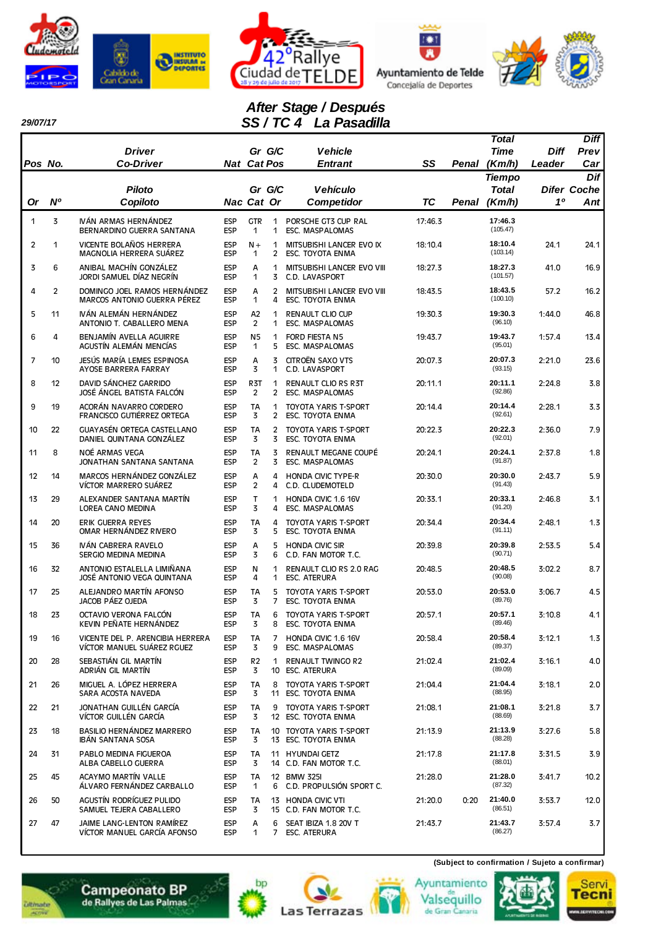

*29/07/17* 







# *After Stage / Después SS / TC 4 La Pasadilla*

| Pos No.        |                | <b>Driver</b><br><b>Co-Driver</b>                              | <b>Nat Cat Pos</b>       | Gr G/C                |                     | <b>Vehicle</b><br><b>Entrant</b>                       | SS      | Penal | Total<br><b>Time</b><br>(Km/h) | Diff<br>Leader | <b>Diff</b><br>Prev<br>Car |
|----------------|----------------|----------------------------------------------------------------|--------------------------|-----------------------|---------------------|--------------------------------------------------------|---------|-------|--------------------------------|----------------|----------------------------|
|                |                |                                                                |                          |                       |                     |                                                        |         |       | <b>Tiempo</b>                  |                | Dif                        |
|                |                | <b>Piloto</b>                                                  |                          | Gr G/C                |                     | <b>Vehículo</b>                                        |         |       | <b>Total</b>                   |                | <b>Difer Coche</b>         |
| Or             | N°             | Copiloto                                                       | Nac Cat Or               |                       |                     | <b>Competidor</b>                                      | TC      | Penal | (Km/h)                         | 10             | Ant                        |
| $\mathbf{1}$   | 3              | IVÁN ARMAS HERNÁNDEZ<br>BERNARDINO GUERRA SANTANA              | <b>ESP</b><br><b>ESP</b> | <b>GTR</b><br>1       | 1<br>1              | PORSCHE GT3 CUP RAL<br>ESC. MASPALOMAS                 | 17:46.3 |       | 17:46.3<br>(105.47)            |                |                            |
| $\overline{2}$ | 1              | VICENTE BOLAÑOS HERRERA<br>MAGNOLIA HERRERA SUÁREZ             | <b>ESP</b><br><b>ESP</b> | $N +$<br>1            | 1<br>2              | MITSUBISHI LANCER EVO IX<br>ESC. TOYOTA ENMA           | 18:10.4 |       | 18:10.4<br>(103.14)            | 24.1           | 24.1                       |
| 3              | 6              | ANIBAL MACHÍN GONZÁLEZ<br>JORDI SAMUEL DÍAZ NEGRÍN             | <b>ESP</b><br><b>ESP</b> | A<br>1                | 1<br>3              | MITSUBISHI LANCER EVO VIII<br>C.D. LAVASPORT           | 18:27.3 |       | 18:27.3<br>(101.57)            | 41.0           | 16.9                       |
| 4              | $\overline{2}$ | DOMINGO JOEL RAMOS HERNÁNDEZ<br>MARCOS ANTONIO GUERRA PÉREZ    | <b>ESP</b><br><b>ESP</b> | А<br>1                | $\overline{2}$<br>4 | MITSUBISHI LANCER EVO VIII<br>ESC. TOYOTA ENMA         | 18:43.5 |       | 18:43.5<br>(100.10)            | 57.2           | 16.2                       |
| 5              | 11             | IVÁN ALEMÁN HERNÁNDEZ<br>ANTONIO T. CABALLERO MENA             | <b>ESP</b><br><b>ESP</b> | A <sub>2</sub><br>2   | 1<br>1              | <b>RENAULT CLIO CUP</b><br>ESC. MASPALOMAS             | 19:30.3 |       | 19:30.3<br>(96.10)             | 1:44.0         | 46.8                       |
| 6              | 4              | BENJAMÍN AVELLA AGUIRRE<br>AGUSTÍN ALEMÁN MENCÍAS              | <b>ESP</b><br><b>ESP</b> | N <sub>5</sub><br>1   | $\mathbf{1}$<br>5   | <b>FORD FIESTA N5</b><br>ESC. MASPALOMAS               | 19:43.7 |       | 19:43.7<br>(95.01)             | 1:57.4         | 13.4                       |
| $\overline{7}$ | 10             | JESÚS MARÍA LEMES ESPINOSA<br>AYOSE BARRERA FARRAY             | <b>ESP</b><br><b>ESP</b> | A<br>3                | 3<br>1              | CITROËN SAXO VTS<br>C.D. LAVASPORT                     | 20:07.3 |       | 20:07.3<br>(93.15)             | 2:21.0         | 23.6                       |
| 8              | 12             | DAVID SÁNCHEZ GARRIDO<br>JOSÉ ÁNGEL BATISTA FALCÓN             | <b>ESP</b><br><b>ESP</b> | R3T<br>$\overline{2}$ | $\mathbf 1$<br>2    | <b>RENAULT CLIO RS R3T</b><br><b>ESC. MASPALOMAS</b>   | 20:11.1 |       | 20:11.1<br>(92.86)             | 2:24.8         | 3.8                        |
| 9              | 19             | ACORÁN NAVARRO CORDERO<br>FRANCISCO GUTIÉRREZ ORTEGA           | <b>ESP</b><br><b>ESP</b> | <b>TA</b><br>3        | 1<br>$\mathbf{2}$   | <b>TOYOTA YARIS T-SPORT</b><br><b>ESC. TOYOTA ENMA</b> | 20:14.4 |       | 20:14.4<br>(92.61)             | 2:28.1         | 3.3                        |
| 10             | 22             | GUAYASÉN ORTEGA CASTELLANO<br>DANIEL QUINTANA GONZÁLEZ         | <b>ESP</b><br><b>ESP</b> | <b>TA</b><br>3        | $\overline{2}$<br>3 | <b>TOYOTA YARIS T-SPORT</b><br><b>ESC. TOYOTA ENMA</b> | 20:22.3 |       | 20:22.3<br>(92.01)             | 2:36.0         | 7.9                        |
| 11             | 8              | NOÉ ARMAS VEGA<br>JONATHAN SANTANA SANTANA                     | <b>ESP</b><br><b>ESP</b> | <b>TA</b><br>2        | 3<br>3              | RENAULT MEGANE COUPÉ<br><b>ESC. MASPALOMAS</b>         | 20:24.1 |       | 20:24.1<br>(91.87)             | 2:37.8         | 1.8                        |
| 12             | 14             | MARCOS HERNÁNDEZ GONZÁLEZ<br>VÍCTOR MARRERO SUÁREZ             | <b>ESP</b><br><b>ESP</b> | A<br>$\overline{2}$   | 4<br>4              | <b>HONDA CIVIC TYPE-R</b><br>C.D. CLUDEMOTELD          | 20:30.0 |       | 20:30.0<br>(91.43)             | 2:43.7         | 5.9                        |
| 13             | 29             | ALEXANDER SANTANA MARTÍN<br>LOREA CANO MEDINA                  | <b>ESP</b><br><b>ESP</b> | т<br>3                | 1<br>4              | HONDA CIVIC 1.6 16V<br>ESC. MASPALOMAS                 | 20:33.1 |       | 20:33.1<br>(91.20)             | 2:46.8         | 3.1                        |
| 14             | 20             | ERIK GUERRA REYES<br>OMAR HERNÁNDEZ RIVERO                     | <b>ESP</b><br><b>ESP</b> | TA<br>3               | 4<br>5              | <b>TOYOTA YARIS T-SPORT</b><br>ESC. TOYOTA ENMA        | 20:34.4 |       | 20:34.4<br>(91.11)             | 2:48.1         | 1.3                        |
| 15             | 36             | IVÁN CABRERA RAVELO<br>SERGIO MEDINA MEDINA                    | <b>ESP</b><br><b>ESP</b> | А<br>3                | 5<br>6              | <b>HONDA CIVIC SIR</b><br>C.D. FAN MOTOR T.C.          | 20:39.8 |       | 20:39.8<br>(90.71)             | 2:53.5         | 5.4                        |
| 16             | 32             | ANTONIO ESTALELLA LIMIÑANA<br>JOSÉ ANTONIO VEGA QUINTANA       | <b>ESP</b><br><b>ESP</b> | N<br>4                | 1<br>1              | RENAULT CLIO RS 2.0 RAG<br><b>ESC. ATERURA</b>         | 20:48.5 |       | 20:48.5<br>(90.08)             | 3:02.2         | 8.7                        |
| 17             | 25             | ALEJANDRO MARTÍN AFONSO<br>JACOB PÁEZ OJEDA                    | <b>ESP</b><br><b>ESP</b> | TA<br>3               | 5<br>7              | <b>TOYOTA YARIS T-SPORT</b><br>ESC. TOYOTA ENMA        | 20:53.0 |       | 20:53.0<br>(89.76)             | 3:06.7         | 4.5                        |
| 18             | 23             | OCTAVIO VERONA FALCÓN<br>KEVIN PEÑATE HERNÁNDEZ                | <b>ESP</b><br><b>ESP</b> | TA<br>3               | 6<br>8              | <b>TOYOTA YARIS T-SPORT</b><br>ESC. TOYOTA ENMA        | 20:57.1 |       | 20:57.1<br>(89.46)             | 3:10.8         | 4.1                        |
| 19             | 16             | VICENTE DEL P. ARENCIBIA HERRERA<br>VÍCTOR MANUEL SUÁREZ RGUEZ | <b>ESP</b><br><b>ESP</b> | TA<br>3               | 7<br>9              | HONDA CIVIC 1.6 16V<br>ESC. MASPALOMAS                 | 20:58.4 |       | 20:58.4<br>(89.37)             | 3:12.1         | 1.3                        |
| 20             | 28             | SEBASTIÁN GIL MARTÍN<br>ADRIÁN GIL MARTÍN                      | <b>ESP</b><br><b>ESP</b> | R <sub>2</sub><br>3   | 1                   | <b>RENAULT TWINGO R2</b><br>10 ESC. ATERURA            | 21:02.4 |       | 21:02.4<br>(89.09)             | 3:16.1         | 4.0                        |
| 21             | 26             | MIGUEL A. LÓPEZ HERRERA<br>SARA ACOSTA NAVEDA                  | <b>ESP</b><br><b>ESP</b> | TA<br>3               | 8                   | TOYOTA YARIS T-SPORT<br>11 ESC. TOYOTA ENMA            | 21:04.4 |       | 21:04.4<br>(88.95)             | 3:18.1         | 2.0                        |
| 22             | 21             | JONATHAN GUILLÉN GARCÍA<br>VÍCTOR GUILLÉN GARCÍA               | <b>ESP</b><br><b>ESP</b> | TA<br>3               | 9                   | TOYOTA YARIS T-SPORT<br>12 ESC. TOYOTA ENMA            | 21:08.1 |       | 21:08.1<br>(88.69)             | 3:21.8         | 3.7                        |
| 23             | 18             | BASILIO HERNÁNDEZ MARRERO<br>IBÁN SANTANA SOSA                 | <b>ESP</b><br><b>ESP</b> | TA<br>3               |                     | 10 TOYOTA YARIS T-SPORT<br>13 ESC. TOYOTA ENMA         | 21:13.9 |       | 21:13.9<br>(88.28)             | 3:27.6         | 5.8                        |
| 24             | 31             | PABLO MEDINA FIGUEROA<br>ALBA CABELLO GUERRA                   | <b>ESP</b><br><b>ESP</b> | TA<br>3               |                     | 11 HYUNDAI GETZ<br>14 C.D. FAN MOTOR T.C.              | 21:17.8 |       | 21:17.8<br>(88.01)             | 3:31.5         | 3.9                        |
| 25             | 45             | ACAYMO MARTÍN VALLE<br>ÁLVARO FERNÁNDEZ CARBALLO               | <b>ESP</b><br><b>ESP</b> | TA<br>1               |                     | 12 BMW 325I<br>6 C.D. PROPULSIÓN SPORT C.              | 21:28.0 |       | 21:28.0<br>(87.32)             | 3:41.7         | 10.2                       |
| 26             | 50             | AGUSTÍN RODRÍGUEZ PULIDO<br>SAMUEL TEJERA CABALLERO            | <b>ESP</b><br><b>ESP</b> | ТA<br>3               |                     | 13 HONDA CIVIC VTI<br>15 C.D. FAN MOTOR T.C.           | 21:20.0 | 0:20  | 21:40.0<br>(86.51)             | 3:53.7         | 12.0                       |
| 27             | 47             | JAIME LANG-LENTON RAMÍREZ<br>VÍCTOR MANUEL GARCÍA AFONSO       | <b>ESP</b><br><b>ESP</b> | А<br>1                | 6                   | SEAT IBIZA 1.8 20V T<br>7 ESC. ATERURA                 | 21:43.7 |       | 21:43.7<br>(86.27)             | 3:57.4         | 3.7                        |

bp

**Las Terrazas** 





Valsequillo<br>de Gran Canaria



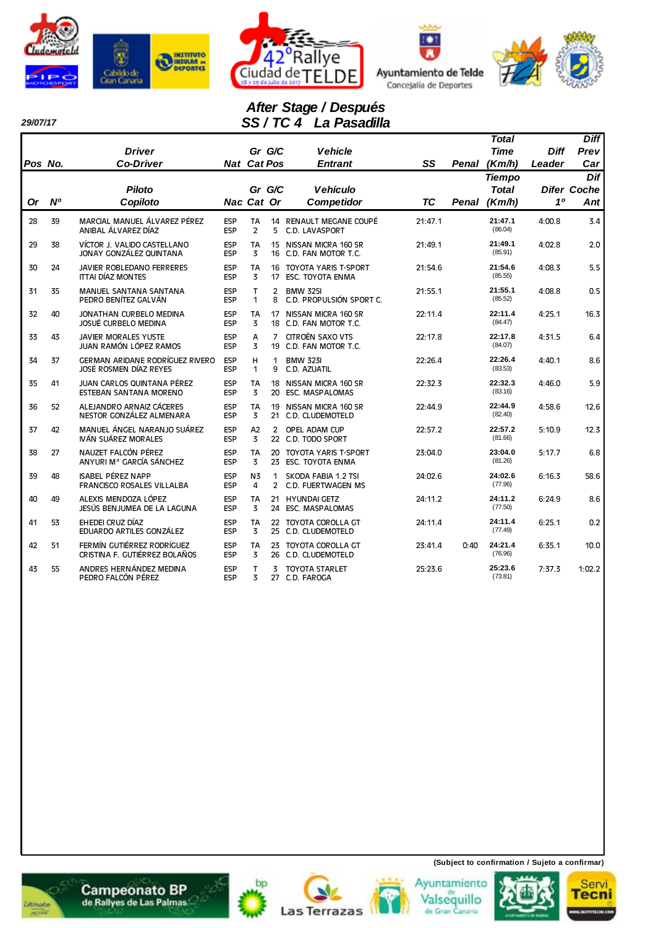







#### *29/07/17*

Ī

# *After Stage / Después SS / TC 4 La Pasadilla*

|         |                |                                                                  |                          |                             |                     |                                                        |           |       | <b>Total</b>                            |                       | <b>Diff</b>                      |
|---------|----------------|------------------------------------------------------------------|--------------------------|-----------------------------|---------------------|--------------------------------------------------------|-----------|-------|-----------------------------------------|-----------------------|----------------------------------|
| Pos No. |                | <b>Driver</b><br><b>Co-Driver</b>                                |                          | <b>Nat Cat Pos</b>          | Gr G/C              | <b>Vehicle</b><br><b>Entrant</b>                       | SS        | Penal | <b>Time</b><br>(Km/h)                   | <b>Diff</b><br>Leader | Prev<br>Car                      |
| Or      | N <sup>o</sup> | <b>Piloto</b><br>Copiloto                                        |                          | Nac Cat Or                  | Gr G/C              | <b>Vehículo</b><br><b>Competidor</b>                   | <b>TC</b> | Penal | <b>Tiempo</b><br><b>Total</b><br>(Km/h) | 10                    | Dif<br><b>Difer Coche</b><br>Ant |
| 28      | 39             | MARCIAL MANUEL ÁLVAREZ PÉREZ<br>ANIBAL ÁLVAREZ DÍAZ              | <b>ESP</b><br><b>ESP</b> | <b>TA</b><br>$\overline{2}$ | 5                   | 14 RENAULT MEGANE COUPÉ<br>C.D. LAVASPORT              | 21:47.1   |       | 21:47.1<br>(86.04)                      | 4:00.8                | 3.4                              |
| 29      | 38             | VÍCTOR J. VALIDO CASTELLANO<br>JONAY GONZÁLEZ QUINTANA           | <b>ESP</b><br><b>ESP</b> | TA<br>3                     | 15                  | NISSAN MICRA 160 SR<br>16 C.D. FAN MOTOR T.C.          | 21:49.1   |       | 21:49.1<br>(85.91)                      | 4:02.8                | 2.0                              |
| 30      | 24             | JAVIER ROBLEDANO FERRERES<br><b>ITTAI DÍAZ MONTES</b>            | ESP<br>ESP               | <b>TA</b><br>3              | 17                  | 16 TOYOTA YARIS T-SPORT<br><b>ESC. TOYOTA ENMA</b>     | 21:54.6   |       | 21:54.6<br>(85.55)                      | 4:08.3                | 5.5                              |
| 31      | 35             | <b>MANUEL SANTANA SANTANA</b><br>PEDRO BENÍTEZ GALVÁN            | <b>ESP</b><br><b>ESP</b> | T<br>1                      | $\overline{2}$<br>8 | <b>BMW 325I</b><br>C.D. PROPULSIÓN SPORT C.            | 21:55.1   |       | 21:55.1<br>(85.52)                      | 4:08.8                | 0.5                              |
| 32      | 40             | JONATHAN CURBELO MEDINA<br><b>JOSUÉ CURBELO MEDINA</b>           | <b>ESP</b><br>ESP        | <b>TA</b><br>3              |                     | 17 NISSAN MICRA 160 SR<br>18 C.D. FAN MOTOR T.C.       | 22:11.4   |       | 22:11.4<br>(84.47)                      | 4:25.1                | 16.3                             |
| 33      | 43             | <b>JAVIER MORALES YUSTE</b><br>JUAN RAMÓN LÓPEZ RAMOS            | <b>ESP</b><br>ESP        | A<br>3                      | 7<br>19             | <b>CITROËN SAXO VTS</b><br>C.D. FAN MOTOR T.C.         | 22:17.8   |       | 22:17.8<br>(84.07)                      | 4:31.5                | 6.4                              |
| 34      | 37             | <b>GERMAN ARIDANE RODRÍGUEZ RIVERO</b><br>JOSÉ ROSMEN DÍAZ REYES | <b>ESP</b><br>ESP        | н<br>1                      | 1<br>9              | <b>BMW 323I</b><br>C.D. AZUATIL                        | 22:26.4   |       | 22:26.4<br>(83.53)                      | 4:40.1                | 8.6                              |
| 35      | 41             | JUAN CARLOS QUINTANA PÉREZ<br>ESTEBAN SANTANA MORENO             | ESP<br><b>ESP</b>        | TA<br>3                     | 18                  | NISSAN MICRA 160 SR<br>20 ESC. MASPALOMAS              | 22:32.3   |       | 22:32.3<br>(83.16)                      | 4:46.0                | 5.9                              |
| 36      | 52             | ALEJANDRO ARNAIZ CÁCERES<br>NESTOR GONZÁLEZ ALMENARA             | <b>ESP</b><br>ESP        | <b>TA</b><br>3              | 19                  | NISSAN MICRA 160 SR<br>21 C.D. CLUDEMOTELD             | 22:44.9   |       | 22:44.9<br>(82.40)                      | 4:58.6                | 12.6                             |
| 37      | 42             | MANUEL ÁNGEL NARANJO SUÁREZ<br>IVÁN SUÁREZ MORALES               | ESP<br>ESP               | A2<br>3                     | $\overline{2}$      | OPEL ADAM CUP<br>22 C.D. TODO SPORT                    | 22:57.2   |       | 22:57.2<br>(81.66)                      | 5:10.9                | 12.3                             |
| 38      | 27             | NAUZET FALCÓN PÉREZ<br>ANYURI M <sup>a</sup> GARCÍA SÁNCHEZ      | <b>ESP</b><br><b>ESP</b> | TA<br>3                     | 20<br>23            | <b>TOYOTA YARIS T-SPORT</b><br><b>ESC. TOYOTA ENMA</b> | 23:04.0   |       | 23:04.0<br>(81.26)                      | 5:17.7                | 6.8                              |
| 39      | 48             | <b>ISABEL PÉREZ NAPP</b><br><b>FRANCISCO ROSALES VILLALBA</b>    | <b>ESP</b><br><b>ESP</b> | N <sub>3</sub><br>4         | 1<br>$\overline{2}$ | SKODA FABIA 1.2 TSI<br>C.D. FUERTWAGEN MS              | 24:02.6   |       | 24:02.6<br>(77.96)                      | 6:16.3                | 58.6                             |
| 40      | 49             | ALEXIS MENDOZA LÓPEZ<br>JESÚS BENJUMEA DE LA LAGUNA              | <b>ESP</b><br><b>ESP</b> | TA<br>$\overline{3}$        | 21<br>24            | <b>HYUNDAI GETZ</b><br>ESC. MASPALOMAS                 | 24:11.2   |       | 24:11.2<br>(77.50)                      | 6:24.9                | 8.6                              |
| 41      | 53             | EHEDEI CRUZ DÍAZ<br>EDUARDO ARTILES GONZÁLEZ                     | ESP<br>ESP               | TA<br>3                     | 25                  | 22 TOYOTA COROLLA GT<br>C.D. CLUDEMOTELD               | 24:11.4   |       | 24:11.4<br>(77.49)                      | 6:25.1                | 0.2                              |
| 42      | 51             | FERMÍN GUTIÉRREZ RODRÍGUEZ<br>CRISTINA F. GUTIÉRREZ BOLAÑOS      | <b>ESP</b><br>ESP        | <b>TA</b><br>3              |                     | 23 TOYOTA COROLLA GT<br>26 C.D. CLUDEMOTELD            | 23:41.4   | 0:40  | 24:21.4<br>(76.96)                      | 6:35.1                | 10.0                             |
| 43      | 55             | ANDRES HERNÁNDEZ MEDINA<br>PEDRO FALCÓN PÉREZ                    | <b>ESP</b><br><b>ESP</b> | T<br>3                      |                     | 3 TOYOTA STARLET<br>27 C.D. FAROGA                     | 25:23.6   |       | 25:23.6<br>(73.81)                      | 7:37.3                | 1:02.2                           |

















**(Subject to confirmation / Sujeto a confirmar)**

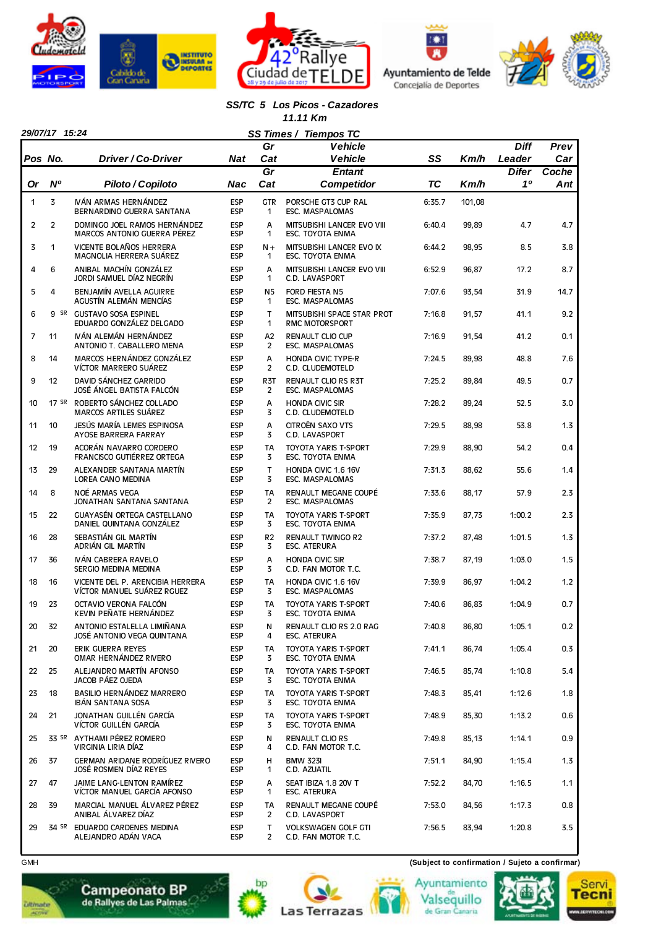







### *SS/TC 5 Los Picos - Cazadores*

 *11.11 Km*

|                | 29/07/17 15:24<br>SS Times /<br><b>Tiempos TC</b> |                                                                |                          |                       |                                                       |        |        |              |       |  |  |
|----------------|---------------------------------------------------|----------------------------------------------------------------|--------------------------|-----------------------|-------------------------------------------------------|--------|--------|--------------|-------|--|--|
|                |                                                   |                                                                |                          | Gr                    | <b>Vehicle</b>                                        |        |        | <b>Diff</b>  | Prev  |  |  |
| Pos No.        |                                                   | Driver / Co-Driver                                             | <b>Nat</b>               | Cat                   | <b>Vehicle</b>                                        | SS     | Km/h   | Leader       | Car   |  |  |
|                |                                                   |                                                                |                          | $\overline{Gr}$       | <b>Entant</b>                                         |        |        | <b>Difer</b> | Coche |  |  |
| Or             | N <sup>o</sup>                                    | Piloto / Copiloto                                              | Nac                      | Cat                   | <b>Competidor</b>                                     | TC     | Km/h   | 10           | Ant   |  |  |
| $\mathbf{1}$   | 3                                                 | IVÁN ARMAS HERNÁNDEZ<br>BERNARDINO GUERRA SANTANA              | <b>ESP</b><br><b>ESP</b> | <b>GTR</b><br>1       | PORSCHE GT3 CUP RAL<br>ESC. MASPALOMAS                | 6:35.7 | 101,08 |              |       |  |  |
| $\overline{2}$ | $\overline{2}$                                    | DOMINGO JOEL RAMOS HERNÁNDEZ<br>MARCOS ANTONIO GUERRA PÉREZ    | <b>ESP</b><br><b>ESP</b> | A<br>1                | <b>MITSUBISHI LANCER EVO VIII</b><br>ESC. TOYOTA ENMA | 6:40.4 | 99,89  | 4.7          | 4.7   |  |  |
| 3              | 1                                                 | VICENTE BOLAÑOS HERRERA<br>MAGNOLIA HERRERA SUÁREZ             | <b>ESP</b><br><b>ESP</b> | $N +$<br>1            | MITSUBISHI LANCER EVO IX<br><b>ESC. TOYOTA ENMA</b>   | 6:44.2 | 98,95  | 8.5          | 3.8   |  |  |
| 4              | 6                                                 | ANIBAL MACHÍN GONZÁLEZ<br>JORDI SAMUEL DÍAZ NEGRÍN             | <b>ESP</b><br><b>ESP</b> | A<br>1                | MITSUBISHI LANCER EVO VIII<br>C.D. LAVASPORT          | 6:52.9 | 96,87  | 17.2         | 8.7   |  |  |
| 5              | 4                                                 | BENJAMÍN AVELLA AGUIRRE<br>AGUSTÍN ALEMÁN MENCÍAS              | <b>ESP</b><br><b>ESP</b> | N <sub>5</sub><br>1   | FORD FIESTA N5<br>ESC. MASPALOMAS                     | 7:07.6 | 93,54  | 31.9         | 14.7  |  |  |
| 6              |                                                   | 9 SR GUSTAVO SOSA ESPINEL<br>EDUARDO GONZÁLEZ DELGADO          | <b>ESP</b><br><b>ESP</b> | т<br>1                | MITSUBISHI SPACE STAR PROT<br><b>RMC MOTORSPORT</b>   | 7:16.8 | 91,57  | 41.1         | 9.2   |  |  |
| 7              | 11                                                | IVÁN ALEMÁN HERNÁNDEZ<br>ANTONIO T. CABALLERO MENA             | <b>ESP</b><br><b>ESP</b> | A2<br>$\overline{2}$  | RENAULT CLIO CUP<br>ESC. MASPALOMAS                   | 7:16.9 | 91,54  | 41.2         | 0.1   |  |  |
| 8              | 14                                                | MARCOS HERNÁNDEZ GONZÁLEZ<br>VÍCTOR MARRERO SUÁREZ             | <b>ESP</b><br><b>ESP</b> | A<br>2                | <b>HONDA CIVIC TYPE-R</b><br>C.D. CLUDEMOTELD         | 7:24.5 | 89,98  | 48.8         | 7.6   |  |  |
| 9              | 12                                                | DAVID SÁNCHEZ GARRIDO<br>JOSÉ ÁNGEL BATISTA FALCÓN             | <b>ESP</b><br><b>ESP</b> | R3T<br>$\overline{2}$ | RENAULT CLIO RS R3T<br>ESC. MASPALOMAS                | 7:25.2 | 89,84  | 49.5         | 0.7   |  |  |
| 10             |                                                   | 17 SR ROBERTO SÁNCHEZ COLLADO<br>MARCOS ARTILES SUÁREZ         | <b>ESP</b><br><b>ESP</b> | Α<br>3                | <b>HONDA CIVIC SIR</b><br>C.D. CLUDEMOTELD            | 7:28.2 | 89,24  | 52.5         | 3.0   |  |  |
| 11             | 10                                                | JESÚS MARÍA LEMES ESPINOSA<br>AYOSE BARRERA FARRAY             | <b>ESP</b><br><b>ESP</b> | A<br>3                | CITROËN SAXO VTS<br>C.D. LAVASPORT                    | 7:29.5 | 88,98  | 53.8         | 1.3   |  |  |
| 12             | 19                                                | ACORÁN NAVARRO CORDERO<br>FRANCISCO GUTIÉRREZ ORTEGA           | <b>ESP</b><br><b>ESP</b> | <b>TA</b><br>3        | <b>TOYOTA YARIS T-SPORT</b><br>ESC. TOYOTA ENMA       | 7:29.9 | 88,90  | 54.2         | 0.4   |  |  |
| 13             | 29                                                | ALEXANDER SANTANA MARTÍN<br>LOREA CANO MEDINA                  | <b>ESP</b><br><b>ESP</b> | T<br>3                | HONDA CIVIC 1.6 16V<br>ESC. MASPALOMAS                | 7:31.3 | 88,62  | 55.6         | 1.4   |  |  |
| 14             | 8                                                 | NOÉ ARMAS VEGA<br>JONATHAN SANTANA SANTANA                     | <b>ESP</b><br><b>ESP</b> | <b>TA</b><br>2        | RENAULT MEGANE COUPÉ<br>ESC. MASPALOMAS               | 7:33.6 | 88,17  | 57.9         | 2.3   |  |  |
| 15             | 22                                                | GUAYASÉN ORTEGA CASTELLANO<br>DANIEL QUINTANA GONZÁLEZ         | <b>ESP</b><br><b>ESP</b> | TA<br>3               | <b>TOYOTA YARIS T-SPORT</b><br>ESC. TOYOTA ENMA       | 7:35.9 | 87,73  | 1:00.2       | 2.3   |  |  |
| 16             | 28                                                | SEBASTIÁN GIL MARTÍN<br>ADRIÁN GIL MARTÍN                      | <b>ESP</b><br><b>ESP</b> | R <sub>2</sub><br>3   | <b>RENAULT TWINGO R2</b><br><b>ESC. ATERURA</b>       | 7:37.2 | 87,48  | 1:01.5       | 1.3   |  |  |
| 17             | 36                                                | IVÁN CABRERA RAVELO<br><b>SERGIO MEDINA MEDINA</b>             | <b>ESP</b><br><b>ESP</b> | Α<br>3                | <b>HONDA CIVIC SIR</b><br>C.D. FAN MOTOR T.C.         | 7:38.7 | 87,19  | 1:03.0       | 1.5   |  |  |
| 18             | 16                                                | VICENTE DEL P. ARENCIBIA HERRERA<br>VÍCTOR MANUEL SUÁREZ RGUEZ | <b>ESP</b><br><b>ESP</b> | <b>TA</b><br>3        | HONDA CIVIC 1.6 16V<br>ESC. MASPALOMAS                | 7:39.9 | 86,97  | 1:04.2       | 1.2   |  |  |
| 19             | 23                                                | OCTAVIO VERONA FALCÓN<br>KEVIN PEÑATE HERNÁNDEZ                | <b>ESP</b><br><b>ESP</b> | <b>TA</b><br>3        | <b>TOYOTA YARIS T-SPORT</b><br>ESC. TOYOTA ENMA       | 7:40.6 | 86,83  | 1:04.9       | 0.7   |  |  |
| 20             | 32                                                | ANTONIO ESTALELLA LIMIÑANA<br>JOSÉ ANTONIO VEGA QUINTANA       | <b>ESP</b><br><b>ESP</b> | N<br>4                | RENAULT CLIO RS 2.0 RAG<br><b>ESC. ATERURA</b>        | 7:40.8 | 86,80  | 1:05.1       | 0.2   |  |  |
| 21             | 20                                                | ERIK GUERRA REYES<br>OMAR HERNÁNDEZ RIVERO                     | <b>ESP</b><br><b>ESP</b> | TA<br>3               | <b>TOYOTA YARIS T-SPORT</b><br>ESC. TOYOTA ENMA       | 7:41.1 | 86,74  | 1:05.4       | 0.3   |  |  |
| 22             | 25                                                | ALEJANDRO MARTÍN AFONSO<br>JACOB PÁEZ OJEDA                    | <b>ESP</b><br><b>ESP</b> | TA<br>3               | <b>TOYOTA YARIS T-SPORT</b><br>ESC. TOYOTA ENMA       | 7:46.5 | 85,74  | 1:10.8       | 5.4   |  |  |
| 23             | 18                                                | BASILIO HERNÁNDEZ MARRERO<br>IBÁN SANTANA SOSA                 | <b>ESP</b><br><b>ESP</b> | TA<br>3               | TOYOTA YARIS T-SPORT<br>ESC. TOYOTA ENMA              | 7:48.3 | 85,41  | 1:12.6       | 1.8   |  |  |
| 24             | 21                                                | JONATHAN GUILLÉN GARCÍA<br>VÍCTOR GUILLÉN GARCÍA               | <b>ESP</b><br><b>ESP</b> | TA<br>3               | <b>TOYOTA YARIS T-SPORT</b><br>ESC. TOYOTA ENMA       | 7:48.9 | 85,30  | 1:13.2       | 0.6   |  |  |
| 25             |                                                   | 33 SR AYTHAMI PÉREZ ROMERO<br>VIRGINIA LIRIA DÍAZ              | <b>ESP</b><br><b>ESP</b> | N<br>4                | <b>RENAULT CLIO RS</b><br>C.D. FAN MOTOR T.C.         | 7:49.8 | 85,13  | 1:14.1       | 0.9   |  |  |
| 26             | 37                                                | GERMAN ARIDANE RODRÍGUEZ RIVERO<br>JOSÉ ROSMEN DÍAZ REYES      | <b>ESP</b><br><b>ESP</b> | н<br>1                | <b>BMW 323I</b><br>C.D. AZUATIL                       | 7:51.1 | 84,90  | 1:15.4       | 1.3   |  |  |
| 27             | 47                                                | JAIME LANG-LENTON RAMÍREZ<br>VÍCTOR MANUEL GARCÍA AFONSO       | <b>ESP</b><br><b>ESP</b> | A<br>1                | SEAT IBIZA 1.8 20V T<br>ESC. ATERURA                  | 7:52.2 | 84,70  | 1:16.5       | 1.1   |  |  |
| 28             | 39                                                | MARCIAL MANUEL ÁLVAREZ PÉREZ<br>ANIBAL ÁLVAREZ DÍAZ            | <b>ESP</b><br><b>ESP</b> | TA<br>2               | RENAULT MEGANE COUPÉ<br>C.D. LAVASPORT                | 7:53.0 | 84,56  | 1:17.3       | 0.8   |  |  |
| 29             |                                                   | 34 SR EDUARDO CARDENES MEDINA<br>ALEJANDRO ADÁN VACA           | <b>ESP</b><br><b>ESP</b> | т<br>$\mathbf{2}$     | <b>VOLKSWAGEN GOLF GTI</b><br>C.D. FAN MOTOR T.C.     | 7:56.5 | 83,94  | 1:20.8       | 3.5   |  |  |

GMH **(Subject to confirmation / Sujeto a confirmar)**









Valsequillo<br>de Gran Canaria

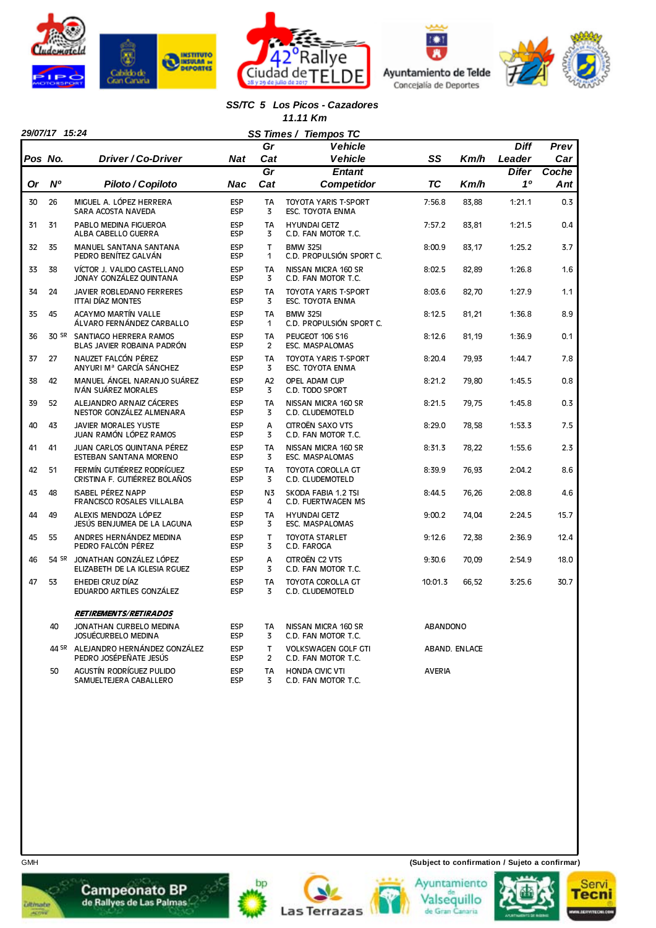







### *SS/TC 5 Los Picos - Cazadores*

|  |  |  |  | '1.11 Km |
|--|--|--|--|----------|
|--|--|--|--|----------|

|         | 29/07/17 15:24 |                                                                |                          |                     | SS Times / Tiempos TC                             |                 |               |              |       |
|---------|----------------|----------------------------------------------------------------|--------------------------|---------------------|---------------------------------------------------|-----------------|---------------|--------------|-------|
|         |                |                                                                |                          | Gr                  | <b>Vehicle</b>                                    |                 |               | <b>Diff</b>  | Prev  |
| Pos No. |                | Driver / Co-Driver                                             | <b>Nat</b>               | Cat                 | <b>Vehicle</b>                                    | SS              | Km/h          | Leader       | Car   |
|         |                |                                                                |                          | Gr                  | <b>Entant</b>                                     |                 |               | <b>Difer</b> | Coche |
| Or      | <b>N°</b>      | Piloto / Copiloto                                              | Nac                      | Cat                 | <b>Competidor</b>                                 | ТC              | Km/h          | 10           | Ant   |
| 30      | 26             | MIGUEL A. LÓPEZ HERRERA<br>SARA ACOSTA NAVEDA                  | <b>ESP</b><br><b>ESP</b> | <b>TA</b><br>3      | <b>TOYOTA YARIS T-SPORT</b><br>ESC. TOYOTA ENMA   | 7:56.8          | 83,88         | 1:21.1       | 0.3   |
| 31      | 31             | PABLO MEDINA FIGUEROA<br>ALBA CABELLO GUERRA                   | ESP<br>ESP               | <b>TA</b><br>3      | <b>HYUNDAI GETZ</b><br>C.D. FAN MOTOR T.C.        | 7:57.2          | 83,81         | 1:21.5       | 0.4   |
| 32      | 35             | MANUEL SANTANA SANTANA<br>PEDRO BENÍTEZ GALVÁN                 | <b>ESP</b><br>ESP        | T.<br>1             | <b>BMW 325I</b><br>C.D. PROPULSIÓN SPORT C.       | 8:00.9          | 83,17         | 1:25.2       | 3.7   |
| 33      | 38             | VÍCTOR J. VALIDO CASTELLANO<br>JONAY GONZÁLEZ QUINTANA         | ESP<br><b>ESP</b>        | <b>TA</b><br>3      | NISSAN MICRA 160 SR<br>C.D. FAN MOTOR T.C.        | 8:02.5          | 82,89         | 1:26.8       | 1.6   |
| 34      | 24             | JAVIER ROBLEDANO FERRERES<br><b>ITTAI DÍAZ MONTES</b>          | ESP<br><b>ESP</b>        | <b>TA</b><br>3      | TOYOTA YARIS T-SPORT<br>ESC. TOYOTA ENMA          | 8:03.6          | 82,70         | 1:27.9       | 1.1   |
| 35      | 45             | ACAYMO MARTÍN VALLE<br>ÁLVARO FERNÁNDEZ CARBALLO               | ESP<br>ESP               | TA<br>$\mathbf{1}$  | <b>BMW 325I</b><br>C.D. PROPULSIÓN SPORT C.       | 8:12.5          | 81,21         | 1:36.8       | 8.9   |
| 36      |                | 30 SR SANTIAGO HERRERA RAMOS<br>BLAS JAVIER ROBAINA PADRÓN     | ESP<br><b>ESP</b>        | <b>TA</b><br>2      | PEUGEOT 106 S16<br>ESC. MASPALOMAS                | 8:12.6          | 81,19         | 1:36.9       | 0.1   |
| 37      | 27             | NAUZET FALCÓN PÉREZ<br>ANYURI Mª GARCÍA SÁNCHEZ                | ESP<br><b>ESP</b>        | <b>TA</b><br>3      | TOYOTA YARIS T-SPORT<br>ESC. TOYOTA ENMA          | 8:20.4          | 79,93         | 1:44.7       | 7.8   |
| 38      | 42             | MANUEL ÁNGEL NARANJO SUÁREZ<br>IVÁN SUÁREZ MORALES             | <b>ESP</b><br><b>ESP</b> | A2<br>3             | OPEL ADAM CUP<br>C.D. TODO SPORT                  | 8:21.2          | 79,80         | 1:45.5       | 0.8   |
| 39      | 52             | ALEJANDRO ARNAIZ CÁCERES<br>NESTOR GONZÁLEZ ALMENARA           | ESP<br><b>ESP</b>        | <b>TA</b><br>3      | NISSAN MICRA 160 SR<br>C.D. CLUDEMOTELD           | 8:21.5          | 79,75         | 1:45.8       | 0.3   |
| 40      | 43             | <b>JAVIER MORALES YUSTE</b><br>JUAN RAMÓN LÓPEZ RAMOS          | ESP<br><b>ESP</b>        | A<br>3              | CITROËN SAXO VTS<br>C.D. FAN MOTOR T.C.           | 8:29.0          | 78.58         | 1:53.3       | 7.5   |
| 41      | 41             | JUAN CARLOS QUINTANA PÉREZ<br><b>ESTEBAN SANTANA MORENO</b>    | ESP<br>ESP               | <b>TA</b><br>3      | NISSAN MICRA 160 SR<br><b>ESC. MASPALOMAS</b>     | 8:31.3          | 78,22         | 1:55.6       | 2.3   |
| 42      | 51             | FERMÍN GUTIÉRREZ RODRÍGUEZ<br>CRISTINA F. GUTIÉRREZ BOLAÑOS    | ESP<br>ESP               | <b>TA</b><br>3      | <b>TOYOTA COROLLA GT</b><br>C.D. CLUDEMOTELD      | 8:39.9          | 76,93         | 2:04.2       | 8.6   |
| 43      | 48             | <b>ISABEL PÉREZ NAPP</b><br>FRANCISCO ROSALES VILLALBA         | <b>ESP</b><br>ESP        | N <sub>3</sub><br>4 | SKODA FABIA 1.2 TSI<br>C.D. FUERTWAGEN MS         | 8:44.5          | 76,26         | 2:08.8       | 4.6   |
| 44      | 49             | ALEXIS MENDOZA LÓPEZ<br>JESÚS BENJUMEA DE LA LAGUNA            | ESP<br><b>ESP</b>        | <b>TA</b><br>3      | <b>HYUNDAI GETZ</b><br><b>ESC. MASPALOMAS</b>     | 9:00.2          | 74,04         | 2:24.5       | 15.7  |
| 45      | 55             | ANDRES HERNÁNDEZ MEDINA<br>PEDRO FALCÓN PÉREZ                  | ESP<br>ESP               | T<br>3              | <b>TOYOTA STARLET</b><br>C.D. FAROGA              | 9:12.6          | 72,38         | 2:36.9       | 12.4  |
| 46      |                | 54 SR JONATHAN GONZÁLEZ LÓPEZ<br>ELIZABETH DE LA IGLESIA RGUEZ | <b>ESP</b><br>ESP        | A<br>3              | CITROËN C2 VTS<br>C.D. FAN MOTOR T.C.             | 9:30.6          | 70,09         | 2:54.9       | 18.0  |
| 47      | 53             | EHEDEI CRUZ DÍAZ<br>EDUARDO ARTILES GONZÁLEZ                   | ESP<br><b>ESP</b>        | <b>TA</b><br>3      | TOYOTA COROLLA GT<br>C.D. CLUDEMOTELD             | 10:01.3         | 66,52         | 3:25.6       | 30.7  |
|         |                | <b>RETIREMENTS/RETIRADOS</b>                                   |                          |                     |                                                   |                 |               |              |       |
|         | 40             | JONATHAN CURBELO MEDINA<br>JOSUÉCURBELO MEDINA                 | <b>ESP</b><br><b>ESP</b> | <b>TA</b><br>3      | NISSAN MICRA 160 SR<br>C.D. FAN MOTOR T.C.        | <b>ABANDONO</b> |               |              |       |
|         |                | 44 SR ALEJANDRO HERNÁNDEZ GONZÁLEZ<br>PEDRO JOSÉPEÑATE JESÚS   | <b>ESP</b><br><b>ESP</b> | T<br>$\overline{2}$ | <b>VOLKSWAGEN GOLF GTI</b><br>C.D. FAN MOTOR T.C. |                 | ABAND. ENLACE |              |       |
|         | 50             | AGUSTÍN RODRÍGUEZ PULIDO<br>SAMUELTEJERA CABALLERO             | <b>ESP</b><br><b>ESP</b> | <b>TA</b><br>3      | <b>HONDA CIVIC VTI</b><br>C.D. FAN MOTOR T.C.     | <b>AVERIA</b>   |               |              |       |















**Ditmate**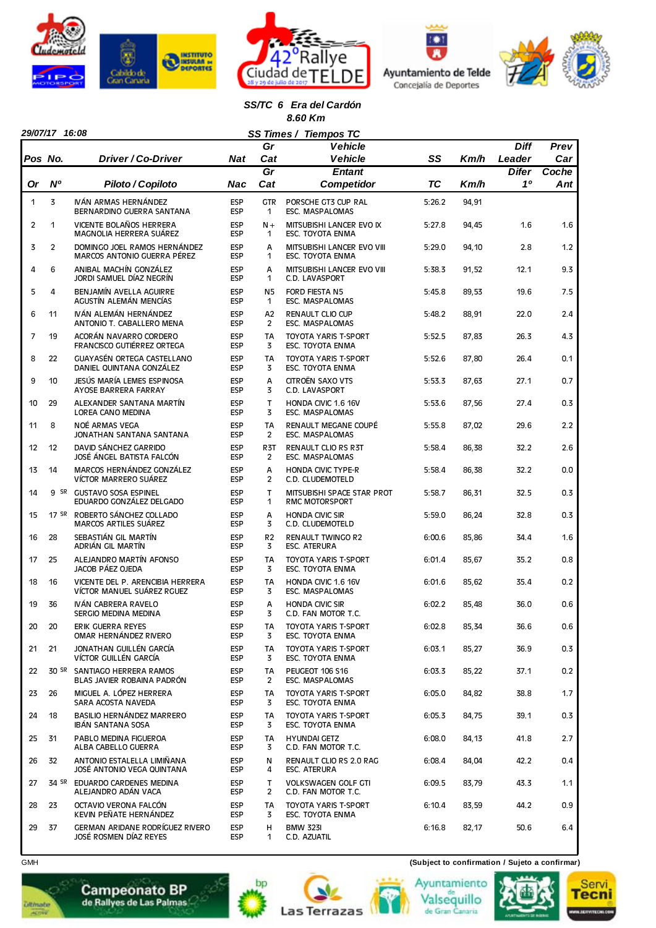







#### *SS/TC 6 Era del Cardón 8.60 Km*

|         | 29/07/17 16:08<br>SS Times / Tiempos TC |                                                                |                          |                             |                                                     |           |       |              |       |  |  |
|---------|-----------------------------------------|----------------------------------------------------------------|--------------------------|-----------------------------|-----------------------------------------------------|-----------|-------|--------------|-------|--|--|
|         |                                         |                                                                |                          | Gr                          | <b>Vehicle</b>                                      |           |       | <b>Diff</b>  | Prev  |  |  |
| Pos No. |                                         | Driver / Co-Driver                                             | Nat                      | Cat                         | <b>Vehicle</b>                                      | SS        | Km/h  | Leader       | Car   |  |  |
|         |                                         |                                                                |                          | Gr                          | <b>Entant</b>                                       |           |       | <b>Difer</b> | Coche |  |  |
| 0r      | N°                                      | Piloto / Copiloto                                              | Nac                      | Cat                         | Competidor                                          | <b>TC</b> | Km/h  | 10           | Ant   |  |  |
| 1       | 3                                       | IVÁN ARMAS HERNÁNDEZ<br>BERNARDINO GUERRA SANTANA              | <b>ESP</b><br><b>ESP</b> | <b>GTR</b><br>1             | PORSCHE GT3 CUP RAL<br>ESC. MASPALOMAS              | 5:26.2    | 94,91 |              |       |  |  |
| 2       | 1                                       | VICENTE BOLAÑOS HERRERA<br>MAGNOLIA HERRERA SUÁREZ             | <b>ESP</b><br><b>ESP</b> | $N +$<br>$\mathbf{1}$       | MITSUBISHI LANCER EVO IX<br>ESC. TOYOTA ENMA        | 5:27.8    | 94,45 | 1.6          | 1.6   |  |  |
| 3       | $\overline{2}$                          | DOMINGO JOEL RAMOS HERNÁNDEZ<br>MARCOS ANTONIO GUERRA PÉREZ    | <b>ESP</b><br><b>ESP</b> | A<br>1                      | MITSUBISHI LANCER EVO VIII<br>ESC. TOYOTA ENMA      | 5:29.0    | 94,10 | 2.8          | 1.2   |  |  |
| 4       | 6                                       | ANIBAL MACHÍN GONZÁLEZ<br>JORDI SAMUEL DÍAZ NEGRÍN             | <b>ESP</b><br><b>ESP</b> | A<br>$\mathbf{1}$           | MITSUBISHI LANCER EVO VIII<br>C.D. LAVASPORT        | 5:38.3    | 91,52 | 12.1         | 9.3   |  |  |
| 5       | 4                                       | BENJAMÍN AVELLA AGUIRRE<br>AGUSTÍN ALEMÁN MENCÍAS              | <b>ESP</b><br><b>ESP</b> | <b>N5</b><br>1              | <b>FORD FIESTA N5</b><br>ESC. MASPALOMAS            | 5:45.8    | 89,53 | 19.6         | 7.5   |  |  |
| 6       | 11                                      | IVÁN ALEMÁN HERNÁNDEZ<br>ANTONIO T. CABALLERO MENA             | <b>ESP</b><br><b>ESP</b> | A2<br>$\overline{2}$        | <b>RENAULT CLIO CUP</b><br>ESC. MASPALOMAS          | 5:48.2    | 88,91 | 22.0         | 2.4   |  |  |
| 7       | 19                                      | ACORÁN NAVARRO CORDERO<br>FRANCISCO GUTIÉRREZ ORTEGA           | <b>ESP</b><br><b>ESP</b> | <b>TA</b><br>3              | <b>TOYOTA YARIS T-SPORT</b><br>ESC. TOYOTA ENMA     | 5:52.5    | 87,83 | 26.3         | 4.3   |  |  |
| 8       | 22                                      | GUAYASÉN ORTEGA CASTELLANO<br>DANIEL QUINTANA GONZÁLEZ         | <b>ESP</b><br><b>ESP</b> | <b>TA</b><br>3              | <b>TOYOTA YARIS T-SPORT</b><br>ESC. TOYOTA ENMA     | 5:52.6    | 87,80 | 26.4         | 0.1   |  |  |
| 9       | 10                                      | JESÚS MARÍA LEMES ESPINOSA<br>AYOSE BARRERA FARRAY             | <b>ESP</b><br><b>ESP</b> | A<br>3                      | CITROËN SAXO VTS<br>C.D. LAVASPORT                  | 5:53.3    | 87,63 | 27.1         | 0.7   |  |  |
| 10      | 29                                      | ALEXANDER SANTANA MARTÍN<br>LOREA CANO MEDINA                  | <b>ESP</b><br><b>ESP</b> | $\mathsf{T}$<br>3           | HONDA CIVIC 1.6 16V<br>ESC. MASPALOMAS              | 5:53.6    | 87,56 | 27.4         | 0.3   |  |  |
| 11      | 8                                       | NOÉ ARMAS VEGA<br>JONATHAN SANTANA SANTANA                     | <b>ESP</b><br><b>ESP</b> | <b>TA</b><br>$\overline{2}$ | RENAULT MEGANE COUPÉ<br>ESC. MASPALOMAS             | 5:55.8    | 87,02 | 29.6         | 2.2   |  |  |
| 12      | 12                                      | DAVID SÁNCHEZ GARRIDO<br>JOSÉ ÁNGEL BATISTA FALCÓN             | <b>ESP</b><br><b>ESP</b> | R3T<br>$\overline{2}$       | RENAULT CLIO RS R3T<br><b>ESC. MASPALOMAS</b>       | 5:58.4    | 86,38 | 32.2         | 2.6   |  |  |
| 13      | 14                                      | MARCOS HERNÁNDEZ GONZÁLEZ<br>VÍCTOR MARRERO SUÁREZ             | <b>ESP</b><br><b>ESP</b> | A<br>2                      | <b>HONDA CIVIC TYPE-R</b><br>C.D. CLUDEMOTELD       | 5:58.4    | 86,38 | 32.2         | 0.0   |  |  |
| 14      |                                         | 9 SR GUSTAVO SOSA ESPINEL<br>EDUARDO GONZÁLEZ DELGADO          | <b>ESP</b><br><b>ESP</b> | $\mathsf{T}$<br>1           | MITSUBISHI SPACE STAR PROT<br><b>RMC MOTORSPORT</b> | 5:58.7    | 86,31 | 32.5         | 0.3   |  |  |
| 15      |                                         | 17 SR ROBERTO SÁNCHEZ COLLADO<br><b>MARCOS ARTILES SUÁREZ</b>  | <b>ESP</b><br><b>ESP</b> | A<br>3                      | <b>HONDA CIVIC SIR</b><br>C.D. CLUDEMOTELD          | 5:59.0    | 86,24 | 32.8         | 0.3   |  |  |
| 16      | 28                                      | SEBASTIÁN GIL MARTÍN<br>ADRIÁN GIL MARTÍN                      | <b>ESP</b><br><b>ESP</b> | R <sub>2</sub><br>3         | <b>RENAULT TWINGO R2</b><br><b>ESC. ATERURA</b>     | 6:00.6    | 85,86 | 34.4         | 1.6   |  |  |
| 17      | 25                                      | ALEJANDRO MARTÍN AFONSO<br>JACOB PÁEZ OJEDA                    | <b>ESP</b><br><b>ESP</b> | <b>TA</b><br>3              | <b>TOYOTA YARIS T-SPORT</b><br>ESC. TOYOTA ENMA     | 6:01.4    | 85,67 | 35.2         | 0.8   |  |  |
| 18      | 16                                      | VICENTE DEL P. ARENCIBIA HERRERA<br>VÍCTOR MANUEL SUÁREZ RGUEZ | <b>ESP</b><br><b>ESP</b> | <b>TA</b><br>3              | HONDA CIVIC 1.6 16V<br>ESC. MASPALOMAS              | 6:01.6    | 85,62 | 35.4         | 0.2   |  |  |
| 19      | 36                                      | IVÁN CABRERA RAVELO<br>SERGIO MEDINA MEDINA                    | <b>ESP</b><br><b>ESP</b> | A<br>3                      | <b>HONDA CIVIC SIR</b><br>C.D. FAN MOTOR T.C.       | 6:02.2    | 85,48 | 36.0         | 0.6   |  |  |
| 20      | 20                                      | ERIK GUERRA REYES<br>OMAR HERNÁNDEZ RIVERO                     | ESP<br><b>ESP</b>        | TA<br>3                     | TOYOTA YARIS T-SPORT<br>ESC. TOYOTA ENMA            | 6:02.8    | 85,34 | 36.6         | 0.6   |  |  |
| 21      | 21                                      | JONATHAN GUILLÉN GARCÍA<br>VÍCTOR GUILLÉN GARCÍA               | <b>ESP</b><br><b>ESP</b> | TA<br>3                     | TOYOTA YARIS T-SPORT<br>ESC. TOYOTA ENMA            | 6:03.1    | 85,27 | 36.9         | 0.3   |  |  |
| 22      |                                         | 30 SR SANTIAGO HERRERA RAMOS<br>BLAS JAVIER ROBAINA PADRÓN     | <b>ESP</b><br><b>ESP</b> | TA<br>2                     | PEUGEOT 106 S16<br><b>ESC. MASPALOMAS</b>           | 6:03.3    | 85,22 | 37.1         | 0.2   |  |  |
| 23      | 26                                      | MIGUEL A. LÓPEZ HERRERA<br>SARA ACOSTA NAVEDA                  | <b>ESP</b><br><b>ESP</b> | TA<br>3                     | <b>TOYOTA YARIS T-SPORT</b><br>ESC. TOYOTA ENMA     | 6:05.0    | 84,82 | 38.8         | 1.7   |  |  |
| 24      | 18                                      | BASILIO HERNÁNDEZ MARRERO<br><b>IBÁN SANTANA SOSA</b>          | <b>ESP</b><br><b>ESP</b> | TA<br>3                     | <b>TOYOTA YARIS T-SPORT</b><br>ESC. TOYOTA ENMA     | 6:05.3    | 84,75 | 39.1         | 0.3   |  |  |
| 25      | 31                                      | PABLO MEDINA FIGUEROA<br>ALBA CABELLO GUERRA                   | <b>ESP</b><br><b>ESP</b> | TA<br>3                     | <b>HYUNDAI GETZ</b><br>C.D. FAN MOTOR T.C.          | 6:08.0    | 84,13 | 41.8         | 2.7   |  |  |
| 26      | 32                                      | ANTONIO ESTALELLA LIMIÑANA<br>JOSÉ ANTONIO VEGA QUINTANA       | <b>ESP</b><br>ESP        | N<br>4                      | RENAULT CLIO RS 2.0 RAG<br>ESC. ATERURA             | 6:08.4    | 84,04 | 42.2         | 0.4   |  |  |
| 27      |                                         | 34 SR EDUARDO CARDENES MEDINA<br>ALEJANDRO ADÁN VACA           | <b>ESP</b><br><b>ESP</b> | T<br>2                      | <b>VOLKSWAGEN GOLF GTI</b><br>C.D. FAN MOTOR T.C.   | 6:09.5    | 83,79 | 43.3         | 1.1   |  |  |
| 28      | 23                                      | OCTAVIO VERONA FALCÓN<br>KEVIN PEÑATE HERNÁNDEZ                | <b>ESP</b><br><b>ESP</b> | TA<br>3                     | <b>TOYOTA YARIS T-SPORT</b><br>ESC. TOYOTA ENMA     | 6:10.4    | 83,59 | 44.2         | 0.9   |  |  |
| 29      | 37                                      | GERMAN ARIDANE RODRÍGUEZ RIVERO<br>JOSÉ ROSMEN DÍAZ REYES      | <b>ESP</b><br><b>ESP</b> | н<br>1                      | <b>BMW 323I</b><br>C.D. AZUATIL                     | 6:16.8    | 82,17 | 50.6         | 6.4   |  |  |

GMH **(Subject to confirmation / Sujeto a confirmar)**





**Ditmate** 

 $\overline{\phantom{a}}$ 









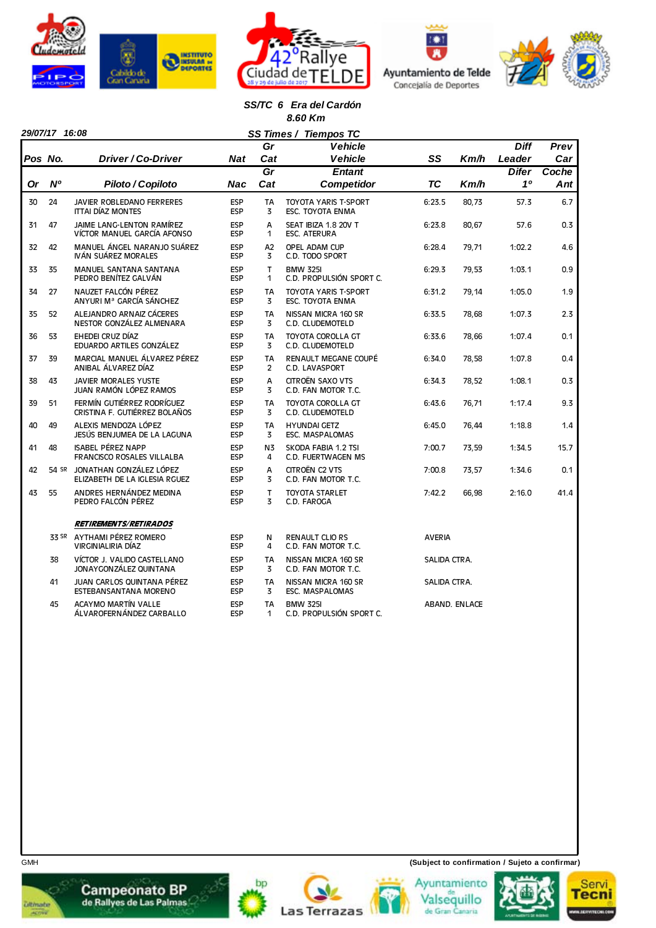







#### *SS/TC 6 Era del Cardón 8.60 Km*

|    |                |                                                                |                          | SS Times /<br>Gr            | <b>Tiempos TC</b><br><b>Vehicle</b>             |               |               | <b>Diff</b>  | Prev  |
|----|----------------|----------------------------------------------------------------|--------------------------|-----------------------------|-------------------------------------------------|---------------|---------------|--------------|-------|
|    | Pos No.        | Driver / Co-Driver                                             | Nat                      | Cat                         | <b>Vehicle</b>                                  | SS            | Km/h          | Leader       | Car   |
|    |                |                                                                |                          | $\overline{Gr}$             | <b>Entant</b>                                   |               |               | <b>Difer</b> | Coche |
| Or | N <sup>o</sup> | Piloto / Copiloto                                              | Nac                      | Cat                         | <b>Competidor</b>                               | <b>TC</b>     | Km/h          | 10           | Ant   |
| 30 | 24             | JAVIER ROBLEDANO FERRERES<br><b>ITTAI DÍAZ MONTES</b>          | <b>ESP</b><br><b>ESP</b> | TA<br>3                     | TOYOTA YARIS T-SPORT<br>ESC. TOYOTA ENMA        | 6:23.5        | 80,73         | 57.3         | 6.7   |
| 31 | 47             | JAIME LANG-LENTON RAMÍREZ<br>VÍCTOR MANUEL GARCÍA AFONSO       | <b>ESP</b><br><b>ESP</b> | A<br>1                      | SEAT IBIZA 1.8 20V T<br><b>ESC. ATERURA</b>     | 6:23.8        | 80,67         | 57.6         | 0.3   |
| 32 | 42             | MANUEL ÁNGEL NARANJO SUÁREZ<br>IVÁN SUÁREZ MORALES             | <b>ESP</b><br><b>ESP</b> | A <sub>2</sub><br>3         | OPEL ADAM CUP<br>C.D. TODO SPORT                | 6:28.4        | 79,71         | 1:02.2       | 4.6   |
| 33 | 35             | <b>MANUEL SANTANA SANTANA</b><br>PEDRO BENÍTEZ GALVÁN          | <b>ESP</b><br><b>ESP</b> | $\mathsf{T}$<br>1           | <b>BMW 325I</b><br>C.D. PROPULSIÓN SPORT C.     | 6:29.3        | 79,53         | 1:03.1       | 0.9   |
| 34 | 27             | NAUZET FALCÓN PÉREZ<br>ANYURI Mª GARCÍA SÁNCHEZ                | <b>ESP</b><br><b>ESP</b> | <b>TA</b><br>3              | <b>TOYOTA YARIS T-SPORT</b><br>ESC. TOYOTA ENMA | 6:31.2        | 79,14         | 1:05.0       | 1.9   |
| 35 | 52             | ALEJANDRO ARNAIZ CÁCERES<br>NESTOR GONZÁLEZ ALMENARA           | ESP<br><b>ESP</b>        | <b>TA</b><br>$\overline{3}$ | NISSAN MICRA 160 SR<br>C.D. CLUDEMOTELD         | 6:33.5        | 78,68         | 1:07.3       | 2.3   |
| 36 | 53             | EHEDEI CRUZ DÍAZ<br>EDUARDO ARTILES GONZÁLEZ                   | <b>ESP</b><br><b>ESP</b> | <b>TA</b><br>3              | <b>TOYOTA COROLLA GT</b><br>C.D. CLUDEMOTELD    | 6:33.6        | 78,66         | 1:07.4       | 0.1   |
| 37 | 39             | MARCIAL MANUEL ÁLVAREZ PÉREZ<br>ANIBAL ÁLVAREZ DÍAZ            | <b>ESP</b><br><b>ESP</b> | <b>TA</b><br>$\overline{2}$ | RENAULT MEGANE COUPÉ<br>C.D. LAVASPORT          | 6:34.0        | 78,58         | 1:07.8       | 0.4   |
| 38 | 43             | <b>JAVIER MORALES YUSTE</b><br>JUAN RAMÓN LÓPEZ RAMOS          | <b>ESP</b><br><b>ESP</b> | A<br>3                      | CITROËN SAXO VTS<br>C.D. FAN MOTOR T.C.         | 6:34.3        | 78,52         | 1:08.1       | 0.3   |
| 39 | 51             | FERMÍN GUTIÉRREZ RODRÍGUEZ<br>CRISTINA F. GUTIÉRREZ BOLAÑOS    | <b>ESP</b><br><b>ESP</b> | <b>TA</b><br>3              | <b>TOYOTA COROLLA GT</b><br>C.D. CLUDEMOTELD    | 6:43.6        | 76,71         | 1:17.4       | 9.3   |
| 40 | 49             | ALEXIS MENDOZA LÓPEZ<br>JESÚS BENJUMEA DE LA LAGUNA            | <b>ESP</b><br><b>ESP</b> | TA<br>3                     | <b>HYUNDAI GETZ</b><br><b>ESC. MASPALOMAS</b>   | 6:45.0        | 76,44         | 1:18.8       | 1.4   |
| 41 | 48             | <b>ISABEL PÉREZ NAPP</b><br><b>FRANCISCO ROSALES VILLALBA</b>  | <b>ESP</b><br><b>ESP</b> | N3<br>4                     | SKODA FABIA 1.2 TSI<br>C.D. FUERTWAGEN MS       | 7:00.7        | 73,59         | 1:34.5       | 15.7  |
| 42 |                | 54 SR JONATHAN GONZÁLEZ LÓPEZ<br>ELIZABETH DE LA IGLESIA RGUEZ | <b>ESP</b><br><b>ESP</b> | A<br>3                      | CITROËN C2 VTS<br>C.D. FAN MOTOR T.C.           | 7:00.8        | 73,57         | 1:34.6       | 0.1   |
| 43 | 55             | ANDRES HERNÁNDEZ MEDINA<br>PEDRO FALCÓN PÉREZ                  | <b>ESP</b><br><b>ESP</b> | T<br>3                      | <b>TOYOTA STARLET</b><br>C.D. FAROGA            | 7:42.2        | 66,98         | 2:16.0       | 41.4  |
|    |                | <b>RETIREMENTS/RETIRADOS</b>                                   |                          |                             |                                                 |               |               |              |       |
|    |                | 33 SR AYTHAMI PÉREZ ROMERO<br>VIRGINIALIRIA DÍAZ               | <b>ESP</b><br><b>ESP</b> | N<br>4                      | <b>RENAULT CLIO RS</b><br>C.D. FAN MOTOR T.C.   | <b>AVERIA</b> |               |              |       |
|    | 38             | VÍCTOR J. VALIDO CASTELLANO<br>JONAY GONZÁLEZ QUINTANA         | ESP<br><b>ESP</b>        | <b>TA</b><br>3              | NISSAN MICRA 160 SR<br>C.D. FAN MOTOR T.C.      | SALIDA CTRA.  |               |              |       |
|    | 41             | JUAN CARLOS QUINTANA PÉREZ<br>ESTEBANSANTANA MORENO            | <b>ESP</b><br><b>ESP</b> | TA<br>3                     | NISSAN MICRA 160 SR<br><b>ESC. MASPALOMAS</b>   | SALIDA CTRA.  |               |              |       |
|    | 45             | <b>ACAYMO MARTÍN VALLE</b><br>ÁLVAROFERNÁNDEZ CARBALLO         | <b>ESP</b><br><b>ESP</b> | TA<br>1                     | <b>BMW 325I</b><br>C.D. PROPULSIÓN SPORT C.     |               | ABAND. ENLACE |              |       |

GMH **(Subject to confirmation / Sujeto a confirmar)**













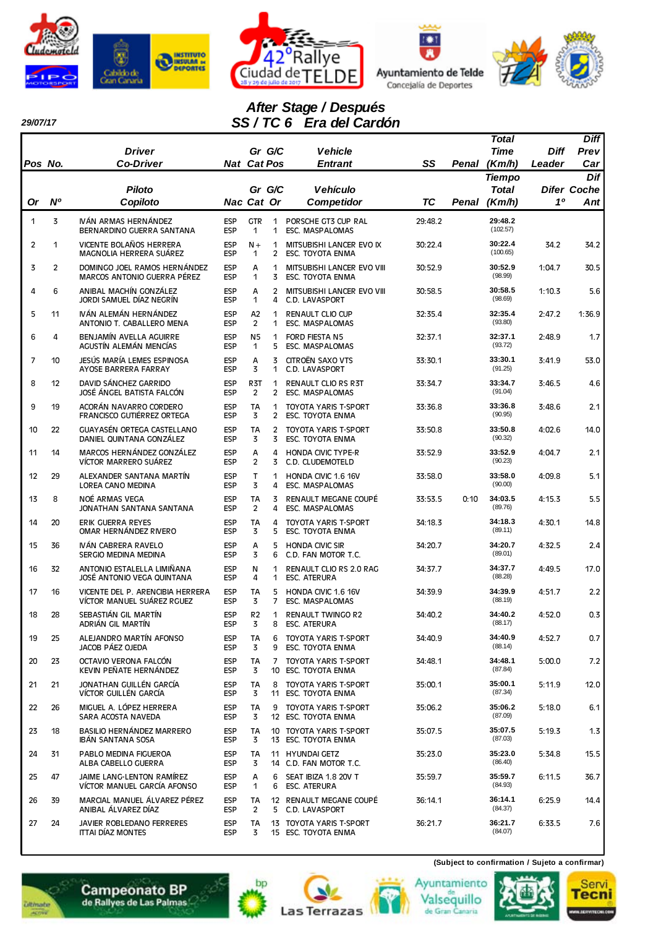

*29/07/17* 







# *After Stage / Después SS / TC 6 Era del Cardón*

|           |                | <b>Driver</b>                                                  |                          | Gr G/C                           |                     | <b>Vehicle</b>                                         |           |       | Total<br>Time                 | Diff   | Diff<br>Prev              |
|-----------|----------------|----------------------------------------------------------------|--------------------------|----------------------------------|---------------------|--------------------------------------------------------|-----------|-------|-------------------------------|--------|---------------------------|
| Pos No.   |                | <b>Co-Driver</b>                                               | <b>Nat Cat Pos</b>       |                                  |                     | <b>Entrant</b>                                         | SS        | Penal | (Km/h)                        | Leader | Car                       |
|           |                | <b>Piloto</b>                                                  |                          | Gr G/C                           |                     | <b>Vehículo</b>                                        |           |       | <b>Tiempo</b><br><b>Total</b> |        | Dif<br><b>Difer Coche</b> |
| <b>Or</b> | N°             | Copiloto                                                       | Nac Cat Or               |                                  |                     | <b>Competidor</b>                                      | <b>TC</b> | Penal | (Km/h)                        | 10     | Ant                       |
| 1         | 3              | IVÁN ARMAS HERNÁNDEZ<br>BERNARDINO GUERRA SANTANA              | <b>ESP</b><br><b>ESP</b> | <b>GTR</b><br>1                  | 1<br>1              | PORSCHE GT3 CUP RAL<br><b>ESC. MASPALOMAS</b>          | 29:48.2   |       | 29:48.2<br>(102.57)           |        |                           |
| 2         | 1              | VICENTE BOLAÑOS HERRERA<br>MAGNOLIA HERRERA SUÁREZ             | <b>ESP</b><br><b>ESP</b> | $N +$<br>1                       | $\mathbf{1}$<br>2   | MITSUBISHI LANCER EVO IX<br><b>ESC. TOYOTA ENMA</b>    | 30:22.4   |       | 30:22.4<br>(100.65)           | 34.2   | 34.2                      |
| 3         | $\overline{2}$ | DOMINGO JOEL RAMOS HERNÁNDEZ<br>MARCOS ANTONIO GUERRA PÉREZ    | <b>ESP</b><br><b>ESP</b> | A<br>1                           | $\mathbf 1$<br>3    | MITSUBISHI LANCER EVO VIII<br><b>ESC. TOYOTA ENMA</b>  | 30:52.9   |       | 30:52.9<br>(98.99)            | 1:04.7 | 30.5                      |
| 4         | 6              | ANIBAL MACHÍN GONZÁLEZ<br>JORDI SAMUEL DÍAZ NEGRÍN             | <b>ESP</b><br><b>ESP</b> | A<br>1                           | $\overline{2}$<br>4 | MITSUBISHI LANCER EVO VIII<br>C.D. LAVASPORT           | 30:58.5   |       | 30:58.5<br>(98.69)            | 1:10.3 | 5.6                       |
| 5         | 11             | IVÁN ALEMÁN HERNÁNDEZ<br>ANTONIO T. CABALLERO MENA             | <b>ESP</b><br><b>ESP</b> | A <sub>2</sub><br>$\overline{2}$ | $\mathbf 1$<br>1    | <b>RENAULT CLIO CUP</b><br>ESC. MASPALOMAS             | 32:35.4   |       | 32:35.4<br>(93.80)            | 2:47.2 | 1:36.9                    |
| 6         | 4              | BENJAMÍN AVELLA AGUIRRE<br>AGUSTÍN ALEMÁN MENCÍAS              | <b>ESP</b><br><b>ESP</b> | N <sub>5</sub><br>1              | $\mathbf{1}$<br>5   | <b>FORD FIESTA N5</b><br><b>ESC. MASPALOMAS</b>        | 32:37.1   |       | 32:37.1<br>(93.72)            | 2:48.9 | 1.7                       |
| 7         | 10             | JESÚS MARÍA LEMES ESPINOSA<br>AYOSE BARRERA FARRAY             | <b>ESP</b><br><b>ESP</b> | A<br>3                           | 3<br>1              | CITROËN SAXO VTS<br>C.D. LAVASPORT                     | 33:30.1   |       | 33:30.1<br>(91.25)            | 3:41.9 | 53.0                      |
| 8         | 12             | DAVID SÁNCHEZ GARRIDO<br>JOSÉ ÁNGEL BATISTA FALCÓN             | <b>ESP</b><br><b>ESP</b> | R <sub>3</sub> T<br>2            | 1<br>2              | <b>RENAULT CLIO RS R3T</b><br><b>ESC. MASPALOMAS</b>   | 33:34.7   |       | 33:34.7<br>(91.04)            | 3:46.5 | 4.6                       |
| 9         | 19             | ACORÁN NAVARRO CORDERO<br>FRANCISCO GUTIÉRREZ ORTEGA           | <b>ESP</b><br><b>ESP</b> | <b>TA</b><br>3                   | 1                   | <b>TOYOTA YARIS T-SPORT</b><br>2 ESC. TOYOTA ENMA      | 33:36.8   |       | 33:36.8<br>(90.95)            | 3:48.6 | 2.1                       |
| 10        | 22             | GUAYASÉN ORTEGA CASTELLANO<br>DANIEL QUINTANA GONZÁLEZ         | <b>ESP</b><br><b>ESP</b> | <b>TA</b><br>3                   | $\overline{2}$<br>3 | <b>TOYOTA YARIS T-SPORT</b><br><b>ESC. TOYOTA ENMA</b> | 33:50.8   |       | 33:50.8<br>(90.32)            | 4:02.6 | 14.0                      |
| 11        | 14             | MARCOS HERNÁNDEZ GONZÁLEZ<br>VÍCTOR MARRERO SUÁREZ             | <b>ESP</b><br><b>ESP</b> | A<br>2                           | 4<br>3              | <b>HONDA CIVIC TYPE-R</b><br>C.D. CLUDEMOTELD          | 33:52.9   |       | 33:52.9<br>(90.23)            | 4:04.7 | 2.1                       |
| 12        | 29             | ALEXANDER SANTANA MARTÍN<br>LOREA CANO MEDINA                  | <b>ESP</b><br><b>ESP</b> | T.<br>3                          | 1<br>4              | HONDA CIVIC 1.6 16V<br><b>ESC. MASPALOMAS</b>          | 33:58.0   |       | 33:58.0<br>(90.00)            | 4:09.8 | 5.1                       |
| 13        | 8              | NOÉ ARMAS VEGA<br>JONATHAN SANTANA SANTANA                     | <b>ESP</b><br><b>ESP</b> | TA<br>$\overline{2}$             | 3<br>4              | RENAULT MEGANE COUPÉ<br><b>ESC. MASPALOMAS</b>         | 33:53.5   | 0:10  | 34:03.5<br>(89.76)            | 4:15.3 | 5.5                       |
| 14        | 20             | ERIK GUERRA REYES<br>OMAR HERNÁNDEZ RIVERO                     | <b>ESP</b><br><b>ESP</b> | <b>TA</b><br>3                   | 4<br>5              | <b>TOYOTA YARIS T-SPORT</b><br><b>ESC. TOYOTA ENMA</b> | 34:18.3   |       | 34:18.3<br>(89.11)            | 4:30.1 | 14.8                      |
| 15        | 36             | IVÁN CABRERA RAVELO<br>SERGIO MEDINA MEDINA                    | <b>ESP</b><br><b>ESP</b> | А<br>3                           | 5<br>6              | <b>HONDA CIVIC SIR</b><br>C.D. FAN MOTOR T.C.          | 34:20.7   |       | 34:20.7<br>(89.01)            | 4:32.5 | 2.4                       |
| 16        | 32             | ANTONIO ESTALELLA LIMIÑANA<br>JOSÉ ANTONIO VEGA QUINTANA       | <b>ESP</b><br><b>ESP</b> | N<br>4                           | 1<br>1              | RENAULT CLIO RS 2.0 RAG<br><b>ESC. ATERURA</b>         | 34:37.7   |       | 34:37.7<br>(88.28)            | 4:49.5 | 17.0                      |
| 17        | 16             | VICENTE DEL P. ARENCIBIA HERRERA<br>VÍCTOR MANUEL SUÁREZ RGUEZ | <b>ESP</b><br><b>ESP</b> | <b>TA</b><br>3                   | 5<br>7              | HONDA CIVIC 1.6 16V<br>ESC. MASPALOMAS                 | 34:39.9   |       | 34:39.9<br>(88.19)            | 4:51.7 | 2.2                       |
| 18        | 28             | SEBASTIÁN GIL MARTÍN<br>ADRIÁN GIL MARTÍN                      | <b>ESP</b><br><b>ESP</b> | R <sub>2</sub><br>3              | 1<br>8              | <b>RENAULT TWINGO R2</b><br><b>ESC. ATERURA</b>        | 34:40.2   |       | 34:40.2<br>(88.17)            | 4:52.0 | 0.3                       |
| 19        | 25             | ALEJANDRO MARTÍN AFONSO<br>JACOB PÁEZ OJEDA                    | ESP<br><b>ESP</b>        | TA<br>3                          | 6<br>9              | TOYOTA YARIS T-SPORT<br>ESC. TOYOTA ENMA               | 34:40.9   |       | 34:40.9<br>(88.14)            | 4:52.7 | 0.7                       |
| 20        | 23             | OCTAVIO VERONA FALCÓN<br>KEVIN PEÑATE HERNÁNDEZ                | <b>ESP</b><br><b>ESP</b> | TA<br>3                          | 7<br>10             | TOYOTA YARIS T-SPORT<br>ESC. TOYOTA ENMA               | 34:48.1   |       | 34:48.1<br>(87.84)            | 5:00.0 | 7.2                       |
| 21        | 21             | JONATHAN GUILLÉN GARCÍA<br>VÍCTOR GUILLÉN GARCÍA               | <b>ESP</b><br><b>ESP</b> | TA<br>3                          | 8                   | TOYOTA YARIS T-SPORT<br>11 ESC. TOYOTA ENMA            | 35:00.1   |       | 35:00.1<br>(87.34)            | 5:11.9 | 12.0                      |
| 22        | 26             | MIGUEL A. LÓPEZ HERRERA<br>SARA ACOSTA NAVEDA                  | <b>ESP</b><br><b>ESP</b> | TA<br>3                          | 9                   | TOYOTA YARIS T-SPORT<br>12 ESC. TOYOTA ENMA            | 35:06.2   |       | 35:06.2<br>(87.09)            | 5:18.0 | 6.1                       |
| 23        | 18             | BASILIO HERNÁNDEZ MARRERO<br>IBÁN SANTANA SOSA                 | <b>ESP</b><br><b>ESP</b> | TA<br>3                          |                     | 10 TOYOTA YARIS T-SPORT<br>13 ESC. TOYOTA ENMA         | 35:07.5   |       | 35:07.5<br>(87.03)            | 5:19.3 | 1.3                       |
| 24        | 31             | PABLO MEDINA FIGUEROA<br>ALBA CABELLO GUERRA                   | <b>ESP</b><br><b>ESP</b> | TA<br>3                          |                     | 11 HYUNDAI GETZ<br>14 C.D. FAN MOTOR T.C.              | 35:23.0   |       | 35:23.0<br>(86.40)            | 5:34.8 | 15.5                      |
| 25        | 47             | JAIME LANG-LENTON RAMÍREZ<br>VÍCTOR MANUEL GARCÍA AFONSO       | <b>ESP</b><br><b>ESP</b> | А<br>1                           | 6<br>6              | SEAT IBIZA 1.8 20V T<br>ESC. ATERURA                   | 35:59.7   |       | 35:59.7<br>(84.93)            | 6:11.5 | 36.7                      |
| 26        | 39             | MARCIAL MANUEL ÁLVAREZ PÉREZ<br>ANIBAL ÁLVAREZ DÍAZ            | <b>ESP</b><br><b>ESP</b> | TA<br>2                          |                     | 12 RENAULT MEGANE COUPÉ<br>5 C.D. LAVASPORT            | 36:14.1   |       | 36:14.1<br>(84.37)            | 6:25.9 | 14.4                      |
| 27        | 24             | JAVIER ROBLEDANO FERRERES<br>ITTAI DÍAZ MONTES                 | ESP<br><b>ESP</b>        | TA<br>3                          |                     | 13 TOYOTA YARIS T-SPORT<br>15 ESC. TOYOTA ENMA         | 36:21.7   |       | 36:21.7<br>(84.07)            | 6:33.5 | 7.6                       |

bp

**Las Terrazas** 





Servi

**Tecni** 

Ayuntamiento

Valsequillo<br>de Gran Canaria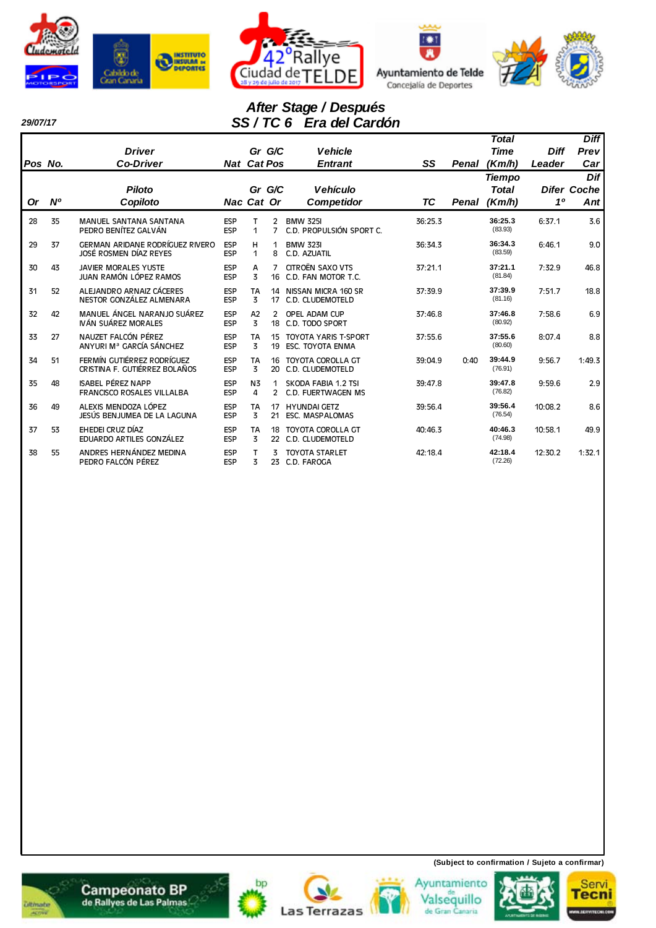







#### *29/07/17*

 $\overline{\phantom{a}}$ 

# *After Stage / Después SS / TC 6 Era del Cardón*

|           |           |                                                               |                          |                             |                     |                                                 |           |       | <b>Total</b>       |                | <b>Diff</b>        |
|-----------|-----------|---------------------------------------------------------------|--------------------------|-----------------------------|---------------------|-------------------------------------------------|-----------|-------|--------------------|----------------|--------------------|
|           |           | <b>Driver</b>                                                 |                          | Gr G/C                      |                     | <b>Vehicle</b>                                  |           |       | <b>Time</b>        | <b>Diff</b>    | Prev               |
| Pos No.   |           | <b>Co-Driver</b>                                              | <b>Nat Cat Pos</b>       |                             |                     | <b>Entrant</b>                                  | SS        | Penal | (Km/h)             | Leader         | Car                |
|           |           | <b>Piloto</b>                                                 |                          |                             |                     | <b>Vehículo</b>                                 |           |       | <b>Tiempo</b>      |                | Dif                |
|           | <b>N°</b> |                                                               |                          | Gr G/C                      |                     |                                                 | <b>TC</b> |       | <b>Total</b>       | 1 <sup>0</sup> | <b>Difer Coche</b> |
| <b>Or</b> |           | Copiloto                                                      | Nac Cat Or               |                             |                     | <b>Competidor</b>                               |           | Penal | (Km/h)             |                | Ant                |
| 28        | 35        | MANUEL SANTANA SANTANA<br>PEDRO BENÍTEZ GALVÁN                | <b>ESP</b><br><b>ESP</b> | т<br>$\mathbf{1}$           | 2<br>7              | <b>BMW 325I</b><br>C.D. PROPULSIÓN SPORT C.     | 36:25.3   |       | 36:25.3<br>(83.93) | 6:37.1         | 3.6                |
| 29        | 37        | GERMAN ARIDANE RODRÍGUEZ RIVERO<br>JOSÉ ROSMEN DÍAZ REYES     | ESP<br>ESP               | н<br>$\mathbf{1}$           | 1<br>8              | <b>BMW 323I</b><br>C.D. AZUATIL                 | 36:34.3   |       | 36:34.3<br>(83.59) | 6:46.1         | 9.0                |
| 30        | 43        | <b>JAVIER MORALES YUSTE</b><br>JUAN RAMÓN LÓPEZ RAMOS         | <b>ESP</b><br>ESP        | A<br>3                      | 7<br>16             | <b>CITROËN SAXO VTS</b><br>C.D. FAN MOTOR T.C.  | 37:21.1   |       | 37:21.1<br>(81.84) | 7:32.9         | 46.8               |
| 31        | 52        | ALEJANDRO ARNAIZ CÁCERES<br>NESTOR GONZÁLEZ ALMENARA          | <b>ESP</b><br><b>ESP</b> | <b>TA</b><br>3              | 14<br>17            | NISSAN MICRA 160 SR<br>C.D. CLUDEMOTELD         | 37:39.9   |       | 37:39.9<br>(81.16) | 7:51.7         | 18.8               |
| 32        | 42        | MANUEL ÁNGEL NARANJO SUÁREZ<br>IVÁN SUÁREZ MORALES            | <b>ESP</b><br><b>ESP</b> | A2<br>$\overline{3}$        | 2<br>18             | OPEL ADAM CUP<br>C.D. TODO SPORT                | 37:46.8   |       | 37:46.8<br>(80.92) | 7:58.6         | 6.9                |
| 33        | 27        | NAUZET FALCÓN PÉREZ<br>ANYURI Mª GARCÍA SÁNCHEZ               | ESP<br><b>ESP</b>        | <b>TA</b><br>3              | 15<br>19            | TOYOTA YARIS T-SPORT<br><b>ESC. TOYOTA ENMA</b> | 37:55.6   |       | 37:55.6<br>(80.60) | 8:07.4         | 8.8                |
| 34        | 51        | FERMÍN GUTIÉRREZ RODRÍGUEZ<br>CRISTINA F. GUTIÉRREZ BOLAÑOS   | <b>ESP</b><br><b>ESP</b> | <b>TA</b><br>3              | 16<br>20            | TOYOTA COROLLA GT<br>C.D. CLUDEMOTELD           | 39:04.9   | 0:40  | 39:44.9<br>(76.91) | 9:56.7         | 1:49.3             |
| 35        | 48        | <b>ISABEL PÉREZ NAPP</b><br><b>FRANCISCO ROSALES VILLALBA</b> | <b>ESP</b><br><b>ESP</b> | N <sub>3</sub><br>4         | 1<br>$\overline{2}$ | SKODA FABIA 1.2 TSI<br>C.D. FUERTWAGEN MS       | 39:47.8   |       | 39:47.8<br>(76.82) | 9:59.6         | 2.9                |
| 36        | 49        | ALEXIS MENDOZA LÓPEZ<br>JESÚS BENJUMEA DE LA LAGUNA           | ESP<br><b>ESP</b>        | <b>TA</b><br>3              | 17<br>21            | <b>HYUNDAI GETZ</b><br>ESC. MASPALOMAS          | 39:56.4   |       | 39:56.4<br>(76.54) | 10:08.2        | 8.6                |
| 37        | 53        | EHEDEI CRUZ DÍAZ<br>EDUARDO ARTILES GONZÁLEZ                  | <b>ESP</b><br>ESP        | <b>TA</b><br>$\overline{3}$ | 18<br>22            | <b>TOYOTA COROLLA GT</b><br>C.D. CLUDEMOTELD    | 40:46.3   |       | 40:46.3<br>(74.98) | 10:58.1        | 49.9               |
| 38        | 55        | ANDRES HERNÁNDEZ MEDINA<br>PEDRO FALCÓN PÉREZ                 | <b>ESP</b><br><b>ESP</b> | т<br>3                      | 3<br>23             | <b>TOYOTA STARLET</b><br>C.D. FAROGA            | 42:18.4   |       | 42:18.4<br>(72.26) | 12:30.2        | 1:32.1             |

















**(Subject to confirmation / Sujeto a confirmar)**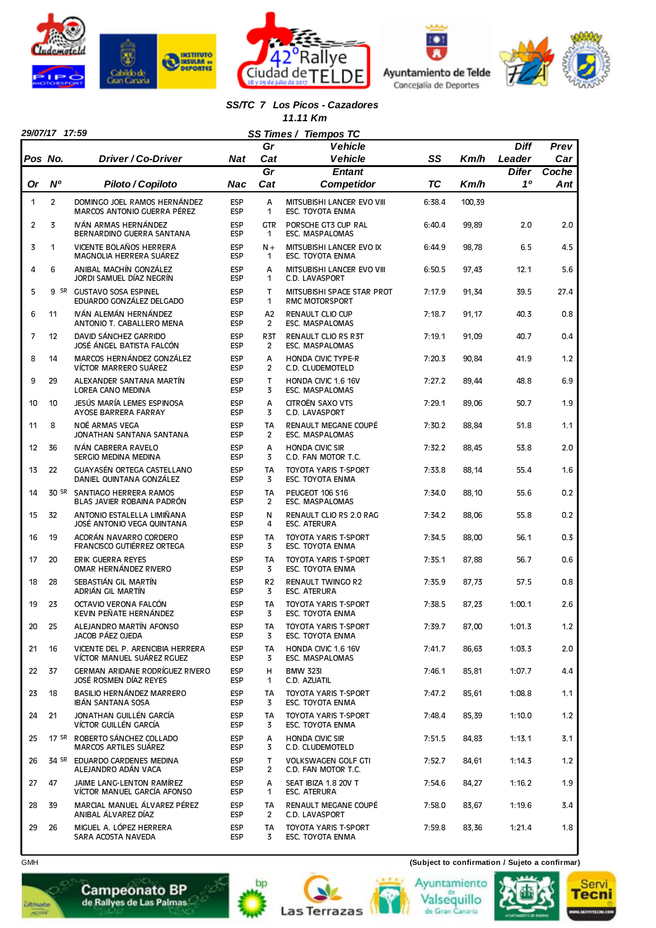







## *SS/TC 7 Los Picos - Cazadores*

 *11.11 Km*

E

|                | 29/07/17 17:59<br>SS Times /<br><b>Tiempos TC</b> |                                                                |                          |                              |                                                       |           |        |              |       |  |  |
|----------------|---------------------------------------------------|----------------------------------------------------------------|--------------------------|------------------------------|-------------------------------------------------------|-----------|--------|--------------|-------|--|--|
|                |                                                   |                                                                |                          | Gr                           | <b>Vehicle</b>                                        |           |        | <b>Diff</b>  | Prev  |  |  |
| Pos No.        |                                                   | Driver / Co-Driver                                             | <b>Nat</b>               | Cat                          | <b>Vehicle</b>                                        | SS        | Km/h   | Leader       | Car   |  |  |
|                |                                                   |                                                                |                          | $\overline{Gr}$              | <b>Entant</b>                                         |           |        | <b>Difer</b> | Coche |  |  |
| <b>Or</b>      | N <sup>o</sup>                                    | Piloto / Copiloto                                              | Nac                      | Cat                          | Competidor                                            | <b>TC</b> | Km/h   | 10           | Ant   |  |  |
| 1              | $\overline{2}$                                    | DOMINGO JOEL RAMOS HERNÁNDEZ<br>MARCOS ANTONIO GUERRA PÉREZ    | <b>ESP</b><br><b>ESP</b> | A<br>$\mathbf{1}$            | MITSUBISHI LANCER EVO VIII<br><b>ESC. TOYOTA ENMA</b> | 6:38.4    | 100,39 |              |       |  |  |
| $\overline{2}$ | 3                                                 | IVÁN ARMAS HERNÁNDEZ<br>BERNARDINO GUERRA SANTANA              | <b>ESP</b><br><b>ESP</b> | <b>GTR</b><br>1              | PORSCHE GT3 CUP RAL<br>ESC. MASPALOMAS                | 6:40.4    | 99,89  | 2.0          | 2.0   |  |  |
| 3              | 1                                                 | VICENTE BOLAÑOS HERRERA<br>MAGNOLIA HERRERA SUÁREZ             | <b>ESP</b><br><b>ESP</b> | $N +$<br>1                   | MITSUBISHI LANCER EVO IX<br>ESC. TOYOTA ENMA          | 6:44.9    | 98,78  | 6.5          | 4.5   |  |  |
| 4              | 6                                                 | ANIBAL MACHÍN GONZÁLEZ<br>JORDI SAMUEL DÍAZ NEGRÍN             | <b>ESP</b><br><b>ESP</b> | A<br>1                       | MITSUBISHI LANCER EVO VIII<br>C.D. LAVASPORT          | 6:50.5    | 97,43  | 12.1         | 5.6   |  |  |
| 5              |                                                   | 9 SR GUSTAVO SOSA ESPINEL<br>EDUARDO GONZÁLEZ DELGADO          | <b>ESP</b><br><b>ESP</b> | $\mathsf{T}$<br>$\mathbf{1}$ | MITSUBISHI SPACE STAR PROT<br><b>RMC MOTORSPORT</b>   | 7:17.9    | 91,34  | 39.5         | 27.4  |  |  |
| 6              | 11                                                | IVÁN ALEMÁN HERNÁNDEZ<br>ANTONIO T. CABALLERO MENA             | <b>ESP</b><br><b>ESP</b> | A <sub>2</sub><br>2          | RENAULT CLIO CUP<br>ESC. MASPALOMAS                   | 7:18.7    | 91,17  | 40.3         | 0.8   |  |  |
| 7              | 12                                                | DAVID SÁNCHEZ GARRIDO<br>JOSÉ ÁNGEL BATISTA FALCÓN             | <b>ESP</b><br><b>ESP</b> | R <sub>3</sub> T<br>2        | RENAULT CLIO RS R3T<br><b>ESC. MASPALOMAS</b>         | 7:19.1    | 91,09  | 40.7         | 0.4   |  |  |
| 8              | 14                                                | MARCOS HERNÁNDEZ GONZÁLEZ<br>VÍCTOR MARRERO SUÁREZ             | <b>ESP</b><br><b>ESP</b> | A<br>2                       | <b>HONDA CIVIC TYPE-R</b><br>C.D. CLUDEMOTELD         | 7:20.3    | 90,84  | 41.9         | 1.2   |  |  |
| 9              | 29                                                | ALEXANDER SANTANA MARTÍN<br><b>LOREA CANO MEDINA</b>           | <b>ESP</b><br><b>ESP</b> | $\mathsf{T}$<br>3            | HONDA CIVIC 1.6 16V<br>ESC. MASPALOMAS                | 7:27.2    | 89,44  | 48.8         | 6.9   |  |  |
| 10             | 10                                                | JESÚS MARÍA LEMES ESPINOSA<br>AYOSE BARRERA FARRAY             | <b>ESP</b><br><b>ESP</b> | A<br>3                       | CITROËN SAXO VTS<br>C.D. LAVASPORT                    | 7:29.1    | 89,06  | 50.7         | 1.9   |  |  |
| 11             | 8                                                 | NOÉ ARMAS VEGA<br>JONATHAN SANTANA SANTANA                     | <b>ESP</b><br><b>ESP</b> | <b>TA</b><br>$\overline{2}$  | RENAULT MEGANE COUPÉ<br>ESC. MASPALOMAS               | 7:30.2    | 88,84  | 51.8         | 1.1   |  |  |
| 12             | 36                                                | IVÁN CABRERA RAVELO<br>SERGIO MEDINA MEDINA                    | <b>ESP</b><br><b>ESP</b> | A<br>3                       | <b>HONDA CIVIC SIR</b><br>C.D. FAN MOTOR T.C.         | 7:32.2    | 88,45  | 53.8         | 2.0   |  |  |
| 13             | 22                                                | GUAYASÉN ORTEGA CASTELLANO<br>DANIEL QUINTANA GONZÁLEZ         | <b>ESP</b><br><b>ESP</b> | <b>TA</b><br>3               | <b>TOYOTA YARIS T-SPORT</b><br>ESC. TOYOTA ENMA       | 7:33.8    | 88,14  | 55.4         | 1.6   |  |  |
| 14             |                                                   | 30 SR SANTIAGO HERRERA RAMOS<br>BLAS JAVIER ROBAINA PADRÓN     | <b>ESP</b><br><b>ESP</b> | <b>TA</b><br>2               | <b>PEUGEOT 106 S16</b><br>ESC. MASPALOMAS             | 7:34.0    | 88,10  | 55.6         | 0.2   |  |  |
| 15             | 32                                                | ANTONIO ESTALELLA LIMIÑANA<br>JOSÉ ANTONIO VEGA QUINTANA       | <b>ESP</b><br><b>ESP</b> | N<br>4                       | RENAULT CLIO RS 2.0 RAG<br><b>ESC. ATERURA</b>        | 7:34.2    | 88,06  | 55.8         | 0.2   |  |  |
| 16             | 19                                                | ACORÁN NAVARRO CORDERO<br>FRANCISCO GUTIÉRREZ ORTEGA           | <b>ESP</b><br><b>ESP</b> | TA<br>3                      | <b>TOYOTA YARIS T-SPORT</b><br>ESC. TOYOTA ENMA       | 7:34.5    | 88,00  | 56.1         | 0.3   |  |  |
| 17             | 20                                                | ERIK GUERRA REYES<br>OMAR HERNÁNDEZ RIVERO                     | <b>ESP</b><br><b>ESP</b> | <b>TA</b><br>3               | <b>TOYOTA YARIS T-SPORT</b><br>ESC. TOYOTA ENMA       | 7:35.1    | 87,88  | 56.7         | 0.6   |  |  |
| 18             | 28                                                | SEBASTIÁN GIL MARTÍN<br>ADRIÁN GIL MARTÍN                      | <b>ESP</b><br><b>ESP</b> | R <sub>2</sub><br>3          | RENAULT TWINGO R2<br><b>ESC. ATERURA</b>              | 7:35.9    | 87,73  | 57.5         | 0.8   |  |  |
| 19             | 23                                                | OCTAVIO VERONA FALCÓN<br>KEVIN PEÑATE HERNÁNDEZ                | <b>ESP</b><br><b>ESP</b> | <b>TA</b><br>3               | <b>TOYOTA YARIS T-SPORT</b><br>ESC. TOYOTA ENMA       | 7:38.5    | 87,23  | 1:00.1       | 2.6   |  |  |
| 20             | 25                                                | ALEJANDRO MARTÍN AFONSO<br>JACOB PÁEZ OJEDA                    | <b>ESP</b><br><b>ESP</b> | ТA<br>3                      | TOYOTA YARIS T-SPORT<br>ESC. TOYOTA ENMA              | 7:39.7    | 87,00  | 1:01.3       | 1.2   |  |  |
| 21             | 16                                                | VICENTE DEL P. ARENCIBIA HERRERA<br>VÍCTOR MANUEL SUÁREZ RGUEZ | <b>ESP</b><br><b>ESP</b> | TA<br>3                      | HONDA CIVIC 1.6 16V<br>ESC. MASPALOMAS                | 7:41.7    | 86,63  | 1:03.3       | 2.0   |  |  |
| 22             | 37                                                | GERMAN ARIDANE RODRÍGUEZ RIVERO<br>JOSÉ ROSMEN DÍAZ REYES      | <b>ESP</b><br><b>ESP</b> | н<br>1                       | <b>BMW 323I</b><br>C.D. AZUATIL                       | 7:46.1    | 85,81  | 1:07.7       | 4.4   |  |  |
| 23             | 18                                                | BASILIO HERNÁNDEZ MARRERO<br><b>IBÁN SANTANA SOSA</b>          | <b>ESP</b><br><b>ESP</b> | TA<br>3                      | <b>TOYOTA YARIS T-SPORT</b><br>ESC. TOYOTA ENMA       | 7:47.2    | 85,61  | 1:08.8       | 1.1   |  |  |
| 24             | 21                                                | JONATHAN GUILLÉN GARCÍA<br>VÍCTOR GUILLÉN GARCÍA               | <b>ESP</b><br><b>ESP</b> | TA<br>3                      | <b>TOYOTA YARIS T-SPORT</b><br>ESC. TOYOTA ENMA       | 7:48.4    | 85,39  | 1:10.0       | 1.2   |  |  |
| 25             |                                                   | 17 SR ROBERTO SÁNCHEZ COLLADO<br>MARCOS ARTILES SUÁREZ         | <b>ESP</b><br><b>ESP</b> | А<br>3                       | <b>HONDA CIVIC SIR</b><br>C.D. CLUDEMOTELD            | 7:51.5    | 84,83  | 1:13.1       | 3.1   |  |  |
| 26             |                                                   | 34 SR EDUARDO CARDENES MEDINA<br>ALEJANDRO ADÁN VACA           | <b>ESP</b><br><b>ESP</b> | T<br>2                       | <b>VOLKSWAGEN GOLF GTI</b><br>C.D. FAN MOTOR T.C.     | 7:52.7    | 84,61  | 1:14.3       | 1.2   |  |  |
| 27             | 47                                                | JAIME LANG-LENTON RAMÍREZ<br>VÍCTOR MANUEL GARCÍA AFONSO       | <b>ESP</b><br><b>ESP</b> | A<br>1                       | SEAT IBIZA 1.8 20V T<br>ESC. ATERURA                  | 7:54.6    | 84,27  | 1:16.2       | 1.9   |  |  |
| 28             | 39                                                | MARCIAL MANUEL ÁLVAREZ PÉREZ<br>ANIBAL ÁLVAREZ DÍAZ            | <b>ESP</b><br><b>ESP</b> | TA<br>2                      | RENAULT MEGANE COUPÉ<br>C.D. LAVASPORT                | 7:58.0    | 83,67  | 1:19.6       | 3.4   |  |  |
| 29             | 26                                                | MIGUEL A. LÓPEZ HERRERA<br>SARA ACOSTA NAVEDA                  | <b>ESP</b><br><b>ESP</b> | TA<br>3                      | TOYOTA YARIS T-SPORT<br>ESC. TOYOTA ENMA              | 7:59.8    | 83,36  | 1:21.4       | 1.8   |  |  |



**Ditmate** 

 $\overline{\phantom{a}}$ 









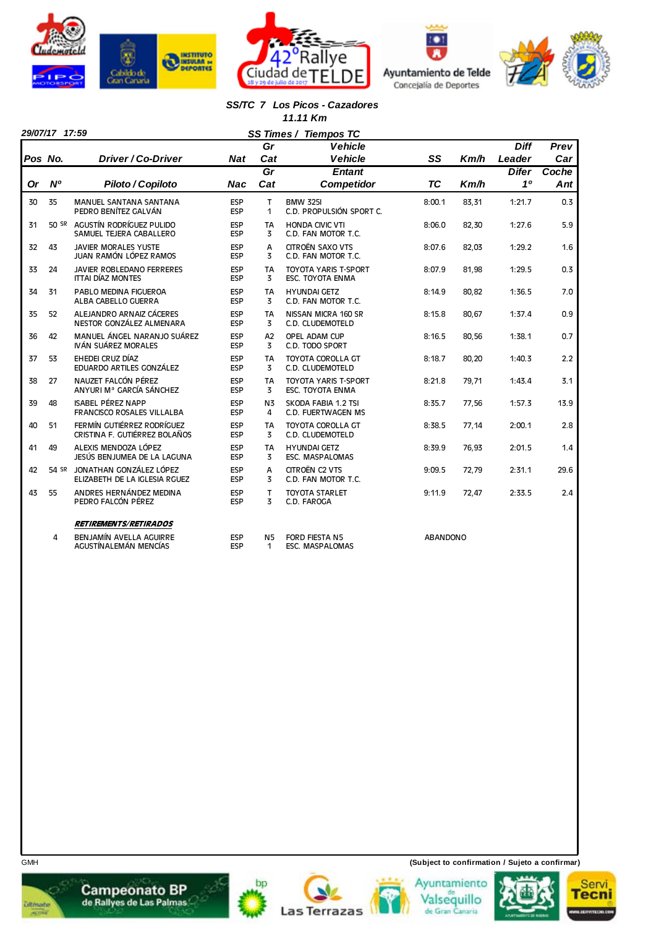







#### *SS/TC 7 Los Picos - Cazadores 11.11 Km*

ve

F

|           | 29/07/17 17:59 |                                                               |                   |                     | SS Times / Tiempos TC                                  |                  |       |              |       |
|-----------|----------------|---------------------------------------------------------------|-------------------|---------------------|--------------------------------------------------------|------------------|-------|--------------|-------|
|           |                |                                                               |                   | Gr                  | <b>Vehicle</b>                                         |                  |       | <b>Diff</b>  | Prev  |
| Pos No.   |                | Driver / Co-Driver                                            | <b>Nat</b>        | Cat                 | <b>Vehicle</b>                                         | SS               | Km/h  | Leader       | Car   |
|           |                |                                                               |                   | Gr                  | <b>Entant</b>                                          |                  |       | <b>Difer</b> | Coche |
| <b>Or</b> | N <sup>o</sup> | Piloto / Copiloto                                             | Nac               | Cat                 | <b>Competidor</b>                                      | <b>TC</b>        | Km/h  | 10           | Ant   |
| 30        | 35             | <b>MANUEL SANTANA SANTANA</b><br>PEDRO BENÍTEZ GALVÁN         | ESP<br>ESP        | T<br>1              | <b>BMW 325I</b><br>C.D. PROPULSIÓN SPORT C.            | 8:00.1           | 83,31 | 1:21.7       | 0.3   |
| 31        |                | 50 SR AGUSTÍN RODRÍGUEZ PULIDO<br>SAMUEL TEJERA CABALLERO     | ESP<br><b>ESP</b> | <b>TA</b><br>3      | <b>HONDA CIVIC VTI</b><br>C.D. FAN MOTOR T.C.          | 8:06.0           | 82,30 | 1:27.6       | 5.9   |
| 32        | 43             | <b>JAVIER MORALES YUSTE</b><br>JUAN RAMÓN LÓPEZ RAMOS         | ESP<br>ESP        | A<br>3              | CITROËN SAXO VTS<br>C.D. FAN MOTOR T.C.                | 8:07.6           | 82.03 | 1:29.2       | 1.6   |
| 33        | 24             | JAVIER ROBLEDANO FERRERES<br><b>ITTAI DÍAZ MONTES</b>         | ESP<br>ESP        | <b>TA</b><br>3      | <b>TOYOTA YARIS T-SPORT</b><br><b>ESC. TOYOTA ENMA</b> | 8:07.9           | 81,98 | 1:29.5       | 0.3   |
| 34        | 31             | PABLO MEDINA FIGUEROA<br>ALBA CABELLO GUERRA                  | ESP<br>ESP        | <b>TA</b><br>3      | <b>HYUNDAI GETZ</b><br>C.D. FAN MOTOR T.C.             | 8:14.9           | 80.82 | 1:36.5       | 7.0   |
| 35        | 52             | ALEJANDRO ARNAIZ CÁCERES<br>NESTOR GONZÁLEZ ALMENARA          | <b>ESP</b><br>ESP | <b>TA</b><br>3      | NISSAN MICRA 160 SR<br>C.D. CLUDEMOTELD                | 8:15.8           | 80,67 | 1:37.4       | 0.9   |
| 36        | 42             | MANUEL ÁNGEL NARANJO SUÁREZ<br>IVÁN SUÁREZ MORALES            | <b>ESP</b><br>ESP | A2<br>3             | OPEL ADAM CUP<br>C.D. TODO SPORT                       | 8:16.5           | 80.56 | 1:38.1       | 0.7   |
| 37        | 53             | EHEDEI CRUZ DÍAZ<br>EDUARDO ARTILES GONZÁLEZ                  | ESP<br>ESP        | <b>TA</b><br>3      | <b>TOYOTA COROLLA GT</b><br>C.D. CLUDEMOTELD           | 8:18.7           | 80,20 | 1:40.3       | 2.2   |
| 38        | 27             | NAUZET FALCÓN PÉREZ<br>ANYURI Mª GARCÍA SÁNCHEZ               | ESP<br>ESP        | <b>TA</b><br>3      | <b>TOYOTA YARIS T-SPORT</b><br>ESC. TOYOTA ENMA        | 8:21.8           | 79.71 | 1:43.4       | 3.1   |
| 39        | 48             | <b>ISABEL PÉREZ NAPP</b><br><b>FRANCISCO ROSALES VILLALBA</b> | ESP<br>ESP        | N <sub>3</sub><br>4 | SKODA FABIA 1.2 TSI<br>C.D. FUERTWAGEN MS              | 8:35.7           | 77,56 | 1:57.3       | 13.9  |
| 40        | 51             | FERMÍN GUTIÉRREZ RODRÍGUEZ<br>CRISTINA F. GUTIÉRREZ BOLAÑOS   | ESP<br><b>ESP</b> | <b>TA</b><br>3      | <b>TOYOTA COROLLA GT</b><br>C.D. CLUDEMOTELD           | 8:38.5           | 77,14 | 2:00.1       | 2.8   |
| 41        | 49             | ALEXIS MENDOZA LÓPEZ<br>JESÚS BENJUMEA DE LA LAGUNA           | ESP<br>ESP        | TA<br>3             | <b>HYUNDAI GETZ</b><br><b>ESC. MASPALOMAS</b>          | 8:39.9           | 76,93 | 2:01.5       | 1.4   |
| 42        | 54 SR          | JONATHAN GONZÁLEZ LÓPEZ<br>ELIZABETH DE LA IGLESIA RGUEZ      | ESP<br>ESP        | A<br>3              | CITROËN C2 VTS<br>C.D. FAN MOTOR T.C.                  | 9:09.5           | 72,79 | 2:31.1       | 29.6  |
| 43        | 55             | ANDRES HERNÁNDEZ MEDINA<br>PEDRO FALCÓN PÉREZ                 | ESP<br>ESP        | T<br>3              | <b>TOYOTA STARLET</b><br>C.D. FAROGA                   | 9:11.9           | 72,47 | 2:33.5       | 2.4   |
|           |                | <b>RETIREMENTS/RETIRADOS</b>                                  |                   |                     |                                                        |                  |       |              |       |
|           |                | <b>DENUAMÁLAVELLA ACURDE</b>                                  | <b>CCD</b>        |                     | NE FORD FIFETA NE                                      | <b>ADANDONIO</b> |       |              |       |















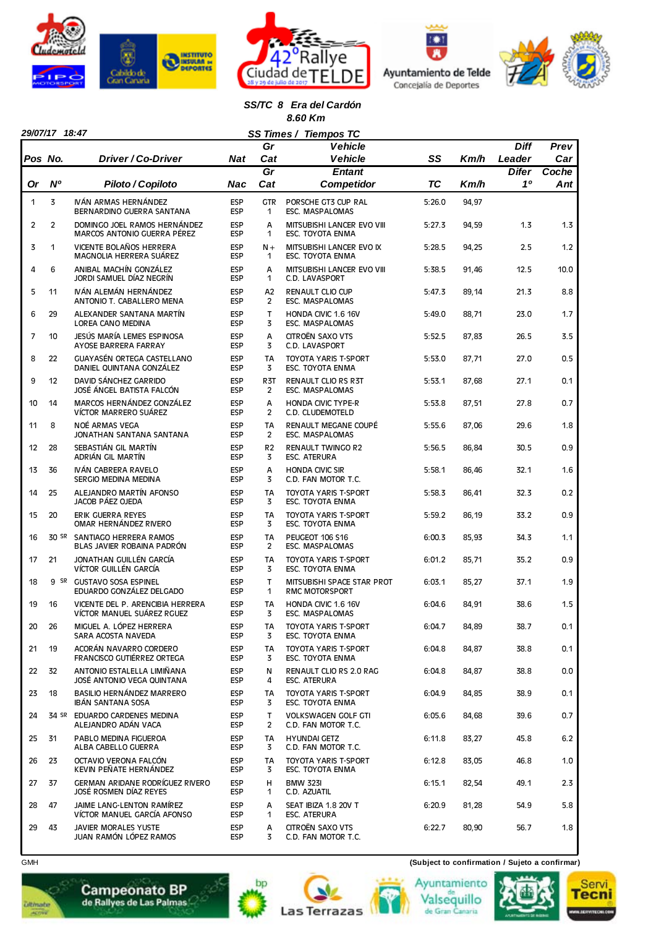







#### *SS/TC 8 Era del Cardón 8.60 Km*

|         | 29/07/17 18:47<br>SS Times / Tiempos TC |                                                                |                          |                                  |                                                      |           |       |              |       |  |  |
|---------|-----------------------------------------|----------------------------------------------------------------|--------------------------|----------------------------------|------------------------------------------------------|-----------|-------|--------------|-------|--|--|
|         |                                         |                                                                |                          | Gr                               | <b>Vehicle</b>                                       |           |       | <b>Diff</b>  | Prev  |  |  |
| Pos No. |                                         | Driver / Co-Driver                                             | Nat                      | Cat                              | <b>Vehicle</b>                                       | SS        | Km/h  | Leader       | Car   |  |  |
|         |                                         |                                                                |                          | Gr                               | <b>Entant</b>                                        |           |       | <b>Difer</b> | Coche |  |  |
| 0r      | N°                                      | Piloto / Copiloto                                              | Nac                      | Cat                              | <b>Competidor</b>                                    | <b>TC</b> | Km/h  | 10           | Ant   |  |  |
| 1       | 3                                       | IVÁN ARMAS HERNÁNDEZ<br>BERNARDINO GUERRA SANTANA              | <b>ESP</b><br><b>ESP</b> | <b>GTR</b><br>1                  | PORSCHE GT3 CUP RAL<br>ESC. MASPALOMAS               | 5:26.0    | 94,97 |              |       |  |  |
| 2       | $\overline{2}$                          | DOMINGO JOEL RAMOS HERNÁNDEZ<br>MARCOS ANTONIO GUERRA PÉREZ    | <b>ESP</b><br><b>ESP</b> | A<br>1                           | MITSUBISHI LANCER EVO VIII<br>ESC. TOYOTA ENMA       | 5:27.3    | 94,59 | 1.3          | 1.3   |  |  |
| 3       | 1                                       | <b>VICENTE BOLAÑOS HERRERA</b><br>MAGNOLIA HERRERA SUÁREZ      | <b>ESP</b><br><b>ESP</b> | $N +$<br>1                       | MITSUBISHI LANCER EVO IX<br>ESC. TOYOTA ENMA         | 5:28.5    | 94,25 | 2.5          | 1.2   |  |  |
| 4       | 6                                       | ANIBAL MACHÍN GONZÁLEZ<br>JORDI SAMUEL DÍAZ NEGRÍN             | <b>ESP</b><br><b>ESP</b> | А<br>1                           | MITSUBISHI LANCER EVO VIII<br>C.D. LAVASPORT         | 5:38.5    | 91,46 | 12.5         | 10.0  |  |  |
| 5       | 11                                      | IVÁN ALEMÁN HERNÁNDEZ<br>ANTONIO T. CABALLERO MENA             | <b>ESP</b><br><b>ESP</b> | A <sub>2</sub><br>$\overline{2}$ | <b>RENAULT CLIO CUP</b><br><b>ESC. MASPALOMAS</b>    | 5:47.3    | 89,14 | 21.3         | 8.8   |  |  |
| 6       | 29                                      | ALEXANDER SANTANA MARTÍN<br>LOREA CANO MEDINA                  | <b>ESP</b><br><b>ESP</b> | $\mathsf{T}$<br>3                | HONDA CIVIC 1.6 16V<br>ESC. MASPALOMAS               | 5:49.0    | 88,71 | 23.0         | 1.7   |  |  |
| 7       | 10                                      | JESÚS MARÍA LEMES ESPINOSA<br>AYOSE BARRERA FARRAY             | <b>ESP</b><br><b>ESP</b> | A<br>3                           | CITROËN SAXO VTS<br>C.D. LAVASPORT                   | 5:52.5    | 87,83 | 26.5         | 3.5   |  |  |
| 8       | 22                                      | GUAYASÉN ORTEGA CASTELLANO<br>DANIEL QUINTANA GONZÁLEZ         | <b>ESP</b><br><b>ESP</b> | <b>TA</b><br>3                   | <b>TOYOTA YARIS T-SPORT</b><br>ESC. TOYOTA ENMA      | 5:53.0    | 87,71 | 27.0         | 0.5   |  |  |
| 9       | 12                                      | DAVID SÁNCHEZ GARRIDO<br>JOSÉ ÁNGEL BATISTA FALCÓN             | <b>ESP</b><br><b>ESP</b> | R <sub>3</sub> T<br>2            | <b>RENAULT CLIO RS R3T</b><br><b>ESC. MASPALOMAS</b> | 5:53.1    | 87,68 | 27.1         | 0.1   |  |  |
| 10      | 14                                      | MARCOS HERNÁNDEZ GONZÁLEZ<br>VÍCTOR MARRERO SUÁREZ             | <b>ESP</b><br><b>ESP</b> | А<br>2                           | <b>HONDA CIVIC TYPE-R</b><br>C.D. CLUDEMOTELD        | 5:53.8    | 87,51 | 27.8         | 0.7   |  |  |
| 11      | 8                                       | NOÉ ARMAS VEGA<br>JONATHAN SANTANA SANTANA                     | <b>ESP</b><br><b>ESP</b> | <b>TA</b><br>$\overline{2}$      | RENAULT MEGANE COUPÉ<br>ESC. MASPALOMAS              | 5:55.6    | 87,06 | 29.6         | 1.8   |  |  |
| 12      | 28                                      | SEBASTIÁN GIL MARTÍN<br>ADRIÁN GIL MARTÍN                      | <b>ESP</b><br><b>ESP</b> | R <sub>2</sub><br>3              | <b>RENAULT TWINGO R2</b><br><b>ESC. ATERURA</b>      | 5:56.5    | 86,84 | 30.5         | 0.9   |  |  |
| 13      | 36                                      | IVÁN CABRERA RAVELO<br>SERGIO MEDINA MEDINA                    | <b>ESP</b><br><b>ESP</b> | A<br>3                           | <b>HONDA CIVIC SIR</b><br>C.D. FAN MOTOR T.C.        | 5:58.1    | 86,46 | 32.1         | 1.6   |  |  |
| 14      | 25                                      | ALEJANDRO MARTÍN AFONSO<br>JACOB PÁEZ OJEDA                    | <b>ESP</b><br><b>ESP</b> | <b>TA</b><br>3                   | TOYOTA YARIS T-SPORT<br>ESC. TOYOTA ENMA             | 5:58.3    | 86,41 | 32.3         | 0.2   |  |  |
| 15      | 20                                      | <b>ERIK GUERRA REYES</b><br>OMAR HERNÁNDEZ RIVERO              | <b>ESP</b><br><b>ESP</b> | <b>TA</b><br>3                   | <b>TOYOTA YARIS T-SPORT</b><br>ESC. TOYOTA ENMA      | 5:59.2    | 86,19 | 33.2         | 0.9   |  |  |
| 16      |                                         | 30 SR SANTIAGO HERRERA RAMOS<br>BLAS JAVIER ROBAINA PADRÓN     | <b>ESP</b><br><b>ESP</b> | <b>TA</b><br>$\overline{2}$      | PEUGEOT 106 S16<br>ESC. MASPALOMAS                   | 6:00.3    | 85,93 | 34.3         | 1.1   |  |  |
| 17      | 21                                      | JONATHAN GUILLÉN GARCÍA<br>VÍCTOR GUILLÉN GARCÍA               | <b>ESP</b><br><b>ESP</b> | <b>TA</b><br>3                   | <b>TOYOTA YARIS T-SPORT</b><br>ESC. TOYOTA ENMA      | 6:01.2    | 85,71 | 35.2         | 0.9   |  |  |
| 18      |                                         | 9 SR GUSTAVO SOSA ESPINEL<br>EDUARDO GONZÁLEZ DELGADO          | <b>ESP</b><br><b>ESP</b> | $\mathsf{T}$<br>1                | MITSUBISHI SPACE STAR PROT<br><b>RMC MOTORSPORT</b>  | 6:03.1    | 85,27 | 37.1         | 1.9   |  |  |
| 19      | 16                                      | VICENTE DEL P. ARENCIBIA HERRERA<br>VÍCTOR MANUEL SUÁREZ RGUEZ | <b>ESP</b><br><b>ESP</b> | <b>TA</b><br>3                   | HONDA CIVIC 1.6 16V<br>ESC. MASPALOMAS               | 6:04.6    | 84,91 | 38.6         | 1.5   |  |  |
| 20      | 26                                      | MIGUEL A. LÓPEZ HERRERA<br>SARA ACOSTA NAVEDA                  | ESP<br><b>ESP</b>        | TA<br>3                          | TOYOTA YARIS T-SPORT<br>ESC. TOYOTA ENMA             | 6:04.7    | 84,89 | 38.7         | 0.1   |  |  |
| 21      | 19                                      | ACORÁN NAVARRO CORDERO<br>FRANCISCO GUTIÉRREZ ORTEGA           | <b>ESP</b><br><b>ESP</b> | TA<br>3                          | TOYOTA YARIS T-SPORT<br>ESC. TOYOTA ENMA             | 6:04.8    | 84,87 | 38.8         | 0.1   |  |  |
| 22      | 32                                      | ANTONIO ESTALELLA LIMIÑANA<br>JOSÉ ANTONIO VEGA QUINTANA       | <b>ESP</b><br><b>ESP</b> | N<br>4                           | RENAULT CLIO RS 2.0 RAG<br>ESC. ATERURA              | 6:04.8    | 84,87 | 38.8         | 0.0   |  |  |
| 23      | 18                                      | BASILIO HERNÁNDEZ MARRERO<br>IBÁN SANTANA SOSA                 | <b>ESP</b><br><b>ESP</b> | TA<br>3                          | TOYOTA YARIS T-SPORT<br>ESC. TOYOTA ENMA             | 6:04.9    | 84,85 | 38.9         | 0.1   |  |  |
| 24      |                                         | 34 SR EDUARDO CARDENES MEDINA<br>ALEJANDRO ADÁN VACA           | <b>ESP</b><br><b>ESP</b> | T.<br>$\overline{2}$             | <b>VOLKSWAGEN GOLF GTI</b><br>C.D. FAN MOTOR T.C.    | 6:05.6    | 84,68 | 39.6         | 0.7   |  |  |
| 25      | 31                                      | PABLO MEDINA FIGUEROA<br>ALBA CABELLO GUERRA                   | <b>ESP</b><br><b>ESP</b> | TA<br>3                          | <b>HYUNDAI GETZ</b><br>C.D. FAN MOTOR T.C.           | 6:11.8    | 83,27 | 45.8         | 6.2   |  |  |
| 26      | 23                                      | OCTAVIO VERONA FALCÓN<br>KEVIN PEÑATE HERNÁNDEZ                | <b>ESP</b><br>ESP        | TA<br>3                          | TOYOTA YARIS T-SPORT<br>ESC. TOYOTA ENMA             | 6:12.8    | 83,05 | 46.8         | 1.0   |  |  |
| 27      | 37                                      | GERMAN ARIDANE RODRÍGUEZ RIVERO<br>JOSÉ ROSMEN DÍAZ REYES      | <b>ESP</b><br>ESP        | н<br>1                           | <b>BMW 323I</b><br>C.D. AZUATIL                      | 6:15.1    | 82,54 | 49.1         | 2.3   |  |  |
| 28      | 47                                      | JAIME LANG-LENTON RAMÍREZ<br>VÍCTOR MANUEL GARCÍA AFONSO       | <b>ESP</b><br><b>ESP</b> | Α<br>1                           | SEAT IBIZA 1.8 20V T<br>ESC. ATERURA                 | 6:20.9    | 81,28 | 54.9         | 5.8   |  |  |
| 29      | 43                                      | JAVIER MORALES YUSTE<br>JUAN RAMÓN LÓPEZ RAMOS                 | <b>ESP</b><br><b>ESP</b> | А<br>3                           | CITROËN SAXO VTS<br>C.D. FAN MOTOR T.C.              | 6:22.7    | 80,90 | 56.7         | 1.8   |  |  |

GMH **(Subject to confirmation / Sujeto a confirmar)**









**Ditmate** 

 $\overline{\phantom{a}}$ 



bp



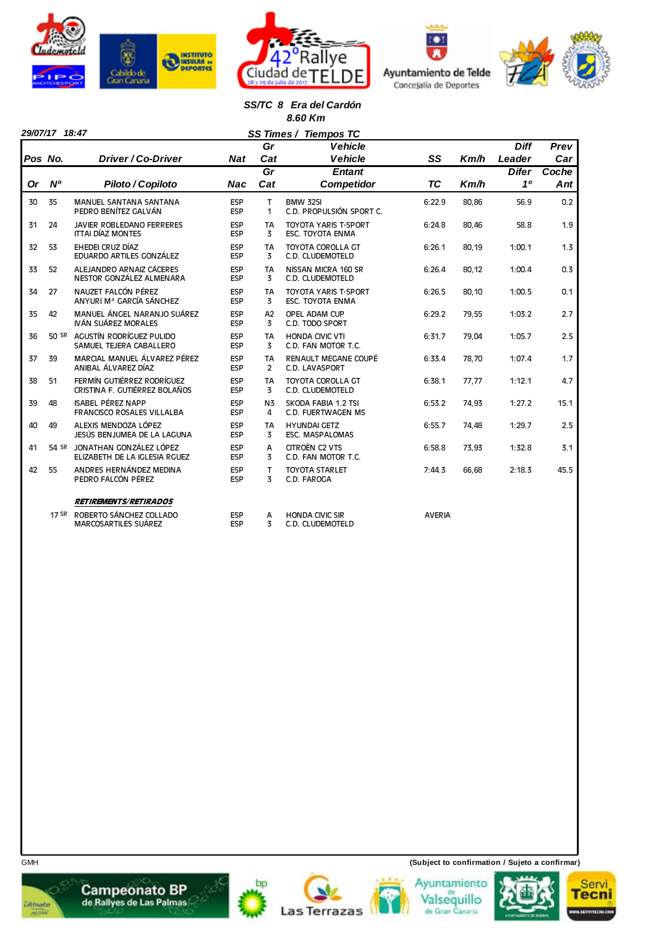







#### *SS/TC 8 Era del Cardón 8.60 Km*

|           | 29/07/17 18:47 |                                                                |                          | SS Times /                  | <b>Tiempos TC</b>                                      |               |       |              |       |
|-----------|----------------|----------------------------------------------------------------|--------------------------|-----------------------------|--------------------------------------------------------|---------------|-------|--------------|-------|
|           |                |                                                                |                          | Gr                          | <b>Vehicle</b>                                         |               |       | <b>Diff</b>  | Prev  |
| Pos No.   |                | Driver / Co-Driver                                             | <b>Nat</b>               | Cat                         | <b>Vehicle</b>                                         | SS            | Km/h  | Leader       | Car   |
|           |                |                                                                |                          | Gr                          | <b>Entant</b>                                          |               |       | <b>Difer</b> | Coche |
| <b>Or</b> | N <sup>o</sup> | Piloto / Copiloto                                              | <b>Nac</b>               | Cat                         | <b>Competidor</b>                                      | TC            | Km/h  | 10           | Ant   |
| 30        | 35             | <b>MANUEL SANTANA SANTANA</b><br>PEDRO BENÍTEZ GALVÁN          | ESP<br><b>ESP</b>        | T.<br>1                     | <b>BMW 325I</b><br>C.D. PROPULSIÓN SPORT C.            | 6:22.9        | 80,86 | 56.9         | 0.2   |
| 31        | 24             | <b>JAVIER ROBLEDANO FERRERES</b><br><b>ITTAI DÍAZ MONTES</b>   | <b>ESP</b><br>ESP        | TA<br>3                     | <b>TOYOTA YARIS T-SPORT</b><br><b>ESC. TOYOTA ENMA</b> | 6:24.8        | 80.46 | 58.8         | 1.9   |
| 32        | 53             | EHEDEI CRUZ DÍAZ<br>EDUARDO ARTILES GONZÁLEZ                   | <b>ESP</b><br>ESP        | <b>TA</b><br>3              | TOYOTA COROLLA GT<br>C.D. CLUDEMOTELD                  | 6:26.1        | 80,19 | 1:00.1       | 1.3   |
| 33        | 52             | ALEJANDRO ARNAIZ CÁCERES<br>NESTOR GONZÁLEZ ALMENARA           | <b>ESP</b><br><b>ESP</b> | <b>TA</b><br>3              | NISSAN MICRA 160 SR<br>C.D. CLUDEMOTELD                | 6:26.4        | 80,12 | 1:00.4       | 0.3   |
| 34        | 27             | NAUZET FALCÓN PÉREZ<br>ANYURI Mª GARCÍA SÁNCHEZ                | <b>ESP</b><br><b>ESP</b> | <b>TA</b><br>3              | <b>TOYOTA YARIS T-SPORT</b><br>ESC. TOYOTA ENMA        | 6:26.5        | 80,10 | 1:00.5       | 0.1   |
| 35        | 42             | MANUEL ÁNGEL NARANJO SUÁREZ<br>IVÁN SUÁREZ MORALES             | ESP<br><b>ESP</b>        | A2<br>3                     | OPEL ADAM CUP<br>C.D. TODO SPORT                       | 6:29.2        | 79,55 | 1:03.2       | 2.7   |
| 36        |                | 50 SR AGUSTÍN RODRÍGUEZ PULIDO<br>SAMUEL TEJERA CABALLERO      | ESP<br><b>ESP</b>        | TA<br>3                     | <b>HONDA CIVIC VTI</b><br>C.D. FAN MOTOR T.C.          | 6:31.7        | 79,04 | 1:05.7       | 2.5   |
| 37        | 39             | MARCIAL MANUEL ÁLVAREZ PÉREZ<br>ANIBAL ÁLVAREZ DÍAZ            | <b>ESP</b><br>ESP        | <b>TA</b><br>$\overline{2}$ | RENAULT MEGANE COUPÉ<br>C.D. LAVASPORT                 | 6:33.4        | 78,70 | 1:07.4       | 1.7   |
| 38        | 51             | FERMÍN GUTIÉRREZ RODRÍGUEZ<br>CRISTINA F. GUTIÉRREZ BOLAÑOS    | <b>ESP</b><br><b>ESP</b> | <b>TA</b><br>3              | <b>TOYOTA COROLLA GT</b><br>C.D. CLUDEMOTELD           | 6:38.1        | 77,77 | 1:12.1       | 4.7   |
| 39        | 48             | <b>ISABEL PÉREZ NAPP</b><br><b>FRANCISCO ROSALES VILLALBA</b>  | <b>ESP</b><br><b>ESP</b> | N <sub>3</sub><br>4         | SKODA FABIA 1.2 TSI<br>C.D. FUERTWAGEN MS              | 6:53.2        | 74,93 | 1:27.2       | 15.1  |
| 40        | 49             | ALEXIS MENDOZA LÓPEZ<br>JESÚS BENJUMEA DE LA LAGUNA            | <b>ESP</b><br><b>ESP</b> | TA<br>3                     | <b>HYUNDAI GETZ</b><br><b>ESC. MASPALOMAS</b>          | 6:55.7        | 74,48 | 1:29.7       | 2.5   |
| 41        |                | 54 SR JONATHAN GONZÁLEZ LÓPEZ<br>ELIZABETH DE LA IGLESIA RGUEZ | <b>ESP</b><br><b>ESP</b> | A<br>3                      | CITROËN C2 VTS<br>C.D. FAN MOTOR T.C.                  | 6:58.8        | 73,93 | 1:32.8       | 3.1   |
| 42        | 55             | ANDRES HERNÁNDEZ MEDINA<br>PEDRO FALCÓN PÉREZ                  | <b>ESP</b><br>ESP        | T<br>3                      | <b>TOYOTA STARLET</b><br>C.D. FAROGA                   | 7:44.3        | 66,68 | 2:18.3       | 45.5  |
|           |                | <b>RETIREMENTS/RETIRADOS</b>                                   |                          |                             |                                                        |               |       |              |       |
|           |                | 17 SR ROBERTO SÁNCHEZ COLLADO<br><b>MARCOSARTILES SUÁREZ</b>   | <b>ESP</b><br>ESP        | A<br>3                      | <b>HONDA CIVIC SIR</b><br>C.D. CLUDEMOTELD             | <b>AVERIA</b> |       |              |       |



**Campeonato BP**<br>de Rallyes de Las Palmas **Ditmate** 















GMH **(Subject to confirmation / Sujeto a confirmar)**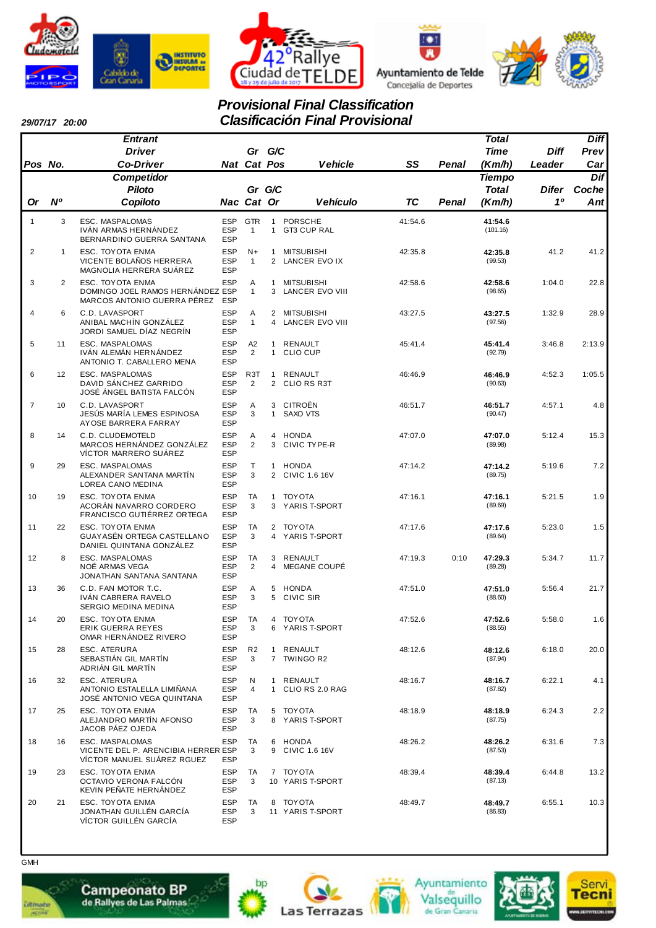







# *Provisional Final Classification Clasificación Final Provisional*

| 29/07/17 20:00 |  |
|----------------|--|
|                |  |

|                |                | <b>Entrant</b>                                                                       |                                        |                            |                              |                                             |           |       | <b>Total</b>        |              | <b>Diff</b> |
|----------------|----------------|--------------------------------------------------------------------------------------|----------------------------------------|----------------------------|------------------------------|---------------------------------------------|-----------|-------|---------------------|--------------|-------------|
|                |                | <b>Driver</b>                                                                        |                                        | Gr G/C                     |                              |                                             |           |       | Time                | <b>Diff</b>  | Prev        |
| Pos No.        |                | <b>Co-Driver</b>                                                                     |                                        | Nat Cat Pos                |                              | <b>Vehicle</b>                              | SS        | Penal | (Km/h)              | Leader       | Car         |
|                |                | Competidor                                                                           |                                        |                            |                              |                                             |           |       | <b>Tiempo</b>       |              | Dif         |
|                |                | <b>Piloto</b>                                                                        |                                        | Gr G/C                     |                              |                                             |           |       | Total               | <b>Difer</b> | Coche       |
| <b>Or</b>      | N <sup>o</sup> | Copiloto                                                                             |                                        | Nac Cat Or                 |                              | <b>Vehículo</b>                             | <b>TC</b> | Penal | (Km/h)              | 10           | Ant         |
| $\mathbf{1}$   | 3              | ESC. MASPALOMAS<br>IVÁN ARMAS HERNÁNDEZ<br>BERNARDINO GUERRA SANTANA                 | <b>ESP</b><br><b>ESP</b><br><b>ESP</b> | <b>GTR</b><br>$\mathbf{1}$ | $\mathbf{1}$<br>$\mathbf{1}$ | <b>PORSCHE</b><br><b>GT3 CUP RAL</b>        | 41:54.6   |       | 41:54.6<br>(101.16) |              |             |
| $\overline{2}$ | $\mathbf{1}$   | ESC. TOYOTA ENMA<br>VICENTE BOLAÑOS HERRERA<br>MAGNOLIA HERRERA SUAREZ               | <b>ESP</b><br><b>ESP</b><br><b>ESP</b> | $N+$<br>$\mathbf{1}$       | $\mathbf{1}$                 | <b>MITSUBISHI</b><br>2 LANCER EVO IX        | 42:35.8   |       | 42:35.8<br>(99.53)  | 41.2         | 41.2        |
| 3              | $\overline{2}$ | ESC. TOYOTA ENMA<br>DOMINGO JOEL RAMOS HERNÁNDEZ ESP<br>MARCOS ANTONIO GUERRA PÉREZ  | ESP<br><b>ESP</b>                      | Α<br>$\mathbf{1}$          | 1<br>3                       | <b>MITSUBISHI</b><br><b>LANCER EVO VIII</b> | 42:58.6   |       | 42:58.6<br>(98.65)  | 1:04.0       | 22.8        |
| 4              | 6              | C.D. LAVASPORT<br>ANIBAL MACHÍN GONZÁLEZ<br>JORDI SAMUEL DÍAZ NEGRÍN                 | <b>ESP</b><br><b>ESP</b><br><b>ESP</b> | Α<br>$\mathbf{1}$          | 4                            | 2 MITSUBISHI<br>LANCER EVO VIII             | 43:27.5   |       | 43:27.5<br>(97.56)  | 1:32.9       | 28.9        |
| 5              | 11             | ESC. MASPALOMAS<br>IVÁN ALEMÁN HERNÁNDEZ<br>ANTONIO T. CABALLERO MENA                | <b>ESP</b><br><b>ESP</b><br><b>ESP</b> | A2<br>2                    | $\mathbf{1}$                 | RENAULT<br>1 CLIO CUP                       | 45:41.4   |       | 45:41.4<br>(92.79)  | 3:46.8       | 2:13.9      |
| 6              | 12             | ESC. MASPALOMAS<br>DAVID SÁNCHEZ GARRIDO<br>JOSÉ ÁNGEL BATISTA FALCÓN                | <b>ESP</b><br><b>ESP</b><br><b>ESP</b> | R <sub>3</sub> T<br>2      | $\mathbf{1}$                 | RENAULT<br>2 CLIO RS R3T                    | 46:46.9   |       | 46:46.9<br>(90.63)  | 4:52.3       | 1:05.5      |
| $\overline{7}$ | 10             | C.D. LAVASPORT<br>JESÚS MARÍA LEMES ESPINOSA<br>AYOSE BARRERA FARRAY                 | <b>ESP</b><br><b>ESP</b><br><b>ESP</b> | Α<br>3                     | 3<br>$\mathbf{1}$            | CITROËN<br>SAXO VTS                         | 46:51.7   |       | 46:51.7<br>(90.47)  | 4:57.1       | 4.8         |
| 8              | 14             | C.D. CLUDEMOTELD<br>MARCOS HERNÁNDEZ GONZÁLEZ<br>VÍCTOR MARRERO SUÁREZ               | <b>ESP</b><br><b>ESP</b><br><b>ESP</b> | Α<br>$\overline{2}$        | 4<br>3                       | <b>HONDA</b><br><b>CIVIC TYPE-R</b>         | 47:07.0   |       | 47:07.0<br>(89.98)  | 5:12.4       | 15.3        |
| 9              | 29             | ESC. MASPALOMAS<br>ALEXANDER SANTANA MARTIN<br>LOREA CANO MEDINA                     | <b>ESP</b><br><b>ESP</b><br><b>ESP</b> | T<br>3                     |                              | 1 HONDA<br>2 CIVIC 1.6 16V                  | 47:14.2   |       | 47:14.2<br>(89.75)  | 5:19.6       | 7.2         |
| 10             | 19             | ESC. TOYOTA ENMA<br>ACORÁN NAVARRO CORDERO<br>FRANCISCO GUTIÉRREZ ORTEGA             | <b>ESP</b><br><b>ESP</b><br><b>ESP</b> | <b>TA</b><br>3             | $\mathbf{1}$                 | <b>TOY OTA</b><br>3 YARIS T-SPORT           | 47:16.1   |       | 47:16.1<br>(89.69)  | 5:21.5       | 1.9         |
| 11             | 22             | ESC. TOYOTA ENMA<br>GUAYASÉN ORTEGA CASTELLANO<br>DANIEL QUINTANA GONZALEZ           | <b>ESP</b><br><b>ESP</b><br><b>ESP</b> | TA<br>3                    | 4                            | 2 TOYOTA<br>YARIS T-SPORT                   | 47:17.6   |       | 47:17.6<br>(89.64)  | 5:23.0       | 1.5         |
| 12             | 8              | ESC. MASPALOMAS<br>NOË ARMAS VEGA<br>JONATHAN SANTANA SANTANA                        | <b>ESP</b><br><b>ESP</b><br><b>ESP</b> | TA<br>2                    | 4                            | 3 RENAULT<br>MEGANE COUPÉ                   | 47:19.3   | 0:10  | 47:29.3<br>(89.28)  | 5:34.7       | 11.7        |
| 13             | 36             | C.D. FAN MOTOR T.C.<br>IVÁN CABRERA RAVELO<br>SERGIO MEDINA MEDINA                   | <b>ESP</b><br><b>ESP</b><br><b>ESP</b> | Α<br>3                     | 5<br>5                       | <b>HONDA</b><br>CIVIC SIR                   | 47:51.0   |       | 47:51.0<br>(88.60)  | 5:56.4       | 21.7        |
| 14             | 20             | ESC. TOYOTA ENMA<br>ERIK GUERRA REYES<br>OMAR HERNÁNDEZ RIVERO                       | <b>ESP</b><br><b>ESP</b><br><b>ESP</b> | TA<br>3                    |                              | 4 TOYOTA<br>6 YARIS T-SPORT                 | 47:52.6   |       | 47:52.6<br>(88.55)  | 5:58.0       | 1.6         |
| 15             | 28             | ESC. ATERURA<br>SEBASTIÁN GIL MARTÍN<br>ADRIÁN GIL MARTÍN                            | ESP<br><b>ESP</b><br><b>ESP</b>        | R <sub>2</sub><br>3        |                              | 1 RENAULT<br>7 TWINGO R2                    | 48:12.6   |       | 48:12.6<br>(87.94)  | 6:18.0       | 20.0        |
| 16             | 32             | ESC. ATERURA<br>ANTONIO ESTALELLA LIMIÑANA<br>JOSÉ ANTONIO VEGA QUINTANA             | <b>ESP</b><br>ESP<br><b>ESP</b>        | N<br>4                     |                              | 1 RENAULT<br>1 CLIO RS 2.0 RAG              | 48:16.7   |       | 48:16.7<br>(87.82)  | 6:22.1       | 4.1         |
| 17             | 25             | ESC. TOYOTA ENMA<br>ALEJANDRO MARTIN AFONSO<br>JACOB PAEZ OJEDA                      | ESP<br><b>ESP</b><br>ESP               | TA<br>3                    |                              | 5 TOYOTA<br>8 YARIS T-SPORT                 | 48:18.9   |       | 48:18.9<br>(87.75)  | 6:24.3       | 2.2         |
| 18             | 16             | ESC. MASPALOMAS<br>VICENTE DEL P. ARENCIBIA HERRER ESP<br>VÍCTOR MANUEL SUÁREZ RGUEZ | <b>ESP</b><br><b>ESP</b>               | TA<br>3                    |                              | 6 HONDA<br>9 CIVIC 1.6 16V                  | 48:26.2   |       | 48:26.2<br>(87.53)  | 6:31.6       | 7.3         |
| 19             | 23             | ESC. TOYOTA ENMA<br>OCTAVIO VERONA FALCÓN<br>KEVIN PEÑATE HERNÁNDEZ                  | ESP<br><b>ESP</b><br><b>ESP</b>        | TA<br>3                    |                              | 7 TOYOTA<br>10 YARIS T-SPORT                | 48:39.4   |       | 48:39.4<br>(87.13)  | 6:44.8       | 13.2        |
| 20             | 21             | ESC. TOYOTA ENMA<br>JONATHAN GUILLÉN GARCÍA<br>VÍCTOR GUILLÉN GARCÍA                 | ESP<br><b>ESP</b><br><b>ESP</b>        | TA<br>3                    |                              | 8 TOYOTA<br>11 YARIS T-SPORT                | 48:49.7   |       | 48:49.7<br>(86.83)  | 6:55.1       | 10.3        |



**GMH** 





bp